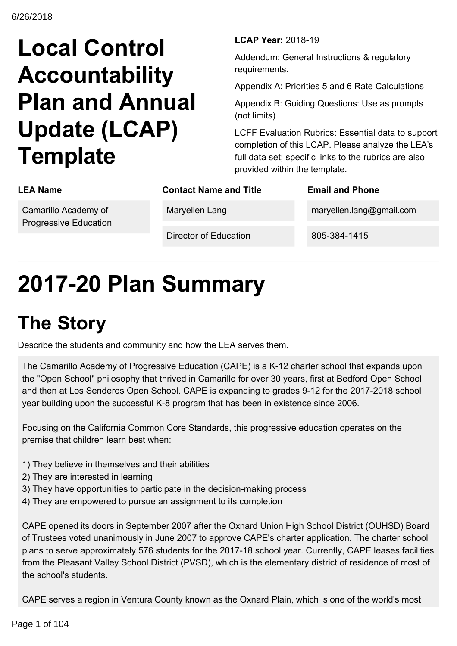# **Local Control Accountability Plan and Annual Update (LCAP) Template**

**LCAP Year: 2018-19** 

Addendum: General Instructions & regulatory requirements.

Appendix A: Priorities 5 and 6 Rate Calculations

Appendix B: Guiding Questions: Use as prompts (not limits)

LCFF Evaluation Rubrics: Essential data to support completion of this LCAP. Please analyze the LEA's full data set; specific links to the rubrics are also provided within the template.

| <b>LEA Name</b>                                      | <b>Contact Name and Title</b> | <b>Email and Phone</b>      |
|------------------------------------------------------|-------------------------------|-----------------------------|
| Camarillo Academy of<br><b>Progressive Education</b> | Maryellen Lang                | $maryellow$ .lang@gmail.com |
|                                                      | Director of Education         | 805-384-1415                |

# **201720 Plan Summary**

# **The Story**

Describe the students and community and how the LEA serves them.

The Camarillo Academy of Progressive Education (CAPE) is a K-12 charter school that expands upon the "Open School" philosophy that thrived in Camarillo for over 30 years, first at Bedford Open School and then at Los Senderos Open School. CAPE is expanding to grades 9-12 for the 2017-2018 school year building upon the successful K-8 program that has been in existence since 2006.

Focusing on the California Common Core Standards, this progressive education operates on the premise that children learn best when:

- 1) They believe in themselves and their abilities
- 2) They are interested in learning
- 3) They have opportunities to participate in the decision-making process
- 4) They are empowered to pursue an assignment to its completion

CAPE opened its doors in September 2007 after the Oxnard Union High School District (OUHSD) Board of Trustees voted unanimously in June 2007 to approve CAPE's charter application. The charter school plans to serve approximately 576 students for the 2017-18 school year. Currently, CAPE leases facilities from the Pleasant Valley School District (PVSD), which is the elementary district of residence of most of the school's students.

CAPE serves a region in Ventura County known as the Oxnard Plain, which is one of the world's most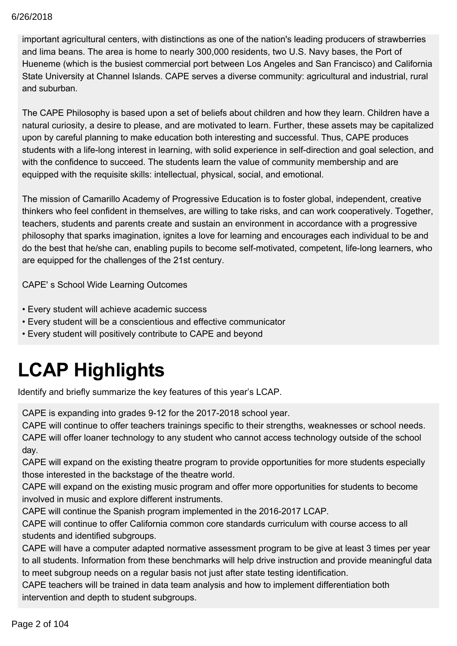### 6/26/2018

important agricultural centers, with distinctions as one of the nation's leading producers of strawberries and lima beans. The area is home to nearly 300,000 residents, two U.S. Navy bases, the Port of Hueneme (which is the busiest commercial port between Los Angeles and San Francisco) and California State University at Channel Islands. CAPE serves a diverse community: agricultural and industrial, rural and suburban.

The CAPE Philosophy is based upon a set of beliefs about children and how they learn. Children have a natural curiosity, a desire to please, and are motivated to learn. Further, these assets may be capitalized upon by careful planning to make education both interesting and successful. Thus, CAPE produces students with a life-long interest in learning, with solid experience in self-direction and goal selection, and with the confidence to succeed. The students learn the value of community membership and are equipped with the requisite skills: intellectual, physical, social, and emotional.

The mission of Camarillo Academy of Progressive Education is to foster global, independent, creative thinkers who feel confident in themselves, are willing to take risks, and can work cooperatively. Together, teachers, students and parents create and sustain an environment in accordance with a progressive philosophy that sparks imagination, ignites a love for learning and encourages each individual to be and do the best that he/she can, enabling pupils to become self-motivated, competent, life-long learners, who are equipped for the challenges of the 21st century.

CAPE' s School Wide Learning Outcomes

- Every student will achieve academic success
- Every student will be a conscientious and effective communicator
- Every student will positively contribute to CAPE and beyond

# **LCAP Highlights**

Identify and briefly summarize the key features of this year's LCAP.

CAPE is expanding into grades 9-12 for the 2017-2018 school year.

CAPE will continue to offer teachers trainings specific to their strengths, weaknesses or school needs. CAPE will offer loaner technology to any student who cannot access technology outside of the school day.

CAPE will expand on the existing theatre program to provide opportunities for more students especially those interested in the backstage of the theatre world.

CAPE will expand on the existing music program and offer more opportunities for students to become involved in music and explore different instruments.

CAPE will continue the Spanish program implemented in the 2016-2017 LCAP.

CAPE will continue to offer California common core standards curriculum with course access to all students and identified subgroups.

CAPE will have a computer adapted normative assessment program to be give at least 3 times per year to all students. Information from these benchmarks will help drive instruction and provide meaningful data to meet subgroup needs on a regular basis not just after state testing identification.

CAPE teachers will be trained in data team analysis and how to implement differentiation both intervention and depth to student subgroups.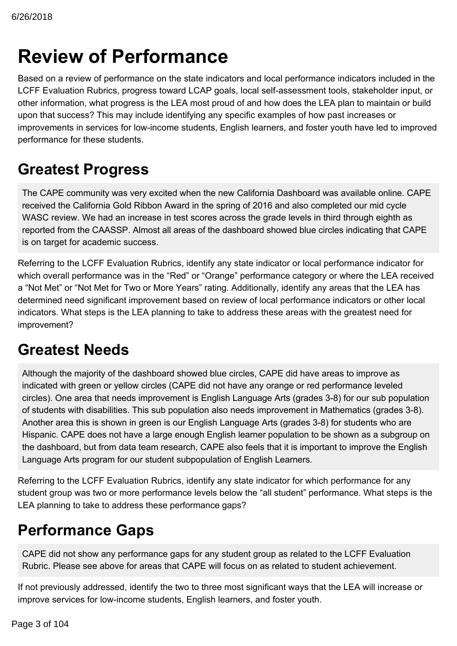# **Review of Performance**

Based on a review of performance on the state indicators and local performance indicators included in the LCFF Evaluation Rubrics, progress toward LCAP goals, local self-assessment tools, stakeholder input, or other information, what progress is the LEA most proud of and how does the LEA plan to maintain or build upon that success? This may include identifying any specific examples of how past increases or improvements in services for low-income students, English learners, and foster youth have led to improved performance for these students.

## **Greatest Progress**

The CAPE community was very excited when the new California Dashboard was available online. CAPE received the California Gold Ribbon Award in the spring of 2016 and also completed our mid cycle WASC review. We had an increase in test scores across the grade levels in third through eighth as reported from the CAASSP. Almost all areas of the dashboard showed blue circles indicating that CAPE is on target for academic success.

Referring to the LCFF Evaluation Rubrics, identify any state indicator or local performance indicator for which overall performance was in the "Red" or "Orange" performance category or where the LEA received a "Not Met" or "Not Met for Two or More Years" rating. Additionally, identify any areas that the LEA has determined need significant improvement based on review of local performance indicators or other local indicators. What steps is the LEA planning to take to address these areas with the greatest need for improvement?

## **Greatest Needs**

Although the majority of the dashboard showed blue circles, CAPE did have areas to improve as indicated with green or yellow circles (CAPE did not have any orange or red performance leveled circles). One area that needs improvement is English Language Arts (grades 3-8) for our sub population of students with disabilities. This sub population also needs improvement in Mathematics (grades 3-8). Another area this is shown in green is our English Language Arts (grades 3-8) for students who are Hispanic. CAPE does not have a large enough English learner population to be shown as a subgroup on the dashboard, but from data team research, CAPE also feels that it is important to improve the English Language Arts program for our student subpopulation of English Learners.

Referring to the LCFF Evaluation Rubrics, identify any state indicator for which performance for any student group was two or more performance levels below the "all student" performance. What steps is the LEA planning to take to address these performance gaps?

## **Performance Gaps**

CAPE did not show any performance gaps for any student group as related to the LCFF Evaluation Rubric. Please see above for areas that CAPE will focus on as related to student achievement.

If not previously addressed, identify the two to three most significant ways that the LEA will increase or improve services for low-income students, English learners, and foster youth.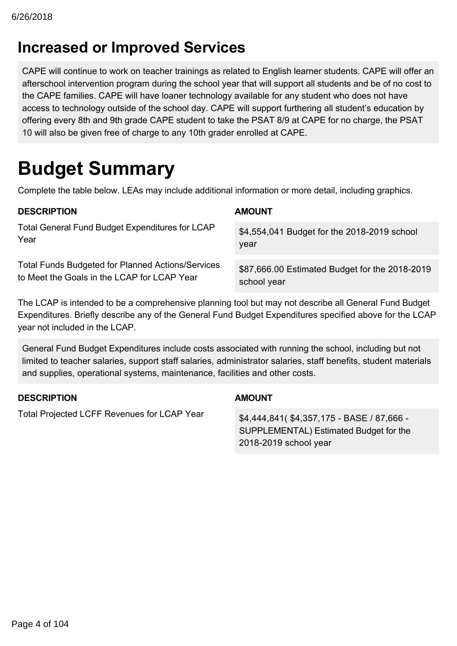## **Increased or Improved Services**

CAPE will continue to work on teacher trainings as related to English learner students. CAPE will offer an afterschool intervention program during the school year that will support all students and be of no cost to the CAPE families. CAPE will have loaner technology available for any student who does not have access to technology outside of the school day. CAPE will support furthering all student's education by offering every 8th and 9th grade CAPE student to take the PSAT 8/9 at CAPE for no charge, the PSAT 10 will also be given free of charge to any 10th grader enrolled at CAPE.

# **Budget Summary**

Complete the table below. LEAs may include additional information or more detail, including graphics.

| <b>DESCRIPTION</b>                                       | <b>AMOUNT</b>                                  |  |  |
|----------------------------------------------------------|------------------------------------------------|--|--|
| <b>Total General Fund Budget Expenditures for LCAP</b>   | \$4,554,041 Budget for the 2018-2019 school    |  |  |
| Year                                                     | year                                           |  |  |
| <b>Total Funds Budgeted for Planned Actions/Services</b> | \$87,666.00 Estimated Budget for the 2018-2019 |  |  |
| to Meet the Goals in the LCAP for LCAP Year              | school year                                    |  |  |

The LCAP is intended to be a comprehensive planning tool but may not describe all General Fund Budget Expenditures. Briefly describe any of the General Fund Budget Expenditures specified above for the LCAP year not included in the LCAP.

General Fund Budget Expenditures include costs associated with running the school, including but not limited to teacher salaries, support staff salaries, administrator salaries, staff benefits, student materials and supplies, operational systems, maintenance, facilities and other costs.

### **DESCRIPTION**

Total Projected LCFF Revenues for LCAP Year

### **AMOUNT**

\$4,444,841(\$4,357,175 - BASE / 87,666 -SUPPLEMENTAL) Estimated Budget for the 2018-2019 school year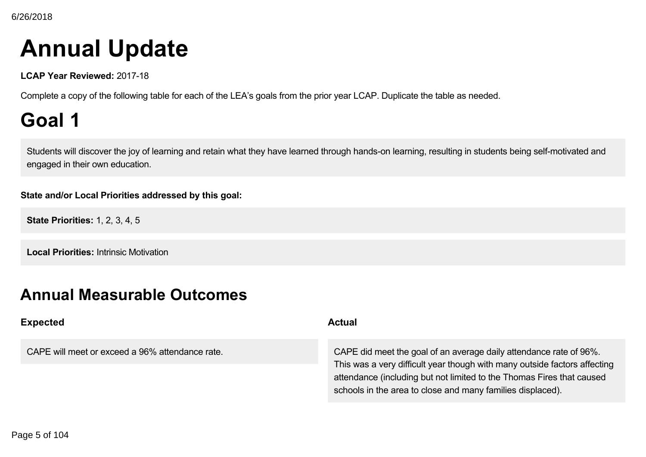# **Annual Update**

**LCAP Year Reviewed: 2017-18** 

Complete a copy of the following table for each of the LEA's goals from the prior year LCAP. Duplicate the table as needed.

# **Goal 1**

Students will discover the joy of learning and retain what they have learned through hands-on learning, resulting in students being self-motivated and engaged in their own education.

### **State and/or Local Priorities addressed by this goal:**

**State Priorities:** 1, 2, 3, 4, 5

**Local Priorities:** Intrinsic Motivation

## **Annual Measurable Outcomes**

**Expected Actual** CAPE will meet or exceed a 96% attendance rate. CAPE did meet the goal of an average daily attendance rate of 96%. This was a very difficult year though with many outside factors affecting attendance (including but not limited to the Thomas Fires that caused schools in the area to close and many families displaced).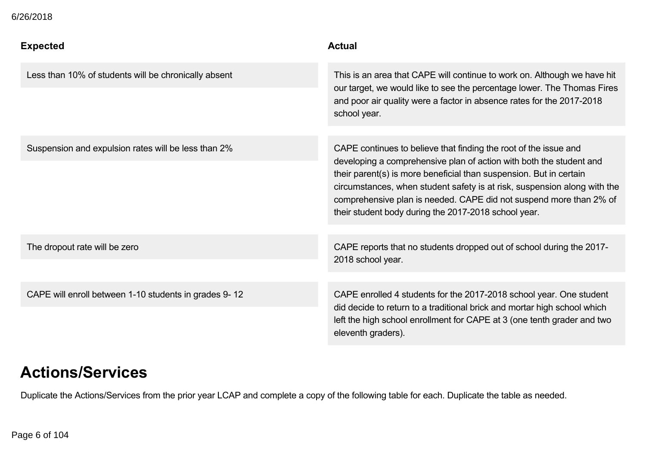| 6/26/2018 |  |
|-----------|--|
|-----------|--|

| <b>Expected</b>                                       | <b>Actual</b>                                                                                                                                                                                                                                                                                                                                                                                                           |
|-------------------------------------------------------|-------------------------------------------------------------------------------------------------------------------------------------------------------------------------------------------------------------------------------------------------------------------------------------------------------------------------------------------------------------------------------------------------------------------------|
| Less than 10% of students will be chronically absent  | This is an area that CAPE will continue to work on. Although we have hit<br>our target, we would like to see the percentage lower. The Thomas Fires<br>and poor air quality were a factor in absence rates for the 2017-2018<br>school year.                                                                                                                                                                            |
| Suspension and expulsion rates will be less than 2%   | CAPE continues to believe that finding the root of the issue and<br>developing a comprehensive plan of action with both the student and<br>their parent(s) is more beneficial than suspension. But in certain<br>circumstances, when student safety is at risk, suspension along with the<br>comprehensive plan is needed. CAPE did not suspend more than 2% of<br>their student body during the 2017-2018 school year. |
| The dropout rate will be zero                         | CAPE reports that no students dropped out of school during the 2017-<br>2018 school year.                                                                                                                                                                                                                                                                                                                               |
| CAPE will enroll between 1-10 students in grades 9-12 | CAPE enrolled 4 students for the 2017-2018 school year. One student<br>did decide to return to a traditional brick and mortar high school which<br>left the high school enrollment for CAPE at 3 (one tenth grader and two<br>eleventh graders).                                                                                                                                                                        |

### **Actions/Services**

Duplicate the Actions/Services from the prior year LCAP and complete a copy of the following table for each. Duplicate the table as needed.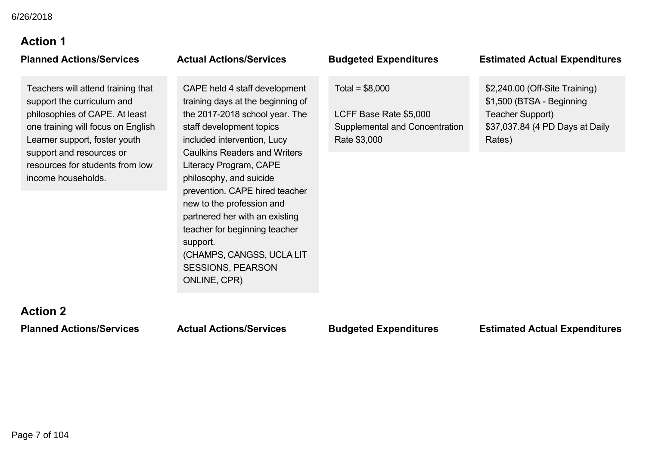### **Action 1 Planned Actions/Services Actual Actions/Services Budgeted Expenditures Estimated Actual Expenditures**

Teachers will attend training that support the curriculum and philosophies of CAPE. At least one training will focus on English Learner support, foster youth support and resources or resources for students from low income households.

CAPE held 4 staff development training days at the beginning of the 2017-2018 school year. The staff development topics included intervention, Lucy Caulkins Readers and Writers Literacy Program, CAPE philosophy, and suicide prevention. CAPE hired teacher new to the profession and partnered her with an existing teacher for beginning teacher support. (CHAMPS, CANGSS, UCLA LIT SESSIONS, PEARSON ONLINE, CPR)

 $Total = $8,000$ 

LCFF Base Rate \$5,000 Supplemental and Concentration Rate \$3,000

\$2,240.00 (Off-Site Training) \$1,500 (BTSA - Beginning Teacher Support) \$37,037.84 (4 PD Days at Daily Rates)

**Action 2**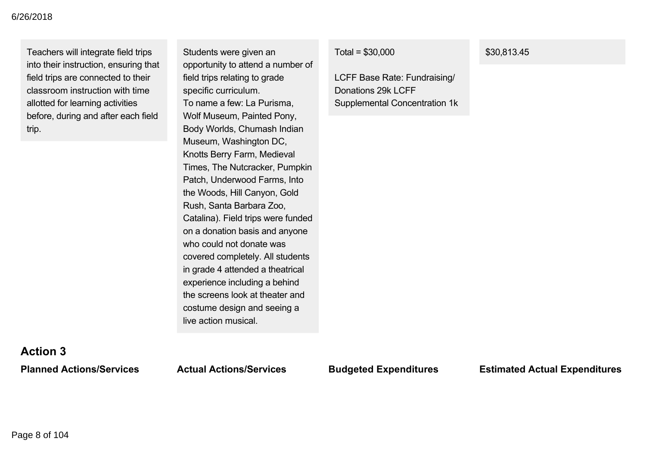Teachers will integrate field trips into their instruction, ensuring that field trips are connected to their classroom instruction with time allotted for learning activities before, during and after each field trip.

Students were given an opportunity to attend a number of field trips relating to grade specific curriculum. To name a few: La Purisma, Wolf Museum, Painted Pony, Body Worlds, Chumash Indian Museum, Washington DC, Knotts Berry Farm, Medieval Times, The Nutcracker, Pumpkin Patch, Underwood Farms, Into the Woods, Hill Canyon, Gold Rush, Santa Barbara Zoo, Catalina). Field trips were funded on a donation basis and anyone who could not donate was covered completely. All students in grade 4 attended a theatrical experience including a behind the screens look at theater and costume design and seeing a live action musical.

Total = \$30,000

LCFF Base Rate: Fundraising/ Donations 29k LCFF Supplemental Concentration 1k

### \$30,813.45

**Action 3**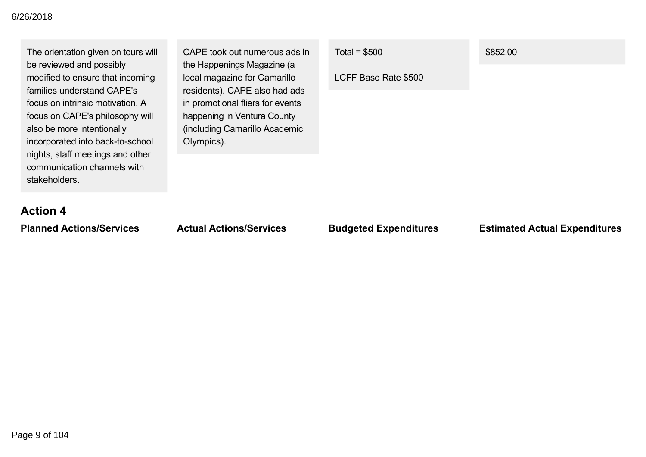The orientation given on tours will be reviewed and possibly modified to ensure that incoming families understand CAPE's focus on intrinsic motivation. A focus on CAPE's philosophy will also be more intentionally incorporated into back-to-school nights, staff meetings and other communication channels with stakeholders.

CAPE took out numerous ads in the Happenings Magazine (a local magazine for Camarillo residents). CAPE also had ads in promotional fliers for events happening in Ventura County (including Camarillo Academic Olympics).

 $Total = $500$ 

LCFF Base Rate \$500

\$852.00

# **Action 4**

**Planned Actions/Services Actual Actions/Services Budgeted Expenditures Estimated Actual Expenditures**

Page 9 of 104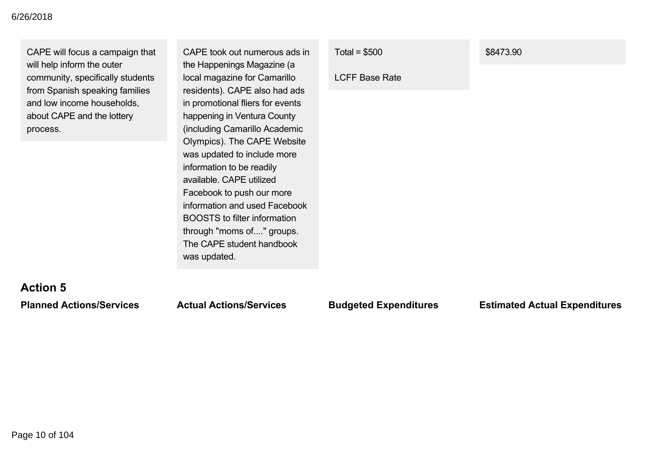CAPE will focus a campaign that will help inform the outer community, specifically students from Spanish speaking families and low income households, about CAPE and the lottery process.

CAPE took out numerous ads in the Happenings Magazine (a local magazine for Camarillo residents). CAPE also had ads in promotional fliers for events happening in Ventura County (including Camarillo Academic Olympics). The CAPE Website was updated to include more information to be readily available. CAPE utilized Facebook to push our more information and used Facebook BOOSTS to filter information through "moms of...." groups. The CAPE student handbook was updated.

 $Total = $500$ 

LCFF Base Rate

\$8473.90

**Action 5**

### **Planned Actions/Services Actual Actions/Services Budgeted Expenditures Estimated Actual Expenditures**

Page 10 of 104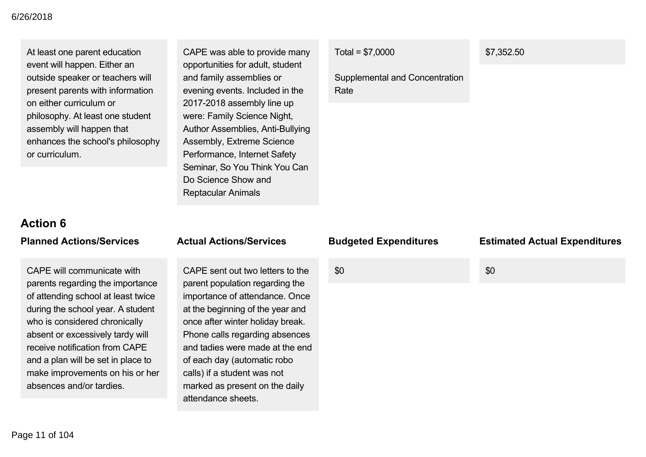At least one parent education event will happen. Either an outside speaker or teachers will present parents with information on either curriculum or philosophy. At least one student assembly will happen that enhances the school's philosophy or curriculum.

**Action 6**

CAPE will communicate with parents regarding the importance of attending school at least twice during the school year. A student who is considered chronically absent or excessively tardy will receive notification from CAPE and a plan will be set in place to make improvements on his or her absences and/or tardies.

CAPE sent out two letters to the parent population regarding the importance of attendance. Once at the beginning of the year and once after winter holiday break. Phone calls regarding absences and tadies were made at the end of each day (automatic robo calls) if a student was not marked as present on the daily attendance sheets.

CAPE was able to provide many opportunities for adult, student

evening events. Included in the 2017-2018 assembly line up were: Family Science Night,

Author Assemblies, Anti-Bullying Assembly, Extreme Science Performance, Internet Safety Seminar, So You Think You Can

and family assemblies or

Do Science Show and Reptacular Animals

Total = \$7,0000

Supplemental and Concentration Rate

\$7,352.50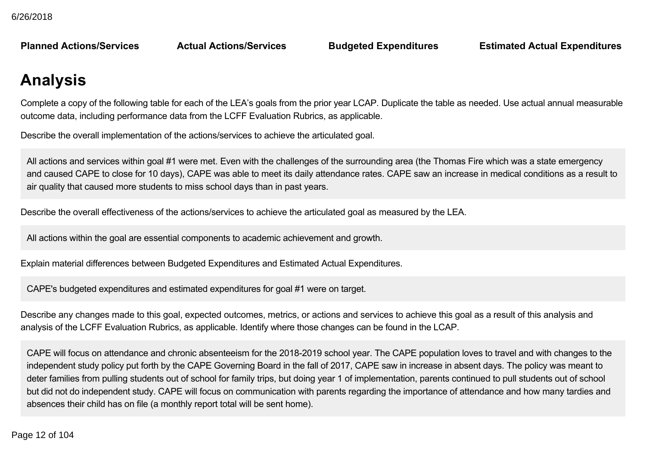**Planned Actions/Services Actual Actions/Services Budgeted Expenditures Estimated Actual Expenditures**

## **Analysis**

Complete a copy of the following table for each of the LEA's goals from the prior year LCAP. Duplicate the table as needed. Use actual annual measurable outcome data, including performance data from the LCFF Evaluation Rubrics, as applicable.

Describe the overall implementation of the actions/services to achieve the articulated goal.

All actions and services within goal #1 were met. Even with the challenges of the surrounding area (the Thomas Fire which was a state emergency and caused CAPE to close for 10 days), CAPE was able to meet its daily attendance rates. CAPE saw an increase in medical conditions as a result to air quality that caused more students to miss school days than in past years.

Describe the overall effectiveness of the actions/services to achieve the articulated goal as measured by the LEA.

All actions within the goal are essential components to academic achievement and growth.

Explain material differences between Budgeted Expenditures and Estimated Actual Expenditures.

CAPE's budgeted expenditures and estimated expenditures for goal #1 were on target.

Describe any changes made to this goal, expected outcomes, metrics, or actions and services to achieve this goal as a result of this analysis and analysis of the LCFF Evaluation Rubrics, as applicable. Identify where those changes can be found in the LCAP.

CAPE will focus on attendance and chronic absenteeism for the 2018-2019 school year. The CAPE population loves to travel and with changes to the independent study policy put forth by the CAPE Governing Board in the fall of 2017, CAPE saw in increase in absent days. The policy was meant to deter families from pulling students out of school for family trips, but doing year 1 of implementation, parents continued to pull students out of school but did not do independent study. CAPE will focus on communication with parents regarding the importance of attendance and how many tardies and absences their child has on file (a monthly report total will be sent home).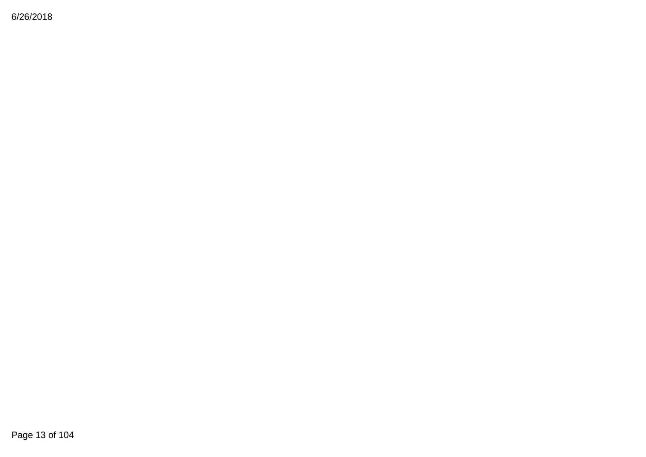$\delta/2018$ 6/26/2018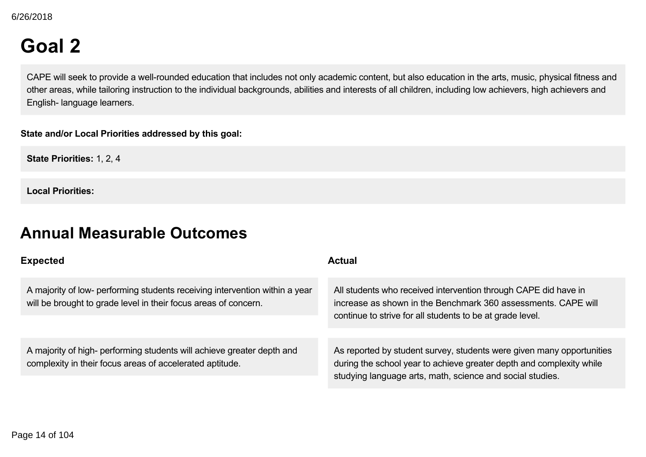# **Goal 2**

CAPE will seek to provide a well-rounded education that includes not only academic content, but also education in the arts, music, physical fitness and other areas, while tailoring instruction to the individual backgrounds, abilities and interests of all children, including low achievers, high achievers and English- language learners.

### **State and/or Local Priorities addressed by this goal:**

**State Priorities:** 1, 2, 4

**Local Priorities:**

## **Annual Measurable Outcomes**

| <b>Expected</b>                                                                                                                                | <b>Actual</b>                                                                                                                                                                                              |  |  |
|------------------------------------------------------------------------------------------------------------------------------------------------|------------------------------------------------------------------------------------------------------------------------------------------------------------------------------------------------------------|--|--|
| A majority of low- performing students receiving intervention within a year<br>will be brought to grade level in their focus areas of concern. | All students who received intervention through CAPE did have in<br>increase as shown in the Benchmark 360 assessments. CAPE will<br>continue to strive for all students to be at grade level.              |  |  |
| A majority of high- performing students will achieve greater depth and<br>complexity in their focus areas of accelerated aptitude.             | As reported by student survey, students were given many opportunities<br>during the school year to achieve greater depth and complexity while<br>studying language arts, math, science and social studies. |  |  |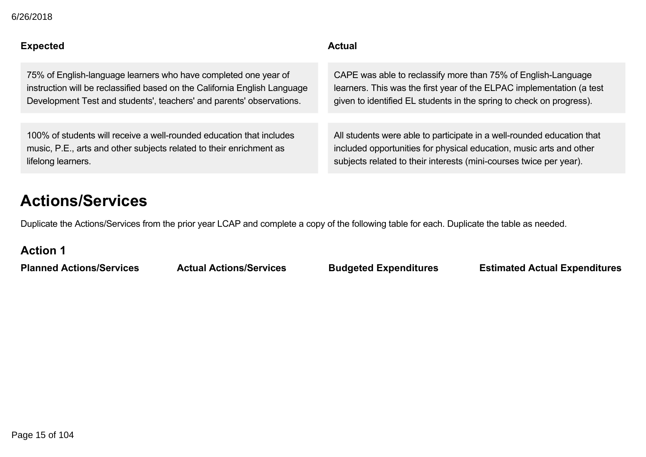### $\delta/2018$ 6/26/2018

| <b>Expected</b>                                                                                                                                                                                                      | <b>Actual</b>                                                                                                                                                                                                       |
|----------------------------------------------------------------------------------------------------------------------------------------------------------------------------------------------------------------------|---------------------------------------------------------------------------------------------------------------------------------------------------------------------------------------------------------------------|
| 75% of English-language learners who have completed one year of<br>instruction will be reclassified based on the California English Language<br>Development Test and students', teachers' and parents' observations. | CAPE was able to reclassify more than 75% of English-Language<br>learners. This was the first year of the ELPAC implementation (a test<br>given to identified EL students in the spring to check on progress).      |
|                                                                                                                                                                                                                      |                                                                                                                                                                                                                     |
| 100% of students will receive a well-rounded education that includes<br>music, P.E., arts and other subjects related to their enrichment as<br>lifelong learners.                                                    | All students were able to participate in a well-rounded education that<br>included opportunities for physical education, music arts and other<br>subjects related to their interests (mini-courses twice per year). |
|                                                                                                                                                                                                                      |                                                                                                                                                                                                                     |

## **Actions/Services**

Duplicate the Actions/Services from the prior year LCAP and complete a copy of the following table for each. Duplicate the table as needed.

### **Action 1**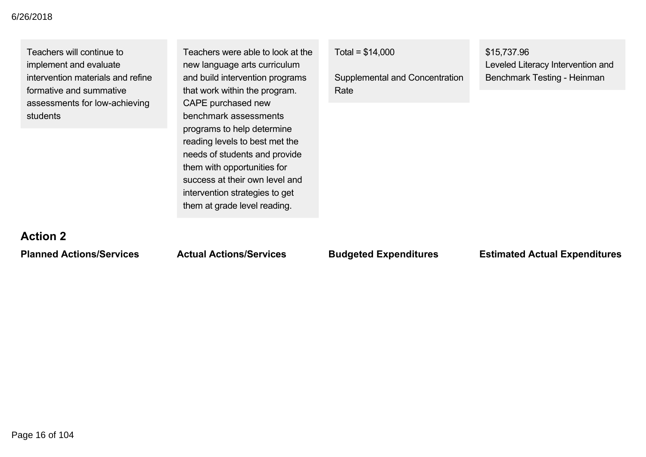Teachers will continue to implement and evaluate intervention materials and refine formative and summative assessments for low-achieving students

Teachers were able to look at the new language arts curriculum and build intervention programs that work within the program. CAPE purchased new benchmark assessments programs to help determine reading levels to best met the needs of students and provide them with opportunities for success at their own level and intervention strategies to get them at grade level reading.

Total = \$14,000

Supplemental and Concentration Rate

\$15,737.96 Leveled Literacy Intervention and Benchmark Testing - Heinman

### **Action 2**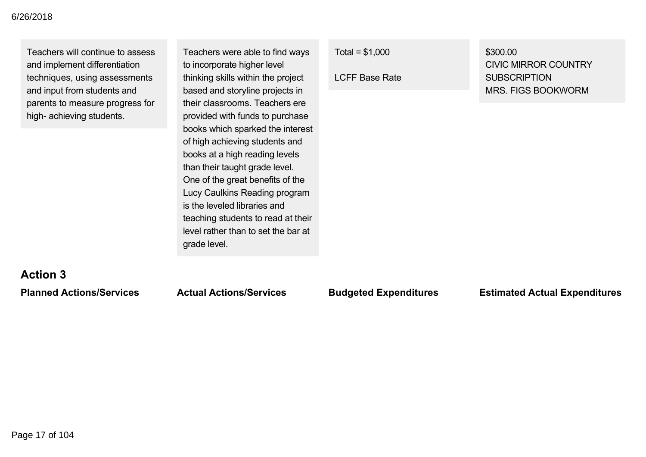Teachers will continue to assess and implement differentiation techniques, using assessments and input from students and parents to measure progress for high- achieving students.

Teachers were able to find ways to incorporate higher level thinking skills within the project based and storyline projects in their classrooms. Teachers ere provided with funds to purchase books which sparked the interest of high achieving students and books at a high reading levels than their taught grade level. One of the great benefits of the Lucy Caulkins Reading program is the leveled libraries and teaching students to read at their level rather than to set the bar at grade level.

 $Total = $1,000$ 

LCFF Base Rate

\$300.00 CIVIC MIRROR COUNTRY **SUBSCRIPTION** MRS. FIGS BOOKWORM

# **Action 3**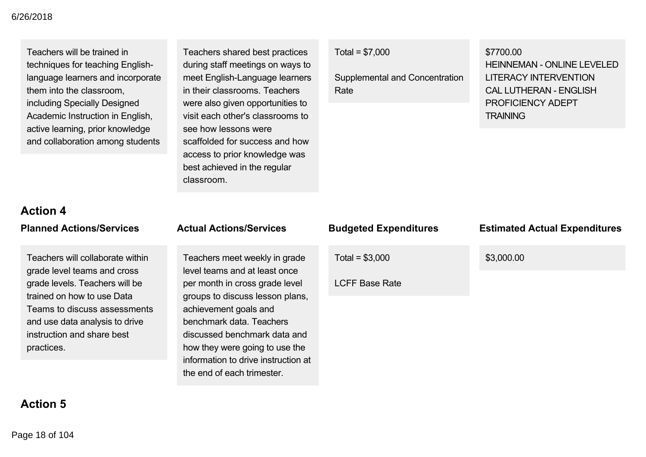Teachers will be trained in techniques for teaching Englishlanguage learners and incorporate them into the classroom, including Specially Designed Academic Instruction in English, active learning, prior knowledge and collaboration among students Teachers shared best practices during staff meetings on ways to meet English-Language learners in their classrooms. Teachers were also given opportunities to visit each other's classrooms to see how lessons were scaffolded for success and how access to prior knowledge was best achieved in the regular classroom.

Total = \$7,000

LCFF Base Rate

Supplemental and Concentration Rate

\$7700.00 HEINNEMAN - ONLINE LEVELED LITERACY INTERVENTION **CAL LUTHERAN - ENGLISH** PROFICIENCY ADEPT **TRAINING** 

# **Action 4**

Teachers will collaborate within grade level teams and cross grade levels. Teachers will be trained on how to use Data Teams to discuss assessments and use data analysis to drive instruction and share best practices.

Teachers meet weekly in grade level teams and at least once per month in cross grade level groups to discuss lesson plans, achievement goals and benchmark data. Teachers discussed benchmark data and how they were going to use the information to drive instruction at the end of each trimester.

### **Planned Actions/Services Actual Actions/Services Budgeted Expenditures Estimated Actual Expenditures** Total = \$3,000 \$3,000.00

## **Action 5**

Page 18 of 104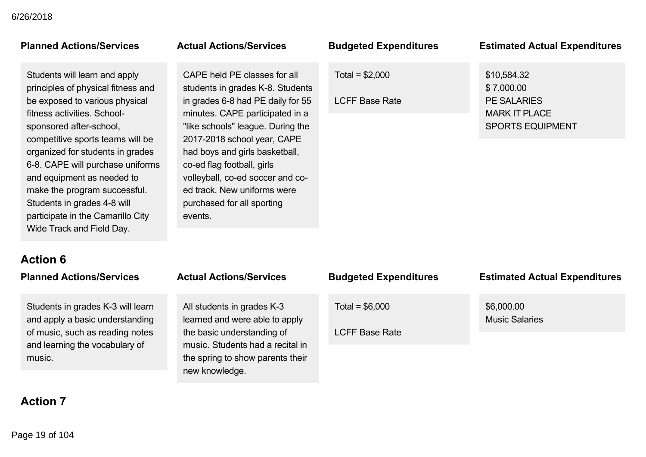Students will learn and apply principles of physical fitness and be exposed to various physical fitness activities. Schoolsponsored after-school. competitive sports teams will be organized for students in grades 6-8. CAPE will purchase uniforms and equipment as needed to make the program successful. Students in grades 4-8 will participate in the Camarillo City Wide Track and Field Day.

CAPE held PE classes for all students in grades K-8. Students in grades 6-8 had PE daily for 55 minutes. CAPE participated in a "like schools" league. During the 2017-2018 school year, CAPE had boys and girls basketball, co-ed flag football, girls volleyball, co-ed soccer and coed track. New uniforms were purchased for all sporting events.

Total = \$2,000

LCFF Base Rate

### **Planned Actions/Services Actual Actions/Services Budgeted Expenditures Estimated Actual Expenditures**

\$10,584.32 \$ 7,000.00 PE SALARIES MARK IT PI ACF SPORTS EQUIPMENT

## **Action 6**

Students in grades K-3 will learn and apply a basic understanding of music, such as reading notes and learning the vocabulary of music.

### **Planned Actions/Services Actual Actions/Services** All students in grades K-3 learned and were able to apply the basic understanding of music. Students had a recital in the spring to show parents their new knowledge.

| <b>Budgeted Expenditures</b> | <b>Estimated Actual Expenditures</b> |
|------------------------------|--------------------------------------|
| Total = $$6,000$             | \$6,000.00<br><b>Music Salaries</b>  |
| LCFF Base Rate               |                                      |
|                              |                                      |

### **Action 7**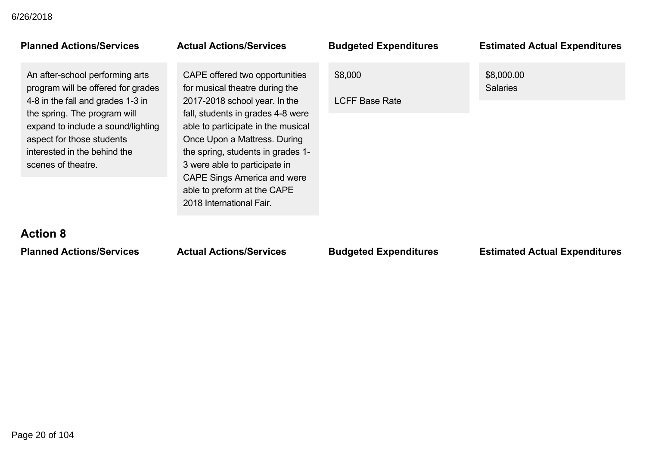| <b>Planned Actions/Services</b> |  |
|---------------------------------|--|
|---------------------------------|--|

An after-school performing arts program will be offered for grades 4-8 in the fall and grades 1-3 in the spring. The program will expand to include a sound/lighting aspect for those students interested in the behind the scenes of theatre.

CAPE offered two opportunities for musical theatre during the 2017-2018 school year. In the fall, students in grades 4-8 were able to participate in the musical Once Upon a Mattress. During the spring, students in grades 1 3 were able to participate in CAPE Sings America and were able to preform at the CAPE 2018 International Fair.

\$8,000

LCFF Base Rate

### **Planned Actions/Services Actual Actions/Services Budgeted Expenditures Estimated Actual Expenditures**

\$8,000.00 Salaries

# **Action 8**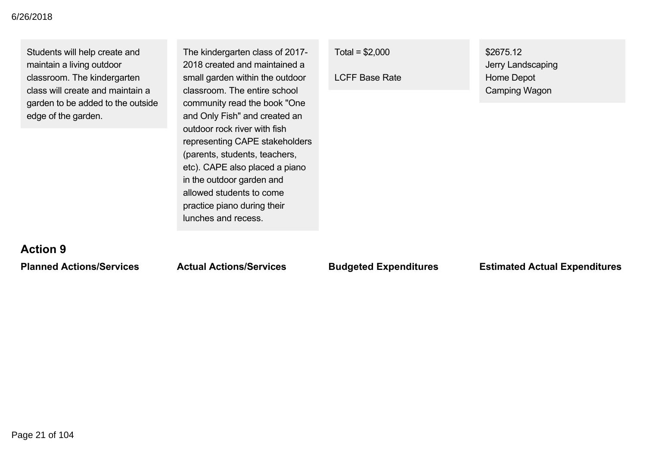Students will help create and maintain a living outdoor classroom. The kindergarten class will create and maintain a garden to be added to the outside edge of the garden.

The kindergarten class of 2017 2018 created and maintained a small garden within the outdoor classroom. The entire school community read the book "One and Only Fish" and created an outdoor rock river with fish representing CAPE stakeholders (parents, students, teachers, etc). CAPE also placed a piano in the outdoor garden and allowed students to come practice piano during their lunches and recess.

 $Total = $2,000$ 

LCFF Base Rate

\$2675.12 Jerry Landscaping Home Depot Camping Wagon

# **Action 9**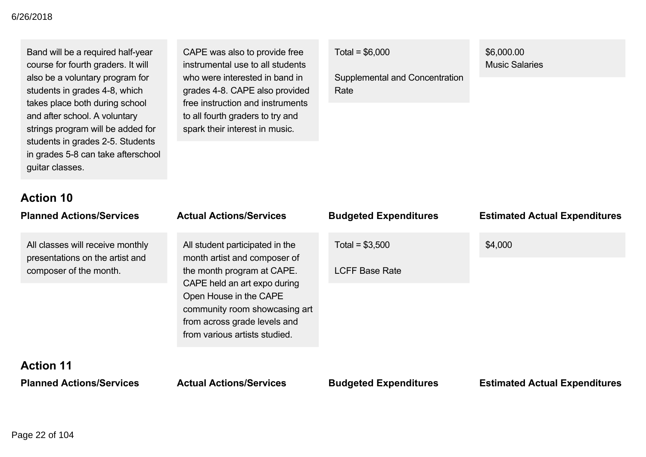**Action 10**

Band will be a required half-year course for fourth graders. It will also be a voluntary program for students in grades 4-8, which takes place both during school and after school. A voluntary strings program will be added for students in grades 2-5. Students in grades 5-8 can take afterschool guitar classes.

CAPE was also to provide free instrumental use to all students who were interested in band in grades 4-8. CAPE also provided free instruction and instruments to all fourth graders to try and spark their interest in music.

 $Total = $6,000$ 

Supplemental and Concentration Rate

\$6,000.00 Music Salaries

| ACUOIL TU                                                                                                                                                                                                                                                                                                                                                  |                                |                                                      |                                      |  |
|------------------------------------------------------------------------------------------------------------------------------------------------------------------------------------------------------------------------------------------------------------------------------------------------------------------------------------------------------------|--------------------------------|------------------------------------------------------|--------------------------------------|--|
| <b>Planned Actions/Services</b>                                                                                                                                                                                                                                                                                                                            | <b>Actual Actions/Services</b> |                                                      | <b>Estimated Actual Expenditures</b> |  |
| All classes will receive monthly<br>All student participated in the<br>month artist and composer of<br>presentations on the artist and<br>composer of the month.<br>the month program at CAPE.<br>CAPE held an art expo during<br>Open House in the CAPE<br>community room showcasing art<br>from across grade levels and<br>from various artists studied. |                                | Total = $$3,500$<br>\$4,000<br><b>LCFF Base Rate</b> |                                      |  |
| <b>Action 11</b><br><b>Planned Actions/Services</b>                                                                                                                                                                                                                                                                                                        | <b>Actual Actions/Services</b> | <b>Budgeted Expenditures</b>                         | <b>Estimated Actual Expenditures</b> |  |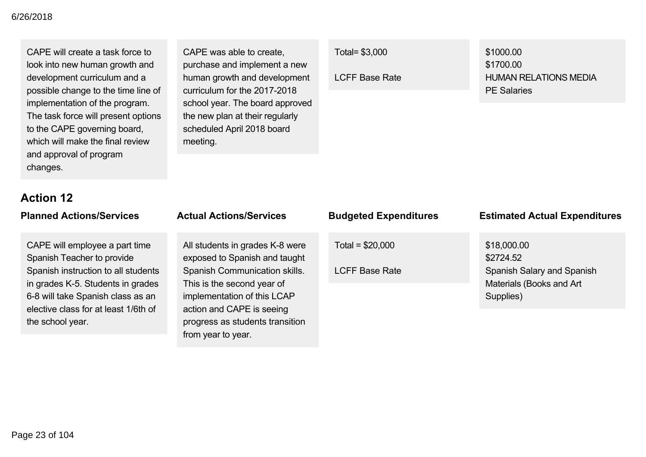CAPE will create a task force to look into new human growth and development curriculum and a possible change to the time line of implementation of the program. The task force will present options to the CAPE governing board, which will make the final review and approval of program changes.

**Action 12**

CAPE will employee a part time Spanish Teacher to provide Spanish instruction to all students in grades K-5. Students in grades 6-8 will take Spanish class as an elective class for at least 1/6th of the school year.

CAPE was able to create, purchase and implement a new human growth and development curriculum for the 2017-2018 school year. The board approved the new plan at their regularly scheduled April 2018 board meeting.

from year to year.

Total= \$3,000

LCFF Base Rate

\$1000.00 \$1700.00 HUMAN RELATIONS MEDIA PE Salaries

### **Planned Actions/Services Actual Actions/Services Budgeted Expenditures Estimated Actual Expenditures** All students in grades K-8 were exposed to Spanish and taught Spanish Communication skills. This is the second year of implementation of this LCAP action and CAPE is seeing progress as students transition Total = \$20,000 LCFF Base Rate \$18,000.00 \$2724.52 Spanish Salary and Spanish Materials (Books and Art Supplies)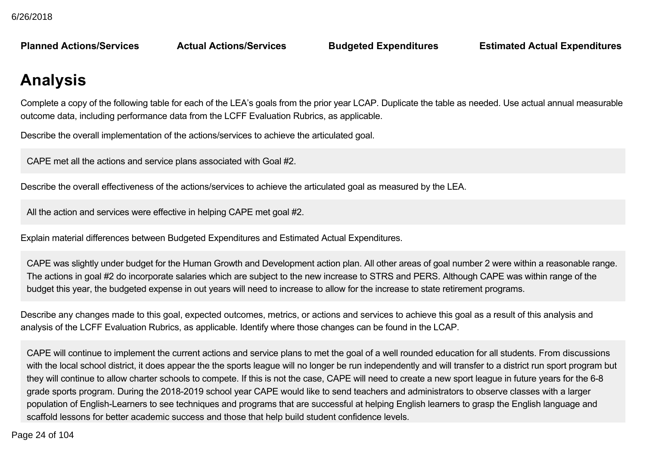**Planned Actions/Services Actual Actions/Services Budgeted Expenditures Estimated Actual Expenditures**

## **Analysis**

Complete a copy of the following table for each of the LEA's goals from the prior year LCAP. Duplicate the table as needed. Use actual annual measurable outcome data, including performance data from the LCFF Evaluation Rubrics, as applicable.

Describe the overall implementation of the actions/services to achieve the articulated goal.

CAPE met all the actions and service plans associated with Goal #2.

Describe the overall effectiveness of the actions/services to achieve the articulated goal as measured by the LEA.

All the action and services were effective in helping CAPE met goal #2.

Explain material differences between Budgeted Expenditures and Estimated Actual Expenditures.

CAPE was slightly under budget for the Human Growth and Development action plan. All other areas of goal number 2 were within a reasonable range. The actions in goal #2 do incorporate salaries which are subject to the new increase to STRS and PERS. Although CAPE was within range of the budget this year, the budgeted expense in out years will need to increase to allow for the increase to state retirement programs.

Describe any changes made to this goal, expected outcomes, metrics, or actions and services to achieve this goal as a result of this analysis and analysis of the LCFF Evaluation Rubrics, as applicable. Identify where those changes can be found in the LCAP.

CAPE will continue to implement the current actions and service plans to met the goal of a well rounded education for all students. From discussions with the local school district, it does appear the the sports league will no longer be run independently and will transfer to a district run sport program but they will continue to allow charter schools to compete. If this is not the case, CAPE will need to create a new sport league in future years for the 6-8 grade sports program. During the 2018-2019 school year CAPE would like to send teachers and administrators to observe classes with a larger population of English-Learners to see techniques and programs that are successful at helping English learners to grasp the English language and scaffold lessons for better academic success and those that help build student confidence levels.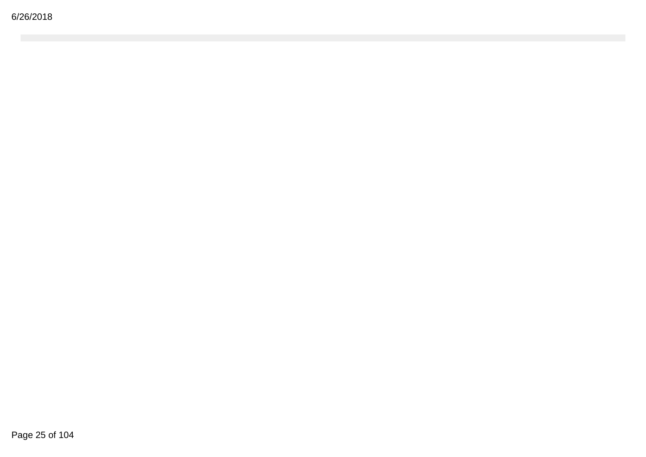$\delta/2018$ 6/26/2018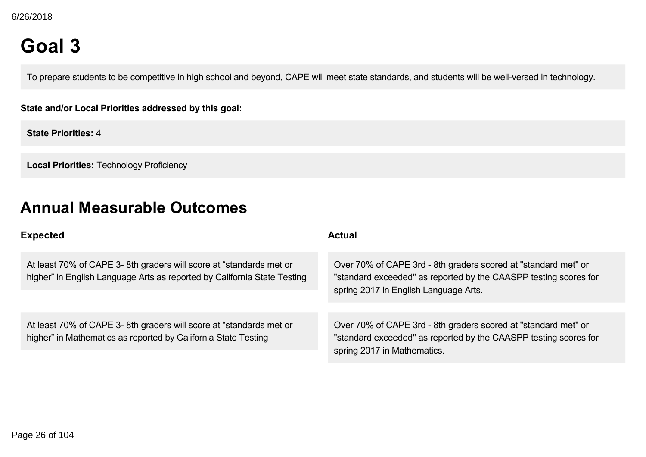# **Goal 3**

To prepare students to be competitive in high school and beyond, CAPE will meet state standards, and students will be well-versed in technology.

### **State and/or Local Priorities addressed by this goal:**

**State Priorities:** 4

**Local Priorities:** Technology Proficiency

### **Annual Measurable Outcomes**

| <b>Expected</b>                                                                                                                                | <b>Actual</b>                                                                                                                                                               |  |  |
|------------------------------------------------------------------------------------------------------------------------------------------------|-----------------------------------------------------------------------------------------------------------------------------------------------------------------------------|--|--|
| At least 70% of CAPE 3-8th graders will score at "standards met or<br>higher" in English Language Arts as reported by California State Testing | Over 70% of CAPE 3rd - 8th graders scored at "standard met" or<br>"standard exceeded" as reported by the CAASPP testing scores for<br>spring 2017 in English Language Arts. |  |  |
|                                                                                                                                                |                                                                                                                                                                             |  |  |
| At least 70% of CAPE 3-8th graders will score at "standards met or<br>higher" in Mathematics as reported by California State Testing           | Over 70% of CAPE 3rd - 8th graders scored at "standard met" or<br>"standard exceeded" as reported by the CAASPP testing scores for<br>spring 2017 in Mathematics.           |  |  |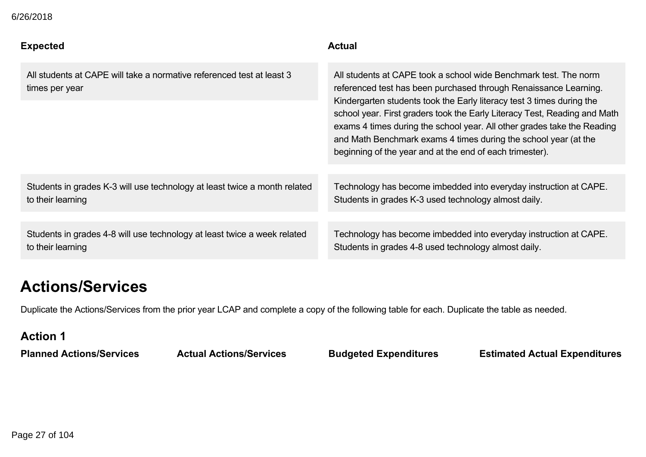| Expected                                                                                | <b>Actual</b>                                                                                                                                                                                                                                                                                                                                                                                                                                                                                        |
|-----------------------------------------------------------------------------------------|------------------------------------------------------------------------------------------------------------------------------------------------------------------------------------------------------------------------------------------------------------------------------------------------------------------------------------------------------------------------------------------------------------------------------------------------------------------------------------------------------|
| All students at CAPE will take a normative referenced test at least 3<br>times per year | All students at CAPE took a school wide Benchmark test. The norm<br>referenced test has been purchased through Renaissance Learning.<br>Kindergarten students took the Early literacy test 3 times during the<br>school year. First graders took the Early Literacy Test, Reading and Math<br>exams 4 times during the school year. All other grades take the Reading<br>and Math Benchmark exams 4 times during the school year (at the<br>beginning of the year and at the end of each trimester). |
| Students in grades K-3 will use technology at least twice a month related               | Technology has become imbedded into everyday instruction at CAPE.                                                                                                                                                                                                                                                                                                                                                                                                                                    |
| to their learning                                                                       | Students in grades K-3 used technology almost daily.                                                                                                                                                                                                                                                                                                                                                                                                                                                 |
| Students in grades 4-8 will use technology at least twice a week related                | Technology has become imbedded into everyday instruction at CAPE.                                                                                                                                                                                                                                                                                                                                                                                                                                    |
| to their learning                                                                       | Students in grades 4-8 used technology almost daily.                                                                                                                                                                                                                                                                                                                                                                                                                                                 |

### **Actions/Services**

 $\delta$ /2018

Duplicate the Actions/Services from the prior year LCAP and complete a copy of the following table for each. Duplicate the table as needed.

### **Action 1**

6/26/2018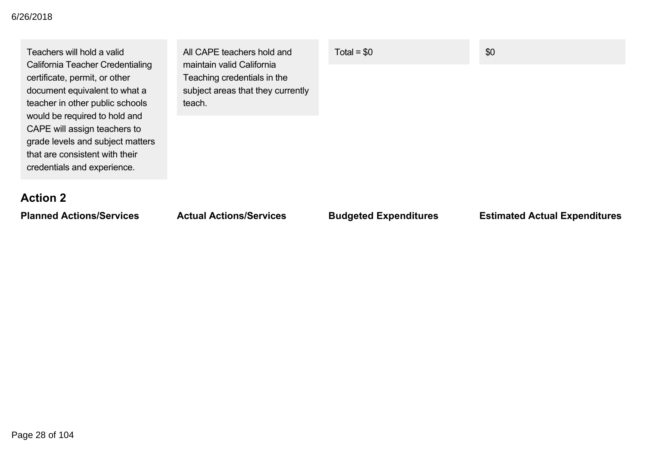| 6/26/2018 |  |  |  |
|-----------|--|--|--|
|           |  |  |  |

Teachers will hold a valid California Teacher Credentialing certificate, permit, or other document equivalent to what a teacher in other public schools would be required to hold and CAPE will assign teachers to grade levels and subject matters that are consistent with their credentials and experience.

All CAPE teachers hold and maintain valid California Teaching credentials in the subject areas that they currently teach.

 $Total = $0$  \$0

# **Action 2**

**Planned Actions/Services Actual Actions/Services Budgeted Expenditures Estimated Actual Expenditures**

Page 28 of 104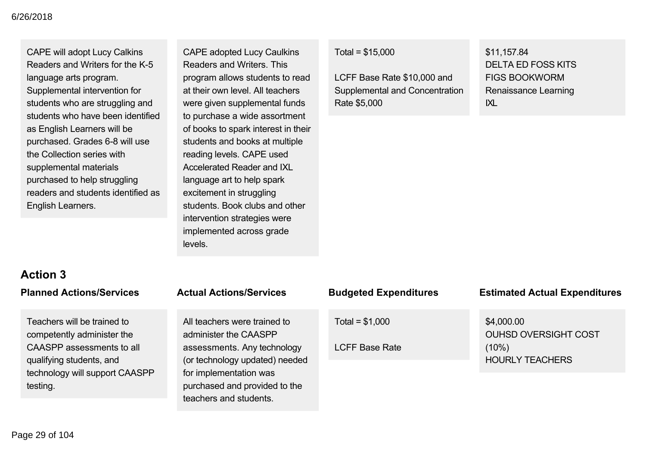CAPE will adopt Lucy Calkins Readers and Writers for the K-5 language arts program. Supplemental intervention for students who are struggling and students who have been identified as English Learners will be purchased. Grades 6-8 will use the Collection series with supplemental materials purchased to help struggling readers and students identified as English Learners.

CAPE adopted Lucy Caulkins Readers and Writers. This program allows students to read at their own level. All teachers were given supplemental funds to purchase a wide assortment of books to spark interest in their students and books at multiple reading levels. CAPE used Accelerated Reader and IXL language art to help spark excitement in struggling students. Book clubs and other intervention strategies were implemented across grade levels.

for implementation was

teachers and students.

purchased and provided to the

Total = \$15,000

LCFF Base Rate \$10,000 and Supplemental and Concentration Rate \$5,000

\$11,157.84 DELTA ED FOSS KITS FIGS BOOKWORM Renaissance Learning  $IXI$ 

# **Action 3**

Teachers will be trained to competently administer the CAASPP assessments to all qualifying students, and technology will support CAASPP testing.

| <b>Planned Actions/Services</b> | <b>Actual Actions/Services</b> | <b>Budgeted Expenditures</b> | <b>Estimated Actual Expenditures</b> |
|---------------------------------|--------------------------------|------------------------------|--------------------------------------|
| Teachers will be trained to     | All teachers were trained to   | Total = $$1,000$             | \$4,000.00                           |
| competently administer the      | administer the CAASPP          |                              | <b>OUHSD OVERSIGHT COST</b>          |
| CAASPP assessments to all       | assessments. Any technology    | <b>LCFF Base Rate</b>        | $(10\%)$                             |
| qualifying students, and        | (or technology updated) needed |                              | <b>HOURLY TEACHERS</b>               |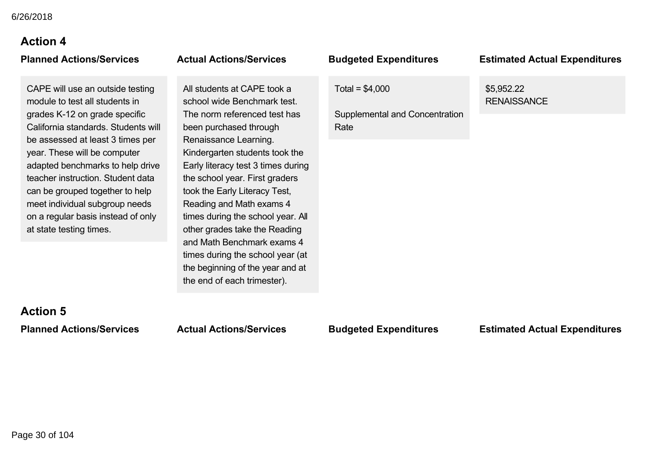# **Action 4**

CAPE will use an outside testing module to test all students in grades K12 on grade specific California standards. Students will be assessed at least 3 times per year. These will be computer adapted benchmarks to help drive teacher instruction. Student data can be grouped together to help meet individual subgroup needs on a regular basis instead of only at state testing times.

All students at CAPE took a school wide Benchmark test. The norm referenced test has been purchased through Renaissance Learning. Kindergarten students took the Early literacy test 3 times during the school year. First graders took the Early Literacy Test, Reading and Math exams 4 times during the school year. All other grades take the Reading and Math Benchmark exams 4 times during the school year (at the beginning of the year and at the end of each trimester).

 $Total = $4,000$ 

Supplemental and Concentration Rate

### **Planned Actions/Services Actual Actions/Services Budgeted Expenditures Estimated Actual Expenditures**

\$5,952.22 **RENAISSANCE** 

**Action 5**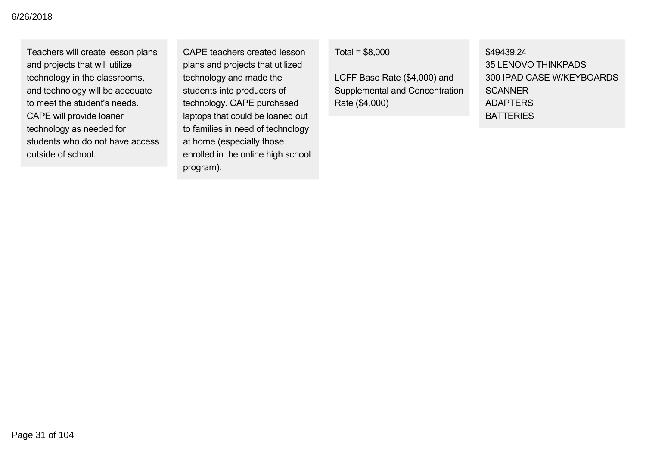Teachers will create lesson plans and projects that will utilize technology in the classrooms, and technology will be adequate to meet the student's needs. CAPE will provide loaner technology as needed for students who do not have access outside of school.

CAPE teachers created lesson plans and projects that utilized technology and made the students into producers of technology. CAPE purchased laptops that could be loaned out to families in need of technology at home (especially those enrolled in the online high school program).

Total = \$8,000

LCFF Base Rate (\$4,000) and Supplemental and Concentration Rate (\$4,000)

\$49439.24 35 LENOVO THINKPADS 300 IPAD CASE W/KEYBOARDS **SCANNER** ADAPTERS **BATTERIES**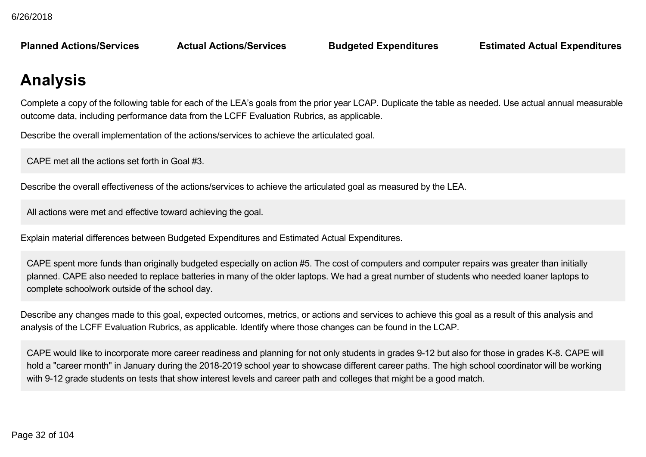**Planned Actions/Services Actual Actions/Services Budgeted Expenditures Estimated Actual Expenditures**

## **Analysis**

Complete a copy of the following table for each of the LEA's goals from the prior year LCAP. Duplicate the table as needed. Use actual annual measurable outcome data, including performance data from the LCFF Evaluation Rubrics, as applicable.

Describe the overall implementation of the actions/services to achieve the articulated goal.

CAPE met all the actions set forth in Goal #3.

Describe the overall effectiveness of the actions/services to achieve the articulated goal as measured by the LEA.

All actions were met and effective toward achieving the goal.

Explain material differences between Budgeted Expenditures and Estimated Actual Expenditures.

CAPE spent more funds than originally budgeted especially on action #5. The cost of computers and computer repairs was greater than initially planned. CAPE also needed to replace batteries in many of the older laptops. We had a great number of students who needed loaner laptops to complete schoolwork outside of the school day.

Describe any changes made to this goal, expected outcomes, metrics, or actions and services to achieve this goal as a result of this analysis and analysis of the LCFF Evaluation Rubrics, as applicable. Identify where those changes can be found in the LCAP.

CAPE would like to incorporate more career readiness and planning for not only students in grades 9-12 but also for those in grades K-8. CAPE will hold a "career month" in January during the 2018-2019 school year to showcase different career paths. The high school coordinator will be working with 9-12 grade students on tests that show interest levels and career path and colleges that might be a good match.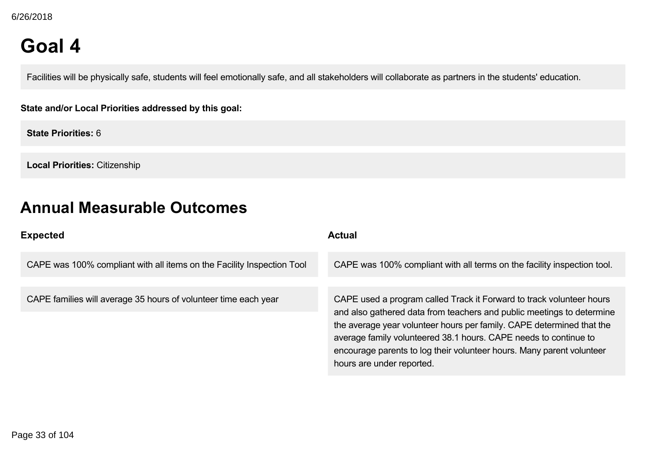# **Goal 4**

Facilities will be physically safe, students will feel emotionally safe, and all stakeholders will collaborate as partners in the students' education.

### **State and/or Local Priorities addressed by this goal:**

**State Priorities:** 6

**Local Priorities:** Citizenship

## **Annual Measurable Outcomes**

| <b>Expected</b>                                                        | <b>Actual</b>                                                                                                                                                                                                                                                                                                                                                                                    |  |
|------------------------------------------------------------------------|--------------------------------------------------------------------------------------------------------------------------------------------------------------------------------------------------------------------------------------------------------------------------------------------------------------------------------------------------------------------------------------------------|--|
| CAPE was 100% compliant with all items on the Facility Inspection Tool | CAPE was 100% compliant with all terms on the facility inspection tool.                                                                                                                                                                                                                                                                                                                          |  |
|                                                                        |                                                                                                                                                                                                                                                                                                                                                                                                  |  |
| CAPE families will average 35 hours of volunteer time each year        | CAPE used a program called Track it Forward to track volunteer hours<br>and also gathered data from teachers and public meetings to determine<br>the average year volunteer hours per family. CAPE determined that the<br>average family volunteered 38.1 hours. CAPE needs to continue to<br>encourage parents to log their volunteer hours. Many parent volunteer<br>hours are under reported. |  |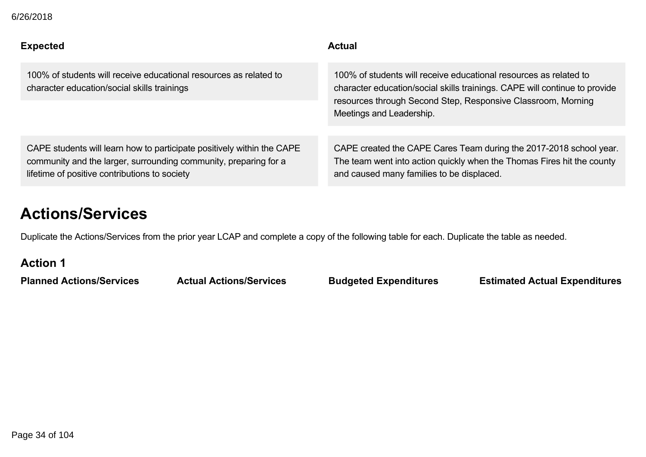| 3/26/2018                                                                                                                                  |                                                                                                                                                                                                                                             |
|--------------------------------------------------------------------------------------------------------------------------------------------|---------------------------------------------------------------------------------------------------------------------------------------------------------------------------------------------------------------------------------------------|
| <b>Expected</b>                                                                                                                            | <b>Actual</b>                                                                                                                                                                                                                               |
| 100% of students will receive educational resources as related to<br>character education/social skills trainings                           | 100% of students will receive educational resources as related to<br>character education/social skills trainings. CAPE will continue to provide<br>resources through Second Step, Responsive Classroom, Morning<br>Meetings and Leadership. |
| CAPE students will learn how to participate positively within the CAPE<br>community and the larger, surrounding community, preparing for a | CAPE created the CAPE Cares Team during the 2017-2018 school year.<br>The team went into action quickly when the Thomas Fires hit the county                                                                                                |

### **Actions/Services**

lifetime of positive contributions to society

Duplicate the Actions/Services from the prior year LCAP and complete a copy of the following table for each. Duplicate the table as needed.

### **Action 1**

and caused many families to be displaced.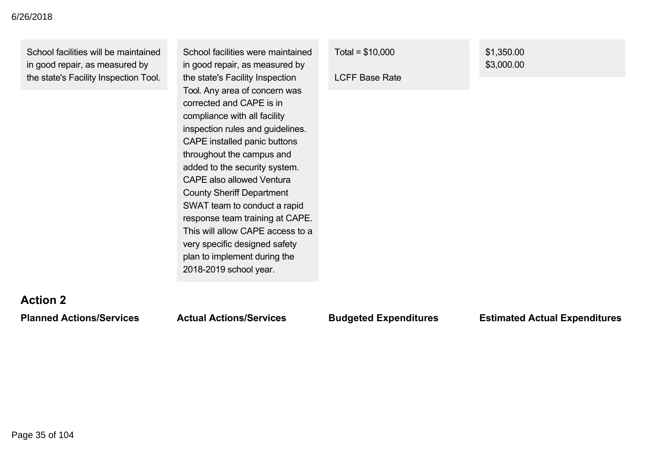School facilities will be maintained in good repair, as measured by the state's Facility Inspection Tool. School facilities were maintained in good repair, as measured by the state's Facility Inspection Tool. Any area of concern was corrected and CAPE is in compliance with all facility inspection rules and guidelines. CAPE installed panic buttons throughout the campus and added to the security system. CAPE also allowed Ventura County Sheriff Department SWAT team to conduct a rapid response team training at CAPE. This will allow CAPE access to a very specific designed safety plan to implement during the 2018-2019 school year.

Total = \$10,000

LCFF Base Rate

\$1,350.00 \$3,000.00

**Action 2**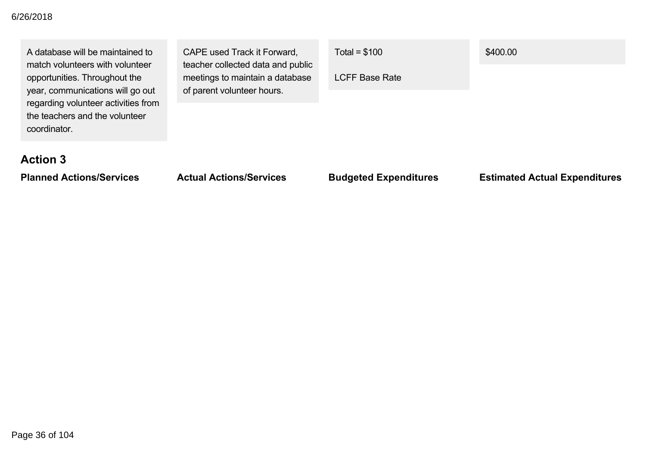### **Planned Actions/Services Actual Actions/Services Budgeted Expenditures Estimated Actual Expenditures** 6/26/2018

A database will be maintained to match volunteers with volunteer opportunities. Throughout the year, communications will go out regarding volunteer activities from the teachers and the volunteer coordinator.

CAPE used Track it Forward, teacher collected data and public meetings to maintain a database of parent volunteer hours.

 $Total = $100$ 

LCFF Base Rate

\$400.00

**Action 3**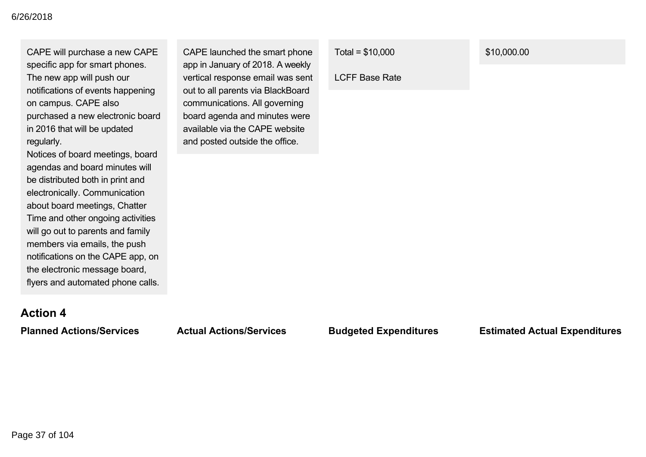CAPE will purchase a new CAPE specific app for smart phones. The new app will push our notifications of events happening on campus. CAPE also purchased a new electronic board in 2016 that will be updated regularly.

Notices of board meetings, board agendas and board minutes will be distributed both in print and electronically. Communication about board meetings, Chatter Time and other ongoing activities will go out to parents and family members via emails, the push notifications on the CAPE app, on the electronic message board, flyers and automated phone calls. CAPE launched the smart phone app in January of 2018. A weekly vertical response email was sent out to all parents via BlackBoard communications. All governing board agenda and minutes were available via the CAPE website and posted outside the office.

Total = \$10,000

\$10,000.00

LCFF Base Rate

**Action 4**

**Planned Actions/Services Actual Actions/Services Budgeted Expenditures Estimated Actual Expenditures**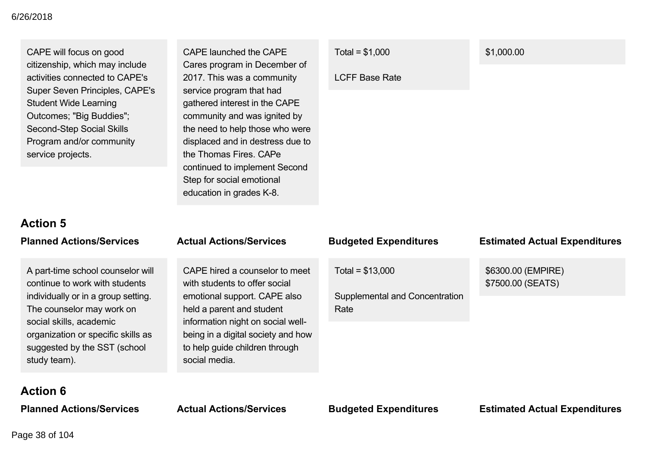CAPE will focus on good citizenship, which may include activities connected to CAPE's Super Seven Principles, CAPE's Student Wide Learning Outcomes; "Big Buddies"; Second-Step Social Skills Program and/or community service projects.

community and was ignited by the need to help those who were displaced and in destress due to the Thomas Fires. CAPe continued to implement Second Step for social emotional education in grades K-8.

CAPE launched the CAPE

Cares program in December of 2017. This was a community service program that had

gathered interest in the CAPE

 $Total = $1,000$ 

LCFF Base Rate

\$1,000.00

## **Action 5**

| <b>Planned Actions/Services</b>                                                                                                                                                                                                                          | <b>Actual Actions/Services</b>                                                                                                                                                                                                                             | <b>Budgeted Expenditures</b>                                | <b>Estimated Actual Expenditures</b>    |
|----------------------------------------------------------------------------------------------------------------------------------------------------------------------------------------------------------------------------------------------------------|------------------------------------------------------------------------------------------------------------------------------------------------------------------------------------------------------------------------------------------------------------|-------------------------------------------------------------|-----------------------------------------|
| A part-time school counselor will<br>continue to work with students<br>individually or in a group setting.<br>The counselor may work on<br>social skills, academic<br>organization or specific skills as<br>suggested by the SST (school<br>study team). | CAPE hired a counselor to meet<br>with students to offer social<br>emotional support. CAPE also<br>held a parent and student<br>information night on social well-<br>being in a digital society and how<br>to help guide children through<br>social media. | $Total = $13,000$<br>Supplemental and Concentration<br>Rate | \$6300.00 (EMPIRE)<br>\$7500.00 (SEATS) |
| Action 6                                                                                                                                                                                                                                                 |                                                                                                                                                                                                                                                            |                                                             |                                         |

## **Action 6**

**Planned Actions/Services Actual Actions/Services Budgeted Expenditures Estimated Actual Expenditures**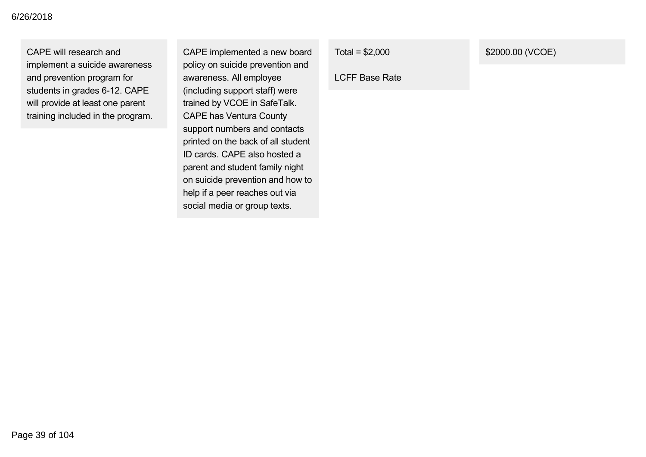CAPE will research and implement a suicide awareness and prevention program for students in grades 6-12. CAPE will provide at least one parent training included in the program. CAPE implemented a new board policy on suicide prevention and awareness. All employee (including support staff) were trained by VCOE in SafeTalk. CAPE has Ventura County support numbers and contacts printed on the back of all student ID cards. CAPE also hosted a parent and student family night on suicide prevention and how to help if a peer reaches out via social media or group texts.

Total = \$2,000

LCFF Base Rate

#### \$2000.00 (VCOE)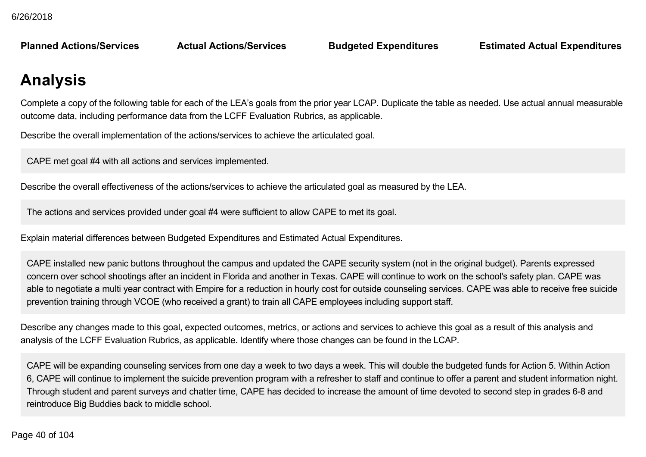**Planned Actions/Services Actual Actions/Services Budgeted Expenditures Estimated Actual Expenditures**

## **Analysis**

Complete a copy of the following table for each of the LEA's goals from the prior year LCAP. Duplicate the table as needed. Use actual annual measurable outcome data, including performance data from the LCFF Evaluation Rubrics, as applicable.

Describe the overall implementation of the actions/services to achieve the articulated goal.

CAPE met goal #4 with all actions and services implemented.

Describe the overall effectiveness of the actions/services to achieve the articulated goal as measured by the LEA.

The actions and services provided under goal #4 were sufficient to allow CAPE to met its goal.

Explain material differences between Budgeted Expenditures and Estimated Actual Expenditures.

CAPE installed new panic buttons throughout the campus and updated the CAPE security system (not in the original budget). Parents expressed concern over school shootings after an incident in Florida and another in Texas. CAPE will continue to work on the school's safety plan. CAPE was able to negotiate a multi year contract with Empire for a reduction in hourly cost for outside counseling services. CAPE was able to receive free suicide prevention training through VCOE (who received a grant) to train all CAPE employees including support staff.

Describe any changes made to this goal, expected outcomes, metrics, or actions and services to achieve this goal as a result of this analysis and analysis of the LCFF Evaluation Rubrics, as applicable. Identify where those changes can be found in the LCAP.

CAPE will be expanding counseling services from one day a week to two days a week. This will double the budgeted funds for Action 5. Within Action 6, CAPE will continue to implement the suicide prevention program with a refresher to staff and continue to offer a parent and student information night. Through student and parent surveys and chatter time, CAPE has decided to increase the amount of time devoted to second step in grades 68 and reintroduce Big Buddies back to middle school.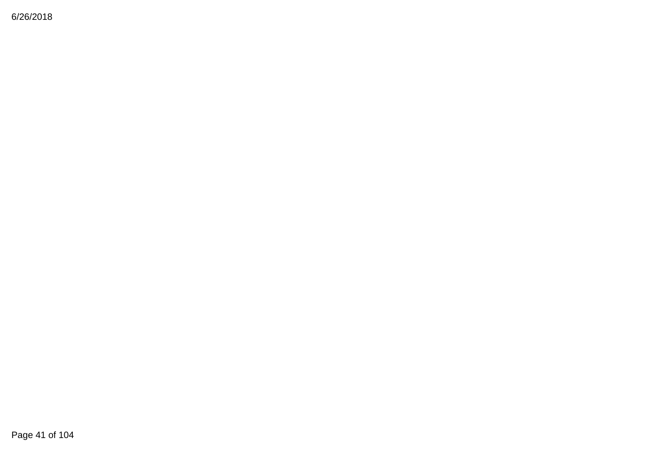reintroduce Big Buddies back to middle school. 6/26/2018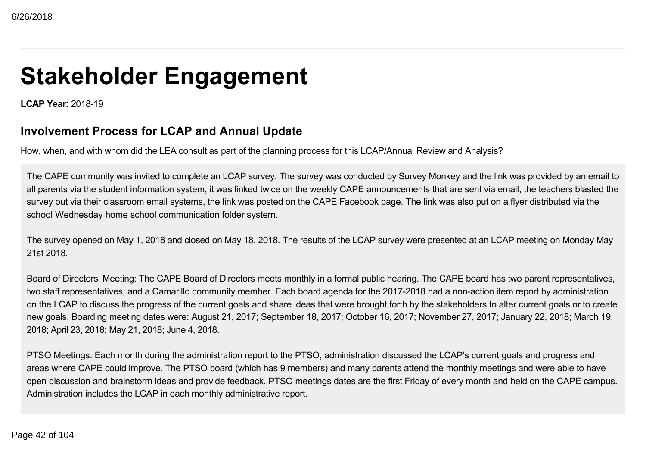# **Stakeholder Engagement**

**LCAP Year: 2018-19** 

## **Involvement Process for LCAP and Annual Update**

How, when, and with whom did the LEA consult as part of the planning process for this LCAP/Annual Review and Analysis?

The CAPE community was invited to complete an LCAP survey. The survey was conducted by Survey Monkey and the link was provided by an email to all parents via the student information system, it was linked twice on the weekly CAPE announcements that are sent via email, the teachers blasted the survey out via their classroom email systems, the link was posted on the CAPE Facebook page. The link was also put on a flyer distributed via the school Wednesday home school communication folder system.

The survey opened on May 1, 2018 and closed on May 18, 2018. The results of the LCAP survey were presented at an LCAP meeting on Monday May 21st 2018.

Board of Directors' Meeting: The CAPE Board of Directors meets monthly in a formal public hearing. The CAPE board has two parent representatives, two staff representatives, and a Camarillo community member. Each board agenda for the 2017-2018 had a non-action item report by administration on the LCAP to discuss the progress of the current goals and share ideas that were brought forth by the stakeholders to alter current goals or to create new goals. Boarding meeting dates were: August 21, 2017; September 18, 2017; October 16, 2017; November 27, 2017; January 22, 2018; March 19, 2018; April 23, 2018; May 21, 2018; June 4, 2018.

PTSO Meetings: Each month during the administration report to the PTSO, administration discussed the LCAP's current goals and progress and areas where CAPE could improve. The PTSO board (which has 9 members) and many parents attend the monthly meetings and were able to have open discussion and brainstorm ideas and provide feedback. PTSO meetings dates are the first Friday of every month and held on the CAPE campus. Administration includes the LCAP in each monthly administrative report.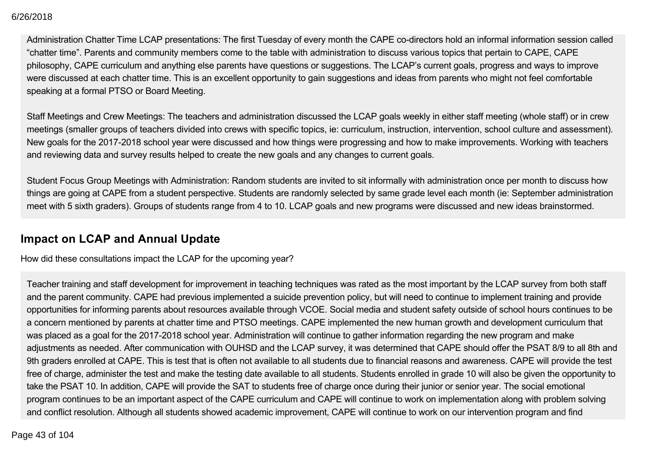Administration Chatter Time LCAP presentations: The first Tuesday of every month the CAPE co-directors hold an informal information session called "chatter time". Parents and community members come to the table with administration to discuss various topics that pertain to CAPE, CAPE philosophy, CAPE curriculum and anything else parents have questions or suggestions. The LCAP's current goals, progress and ways to improve were discussed at each chatter time. This is an excellent opportunity to gain suggestions and ideas from parents who might not feel comfortable speaking at a formal PTSO or Board Meeting.

Staff Meetings and Crew Meetings: The teachers and administration discussed the LCAP goals weekly in either staff meeting (whole staff) or in crew meetings (smaller groups of teachers divided into crews with specific topics, ie: curriculum, instruction, intervention, school culture and assessment). New goals for the 2017-2018 school year were discussed and how things were progressing and how to make improvements. Working with teachers and reviewing data and survey results helped to create the new goals and any changes to current goals.

Student Focus Group Meetings with Administration: Random students are invited to sit informally with administration once per month to discuss how things are going at CAPE from a student perspective. Students are randomly selected by same grade level each month (ie: September administration meet with 5 sixth graders). Groups of students range from 4 to 10. LCAP goals and new programs were discussed and new ideas brainstormed.

### **Impact on LCAP and Annual Update**

How did these consultations impact the LCAP for the upcoming year?

Teacher training and staff development for improvement in teaching techniques was rated as the most important by the LCAP survey from both staff and the parent community. CAPE had previous implemented a suicide prevention policy, but will need to continue to implement training and provide opportunities for informing parents about resources available through VCOE. Social media and student safety outside of school hours continues to be a concern mentioned by parents at chatter time and PTSO meetings. CAPE implemented the new human growth and development curriculum that was placed as a goal for the 2017-2018 school year. Administration will continue to gather information regarding the new program and make adjustments as needed. After communication with OUHSD and the LCAP survey, it was determined that CAPE should offer the PSAT 8/9 to all 8th and 9th graders enrolled at CAPE. This is test that is often not available to all students due to financial reasons and awareness. CAPE will provide the test free of charge, administer the test and make the testing date available to all students. Students enrolled in grade 10 will also be given the opportunity to take the PSAT 10. In addition, CAPE will provide the SAT to students free of charge once during their junior or senior year. The social emotional program continues to be an important aspect of the CAPE curriculum and CAPE will continue to work on implementation along with problem solving and conflict resolution. Although all students showed academic improvement, CAPE will continue to work on our intervention program and find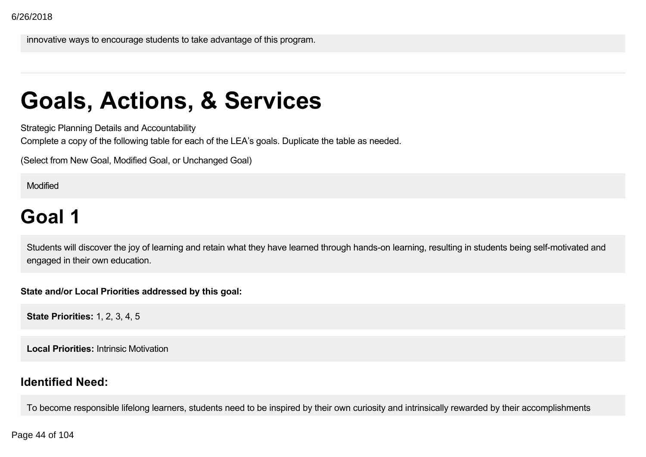innovative ways to encourage students to take advantage of this program.

# **Goals, Actions, & Services**

Strategic Planning Details and Accountability

Complete a copy of the following table for each of the LEA's goals. Duplicate the table as needed.

(Select from New Goal, Modified Goal, or Unchanged Goal)

Modified

# **Goal 1**

Students will discover the joy of learning and retain what they have learned through hands-on learning, resulting in students being self-motivated and engaged in their own education.

**State and/or Local Priorities addressed by this goal:**

**State Priorities:** 1, 2, 3, 4, 5

**Local Priorities:** Intrinsic Motivation

### **Identified Need:**

To become responsible lifelong learners, students need to be inspired by their own curiosity and intrinsically rewarded by their accomplishments

Page 44 of 104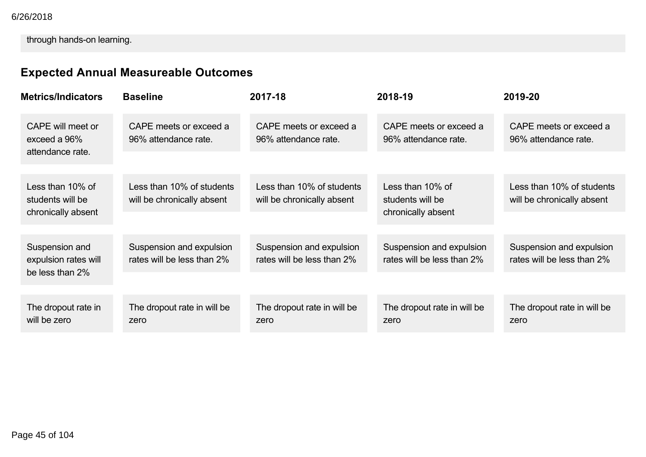through hands-on learning.

## **Expected Annual Measureable Outcomes**

| <b>Metrics/Indicators</b>                                  | <b>Baseline</b>                                         | 2017-18                                                 | 2018-19                                                    | 2019-20                                                 |
|------------------------------------------------------------|---------------------------------------------------------|---------------------------------------------------------|------------------------------------------------------------|---------------------------------------------------------|
| CAPE will meet or<br>exceed a 96%<br>attendance rate.      | CAPE meets or exceed a<br>96% attendance rate.          | CAPE meets or exceed a<br>96% attendance rate.          | CAPE meets or exceed a<br>96% attendance rate.             | CAPE meets or exceed a<br>96% attendance rate.          |
|                                                            |                                                         |                                                         |                                                            |                                                         |
| Less than 10% of<br>students will be<br>chronically absent | Less than 10% of students<br>will be chronically absent | Less than 10% of students<br>will be chronically absent | Less than 10% of<br>students will be<br>chronically absent | Less than 10% of students<br>will be chronically absent |
|                                                            |                                                         |                                                         |                                                            |                                                         |
| Suspension and<br>expulsion rates will<br>be less than 2%  | Suspension and expulsion<br>rates will be less than 2%  | Suspension and expulsion<br>rates will be less than 2%  | Suspension and expulsion<br>rates will be less than 2%     | Suspension and expulsion<br>rates will be less than 2%  |
|                                                            |                                                         |                                                         |                                                            |                                                         |
| The dropout rate in<br>will be zero                        | The dropout rate in will be<br>zero                     | The dropout rate in will be<br>zero                     | The dropout rate in will be<br>zero                        | The dropout rate in will be<br>zero                     |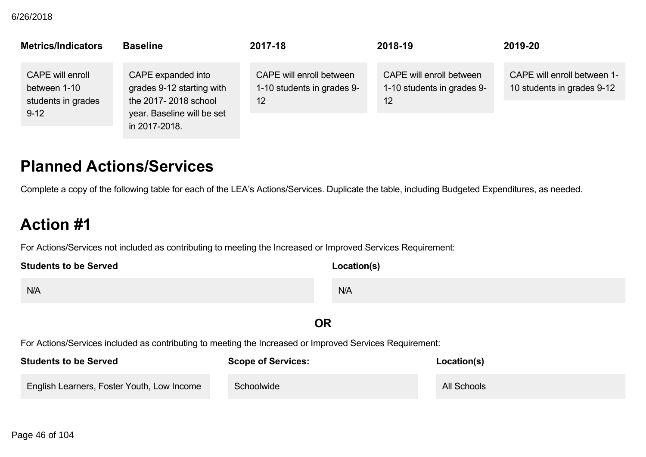| <b>Metrics/Indicators</b>        | <b>Baseline</b>                                                         | 2017-18                                                       | 2018-19                                                | 2019-20                                                   |
|----------------------------------|-------------------------------------------------------------------------|---------------------------------------------------------------|--------------------------------------------------------|-----------------------------------------------------------|
| CAPE will enroll<br>between 1-10 | CAPE expanded into<br>grades 9-12 starting with<br>the 2017-2018 school | <b>CAPE will enroll between</b><br>1-10 students in grades 9- | CAPE will enroll between<br>1-10 students in grades 9- | CAPE will enroll between 1-<br>10 students in grades 9-12 |
| students in grades<br>$9 - 12$   | year. Baseline will be set<br>in 2017-2018.                             | 12                                                            | 12                                                     |                                                           |

## **Planned Actions/Services**

**Select from New, Modified, or Unchanged**

Complete a copy of the following table for each of the LEA's Actions/Services. Duplicate the table, including Budgeted Expenditures, as needed.

## **Action #1**

For Actions/Services not included as contributing to meeting the Increased or Improved Services Requirement:

| <b>Students to be Served</b> | <b>Scope of Services:</b>                                                                                | Location(s) |  |
|------------------------------|----------------------------------------------------------------------------------------------------------|-------------|--|
|                              | For Actions/Services included as contributing to meeting the Increased or Improved Services Requirement: |             |  |
|                              | <b>OR</b>                                                                                                |             |  |
| N/A                          | N/A                                                                                                      |             |  |
| <b>Students to be Served</b> | Location(s)                                                                                              |             |  |

|                                            | _ _ _ _ _ _ _ _ _ _ _ _ _ _ | ___________ |
|--------------------------------------------|-----------------------------|-------------|
| English Learners, Foster Youth, Low Income | Schoolwide                  | All Schools |

Page 46 of 104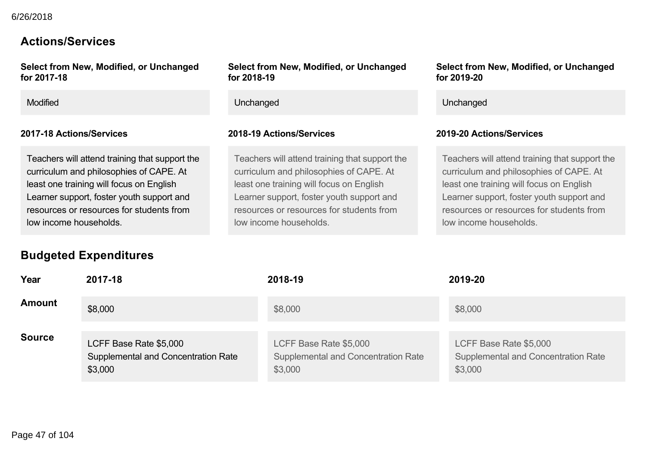## **Actions/Services**

**Select from New, Modified, or Unchanged for 201718**

#### **201718 Actions/Services 201819 Actions/Services 201920 Actions/Services**

Teachers will attend training that support the curriculum and philosophies of CAPE. At least one training will focus on English Learner support, foster youth support and resources or resources for students from low income households.

### **Budgeted Expenditures**

**Select from New, Modified, or Unchanged for 201819**

Modified **Unchanged** Unchanged Unchanged Unchanged Unchanged Unchanged Unchanged

Teachers will attend training that support the curriculum and philosophies of CAPE. At least one training will focus on English Learner support, foster youth support and resources or resources for students from low income households.

**Select from New, Modified, or Unchanged for 201920**

Teachers will attend training that support the curriculum and philosophies of CAPE. At least one training will focus on English Learner support, foster youth support and resources or resources for students from low income households.

| Year          | 2017-18                                                                  | 2018-19                                                                         | 2019-20                                                                         |
|---------------|--------------------------------------------------------------------------|---------------------------------------------------------------------------------|---------------------------------------------------------------------------------|
| <b>Amount</b> | \$8,000                                                                  | \$8,000                                                                         | \$8,000                                                                         |
| <b>Source</b> | LCFF Base Rate \$5,000<br>Supplemental and Concentration Rate<br>\$3,000 | LCFF Base Rate \$5,000<br><b>Supplemental and Concentration Rate</b><br>\$3,000 | LCFF Base Rate \$5,000<br><b>Supplemental and Concentration Rate</b><br>\$3,000 |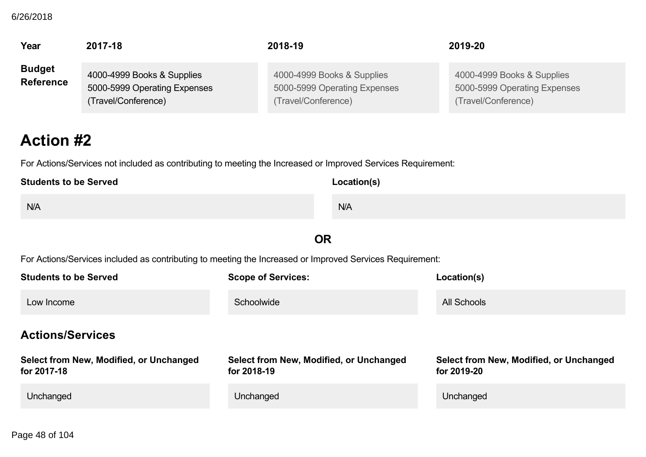## **S**/26/2018

| Year                              | 2017-18                                                                           | 2018-19                                                                           | 2019-20                                                                           |
|-----------------------------------|-----------------------------------------------------------------------------------|-----------------------------------------------------------------------------------|-----------------------------------------------------------------------------------|
| <b>Budget</b><br><b>Reference</b> | 4000-4999 Books & Supplies<br>5000-5999 Operating Expenses<br>(Travel/Conference) | 4000-4999 Books & Supplies<br>5000-5999 Operating Expenses<br>(Travel/Conference) | 4000-4999 Books & Supplies<br>5000-5999 Operating Expenses<br>(Travel/Conference) |

## **Action #2**

For Actions/Services not included as contributing to meeting the Increased or Improved Services Requirement:

| <b>Students to be Served</b> | Location(s) |
|------------------------------|-------------|
| N/A                          | N/A         |

## **OR**

For Actions/Services included as contributing to meeting the Increased or Improved Services Requirement:

| <b>Students to be Served</b>                           | <b>Scope of Services:</b>                              | Location(s)                                            |
|--------------------------------------------------------|--------------------------------------------------------|--------------------------------------------------------|
| Low Income                                             | Schoolwide                                             | All Schools                                            |
| <b>Actions/Services</b>                                |                                                        |                                                        |
| Select from New, Modified, or Unchanged<br>for 2017-18 | Select from New, Modified, or Unchanged<br>for 2018-19 | Select from New, Modified, or Unchanged<br>for 2019-20 |
| Unchanged                                              | Unchanged                                              | Unchanged                                              |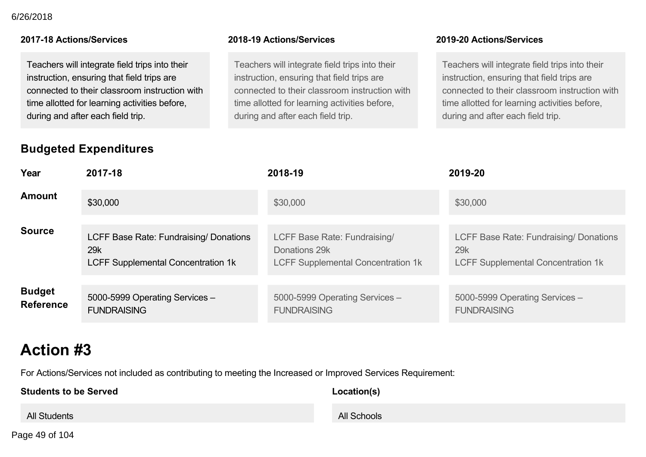Unchanged Unchanged Unchanged 6/26/2018

Teachers will integrate field trips into their instruction, ensuring that field trips are connected to their classroom instruction with time allotted for learning activities before, during and after each field trip.

Teachers will integrate field trips into their instruction, ensuring that field trips are connected to their classroom instruction with time allotted for learning activities before, during and after each field trip.

#### **201718 Actions/Services 201819 Actions/Services 201920 Actions/Services**

Teachers will integrate field trips into their instruction, ensuring that field trips are connected to their classroom instruction with time allotted for learning activities before, during and after each field trip.

## **Budgeted Expenditures**

| Year             | 2017-18                                       | 2018-19                                   | 2019-20                                       |
|------------------|-----------------------------------------------|-------------------------------------------|-----------------------------------------------|
| <b>Amount</b>    | \$30,000                                      | \$30,000                                  | \$30,000                                      |
| <b>Source</b>    | <b>LCFF Base Rate: Fundraising/ Donations</b> | LCFF Base Rate: Fundraising/              | <b>LCFF Base Rate: Fundraising/ Donations</b> |
|                  | 29k                                           | Donations 29k                             | 29k                                           |
|                  | <b>LCFF Supplemental Concentration 1k</b>     | <b>LCFF Supplemental Concentration 1k</b> | <b>LCFF Supplemental Concentration 1k</b>     |
| <b>Budget</b>    | 5000-5999 Operating Services -                | 5000-5999 Operating Services -            | 5000-5999 Operating Services -                |
| <b>Reference</b> | <b>FUNDRAISING</b>                            | <b>FUNDRAISING</b>                        | <b>FUNDRAISING</b>                            |

## **Action #3**

For Actions/Services not included as contributing to meeting the Increased or Improved Services Requirement:

| <b>Students to be Served</b> | Location(s) |
|------------------------------|-------------|
| <b>All Students</b>          | All Schools |

Page 49 of 104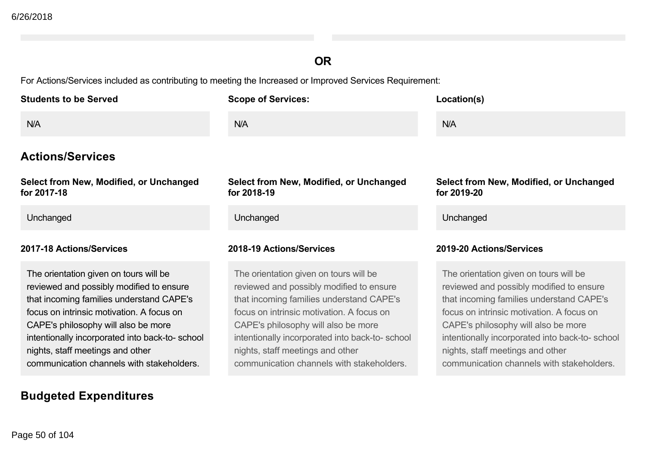## **OR**

For Actions/Services included as contributing to meeting the Increased or Improved Services Requirement:

| <b>Students to be Served</b>                                                                                                                                                                                                                                                                                                                          | <b>Scope of Services:</b>                                                                                                                                                                                                                                                                                                                             | Location(s)                                                                                                                                                                                                                                                                                                                                           |
|-------------------------------------------------------------------------------------------------------------------------------------------------------------------------------------------------------------------------------------------------------------------------------------------------------------------------------------------------------|-------------------------------------------------------------------------------------------------------------------------------------------------------------------------------------------------------------------------------------------------------------------------------------------------------------------------------------------------------|-------------------------------------------------------------------------------------------------------------------------------------------------------------------------------------------------------------------------------------------------------------------------------------------------------------------------------------------------------|
| N/A                                                                                                                                                                                                                                                                                                                                                   | N/A                                                                                                                                                                                                                                                                                                                                                   | N/A                                                                                                                                                                                                                                                                                                                                                   |
| <b>Actions/Services</b>                                                                                                                                                                                                                                                                                                                               |                                                                                                                                                                                                                                                                                                                                                       |                                                                                                                                                                                                                                                                                                                                                       |
| Select from New, Modified, or Unchanged<br>for 2017-18                                                                                                                                                                                                                                                                                                | Select from New, Modified, or Unchanged<br>for 2018-19                                                                                                                                                                                                                                                                                                | Select from New, Modified, or Unchanged<br>for 2019-20                                                                                                                                                                                                                                                                                                |
| Unchanged                                                                                                                                                                                                                                                                                                                                             | Unchanged                                                                                                                                                                                                                                                                                                                                             | Unchanged                                                                                                                                                                                                                                                                                                                                             |
| 2017-18 Actions/Services                                                                                                                                                                                                                                                                                                                              | 2018-19 Actions/Services                                                                                                                                                                                                                                                                                                                              | 2019-20 Actions/Services                                                                                                                                                                                                                                                                                                                              |
| The orientation given on tours will be<br>reviewed and possibly modified to ensure<br>that incoming families understand CAPE's<br>focus on intrinsic motivation. A focus on<br>CAPE's philosophy will also be more<br>intentionally incorporated into back-to-school<br>nights, staff meetings and other<br>communication channels with stakeholders. | The orientation given on tours will be<br>reviewed and possibly modified to ensure<br>that incoming families understand CAPE's<br>focus on intrinsic motivation. A focus on<br>CAPE's philosophy will also be more<br>intentionally incorporated into back-to-school<br>nights, staff meetings and other<br>communication channels with stakeholders. | The orientation given on tours will be<br>reviewed and possibly modified to ensure<br>that incoming families understand CAPE's<br>focus on intrinsic motivation. A focus on<br>CAPE's philosophy will also be more<br>intentionally incorporated into back-to-school<br>nights, staff meetings and other<br>communication channels with stakeholders. |
| <b>Budgeted Expenditures</b>                                                                                                                                                                                                                                                                                                                          |                                                                                                                                                                                                                                                                                                                                                       |                                                                                                                                                                                                                                                                                                                                                       |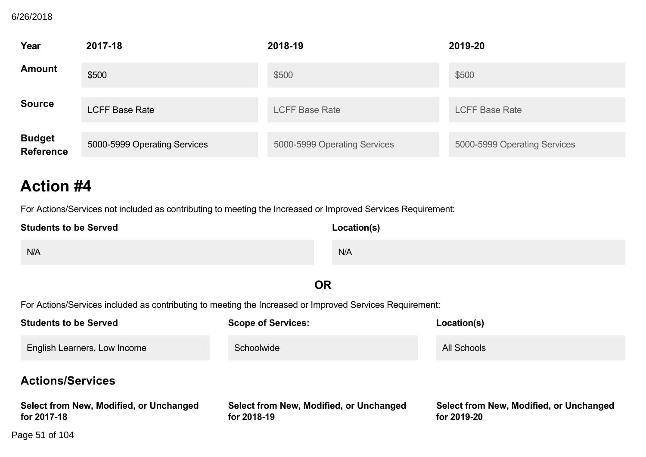| Year                              | 2017-18                      | 2018-19                      | 2019-20                      |
|-----------------------------------|------------------------------|------------------------------|------------------------------|
| <b>Amount</b>                     | \$500                        | \$500                        | \$500                        |
| <b>Source</b>                     | <b>LCFF Base Rate</b>        | <b>LCFF Base Rate</b>        | <b>LCFF Base Rate</b>        |
| <b>Budget</b><br><b>Reference</b> | 5000-5999 Operating Services | 5000-5999 Operating Services | 5000-5999 Operating Services |

## **Action #4**

For Actions/Services not included as contributing to meeting the Increased or Improved Services Requirement:

| <b>Students to be Served</b> | Location(s) |
|------------------------------|-------------|
| N/A                          | N/A         |

## **OR**

For Actions/Services included as contributing to meeting the Increased or Improved Services Requirement:

New Unchanged Unchanged

| <b>Students to be Served</b>                           | <b>Scope of Services:</b>                              | Location(s)                                            |
|--------------------------------------------------------|--------------------------------------------------------|--------------------------------------------------------|
| English Learners, Low Income                           | Schoolwide                                             | All Schools                                            |
| <b>Actions/Services</b>                                |                                                        |                                                        |
| Select from New, Modified, or Unchanged<br>for 2017-18 | Select from New, Modified, or Unchanged<br>for 2018-19 | Select from New, Modified, or Unchanged<br>for 2019-20 |
| Page 51 of 104                                         |                                                        |                                                        |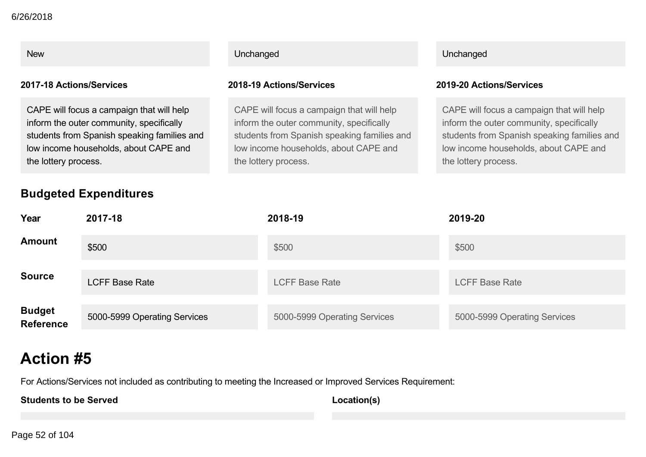| <b>New</b>                                                                                                                                                                                            |                              | Unchanged                                                                                                                                                                                             |                          |  | Unchanged                                                                                                                                                                                             |  |
|-------------------------------------------------------------------------------------------------------------------------------------------------------------------------------------------------------|------------------------------|-------------------------------------------------------------------------------------------------------------------------------------------------------------------------------------------------------|--------------------------|--|-------------------------------------------------------------------------------------------------------------------------------------------------------------------------------------------------------|--|
| 2017-18 Actions/Services                                                                                                                                                                              |                              |                                                                                                                                                                                                       | 2018-19 Actions/Services |  | 2019-20 Actions/Services                                                                                                                                                                              |  |
| CAPE will focus a campaign that will help<br>inform the outer community, specifically<br>students from Spanish speaking families and<br>low income households, about CAPE and<br>the lottery process. |                              | CAPE will focus a campaign that will help<br>inform the outer community, specifically<br>students from Spanish speaking families and<br>low income households, about CAPE and<br>the lottery process. |                          |  | CAPE will focus a campaign that will help<br>inform the outer community, specifically<br>students from Spanish speaking families and<br>low income households, about CAPE and<br>the lottery process. |  |
|                                                                                                                                                                                                       | <b>Budgeted Expenditures</b> |                                                                                                                                                                                                       |                          |  |                                                                                                                                                                                                       |  |
| Year                                                                                                                                                                                                  | 2017-18                      |                                                                                                                                                                                                       | 2018-19                  |  | 2019-20                                                                                                                                                                                               |  |
| <b>Amount</b>                                                                                                                                                                                         | \$500                        |                                                                                                                                                                                                       | \$500                    |  | \$500                                                                                                                                                                                                 |  |
| <b>Source</b>                                                                                                                                                                                         | <b>LCFF Base Rate</b>        |                                                                                                                                                                                                       | <b>LCFF Base Rate</b>    |  | <b>LCFF Base Rate</b>                                                                                                                                                                                 |  |

50005999 Operating Services 50005999 Operating Services 50005999 Operating Services

## **Action #5**

For Actions/Services not included as contributing to meeting the Increased or Improved Services Requirement:

**Students to be Served**

**Location(s)**

**Budget Reference**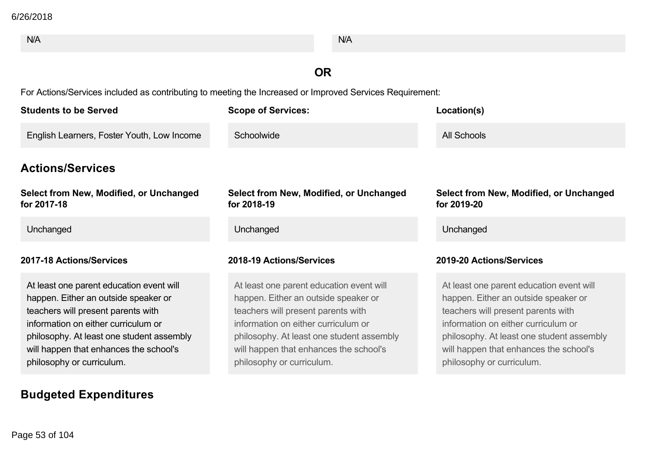| N/A                                                                                                                                                                                                                                                                               |                                                                                                                                                                                                                                                                                   | N/A |                                                                                                                                                                                                                                                                                   |
|-----------------------------------------------------------------------------------------------------------------------------------------------------------------------------------------------------------------------------------------------------------------------------------|-----------------------------------------------------------------------------------------------------------------------------------------------------------------------------------------------------------------------------------------------------------------------------------|-----|-----------------------------------------------------------------------------------------------------------------------------------------------------------------------------------------------------------------------------------------------------------------------------------|
|                                                                                                                                                                                                                                                                                   | <b>OR</b>                                                                                                                                                                                                                                                                         |     |                                                                                                                                                                                                                                                                                   |
| For Actions/Services included as contributing to meeting the Increased or Improved Services Requirement:                                                                                                                                                                          |                                                                                                                                                                                                                                                                                   |     |                                                                                                                                                                                                                                                                                   |
| <b>Students to be Served</b>                                                                                                                                                                                                                                                      | <b>Scope of Services:</b>                                                                                                                                                                                                                                                         |     | Location(s)                                                                                                                                                                                                                                                                       |
| English Learners, Foster Youth, Low Income                                                                                                                                                                                                                                        | Schoolwide                                                                                                                                                                                                                                                                        |     | <b>All Schools</b>                                                                                                                                                                                                                                                                |
| <b>Actions/Services</b>                                                                                                                                                                                                                                                           |                                                                                                                                                                                                                                                                                   |     |                                                                                                                                                                                                                                                                                   |
| Select from New, Modified, or Unchanged<br>for 2017-18                                                                                                                                                                                                                            | Select from New, Modified, or Unchanged<br>for 2018-19                                                                                                                                                                                                                            |     | Select from New, Modified, or Unchanged<br>for 2019-20                                                                                                                                                                                                                            |
| Unchanged                                                                                                                                                                                                                                                                         | Unchanged                                                                                                                                                                                                                                                                         |     | Unchanged                                                                                                                                                                                                                                                                         |
| 2017-18 Actions/Services                                                                                                                                                                                                                                                          | 2018-19 Actions/Services                                                                                                                                                                                                                                                          |     | 2019-20 Actions/Services                                                                                                                                                                                                                                                          |
| At least one parent education event will<br>happen. Either an outside speaker or<br>teachers will present parents with<br>information on either curriculum or<br>philosophy. At least one student assembly<br>will happen that enhances the school's<br>philosophy or curriculum. | At least one parent education event will<br>happen. Either an outside speaker or<br>teachers will present parents with<br>information on either curriculum or<br>philosophy. At least one student assembly<br>will happen that enhances the school's<br>philosophy or curriculum. |     | At least one parent education event will<br>happen. Either an outside speaker or<br>teachers will present parents with<br>information on either curriculum or<br>philosophy. At least one student assembly<br>will happen that enhances the school's<br>philosophy or curriculum. |

## **Budgeted Expenditures**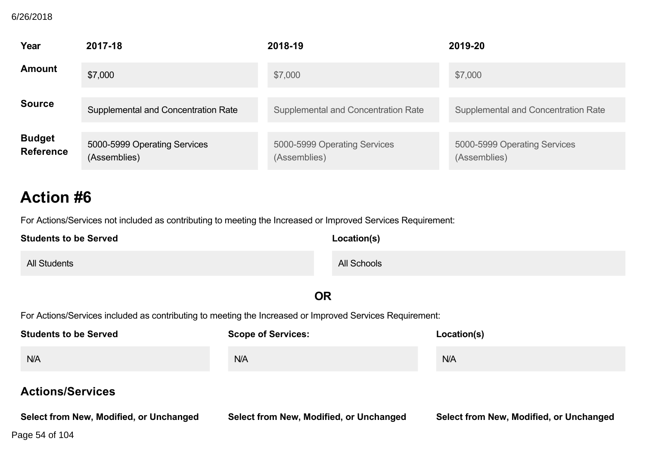| Year                              | 2017-18                                      | 2018-19                                      | 2019-20                                      |
|-----------------------------------|----------------------------------------------|----------------------------------------------|----------------------------------------------|
| <b>Amount</b>                     | \$7,000                                      | \$7,000                                      | \$7,000                                      |
| <b>Source</b>                     | Supplemental and Concentration Rate          | Supplemental and Concentration Rate          | <b>Supplemental and Concentration Rate</b>   |
| <b>Budget</b><br><b>Reference</b> | 5000-5999 Operating Services<br>(Assemblies) | 5000-5999 Operating Services<br>(Assemblies) | 5000-5999 Operating Services<br>(Assemblies) |

## **Action #6**

For Actions/Services not included as contributing to meeting the Increased or Improved Services Requirement:

| <b>Students to be Served</b> | Location(s) |
|------------------------------|-------------|
| <b>All Students</b>          | All Schools |

## **OR**

For Actions/Services included as contributing to meeting the Increased or Improved Services Requirement:

| <b>Students to be Served</b>            | <b>Scope of Services:</b>               | Location(s)                             |
|-----------------------------------------|-----------------------------------------|-----------------------------------------|
| N/A                                     | N/A                                     | N/A                                     |
| <b>Actions/Services</b>                 |                                         |                                         |
| Select from New, Modified, or Unchanged | Select from New, Modified, or Unchanged | Select from New, Modified, or Unchanged |
| Page 54 of 104                          |                                         |                                         |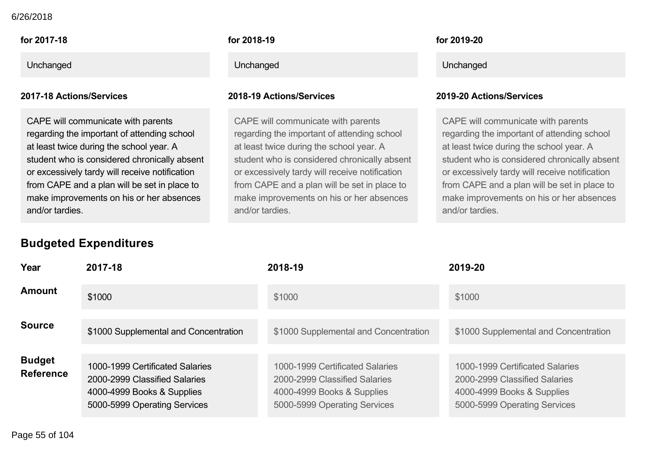| for 2017-18 |  |
|-------------|--|
|-------------|--|

CAPE will communicate with parents regarding the important of attending school at least twice during the school year. A student who is considered chronically absent or excessively tardy will receive notification from CAPE and a plan will be set in place to make improvements on his or her absences and/or tardies.

### **Budgeted Expenditures**

**for 201819**

#### **201718 Actions/Services 201819 Actions/Services 201920 Actions/Services**

CAPE will communicate with parents regarding the important of attending school at least twice during the school year. A student who is considered chronically absent or excessively tardy will receive notification from CAPE and a plan will be set in place to make improvements on his or her absences and/or tardies.

**for 201920**

Unchanged Unchanged Unchanged

CAPE will communicate with parents regarding the important of attending school at least twice during the school year. A student who is considered chronically absent or excessively tardy will receive notification from CAPE and a plan will be set in place to make improvements on his or her absences and/or tardies.

| Year                              | 2017-18                                                                                                                        | 2018-19                                                                                                                        | 2019-20                                                                                                                        |
|-----------------------------------|--------------------------------------------------------------------------------------------------------------------------------|--------------------------------------------------------------------------------------------------------------------------------|--------------------------------------------------------------------------------------------------------------------------------|
| <b>Amount</b>                     | \$1000                                                                                                                         | \$1000                                                                                                                         | \$1000                                                                                                                         |
| <b>Source</b>                     | \$1000 Supplemental and Concentration                                                                                          | \$1000 Supplemental and Concentration                                                                                          | \$1000 Supplemental and Concentration                                                                                          |
| <b>Budget</b><br><b>Reference</b> | 1000-1999 Certificated Salaries<br>2000-2999 Classified Salaries<br>4000-4999 Books & Supplies<br>5000-5999 Operating Services | 1000-1999 Certificated Salaries<br>2000-2999 Classified Salaries<br>4000-4999 Books & Supplies<br>5000-5999 Operating Services | 1000-1999 Certificated Salaries<br>2000-2999 Classified Salaries<br>4000-4999 Books & Supplies<br>5000-5999 Operating Services |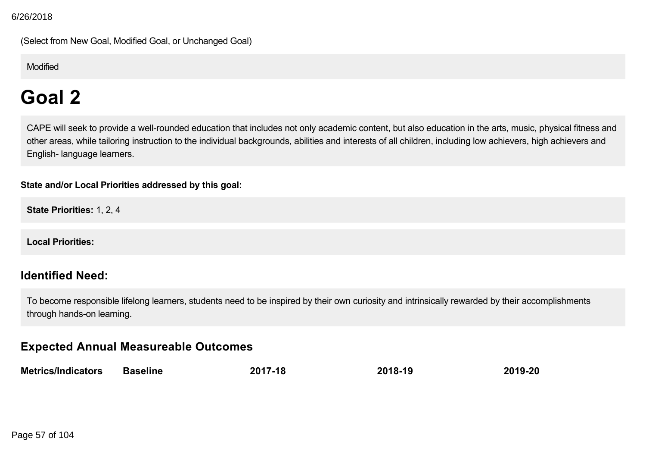(Select from New Goal, Modified Goal, or Unchanged Goal)

Modified

# **Goal 2**

CAPE will seek to provide a well-rounded education that includes not only academic content, but also education in the arts, music, physical fitness and other areas, while tailoring instruction to the individual backgrounds, abilities and interests of all children, including low achievers, high achievers and English-language learners.

#### **State and/or Local Priorities addressed by this goal:**

**State Priorities:** 1, 2, 4

**Local Priorities:**

### **Identified Need:**

To become responsible lifelong learners, students need to be inspired by their own curiosity and intrinsically rewarded by their accomplishments through hands-on learning.

### **Expected Annual Measureable Outcomes**

| <b>Metrics/Indicators</b> | <b>Baseline</b> | 2017-18 | 2018-19 | 2019-20 |
|---------------------------|-----------------|---------|---------|---------|
|---------------------------|-----------------|---------|---------|---------|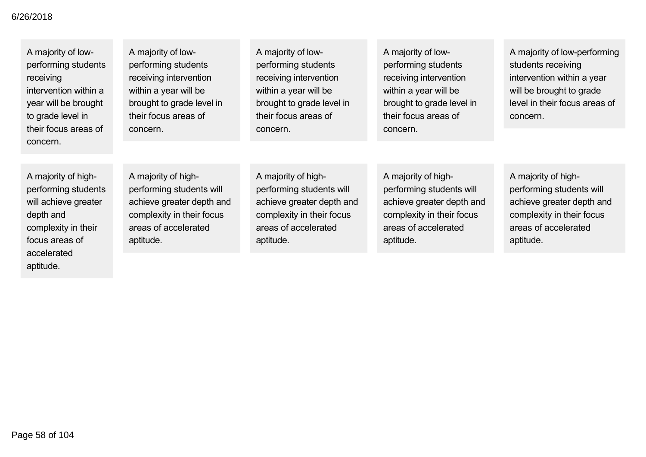A majority of lowperforming students receiving intervention within a year will be brought to grade level in their focus areas of concern.

A majority of lowperforming students receiving intervention within a year will be brought to grade level in their focus areas of concern.

A majority of lowperforming students receiving intervention within a year will be brought to grade level in their focus areas of concern.

A majority of lowperforming students receiving intervention within a year will be brought to grade level in their focus areas of concern.

A majority of low-performing students receiving intervention within a year will be brought to grade level in their focus areas of concern.

A majority of highperforming students will achieve greater depth and complexity in their focus areas of accelerated aptitude.

A majority of highperforming students will achieve greater depth and complexity in their focus areas of accelerated aptitude.

A majority of highperforming students will achieve greater depth and complexity in their focus areas of accelerated aptitude.

A majority of highperforming students will achieve greater depth and complexity in their focus areas of accelerated aptitude.

A majority of highperforming students will achieve greater depth and complexity in their focus areas of accelerated aptitude.

 $t_{\text{t}}$  and  $t_{\text{t}}$ Page 58 of 104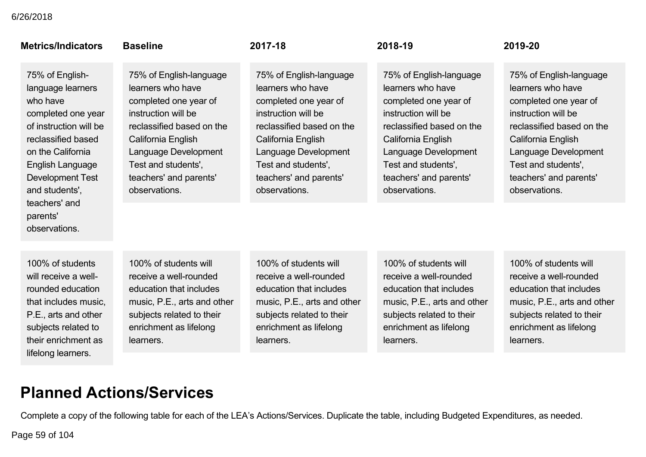| <b>Metrics/Indicators</b>                                                                                                                                                                                                                                  | <b>Baseline</b>                                                                                                                                                                                                                           | 2017-18                                                                                                                                                                                                                                   | 2018-19                                                                                                                                                                                                                                   | 2019-20                                                                                                                                                                                                                                   |
|------------------------------------------------------------------------------------------------------------------------------------------------------------------------------------------------------------------------------------------------------------|-------------------------------------------------------------------------------------------------------------------------------------------------------------------------------------------------------------------------------------------|-------------------------------------------------------------------------------------------------------------------------------------------------------------------------------------------------------------------------------------------|-------------------------------------------------------------------------------------------------------------------------------------------------------------------------------------------------------------------------------------------|-------------------------------------------------------------------------------------------------------------------------------------------------------------------------------------------------------------------------------------------|
| 75% of English-<br>language learners<br>who have<br>completed one year<br>of instruction will be<br>reclassified based<br>on the California<br>English Language<br><b>Development Test</b><br>and students',<br>teachers' and<br>parents'<br>observations. | 75% of English-language<br>learners who have<br>completed one year of<br>instruction will be<br>reclassified based on the<br>California English<br>Language Development<br>Test and students',<br>teachers' and parents'<br>observations. | 75% of English-language<br>learners who have<br>completed one year of<br>instruction will be<br>reclassified based on the<br>California English<br>Language Development<br>Test and students',<br>teachers' and parents'<br>observations. | 75% of English-language<br>learners who have<br>completed one year of<br>instruction will be<br>reclassified based on the<br>California English<br>Language Development<br>Test and students',<br>teachers' and parents'<br>observations. | 75% of English-language<br>learners who have<br>completed one year of<br>instruction will be<br>reclassified based on the<br>California English<br>Language Development<br>Test and students',<br>teachers' and parents'<br>observations. |

100% of students will receive a wellrounded education that includes music, P.E., arts and other subjects related to their enrichment as lifelong learners.

100% of students will receive a well-rounded education that includes music, P.E., arts and other subjects related to their enrichment as lifelong learners.

100% of students will receive a well-rounded education that includes music, P.E., arts and other subjects related to their enrichment as lifelong learners.

100% of students will receive a well-rounded education that includes music, P.E., arts and other subjects related to their enrichment as lifelong learners.

100% of students will receive a well-rounded education that includes music, P.E., arts and other subjects related to their enrichment as lifelong learners.

## **Planned Actions/Services**

Complete a copy of the following table for each of the LEA's Actions/Services. Duplicate the table, including Budgeted Expenditures, as needed.

Page 59 of 104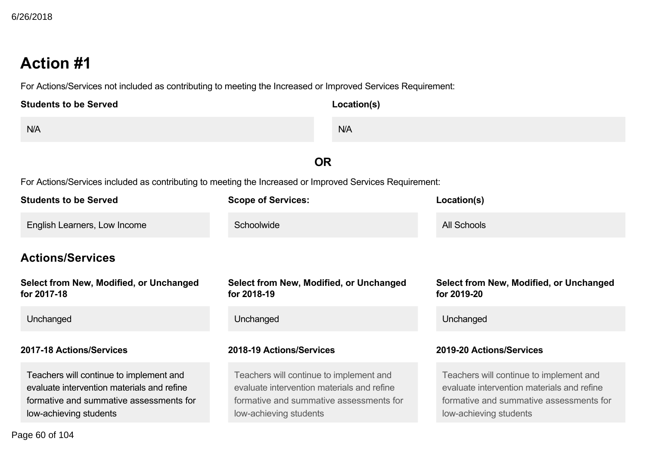## **Action #1**

Page 60 of 104

For Actions/Services not included as contributing to meeting the Increased or Improved Services Requirement:

| <b>Students to be Served</b>                                                                             | Location(s) |
|----------------------------------------------------------------------------------------------------------|-------------|
| N/A                                                                                                      | N/A         |
| <b>OR</b>                                                                                                |             |
| For Actions/Services included as contributing to meeting the Increased or Improved Services Requirement: |             |

| <b>Students to be Served</b>                                                                                                                               | <b>Scope of Services:</b>                                                                                                                                  | Location(s)                                                                                                                                                |
|------------------------------------------------------------------------------------------------------------------------------------------------------------|------------------------------------------------------------------------------------------------------------------------------------------------------------|------------------------------------------------------------------------------------------------------------------------------------------------------------|
| English Learners, Low Income                                                                                                                               | Schoolwide                                                                                                                                                 | All Schools                                                                                                                                                |
| <b>Actions/Services</b>                                                                                                                                    |                                                                                                                                                            |                                                                                                                                                            |
| Select from New, Modified, or Unchanged<br>for 2017-18                                                                                                     | Select from New, Modified, or Unchanged<br>for 2018-19                                                                                                     | Select from New, Modified, or Unchanged<br>for 2019-20                                                                                                     |
| Unchanged                                                                                                                                                  | Unchanged                                                                                                                                                  | Unchanged                                                                                                                                                  |
| 2017-18 Actions/Services                                                                                                                                   | 2018-19 Actions/Services                                                                                                                                   | 2019-20 Actions/Services                                                                                                                                   |
| Teachers will continue to implement and<br>evaluate intervention materials and refine<br>formative and summative assessments for<br>low-achieving students | Teachers will continue to implement and<br>evaluate intervention materials and refine<br>formative and summative assessments for<br>low-achieving students | Teachers will continue to implement and<br>evaluate intervention materials and refine<br>formative and summative assessments for<br>low-achieving students |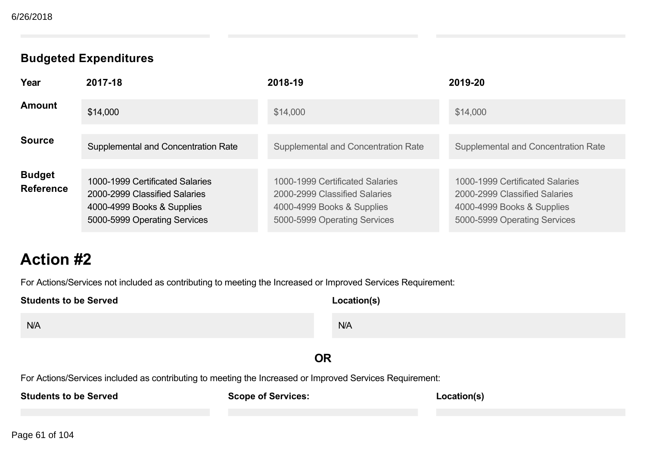## **Budgeted Expenditures**

| Year                              | 2017-18                                                                                                                        | 2018-19                                                                                                                        | 2019-20                                                                                                                        |
|-----------------------------------|--------------------------------------------------------------------------------------------------------------------------------|--------------------------------------------------------------------------------------------------------------------------------|--------------------------------------------------------------------------------------------------------------------------------|
| <b>Amount</b>                     | \$14,000                                                                                                                       | \$14,000                                                                                                                       | \$14,000                                                                                                                       |
|                                   |                                                                                                                                |                                                                                                                                |                                                                                                                                |
| <b>Source</b>                     | Supplemental and Concentration Rate                                                                                            | <b>Supplemental and Concentration Rate</b>                                                                                     | <b>Supplemental and Concentration Rate</b>                                                                                     |
|                                   |                                                                                                                                |                                                                                                                                |                                                                                                                                |
| <b>Budget</b><br><b>Reference</b> | 1000-1999 Certificated Salaries<br>2000-2999 Classified Salaries<br>4000-4999 Books & Supplies<br>5000-5999 Operating Services | 1000-1999 Certificated Salaries<br>2000-2999 Classified Salaries<br>4000-4999 Books & Supplies<br>5000-5999 Operating Services | 1000-1999 Certificated Salaries<br>2000-2999 Classified Salaries<br>4000-4999 Books & Supplies<br>5000-5999 Operating Services |

## **Action #2**

For Actions/Services not included as contributing to meeting the Increased or Improved Services Requirement:

| <b>Students to be Served</b>                                                                             | Location(s) |  |
|----------------------------------------------------------------------------------------------------------|-------------|--|
| N/A                                                                                                      | N/A         |  |
|                                                                                                          | <b>OR</b>   |  |
| For Actions/Services included as contributing to meeting the Increased or Improved Services Requirement: |             |  |
| <b>Students to be Served</b><br><b>Scope of Services:</b>                                                | Location(s) |  |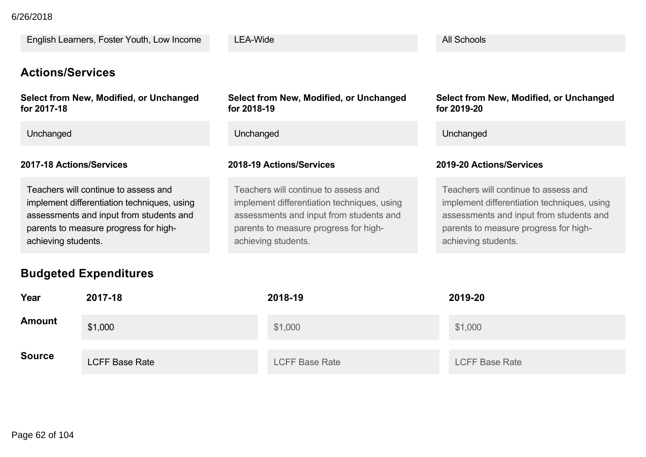#### **Students to be Served** 6/26/2018

#### English Learners, Foster Youth, Low Income

### **Actions/Services**

**Select from New, Modified, or Unchanged for 201718**

Teachers will continue to assess and implement differentiation techniques, using assessments and input from students and parents to measure progress for highachieving students.

#### **Select from New, Modified, or Unchanged for 201819**

Unchanged Unchanged Unchanged

LEAWide

Teachers will continue to assess and implement differentiation techniques, using assessments and input from students and parents to measure progress for highachieving students.

#### **Select from New, Modified, or Unchanged for 201920**

All Schools

#### **201718 Actions/Services 201819 Actions/Services 201920 Actions/Services**

Teachers will continue to assess and implement differentiation techniques, using assessments and input from students and parents to measure progress for highachieving students.

### **Budgeted Expenditures**

| Year          | 2017-18               | 2018-19               | 2019-20               |
|---------------|-----------------------|-----------------------|-----------------------|
| <b>Amount</b> | \$1,000               | \$1,000               | \$1,000               |
| <b>Source</b> | <b>LCFF Base Rate</b> | <b>LCFF Base Rate</b> | <b>LCFF Base Rate</b> |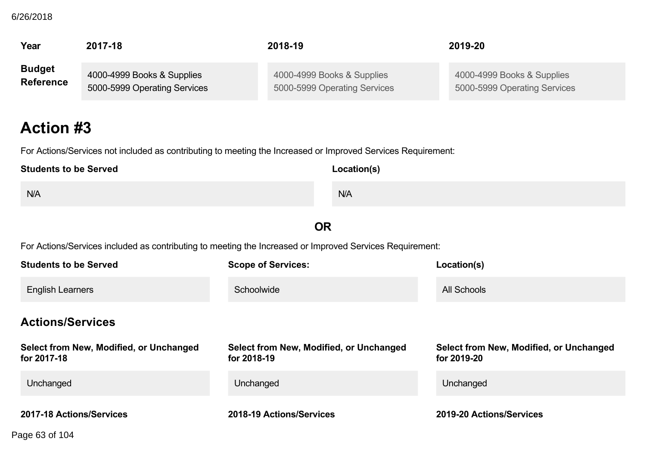| Year                              | 2017-18                                                    | 2018-19                                                                                                      | 2019-20                                                    |
|-----------------------------------|------------------------------------------------------------|--------------------------------------------------------------------------------------------------------------|------------------------------------------------------------|
| <b>Budget</b><br><b>Reference</b> | 4000-4999 Books & Supplies<br>5000-5999 Operating Services | 4000-4999 Books & Supplies<br>5000-5999 Operating Services                                                   | 4000-4999 Books & Supplies<br>5000-5999 Operating Services |
| <b>Action #3</b>                  |                                                            | For Actions/Services not included as contributing to meeting the Increased or Improved Services Requirement: |                                                            |
| <b>Students to be Served</b>      |                                                            | Location(s)                                                                                                  |                                                            |
| N/A                               |                                                            | N/A                                                                                                          |                                                            |
|                                   |                                                            | OR                                                                                                           |                                                            |

For Actions/Services included as contributing to meeting the Increased or Improved Services Requirement:

| <b>Students to be Served</b>                           | <b>Scope of Services:</b>                              | Location(s)                                            |
|--------------------------------------------------------|--------------------------------------------------------|--------------------------------------------------------|
| <b>English Learners</b>                                | Schoolwide                                             | All Schools                                            |
| <b>Actions/Services</b>                                |                                                        |                                                        |
|                                                        |                                                        |                                                        |
| Select from New, Modified, or Unchanged<br>for 2017-18 | Select from New, Modified, or Unchanged<br>for 2018-19 | Select from New, Modified, or Unchanged<br>for 2019-20 |
| Unchanged                                              | Unchanged                                              | Unchanged                                              |

Page 63 of 104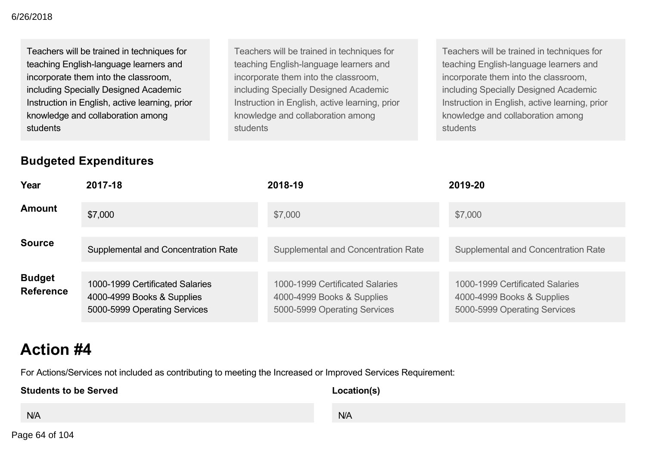Teachers will be trained in techniques for teaching English-language learners and incorporate them into the classroom, including Specially Designed Academic Instruction in English, active learning, prior knowledge and collaboration among students

## **Budgeted Expenditures**

Teachers will be trained in techniques for teaching English-language learners and incorporate them into the classroom, including Specially Designed Academic Instruction in English, active learning, prior knowledge and collaboration among students

Teachers will be trained in techniques for teaching English-language learners and incorporate them into the classroom, including Specially Designed Academic Instruction in English, active learning, prior knowledge and collaboration among students

| Year                              | 2017-18                                                                                       | 2018-19                                                                                       | 2019-20                                                                                       |
|-----------------------------------|-----------------------------------------------------------------------------------------------|-----------------------------------------------------------------------------------------------|-----------------------------------------------------------------------------------------------|
| <b>Amount</b>                     | \$7,000                                                                                       | \$7,000                                                                                       | \$7,000                                                                                       |
| <b>Source</b>                     |                                                                                               |                                                                                               |                                                                                               |
|                                   | Supplemental and Concentration Rate                                                           | <b>Supplemental and Concentration Rate</b>                                                    | <b>Supplemental and Concentration Rate</b>                                                    |
|                                   |                                                                                               |                                                                                               |                                                                                               |
| <b>Budget</b><br><b>Reference</b> | 1000-1999 Certificated Salaries<br>4000-4999 Books & Supplies<br>5000-5999 Operating Services | 1000-1999 Certificated Salaries<br>4000-4999 Books & Supplies<br>5000-5999 Operating Services | 1000-1999 Certificated Salaries<br>4000-4999 Books & Supplies<br>5000-5999 Operating Services |

## **Action #4**

For Actions/Services not included as contributing to meeting the Increased or Improved Services Requirement:

| <b>Students to be Served</b> | Location(s) |
|------------------------------|-------------|
| N/A                          | N/A         |

Page 64 of 104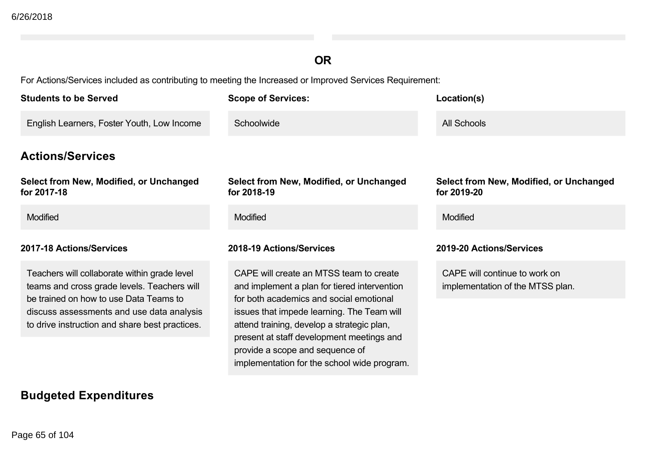## **OR**

For Actions/Services included as contributing to meeting the Increased or Improved Services Requirement:

| <b>Students to be Served</b>                                                                                                                                                                                                         | <b>Scope of Services:</b>                                                                                                                                                                                                                                                                                                                                     | Location(s)                                                       |
|--------------------------------------------------------------------------------------------------------------------------------------------------------------------------------------------------------------------------------------|---------------------------------------------------------------------------------------------------------------------------------------------------------------------------------------------------------------------------------------------------------------------------------------------------------------------------------------------------------------|-------------------------------------------------------------------|
| English Learners, Foster Youth, Low Income                                                                                                                                                                                           | Schoolwide                                                                                                                                                                                                                                                                                                                                                    | <b>All Schools</b>                                                |
| <b>Actions/Services</b>                                                                                                                                                                                                              |                                                                                                                                                                                                                                                                                                                                                               |                                                                   |
| Select from New, Modified, or Unchanged<br>for 2017-18                                                                                                                                                                               | Select from New, Modified, or Unchanged<br>for 2018-19                                                                                                                                                                                                                                                                                                        | Select from New, Modified, or Unchanged<br>for 2019-20            |
| <b>Modified</b>                                                                                                                                                                                                                      | <b>Modified</b>                                                                                                                                                                                                                                                                                                                                               | Modified                                                          |
| 2017-18 Actions/Services                                                                                                                                                                                                             | 2018-19 Actions/Services                                                                                                                                                                                                                                                                                                                                      | 2019-20 Actions/Services                                          |
| Teachers will collaborate within grade level<br>teams and cross grade levels. Teachers will<br>be trained on how to use Data Teams to<br>discuss assessments and use data analysis<br>to drive instruction and share best practices. | CAPE will create an MTSS team to create<br>and implement a plan for tiered intervention<br>for both academics and social emotional<br>issues that impede learning. The Team will<br>attend training, develop a strategic plan,<br>present at staff development meetings and<br>provide a scope and sequence of<br>implementation for the school wide program. | CAPE will continue to work on<br>implementation of the MTSS plan. |
| <b>Budgeted Expenditures</b>                                                                                                                                                                                                         |                                                                                                                                                                                                                                                                                                                                                               |                                                                   |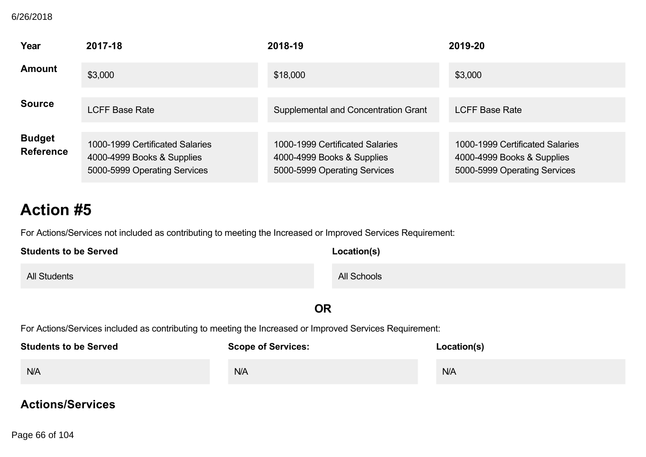#### **Budgeted Expenditures** 6/26/2018

| Year                              | 2017-18                                                                                       | 2018-19                                                                                       | 2019-20                                                                                       |
|-----------------------------------|-----------------------------------------------------------------------------------------------|-----------------------------------------------------------------------------------------------|-----------------------------------------------------------------------------------------------|
| <b>Amount</b>                     | \$3,000                                                                                       | \$18,000                                                                                      | \$3,000                                                                                       |
| <b>Source</b>                     | <b>LCFF Base Rate</b>                                                                         | Supplemental and Concentration Grant                                                          | <b>LCFF Base Rate</b>                                                                         |
| <b>Budget</b><br><b>Reference</b> | 1000-1999 Certificated Salaries<br>4000-4999 Books & Supplies<br>5000-5999 Operating Services | 1000-1999 Certificated Salaries<br>4000-4999 Books & Supplies<br>5000-5999 Operating Services | 1000-1999 Certificated Salaries<br>4000-4999 Books & Supplies<br>5000-5999 Operating Services |

## **Action #5**

For Actions/Services not included as contributing to meeting the Increased or Improved Services Requirement:

| <b>Students to be Served</b> | Location(s) |
|------------------------------|-------------|
| <b>All Students</b>          | All Schools |

**OR**

For Actions/Services included as contributing to meeting the Increased or Improved Services Requirement:

| <b>Students to be Served</b> | <b>Scope of Services:</b> | Location(s) |
|------------------------------|---------------------------|-------------|
| N/A                          | N/A                       | N/A         |

### **Actions/Services**

 $S^c \text{ of } 404$ **for 201718** Page 66 of 104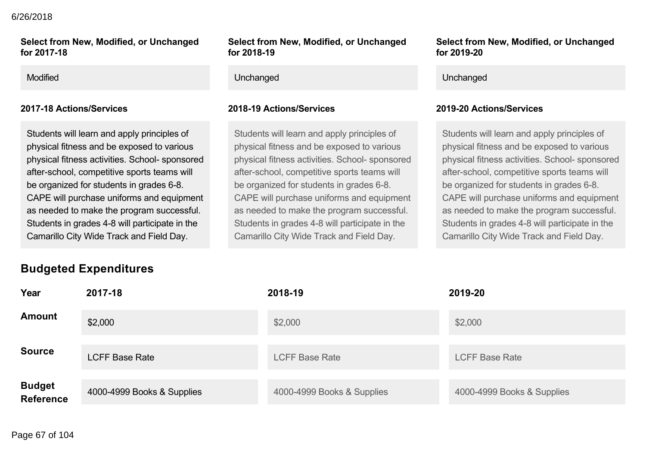#### **Actions/Services** 6/26/2018

**Select from New, Modified, or Unchanged for 201718**

Students will learn and apply principles of physical fitness and be exposed to various physical fitness activities. School- sponsored after-school, competitive sports teams will be organized for students in grades 6-8. CAPE will purchase uniforms and equipment as needed to make the program successful. Students in grades 4-8 will participate in the Camarillo City Wide Track and Field Day.

#### **Select from New, Modified, or Unchanged for 201819**

Modified **Unchanged** Unchanged Unchanged Unchanged Unchanged Unchanged Unchanged

#### **201718 Actions/Services 201819 Actions/Services 201920 Actions/Services**

Students will learn and apply principles of physical fitness and be exposed to various physical fitness activities. School- sponsored after-school, competitive sports teams will be organized for students in grades 6-8. CAPE will purchase uniforms and equipment as needed to make the program successful. Students in grades 4-8 will participate in the Camarillo City Wide Track and Field Day.

#### **Select from New, Modified, or Unchanged for 201920**

Students will learn and apply principles of physical fitness and be exposed to various physical fitness activities. School- sponsored after-school, competitive sports teams will be organized for students in grades 6-8. CAPE will purchase uniforms and equipment as needed to make the program successful. Students in grades 4-8 will participate in the Camarillo City Wide Track and Field Day.

## **Budgeted Expenditures**

| Year                              | 2017-18                    | 2018-19                    | 2019-20                    |
|-----------------------------------|----------------------------|----------------------------|----------------------------|
| <b>Amount</b>                     | \$2,000                    | \$2,000                    | \$2,000                    |
| <b>Source</b>                     | <b>LCFF Base Rate</b>      | <b>LCFF Base Rate</b>      | <b>LCFF Base Rate</b>      |
| <b>Budget</b><br><b>Reference</b> | 4000-4999 Books & Supplies | 4000-4999 Books & Supplies | 4000-4999 Books & Supplies |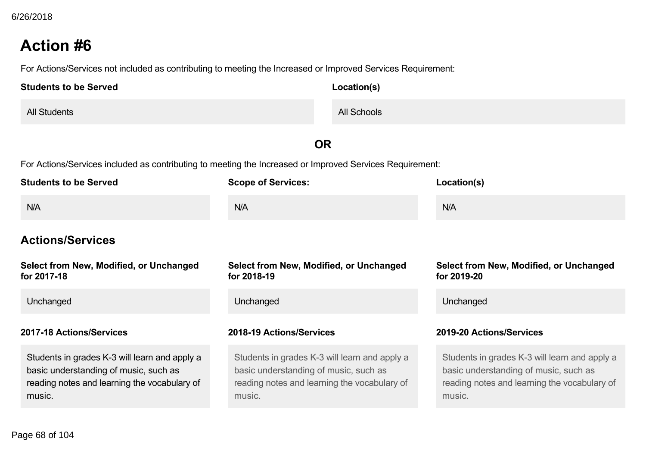## **Action #6**

For Actions/Services not included as contributing to meeting the Increased or Improved Services Requirement:

| <b>Students to be Served</b> | Location(s) |
|------------------------------|-------------|
| <b>All Students</b>          | All Schools |

## **OR**

For Actions/Services included as contributing to meeting the Increased or Improved Services Requirement:

| <b>Students to be Served</b>                                                                                                                     | <b>Scope of Services:</b>                                                                                                                        | Location(s)                                                                                                                                      |
|--------------------------------------------------------------------------------------------------------------------------------------------------|--------------------------------------------------------------------------------------------------------------------------------------------------|--------------------------------------------------------------------------------------------------------------------------------------------------|
| N/A                                                                                                                                              | N/A                                                                                                                                              | N/A                                                                                                                                              |
| <b>Actions/Services</b>                                                                                                                          |                                                                                                                                                  |                                                                                                                                                  |
| Select from New, Modified, or Unchanged<br>for 2017-18                                                                                           | <b>Select from New, Modified, or Unchanged</b><br>for 2018-19                                                                                    | Select from New, Modified, or Unchanged<br>for 2019-20                                                                                           |
| Unchanged                                                                                                                                        | Unchanged                                                                                                                                        | Unchanged                                                                                                                                        |
| 2017-18 Actions/Services                                                                                                                         | 2018-19 Actions/Services                                                                                                                         | 2019-20 Actions/Services                                                                                                                         |
| Students in grades K-3 will learn and apply a<br>basic understanding of music, such as<br>reading notes and learning the vocabulary of<br>music. | Students in grades K-3 will learn and apply a<br>basic understanding of music, such as<br>reading notes and learning the vocabulary of<br>music. | Students in grades K-3 will learn and apply a<br>basic understanding of music, such as<br>reading notes and learning the vocabulary of<br>music. |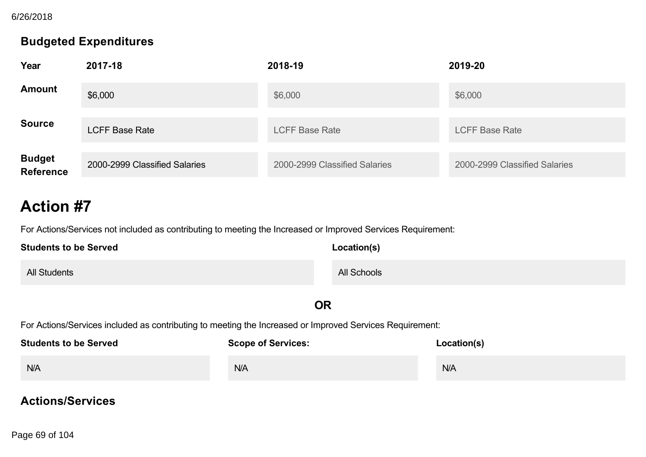## **Budgeted Expenditures**

| 6/26/2018<br><b>Budgeted Expenditures</b><br>2017-18<br>2018-19<br>Year<br>2019-20<br>Amount<br>\$6,000<br>\$6,000<br>\$6,000<br><b>Source</b><br>LCFF Base Rate<br>LCFF Base Rate<br>LCFF Base Rate<br><b>Budget</b><br>2000-2999 Classified Salaries<br>2000-2999 Classified Salaries<br>2000-2999 Classified Salaries<br><b>Reference</b> |  |
|----------------------------------------------------------------------------------------------------------------------------------------------------------------------------------------------------------------------------------------------------------------------------------------------------------------------------------------------|--|
| <b>Action #7</b><br>For Actions/Services not included as contributing to meeting the Increased or Improved Services Requirement:<br><b>Students to be Served</b><br>Location(s)<br><b>All Students</b><br>All Schools<br>OR<br>For Actions/Services included as contributing to meeting the Increased or Improved Services Requirement:      |  |
| <b>Scope of Services:</b><br><b>Students to be Served</b><br>Location(s)<br>the control of the control of the<br>and the state of the con-<br>and the con-<br>N/A<br>N/A<br>N/A<br><b>Actions/Services</b><br>Page 69 of 104                                                                                                                 |  |
|                                                                                                                                                                                                                                                                                                                                              |  |
|                                                                                                                                                                                                                                                                                                                                              |  |
|                                                                                                                                                                                                                                                                                                                                              |  |
|                                                                                                                                                                                                                                                                                                                                              |  |
|                                                                                                                                                                                                                                                                                                                                              |  |
|                                                                                                                                                                                                                                                                                                                                              |  |
|                                                                                                                                                                                                                                                                                                                                              |  |
|                                                                                                                                                                                                                                                                                                                                              |  |
|                                                                                                                                                                                                                                                                                                                                              |  |
|                                                                                                                                                                                                                                                                                                                                              |  |
|                                                                                                                                                                                                                                                                                                                                              |  |
|                                                                                                                                                                                                                                                                                                                                              |  |
|                                                                                                                                                                                                                                                                                                                                              |  |
|                                                                                                                                                                                                                                                                                                                                              |  |
|                                                                                                                                                                                                                                                                                                                                              |  |
|                                                                                                                                                                                                                                                                                                                                              |  |
|                                                                                                                                                                                                                                                                                                                                              |  |
|                                                                                                                                                                                                                                                                                                                                              |  |
|                                                                                                                                                                                                                                                                                                                                              |  |
|                                                                                                                                                                                                                                                                                                                                              |  |
|                                                                                                                                                                                                                                                                                                                                              |  |
|                                                                                                                                                                                                                                                                                                                                              |  |
|                                                                                                                                                                                                                                                                                                                                              |  |
|                                                                                                                                                                                                                                                                                                                                              |  |
|                                                                                                                                                                                                                                                                                                                                              |  |
|                                                                                                                                                                                                                                                                                                                                              |  |
|                                                                                                                                                                                                                                                                                                                                              |  |
|                                                                                                                                                                                                                                                                                                                                              |  |
|                                                                                                                                                                                                                                                                                                                                              |  |
|                                                                                                                                                                                                                                                                                                                                              |  |
|                                                                                                                                                                                                                                                                                                                                              |  |
|                                                                                                                                                                                                                                                                                                                                              |  |
|                                                                                                                                                                                                                                                                                                                                              |  |
|                                                                                                                                                                                                                                                                                                                                              |  |
|                                                                                                                                                                                                                                                                                                                                              |  |
|                                                                                                                                                                                                                                                                                                                                              |  |
|                                                                                                                                                                                                                                                                                                                                              |  |
|                                                                                                                                                                                                                                                                                                                                              |  |
|                                                                                                                                                                                                                                                                                                                                              |  |
|                                                                                                                                                                                                                                                                                                                                              |  |
|                                                                                                                                                                                                                                                                                                                                              |  |
|                                                                                                                                                                                                                                                                                                                                              |  |
|                                                                                                                                                                                                                                                                                                                                              |  |
|                                                                                                                                                                                                                                                                                                                                              |  |
|                                                                                                                                                                                                                                                                                                                                              |  |
|                                                                                                                                                                                                                                                                                                                                              |  |
|                                                                                                                                                                                                                                                                                                                                              |  |
|                                                                                                                                                                                                                                                                                                                                              |  |
|                                                                                                                                                                                                                                                                                                                                              |  |
|                                                                                                                                                                                                                                                                                                                                              |  |
|                                                                                                                                                                                                                                                                                                                                              |  |
|                                                                                                                                                                                                                                                                                                                                              |  |
|                                                                                                                                                                                                                                                                                                                                              |  |
|                                                                                                                                                                                                                                                                                                                                              |  |
|                                                                                                                                                                                                                                                                                                                                              |  |
|                                                                                                                                                                                                                                                                                                                                              |  |
|                                                                                                                                                                                                                                                                                                                                              |  |
|                                                                                                                                                                                                                                                                                                                                              |  |
|                                                                                                                                                                                                                                                                                                                                              |  |
|                                                                                                                                                                                                                                                                                                                                              |  |
|                                                                                                                                                                                                                                                                                                                                              |  |
|                                                                                                                                                                                                                                                                                                                                              |  |
|                                                                                                                                                                                                                                                                                                                                              |  |
|                                                                                                                                                                                                                                                                                                                                              |  |
|                                                                                                                                                                                                                                                                                                                                              |  |
|                                                                                                                                                                                                                                                                                                                                              |  |
|                                                                                                                                                                                                                                                                                                                                              |  |
|                                                                                                                                                                                                                                                                                                                                              |  |
|                                                                                                                                                                                                                                                                                                                                              |  |
|                                                                                                                                                                                                                                                                                                                                              |  |
|                                                                                                                                                                                                                                                                                                                                              |  |
|                                                                                                                                                                                                                                                                                                                                              |  |
|                                                                                                                                                                                                                                                                                                                                              |  |
|                                                                                                                                                                                                                                                                                                                                              |  |
|                                                                                                                                                                                                                                                                                                                                              |  |

## **Action #7**

| <b>Students to be Served</b> | Location(s) |
|------------------------------|-------------|
| <b>All Students</b>          | All Schools |

| <b>Students to be Served</b> | <b>Scope of Services:</b> | Location(s) |
|------------------------------|---------------------------|-------------|
| N/A                          | N/A                       | N/A         |

### **Actions/Services**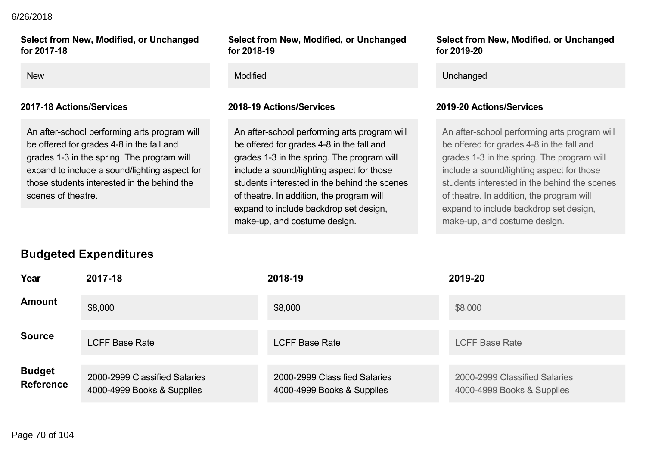#### **Actions/Services**

#### **Select from New, Modified, or Unchanged for 201819**

#### **201718 Actions/Services 201819 Actions/Services 201920 Actions/Services**

|  | <b>Budgeted Expenditures</b> |
|--|------------------------------|
|--|------------------------------|

| 6/26/2018<br>Select from New, Modified, or Unchanged<br>for 2017-18<br>New<br>2017-18 Actions/Services<br>An after-school performing arts program will<br>be offered for grades 4-8 in the fall and<br>grades 1-3 in the spring. The program will | Select from New, Modified, or Unchanged<br>for 2018-19<br>Modified<br>2018-19 Actions/Services<br>An after-school performing arts program will<br>be offered for grades 4-8 in the fall and<br>grades 1-3 in the spring. The program will | Select from New, Modified, or Unchanged<br>for 2019-20<br>Unchanged<br>2019-20 Actions/Services<br>An after-school performing arts program will<br>be offered for grades 4-8 in the fall and<br>grades 1-3 in the spring. The program will |
|---------------------------------------------------------------------------------------------------------------------------------------------------------------------------------------------------------------------------------------------------|-------------------------------------------------------------------------------------------------------------------------------------------------------------------------------------------------------------------------------------------|--------------------------------------------------------------------------------------------------------------------------------------------------------------------------------------------------------------------------------------------|
| expand to include a sound/lighting aspect for<br>those students interested in the behind the<br>scenes of theatre.<br><b>Budgeted Expenditures</b><br>Year<br>2017-18<br><b>Amount</b><br>\$8,000                                                 | include a sound/lighting aspect for those<br>students interested in the behind the scenes<br>of theatre. In addition, the program will<br>expand to include backdrop set design,<br>make-up, and costume design.<br>2018-19<br>\$8,000    | include a sound/lighting aspect for those<br>students interested in the behind the scenes<br>of theatre. In addition, the program will<br>expand to include backdrop set design,<br>make-up, and costume design.<br>2019-20<br>\$8,000     |
| <b>Source</b><br>LCFF Base Rate<br><b>Budget</b><br>2000-2999 Classified Salaries<br><b>Reference</b><br>4000-4999 Books & Supplies<br>Page 70 of 104                                                                                             | LCFF Base Rate<br>2000-2999 Classified Salaries<br>4000-4999 Books & Supplies                                                                                                                                                             | LCFF Base Rate<br>2000-2999 Classified Salaries<br>4000-4999 Books & Supplies                                                                                                                                                              |
|                                                                                                                                                                                                                                                   |                                                                                                                                                                                                                                           |                                                                                                                                                                                                                                            |
|                                                                                                                                                                                                                                                   |                                                                                                                                                                                                                                           |                                                                                                                                                                                                                                            |
|                                                                                                                                                                                                                                                   |                                                                                                                                                                                                                                           |                                                                                                                                                                                                                                            |
|                                                                                                                                                                                                                                                   |                                                                                                                                                                                                                                           |                                                                                                                                                                                                                                            |
|                                                                                                                                                                                                                                                   |                                                                                                                                                                                                                                           |                                                                                                                                                                                                                                            |
|                                                                                                                                                                                                                                                   |                                                                                                                                                                                                                                           |                                                                                                                                                                                                                                            |
|                                                                                                                                                                                                                                                   |                                                                                                                                                                                                                                           |                                                                                                                                                                                                                                            |
|                                                                                                                                                                                                                                                   |                                                                                                                                                                                                                                           |                                                                                                                                                                                                                                            |
|                                                                                                                                                                                                                                                   |                                                                                                                                                                                                                                           |                                                                                                                                                                                                                                            |
|                                                                                                                                                                                                                                                   |                                                                                                                                                                                                                                           |                                                                                                                                                                                                                                            |
|                                                                                                                                                                                                                                                   |                                                                                                                                                                                                                                           |                                                                                                                                                                                                                                            |
|                                                                                                                                                                                                                                                   |                                                                                                                                                                                                                                           |                                                                                                                                                                                                                                            |
|                                                                                                                                                                                                                                                   |                                                                                                                                                                                                                                           |                                                                                                                                                                                                                                            |
|                                                                                                                                                                                                                                                   |                                                                                                                                                                                                                                           |                                                                                                                                                                                                                                            |
|                                                                                                                                                                                                                                                   |                                                                                                                                                                                                                                           |                                                                                                                                                                                                                                            |
|                                                                                                                                                                                                                                                   |                                                                                                                                                                                                                                           |                                                                                                                                                                                                                                            |
|                                                                                                                                                                                                                                                   |                                                                                                                                                                                                                                           |                                                                                                                                                                                                                                            |
|                                                                                                                                                                                                                                                   |                                                                                                                                                                                                                                           |                                                                                                                                                                                                                                            |
|                                                                                                                                                                                                                                                   |                                                                                                                                                                                                                                           |                                                                                                                                                                                                                                            |
|                                                                                                                                                                                                                                                   |                                                                                                                                                                                                                                           |                                                                                                                                                                                                                                            |
|                                                                                                                                                                                                                                                   |                                                                                                                                                                                                                                           |                                                                                                                                                                                                                                            |
|                                                                                                                                                                                                                                                   |                                                                                                                                                                                                                                           |                                                                                                                                                                                                                                            |
|                                                                                                                                                                                                                                                   |                                                                                                                                                                                                                                           |                                                                                                                                                                                                                                            |
|                                                                                                                                                                                                                                                   |                                                                                                                                                                                                                                           |                                                                                                                                                                                                                                            |
|                                                                                                                                                                                                                                                   |                                                                                                                                                                                                                                           |                                                                                                                                                                                                                                            |
|                                                                                                                                                                                                                                                   |                                                                                                                                                                                                                                           |                                                                                                                                                                                                                                            |
|                                                                                                                                                                                                                                                   |                                                                                                                                                                                                                                           |                                                                                                                                                                                                                                            |
|                                                                                                                                                                                                                                                   |                                                                                                                                                                                                                                           |                                                                                                                                                                                                                                            |
|                                                                                                                                                                                                                                                   |                                                                                                                                                                                                                                           |                                                                                                                                                                                                                                            |
|                                                                                                                                                                                                                                                   |                                                                                                                                                                                                                                           |                                                                                                                                                                                                                                            |
|                                                                                                                                                                                                                                                   |                                                                                                                                                                                                                                           |                                                                                                                                                                                                                                            |
|                                                                                                                                                                                                                                                   |                                                                                                                                                                                                                                           |                                                                                                                                                                                                                                            |
|                                                                                                                                                                                                                                                   |                                                                                                                                                                                                                                           |                                                                                                                                                                                                                                            |
|                                                                                                                                                                                                                                                   |                                                                                                                                                                                                                                           |                                                                                                                                                                                                                                            |
|                                                                                                                                                                                                                                                   |                                                                                                                                                                                                                                           |                                                                                                                                                                                                                                            |
|                                                                                                                                                                                                                                                   |                                                                                                                                                                                                                                           |                                                                                                                                                                                                                                            |
|                                                                                                                                                                                                                                                   |                                                                                                                                                                                                                                           |                                                                                                                                                                                                                                            |
|                                                                                                                                                                                                                                                   |                                                                                                                                                                                                                                           |                                                                                                                                                                                                                                            |
|                                                                                                                                                                                                                                                   |                                                                                                                                                                                                                                           |                                                                                                                                                                                                                                            |
|                                                                                                                                                                                                                                                   |                                                                                                                                                                                                                                           |                                                                                                                                                                                                                                            |
|                                                                                                                                                                                                                                                   |                                                                                                                                                                                                                                           |                                                                                                                                                                                                                                            |
|                                                                                                                                                                                                                                                   |                                                                                                                                                                                                                                           |                                                                                                                                                                                                                                            |
|                                                                                                                                                                                                                                                   |                                                                                                                                                                                                                                           |                                                                                                                                                                                                                                            |
|                                                                                                                                                                                                                                                   |                                                                                                                                                                                                                                           |                                                                                                                                                                                                                                            |
|                                                                                                                                                                                                                                                   |                                                                                                                                                                                                                                           |                                                                                                                                                                                                                                            |
|                                                                                                                                                                                                                                                   |                                                                                                                                                                                                                                           |                                                                                                                                                                                                                                            |
|                                                                                                                                                                                                                                                   |                                                                                                                                                                                                                                           |                                                                                                                                                                                                                                            |
|                                                                                                                                                                                                                                                   |                                                                                                                                                                                                                                           |                                                                                                                                                                                                                                            |
|                                                                                                                                                                                                                                                   |                                                                                                                                                                                                                                           |                                                                                                                                                                                                                                            |
|                                                                                                                                                                                                                                                   |                                                                                                                                                                                                                                           |                                                                                                                                                                                                                                            |
|                                                                                                                                                                                                                                                   |                                                                                                                                                                                                                                           |                                                                                                                                                                                                                                            |
|                                                                                                                                                                                                                                                   |                                                                                                                                                                                                                                           |                                                                                                                                                                                                                                            |
|                                                                                                                                                                                                                                                   |                                                                                                                                                                                                                                           |                                                                                                                                                                                                                                            |
|                                                                                                                                                                                                                                                   |                                                                                                                                                                                                                                           |                                                                                                                                                                                                                                            |
|                                                                                                                                                                                                                                                   |                                                                                                                                                                                                                                           |                                                                                                                                                                                                                                            |
|                                                                                                                                                                                                                                                   |                                                                                                                                                                                                                                           |                                                                                                                                                                                                                                            |
|                                                                                                                                                                                                                                                   |                                                                                                                                                                                                                                           |                                                                                                                                                                                                                                            |
|                                                                                                                                                                                                                                                   |                                                                                                                                                                                                                                           |                                                                                                                                                                                                                                            |
|                                                                                                                                                                                                                                                   |                                                                                                                                                                                                                                           |                                                                                                                                                                                                                                            |
|                                                                                                                                                                                                                                                   |                                                                                                                                                                                                                                           |                                                                                                                                                                                                                                            |
|                                                                                                                                                                                                                                                   |                                                                                                                                                                                                                                           |                                                                                                                                                                                                                                            |
|                                                                                                                                                                                                                                                   |                                                                                                                                                                                                                                           |                                                                                                                                                                                                                                            |
|                                                                                                                                                                                                                                                   |                                                                                                                                                                                                                                           |                                                                                                                                                                                                                                            |
|                                                                                                                                                                                                                                                   |                                                                                                                                                                                                                                           |                                                                                                                                                                                                                                            |
|                                                                                                                                                                                                                                                   |                                                                                                                                                                                                                                           |                                                                                                                                                                                                                                            |
|                                                                                                                                                                                                                                                   |                                                                                                                                                                                                                                           |                                                                                                                                                                                                                                            |
|                                                                                                                                                                                                                                                   |                                                                                                                                                                                                                                           |                                                                                                                                                                                                                                            |
|                                                                                                                                                                                                                                                   |                                                                                                                                                                                                                                           |                                                                                                                                                                                                                                            |
|                                                                                                                                                                                                                                                   |                                                                                                                                                                                                                                           |                                                                                                                                                                                                                                            |
|                                                                                                                                                                                                                                                   |                                                                                                                                                                                                                                           |                                                                                                                                                                                                                                            |
|                                                                                                                                                                                                                                                   |                                                                                                                                                                                                                                           |                                                                                                                                                                                                                                            |
|                                                                                                                                                                                                                                                   |                                                                                                                                                                                                                                           |                                                                                                                                                                                                                                            |
|                                                                                                                                                                                                                                                   |                                                                                                                                                                                                                                           |                                                                                                                                                                                                                                            |
|                                                                                                                                                                                                                                                   |                                                                                                                                                                                                                                           |                                                                                                                                                                                                                                            |
|                                                                                                                                                                                                                                                   |                                                                                                                                                                                                                                           |                                                                                                                                                                                                                                            |
|                                                                                                                                                                                                                                                   |                                                                                                                                                                                                                                           |                                                                                                                                                                                                                                            |
|                                                                                                                                                                                                                                                   |                                                                                                                                                                                                                                           |                                                                                                                                                                                                                                            |
|                                                                                                                                                                                                                                                   |                                                                                                                                                                                                                                           |                                                                                                                                                                                                                                            |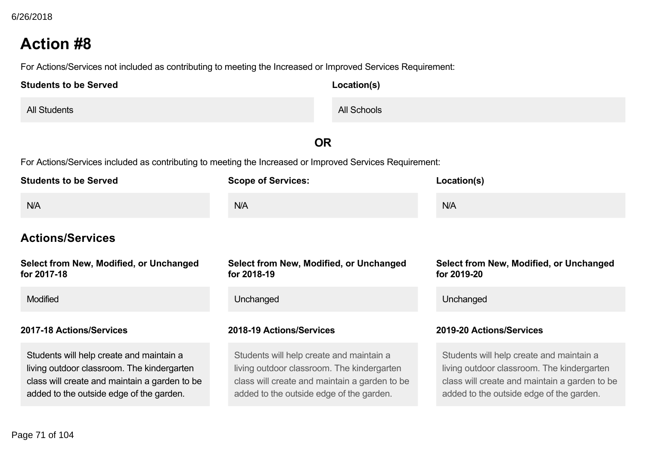## **Action #8**

| <b>Students to be Served</b> | Location(s) |
|------------------------------|-------------|
| <b>All Students</b>          | All Schools |

## **OR**

| 6/26/2018<br><b>Action #8</b><br><b>Students to be Served</b><br><b>All Students</b><br><b>Students to be Served</b>                                                                                                                                                                                                    | For Actions/Services not included as contributing to meeting the Increased or Improved Services Requirement:<br>Location(s)<br>All Schools<br>OR<br>For Actions/Services included as contributing to meeting the Increased or Improved Services Requirement:<br><b>Scope of Services:</b><br>Location(s)<br>N/A<br>N/A |                                                                                                                                                                                                                                                                                        |  |
|-------------------------------------------------------------------------------------------------------------------------------------------------------------------------------------------------------------------------------------------------------------------------------------------------------------------------|------------------------------------------------------------------------------------------------------------------------------------------------------------------------------------------------------------------------------------------------------------------------------------------------------------------------|----------------------------------------------------------------------------------------------------------------------------------------------------------------------------------------------------------------------------------------------------------------------------------------|--|
| N/A<br><b>Actions/Services</b><br>Select from New, Modified, or Unchanged<br>for 2017-18<br>Modified<br>2017-18 Actions/Services<br>Students will help create and maintain a<br>living outdoor classroom. The kindergarten<br>class will create and maintain a garden to be<br>added to the outside edge of the garden. | Select from New, Modified, or Unchanged<br>for 2018-19<br>Unchanged<br>2018-19 Actions/Services<br>Students will help create and maintain a<br>living outdoor classroom. The kindergarten<br>class will create and maintain a garden to be<br>added to the outside edge of the garden.                                 | Select from New, Modified, or Unchanged<br>for 2019-20<br>Unchanged<br>2019-20 Actions/Services<br>Students will help create and maintain a<br>living outdoor classroom. The kindergarten<br>class will create and maintain a garden to be<br>added to the outside edge of the garden. |  |
| Page 71 of 104                                                                                                                                                                                                                                                                                                          |                                                                                                                                                                                                                                                                                                                        |                                                                                                                                                                                                                                                                                        |  |
|                                                                                                                                                                                                                                                                                                                         |                                                                                                                                                                                                                                                                                                                        |                                                                                                                                                                                                                                                                                        |  |
|                                                                                                                                                                                                                                                                                                                         |                                                                                                                                                                                                                                                                                                                        |                                                                                                                                                                                                                                                                                        |  |
|                                                                                                                                                                                                                                                                                                                         |                                                                                                                                                                                                                                                                                                                        |                                                                                                                                                                                                                                                                                        |  |
|                                                                                                                                                                                                                                                                                                                         |                                                                                                                                                                                                                                                                                                                        |                                                                                                                                                                                                                                                                                        |  |
|                                                                                                                                                                                                                                                                                                                         |                                                                                                                                                                                                                                                                                                                        |                                                                                                                                                                                                                                                                                        |  |
|                                                                                                                                                                                                                                                                                                                         |                                                                                                                                                                                                                                                                                                                        |                                                                                                                                                                                                                                                                                        |  |
|                                                                                                                                                                                                                                                                                                                         |                                                                                                                                                                                                                                                                                                                        |                                                                                                                                                                                                                                                                                        |  |
|                                                                                                                                                                                                                                                                                                                         |                                                                                                                                                                                                                                                                                                                        |                                                                                                                                                                                                                                                                                        |  |
|                                                                                                                                                                                                                                                                                                                         |                                                                                                                                                                                                                                                                                                                        |                                                                                                                                                                                                                                                                                        |  |
|                                                                                                                                                                                                                                                                                                                         |                                                                                                                                                                                                                                                                                                                        |                                                                                                                                                                                                                                                                                        |  |
|                                                                                                                                                                                                                                                                                                                         |                                                                                                                                                                                                                                                                                                                        |                                                                                                                                                                                                                                                                                        |  |
|                                                                                                                                                                                                                                                                                                                         |                                                                                                                                                                                                                                                                                                                        |                                                                                                                                                                                                                                                                                        |  |
|                                                                                                                                                                                                                                                                                                                         |                                                                                                                                                                                                                                                                                                                        |                                                                                                                                                                                                                                                                                        |  |
|                                                                                                                                                                                                                                                                                                                         |                                                                                                                                                                                                                                                                                                                        |                                                                                                                                                                                                                                                                                        |  |
|                                                                                                                                                                                                                                                                                                                         |                                                                                                                                                                                                                                                                                                                        |                                                                                                                                                                                                                                                                                        |  |
|                                                                                                                                                                                                                                                                                                                         |                                                                                                                                                                                                                                                                                                                        |                                                                                                                                                                                                                                                                                        |  |
|                                                                                                                                                                                                                                                                                                                         |                                                                                                                                                                                                                                                                                                                        |                                                                                                                                                                                                                                                                                        |  |
|                                                                                                                                                                                                                                                                                                                         |                                                                                                                                                                                                                                                                                                                        |                                                                                                                                                                                                                                                                                        |  |
|                                                                                                                                                                                                                                                                                                                         |                                                                                                                                                                                                                                                                                                                        |                                                                                                                                                                                                                                                                                        |  |
|                                                                                                                                                                                                                                                                                                                         |                                                                                                                                                                                                                                                                                                                        |                                                                                                                                                                                                                                                                                        |  |
|                                                                                                                                                                                                                                                                                                                         |                                                                                                                                                                                                                                                                                                                        |                                                                                                                                                                                                                                                                                        |  |
|                                                                                                                                                                                                                                                                                                                         |                                                                                                                                                                                                                                                                                                                        |                                                                                                                                                                                                                                                                                        |  |
|                                                                                                                                                                                                                                                                                                                         |                                                                                                                                                                                                                                                                                                                        |                                                                                                                                                                                                                                                                                        |  |
|                                                                                                                                                                                                                                                                                                                         |                                                                                                                                                                                                                                                                                                                        |                                                                                                                                                                                                                                                                                        |  |
|                                                                                                                                                                                                                                                                                                                         |                                                                                                                                                                                                                                                                                                                        |                                                                                                                                                                                                                                                                                        |  |
|                                                                                                                                                                                                                                                                                                                         |                                                                                                                                                                                                                                                                                                                        |                                                                                                                                                                                                                                                                                        |  |
|                                                                                                                                                                                                                                                                                                                         |                                                                                                                                                                                                                                                                                                                        |                                                                                                                                                                                                                                                                                        |  |
|                                                                                                                                                                                                                                                                                                                         |                                                                                                                                                                                                                                                                                                                        |                                                                                                                                                                                                                                                                                        |  |
|                                                                                                                                                                                                                                                                                                                         |                                                                                                                                                                                                                                                                                                                        |                                                                                                                                                                                                                                                                                        |  |
|                                                                                                                                                                                                                                                                                                                         |                                                                                                                                                                                                                                                                                                                        |                                                                                                                                                                                                                                                                                        |  |
|                                                                                                                                                                                                                                                                                                                         |                                                                                                                                                                                                                                                                                                                        |                                                                                                                                                                                                                                                                                        |  |
|                                                                                                                                                                                                                                                                                                                         |                                                                                                                                                                                                                                                                                                                        |                                                                                                                                                                                                                                                                                        |  |
|                                                                                                                                                                                                                                                                                                                         |                                                                                                                                                                                                                                                                                                                        |                                                                                                                                                                                                                                                                                        |  |
|                                                                                                                                                                                                                                                                                                                         |                                                                                                                                                                                                                                                                                                                        |                                                                                                                                                                                                                                                                                        |  |
|                                                                                                                                                                                                                                                                                                                         |                                                                                                                                                                                                                                                                                                                        |                                                                                                                                                                                                                                                                                        |  |
|                                                                                                                                                                                                                                                                                                                         |                                                                                                                                                                                                                                                                                                                        |                                                                                                                                                                                                                                                                                        |  |
|                                                                                                                                                                                                                                                                                                                         |                                                                                                                                                                                                                                                                                                                        |                                                                                                                                                                                                                                                                                        |  |
|                                                                                                                                                                                                                                                                                                                         |                                                                                                                                                                                                                                                                                                                        |                                                                                                                                                                                                                                                                                        |  |
|                                                                                                                                                                                                                                                                                                                         |                                                                                                                                                                                                                                                                                                                        |                                                                                                                                                                                                                                                                                        |  |
|                                                                                                                                                                                                                                                                                                                         |                                                                                                                                                                                                                                                                                                                        |                                                                                                                                                                                                                                                                                        |  |
|                                                                                                                                                                                                                                                                                                                         |                                                                                                                                                                                                                                                                                                                        |                                                                                                                                                                                                                                                                                        |  |
|                                                                                                                                                                                                                                                                                                                         |                                                                                                                                                                                                                                                                                                                        |                                                                                                                                                                                                                                                                                        |  |
|                                                                                                                                                                                                                                                                                                                         |                                                                                                                                                                                                                                                                                                                        |                                                                                                                                                                                                                                                                                        |  |
|                                                                                                                                                                                                                                                                                                                         |                                                                                                                                                                                                                                                                                                                        |                                                                                                                                                                                                                                                                                        |  |
|                                                                                                                                                                                                                                                                                                                         |                                                                                                                                                                                                                                                                                                                        |                                                                                                                                                                                                                                                                                        |  |
|                                                                                                                                                                                                                                                                                                                         |                                                                                                                                                                                                                                                                                                                        |                                                                                                                                                                                                                                                                                        |  |
|                                                                                                                                                                                                                                                                                                                         |                                                                                                                                                                                                                                                                                                                        |                                                                                                                                                                                                                                                                                        |  |
|                                                                                                                                                                                                                                                                                                                         |                                                                                                                                                                                                                                                                                                                        |                                                                                                                                                                                                                                                                                        |  |
|                                                                                                                                                                                                                                                                                                                         |                                                                                                                                                                                                                                                                                                                        |                                                                                                                                                                                                                                                                                        |  |
|                                                                                                                                                                                                                                                                                                                         |                                                                                                                                                                                                                                                                                                                        |                                                                                                                                                                                                                                                                                        |  |
|                                                                                                                                                                                                                                                                                                                         |                                                                                                                                                                                                                                                                                                                        |                                                                                                                                                                                                                                                                                        |  |
|                                                                                                                                                                                                                                                                                                                         |                                                                                                                                                                                                                                                                                                                        |                                                                                                                                                                                                                                                                                        |  |
|                                                                                                                                                                                                                                                                                                                         |                                                                                                                                                                                                                                                                                                                        |                                                                                                                                                                                                                                                                                        |  |
|                                                                                                                                                                                                                                                                                                                         |                                                                                                                                                                                                                                                                                                                        |                                                                                                                                                                                                                                                                                        |  |
|                                                                                                                                                                                                                                                                                                                         |                                                                                                                                                                                                                                                                                                                        |                                                                                                                                                                                                                                                                                        |  |
|                                                                                                                                                                                                                                                                                                                         |                                                                                                                                                                                                                                                                                                                        |                                                                                                                                                                                                                                                                                        |  |
|                                                                                                                                                                                                                                                                                                                         |                                                                                                                                                                                                                                                                                                                        |                                                                                                                                                                                                                                                                                        |  |
|                                                                                                                                                                                                                                                                                                                         |                                                                                                                                                                                                                                                                                                                        |                                                                                                                                                                                                                                                                                        |  |
|                                                                                                                                                                                                                                                                                                                         |                                                                                                                                                                                                                                                                                                                        |                                                                                                                                                                                                                                                                                        |  |
|                                                                                                                                                                                                                                                                                                                         |                                                                                                                                                                                                                                                                                                                        |                                                                                                                                                                                                                                                                                        |  |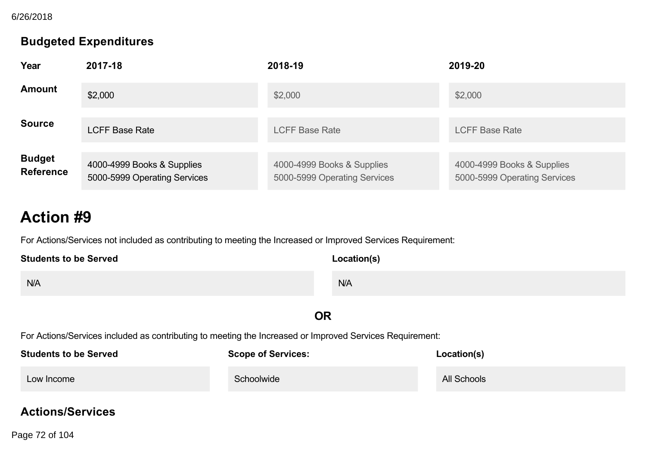## added to the outside edge of the garden.

## **Budgeted Expenditures**

| 6/26/2018<br>Year<br>Amount<br><b>Source</b>                                                 | <b>Budgeted Expenditures</b><br>2017-18<br>\$2,000<br>LCFF Base Rate | 2018-19<br>\$2,000<br>LCFF Base Rate                                                                                                                                                             | 2019-20<br>\$2,000<br>LCFF Base Rate                       |
|----------------------------------------------------------------------------------------------|----------------------------------------------------------------------|--------------------------------------------------------------------------------------------------------------------------------------------------------------------------------------------------|------------------------------------------------------------|
| <b>Budget</b><br><b>Reference</b><br><b>Action #9</b><br><b>Students to be Served</b><br>N/A | 4000-4999 Books & Supplies<br>5000-5999 Operating Services           | 4000-4999 Books & Supplies<br>5000-5999 Operating Services<br>For Actions/Services not included as contributing to meeting the Increased or Improved Services Requirement:<br>Location(s)<br>N/A | 4000-4999 Books & Supplies<br>5000-5999 Operating Services |
| <b>Students to be Served</b><br>Low Income<br><b>Actions/Services</b><br>Page 72 of 104      |                                                                      | OR<br>For Actions/Services included as contributing to meeting the Increased or Improved Services Requirement:<br><b>Scope of Services:</b><br>Schoolwide                                        | Location(s)<br>All Schools                                 |
|                                                                                              |                                                                      |                                                                                                                                                                                                  |                                                            |
|                                                                                              |                                                                      |                                                                                                                                                                                                  |                                                            |
|                                                                                              |                                                                      |                                                                                                                                                                                                  |                                                            |
|                                                                                              |                                                                      |                                                                                                                                                                                                  |                                                            |
|                                                                                              |                                                                      |                                                                                                                                                                                                  |                                                            |
|                                                                                              |                                                                      |                                                                                                                                                                                                  |                                                            |
|                                                                                              |                                                                      |                                                                                                                                                                                                  |                                                            |
|                                                                                              |                                                                      |                                                                                                                                                                                                  |                                                            |
|                                                                                              |                                                                      |                                                                                                                                                                                                  |                                                            |
|                                                                                              |                                                                      |                                                                                                                                                                                                  |                                                            |
|                                                                                              |                                                                      |                                                                                                                                                                                                  |                                                            |
|                                                                                              |                                                                      |                                                                                                                                                                                                  |                                                            |
|                                                                                              |                                                                      |                                                                                                                                                                                                  |                                                            |
|                                                                                              |                                                                      |                                                                                                                                                                                                  |                                                            |
|                                                                                              |                                                                      |                                                                                                                                                                                                  |                                                            |
|                                                                                              |                                                                      |                                                                                                                                                                                                  |                                                            |
|                                                                                              |                                                                      |                                                                                                                                                                                                  |                                                            |
|                                                                                              |                                                                      |                                                                                                                                                                                                  |                                                            |
|                                                                                              |                                                                      |                                                                                                                                                                                                  |                                                            |
|                                                                                              |                                                                      |                                                                                                                                                                                                  |                                                            |
|                                                                                              |                                                                      |                                                                                                                                                                                                  |                                                            |
|                                                                                              |                                                                      |                                                                                                                                                                                                  |                                                            |
|                                                                                              |                                                                      |                                                                                                                                                                                                  |                                                            |
|                                                                                              |                                                                      |                                                                                                                                                                                                  |                                                            |
|                                                                                              |                                                                      |                                                                                                                                                                                                  |                                                            |
|                                                                                              |                                                                      |                                                                                                                                                                                                  |                                                            |
|                                                                                              |                                                                      |                                                                                                                                                                                                  |                                                            |
|                                                                                              |                                                                      |                                                                                                                                                                                                  |                                                            |
|                                                                                              |                                                                      |                                                                                                                                                                                                  |                                                            |
|                                                                                              |                                                                      |                                                                                                                                                                                                  |                                                            |
|                                                                                              |                                                                      |                                                                                                                                                                                                  |                                                            |
|                                                                                              |                                                                      |                                                                                                                                                                                                  |                                                            |
|                                                                                              |                                                                      |                                                                                                                                                                                                  |                                                            |
|                                                                                              |                                                                      |                                                                                                                                                                                                  |                                                            |
|                                                                                              |                                                                      |                                                                                                                                                                                                  |                                                            |
|                                                                                              |                                                                      |                                                                                                                                                                                                  |                                                            |
|                                                                                              |                                                                      |                                                                                                                                                                                                  |                                                            |
|                                                                                              |                                                                      |                                                                                                                                                                                                  |                                                            |
|                                                                                              |                                                                      |                                                                                                                                                                                                  |                                                            |
|                                                                                              |                                                                      |                                                                                                                                                                                                  |                                                            |
|                                                                                              |                                                                      |                                                                                                                                                                                                  |                                                            |
|                                                                                              |                                                                      |                                                                                                                                                                                                  |                                                            |
|                                                                                              |                                                                      |                                                                                                                                                                                                  |                                                            |
|                                                                                              |                                                                      |                                                                                                                                                                                                  |                                                            |
|                                                                                              |                                                                      |                                                                                                                                                                                                  |                                                            |
|                                                                                              |                                                                      |                                                                                                                                                                                                  |                                                            |
|                                                                                              |                                                                      |                                                                                                                                                                                                  |                                                            |
|                                                                                              |                                                                      |                                                                                                                                                                                                  |                                                            |
|                                                                                              |                                                                      |                                                                                                                                                                                                  |                                                            |
|                                                                                              |                                                                      |                                                                                                                                                                                                  |                                                            |
|                                                                                              |                                                                      |                                                                                                                                                                                                  |                                                            |
|                                                                                              |                                                                      |                                                                                                                                                                                                  |                                                            |
|                                                                                              |                                                                      |                                                                                                                                                                                                  |                                                            |
|                                                                                              |                                                                      |                                                                                                                                                                                                  |                                                            |
|                                                                                              |                                                                      |                                                                                                                                                                                                  |                                                            |
|                                                                                              |                                                                      |                                                                                                                                                                                                  |                                                            |
|                                                                                              |                                                                      |                                                                                                                                                                                                  |                                                            |
|                                                                                              |                                                                      |                                                                                                                                                                                                  |                                                            |
|                                                                                              |                                                                      |                                                                                                                                                                                                  |                                                            |
|                                                                                              |                                                                      |                                                                                                                                                                                                  |                                                            |
|                                                                                              |                                                                      |                                                                                                                                                                                                  |                                                            |
|                                                                                              |                                                                      |                                                                                                                                                                                                  |                                                            |
|                                                                                              |                                                                      |                                                                                                                                                                                                  |                                                            |
|                                                                                              |                                                                      |                                                                                                                                                                                                  |                                                            |
|                                                                                              |                                                                      |                                                                                                                                                                                                  |                                                            |
|                                                                                              |                                                                      |                                                                                                                                                                                                  |                                                            |
|                                                                                              |                                                                      |                                                                                                                                                                                                  |                                                            |
|                                                                                              |                                                                      |                                                                                                                                                                                                  |                                                            |
|                                                                                              |                                                                      |                                                                                                                                                                                                  |                                                            |

## **Action #9**

| <b>Students to be Served</b> | Location(s) |
|------------------------------|-------------|
| N/A                          | N/A         |
| <b>OR</b>                    |             |

| Schoolwide<br>Low Income | All Schools |
|--------------------------|-------------|

## **Actions/Services**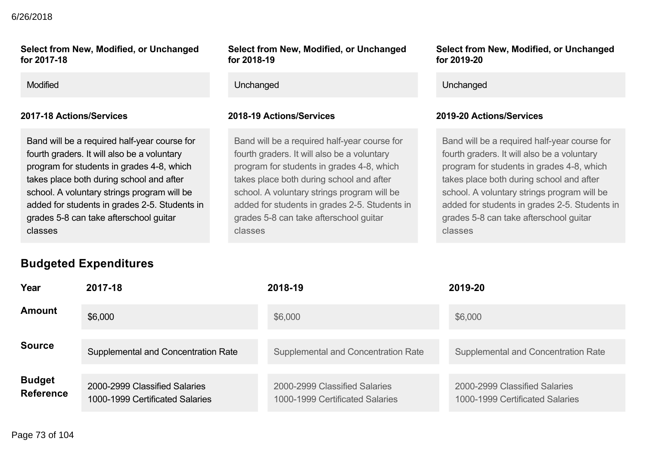# **Actions/Services**

#### **Select from New, Modified, or Unchanged for 201718**

#### **201718 Actions/Services 201819 Actions/Services 201920 Actions/Services**

#### **Select from New, Modified, or Unchanged for 201819**

#### **Select from New, Modified, or Unchanged for 201920**

## **Budgeted Expenditures**

| 6/26/2018<br>for 2017-18<br>Modified<br>2017-18 Actions/Services   | Select from New, Modified, or Unchanged<br>Band will be a required half-year course for<br>fourth graders. It will also be a voluntary<br>program for students in grades 4-8, which<br>takes place both during school and after<br>school. A voluntary strings program will be |                                                                  | for 2018-19<br>Unchanged | 2018-19 Actions/Services | fourth graders. It will also be a voluntary<br>takes place both during school and after | Select from New, Modified, or Unchanged<br>Band will be a required half-year course for<br>program for students in grades 4-8, which<br>school. A voluntary strings program will be | Select from New, Modified, or Unchanged<br>for 2019-20<br>Unchanged<br>2019-20 Actions/Services<br>fourth graders. It will also be a voluntary<br>takes place both during school and after | Band will be a required half-year course for<br>program for students in grades 4-8, which<br>school. A voluntary strings program will be |  |
|--------------------------------------------------------------------|--------------------------------------------------------------------------------------------------------------------------------------------------------------------------------------------------------------------------------------------------------------------------------|------------------------------------------------------------------|--------------------------|--------------------------|-----------------------------------------------------------------------------------------|-------------------------------------------------------------------------------------------------------------------------------------------------------------------------------------|--------------------------------------------------------------------------------------------------------------------------------------------------------------------------------------------|------------------------------------------------------------------------------------------------------------------------------------------|--|
| classes<br>Year<br><b>Amount</b><br><b>Source</b><br><b>Budget</b> | added for students in grades 2-5. Students in<br>grades 5-8 can take afterschool guitar<br><b>Budgeted Expenditures</b><br>2017-18<br>\$6,000                                                                                                                                  | Supplemental and Concentration Rate                              | classes                  | 2018-19<br>\$6,000       | grades 5-8 can take afterschool guitar                                                  | added for students in grades 2-5. Students in<br>Supplemental and Concentration Rate                                                                                                | grades 5-8 can take afterschool guitar<br>classes<br>2019-20<br>\$6,000                                                                                                                    | added for students in grades 2-5. Students in<br>Supplemental and Concentration Rate                                                     |  |
| <b>Reference</b><br>Page 73 of 104                                 |                                                                                                                                                                                                                                                                                | 2000-2999 Classified Salaries<br>1000-1999 Certificated Salaries |                          |                          | 2000-2999 Classified Salaries<br>1000-1999 Certificated Salaries                        |                                                                                                                                                                                     |                                                                                                                                                                                            | 2000-2999 Classified Salaries<br>1000-1999 Certificated Salaries                                                                         |  |
|                                                                    |                                                                                                                                                                                                                                                                                |                                                                  |                          |                          |                                                                                         |                                                                                                                                                                                     |                                                                                                                                                                                            |                                                                                                                                          |  |
|                                                                    |                                                                                                                                                                                                                                                                                |                                                                  |                          |                          |                                                                                         |                                                                                                                                                                                     |                                                                                                                                                                                            |                                                                                                                                          |  |
|                                                                    |                                                                                                                                                                                                                                                                                |                                                                  |                          |                          |                                                                                         |                                                                                                                                                                                     |                                                                                                                                                                                            |                                                                                                                                          |  |
|                                                                    |                                                                                                                                                                                                                                                                                |                                                                  |                          |                          |                                                                                         |                                                                                                                                                                                     |                                                                                                                                                                                            |                                                                                                                                          |  |
|                                                                    |                                                                                                                                                                                                                                                                                |                                                                  |                          |                          |                                                                                         |                                                                                                                                                                                     |                                                                                                                                                                                            |                                                                                                                                          |  |
|                                                                    |                                                                                                                                                                                                                                                                                |                                                                  |                          |                          |                                                                                         |                                                                                                                                                                                     |                                                                                                                                                                                            |                                                                                                                                          |  |
|                                                                    |                                                                                                                                                                                                                                                                                |                                                                  |                          |                          |                                                                                         |                                                                                                                                                                                     |                                                                                                                                                                                            |                                                                                                                                          |  |
|                                                                    |                                                                                                                                                                                                                                                                                |                                                                  |                          |                          |                                                                                         |                                                                                                                                                                                     |                                                                                                                                                                                            |                                                                                                                                          |  |
|                                                                    |                                                                                                                                                                                                                                                                                |                                                                  |                          |                          |                                                                                         |                                                                                                                                                                                     |                                                                                                                                                                                            |                                                                                                                                          |  |
|                                                                    |                                                                                                                                                                                                                                                                                |                                                                  |                          |                          |                                                                                         |                                                                                                                                                                                     |                                                                                                                                                                                            |                                                                                                                                          |  |
|                                                                    |                                                                                                                                                                                                                                                                                |                                                                  |                          |                          |                                                                                         |                                                                                                                                                                                     |                                                                                                                                                                                            |                                                                                                                                          |  |
|                                                                    |                                                                                                                                                                                                                                                                                |                                                                  |                          |                          |                                                                                         |                                                                                                                                                                                     |                                                                                                                                                                                            |                                                                                                                                          |  |
|                                                                    |                                                                                                                                                                                                                                                                                |                                                                  |                          |                          |                                                                                         |                                                                                                                                                                                     |                                                                                                                                                                                            |                                                                                                                                          |  |
|                                                                    |                                                                                                                                                                                                                                                                                |                                                                  |                          |                          |                                                                                         |                                                                                                                                                                                     |                                                                                                                                                                                            |                                                                                                                                          |  |
|                                                                    |                                                                                                                                                                                                                                                                                |                                                                  |                          |                          |                                                                                         |                                                                                                                                                                                     |                                                                                                                                                                                            |                                                                                                                                          |  |
|                                                                    |                                                                                                                                                                                                                                                                                |                                                                  |                          |                          |                                                                                         |                                                                                                                                                                                     |                                                                                                                                                                                            |                                                                                                                                          |  |
|                                                                    |                                                                                                                                                                                                                                                                                |                                                                  |                          |                          |                                                                                         |                                                                                                                                                                                     |                                                                                                                                                                                            |                                                                                                                                          |  |
|                                                                    |                                                                                                                                                                                                                                                                                |                                                                  |                          |                          |                                                                                         |                                                                                                                                                                                     |                                                                                                                                                                                            |                                                                                                                                          |  |
|                                                                    |                                                                                                                                                                                                                                                                                |                                                                  |                          |                          |                                                                                         |                                                                                                                                                                                     |                                                                                                                                                                                            |                                                                                                                                          |  |
|                                                                    |                                                                                                                                                                                                                                                                                |                                                                  |                          |                          |                                                                                         |                                                                                                                                                                                     |                                                                                                                                                                                            |                                                                                                                                          |  |
|                                                                    |                                                                                                                                                                                                                                                                                |                                                                  |                          |                          |                                                                                         |                                                                                                                                                                                     |                                                                                                                                                                                            |                                                                                                                                          |  |
|                                                                    |                                                                                                                                                                                                                                                                                |                                                                  |                          |                          |                                                                                         |                                                                                                                                                                                     |                                                                                                                                                                                            |                                                                                                                                          |  |
|                                                                    |                                                                                                                                                                                                                                                                                |                                                                  |                          |                          |                                                                                         |                                                                                                                                                                                     |                                                                                                                                                                                            |                                                                                                                                          |  |
|                                                                    |                                                                                                                                                                                                                                                                                |                                                                  |                          |                          |                                                                                         |                                                                                                                                                                                     |                                                                                                                                                                                            |                                                                                                                                          |  |
|                                                                    |                                                                                                                                                                                                                                                                                |                                                                  |                          |                          |                                                                                         |                                                                                                                                                                                     |                                                                                                                                                                                            |                                                                                                                                          |  |
|                                                                    |                                                                                                                                                                                                                                                                                |                                                                  |                          |                          |                                                                                         |                                                                                                                                                                                     |                                                                                                                                                                                            |                                                                                                                                          |  |
|                                                                    |                                                                                                                                                                                                                                                                                |                                                                  |                          |                          |                                                                                         |                                                                                                                                                                                     |                                                                                                                                                                                            |                                                                                                                                          |  |
|                                                                    |                                                                                                                                                                                                                                                                                |                                                                  |                          |                          |                                                                                         |                                                                                                                                                                                     |                                                                                                                                                                                            |                                                                                                                                          |  |
|                                                                    |                                                                                                                                                                                                                                                                                |                                                                  |                          |                          |                                                                                         |                                                                                                                                                                                     |                                                                                                                                                                                            |                                                                                                                                          |  |
|                                                                    |                                                                                                                                                                                                                                                                                |                                                                  |                          |                          |                                                                                         |                                                                                                                                                                                     |                                                                                                                                                                                            |                                                                                                                                          |  |
|                                                                    |                                                                                                                                                                                                                                                                                |                                                                  |                          |                          |                                                                                         |                                                                                                                                                                                     |                                                                                                                                                                                            |                                                                                                                                          |  |
|                                                                    |                                                                                                                                                                                                                                                                                |                                                                  |                          |                          |                                                                                         |                                                                                                                                                                                     |                                                                                                                                                                                            |                                                                                                                                          |  |
|                                                                    |                                                                                                                                                                                                                                                                                |                                                                  |                          |                          |                                                                                         |                                                                                                                                                                                     |                                                                                                                                                                                            |                                                                                                                                          |  |
|                                                                    |                                                                                                                                                                                                                                                                                |                                                                  |                          |                          |                                                                                         |                                                                                                                                                                                     |                                                                                                                                                                                            |                                                                                                                                          |  |
|                                                                    |                                                                                                                                                                                                                                                                                |                                                                  |                          |                          |                                                                                         |                                                                                                                                                                                     |                                                                                                                                                                                            |                                                                                                                                          |  |
|                                                                    |                                                                                                                                                                                                                                                                                |                                                                  |                          |                          |                                                                                         |                                                                                                                                                                                     |                                                                                                                                                                                            |                                                                                                                                          |  |
|                                                                    |                                                                                                                                                                                                                                                                                |                                                                  |                          |                          |                                                                                         |                                                                                                                                                                                     |                                                                                                                                                                                            |                                                                                                                                          |  |
|                                                                    |                                                                                                                                                                                                                                                                                |                                                                  |                          |                          |                                                                                         |                                                                                                                                                                                     |                                                                                                                                                                                            |                                                                                                                                          |  |
|                                                                    |                                                                                                                                                                                                                                                                                |                                                                  |                          |                          |                                                                                         |                                                                                                                                                                                     |                                                                                                                                                                                            |                                                                                                                                          |  |
|                                                                    |                                                                                                                                                                                                                                                                                |                                                                  |                          |                          |                                                                                         |                                                                                                                                                                                     |                                                                                                                                                                                            |                                                                                                                                          |  |
|                                                                    |                                                                                                                                                                                                                                                                                |                                                                  |                          |                          |                                                                                         |                                                                                                                                                                                     |                                                                                                                                                                                            |                                                                                                                                          |  |
|                                                                    |                                                                                                                                                                                                                                                                                |                                                                  |                          |                          |                                                                                         |                                                                                                                                                                                     |                                                                                                                                                                                            |                                                                                                                                          |  |
|                                                                    |                                                                                                                                                                                                                                                                                |                                                                  |                          |                          |                                                                                         |                                                                                                                                                                                     |                                                                                                                                                                                            |                                                                                                                                          |  |
|                                                                    |                                                                                                                                                                                                                                                                                |                                                                  |                          |                          |                                                                                         |                                                                                                                                                                                     |                                                                                                                                                                                            |                                                                                                                                          |  |
|                                                                    |                                                                                                                                                                                                                                                                                |                                                                  |                          |                          |                                                                                         |                                                                                                                                                                                     |                                                                                                                                                                                            |                                                                                                                                          |  |
|                                                                    |                                                                                                                                                                                                                                                                                |                                                                  |                          |                          |                                                                                         |                                                                                                                                                                                     |                                                                                                                                                                                            |                                                                                                                                          |  |
|                                                                    |                                                                                                                                                                                                                                                                                |                                                                  |                          |                          |                                                                                         |                                                                                                                                                                                     |                                                                                                                                                                                            |                                                                                                                                          |  |
|                                                                    |                                                                                                                                                                                                                                                                                |                                                                  |                          |                          |                                                                                         |                                                                                                                                                                                     |                                                                                                                                                                                            |                                                                                                                                          |  |
|                                                                    |                                                                                                                                                                                                                                                                                |                                                                  |                          |                          |                                                                                         |                                                                                                                                                                                     |                                                                                                                                                                                            |                                                                                                                                          |  |
|                                                                    |                                                                                                                                                                                                                                                                                |                                                                  |                          |                          |                                                                                         |                                                                                                                                                                                     |                                                                                                                                                                                            |                                                                                                                                          |  |
|                                                                    |                                                                                                                                                                                                                                                                                |                                                                  |                          |                          |                                                                                         |                                                                                                                                                                                     |                                                                                                                                                                                            |                                                                                                                                          |  |
|                                                                    |                                                                                                                                                                                                                                                                                |                                                                  |                          |                          |                                                                                         |                                                                                                                                                                                     |                                                                                                                                                                                            |                                                                                                                                          |  |
|                                                                    |                                                                                                                                                                                                                                                                                |                                                                  |                          |                          |                                                                                         |                                                                                                                                                                                     |                                                                                                                                                                                            |                                                                                                                                          |  |
|                                                                    |                                                                                                                                                                                                                                                                                |                                                                  |                          |                          |                                                                                         |                                                                                                                                                                                     |                                                                                                                                                                                            |                                                                                                                                          |  |
|                                                                    |                                                                                                                                                                                                                                                                                |                                                                  |                          |                          |                                                                                         |                                                                                                                                                                                     |                                                                                                                                                                                            |                                                                                                                                          |  |
|                                                                    |                                                                                                                                                                                                                                                                                |                                                                  |                          |                          |                                                                                         |                                                                                                                                                                                     |                                                                                                                                                                                            |                                                                                                                                          |  |
|                                                                    |                                                                                                                                                                                                                                                                                |                                                                  |                          |                          |                                                                                         |                                                                                                                                                                                     |                                                                                                                                                                                            |                                                                                                                                          |  |
|                                                                    |                                                                                                                                                                                                                                                                                |                                                                  |                          |                          |                                                                                         |                                                                                                                                                                                     |                                                                                                                                                                                            |                                                                                                                                          |  |
|                                                                    |                                                                                                                                                                                                                                                                                |                                                                  |                          |                          |                                                                                         |                                                                                                                                                                                     |                                                                                                                                                                                            |                                                                                                                                          |  |
|                                                                    |                                                                                                                                                                                                                                                                                |                                                                  |                          |                          |                                                                                         |                                                                                                                                                                                     |                                                                                                                                                                                            |                                                                                                                                          |  |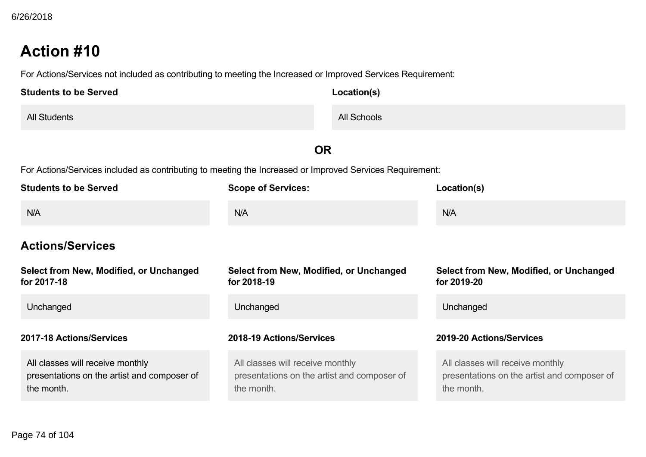# **Action #10**

| <b>Students to be Served</b> | Location(s) |
|------------------------------|-------------|
| <b>All Students</b>          | All Schools |

| 6/26/2018<br><b>Action #10</b><br><b>Students to be Served</b><br><b>All Students</b>                                                                                                                 | For Actions/Services not included as contributing to meeting the Increased or Improved Services Requirement:<br>Location(s)<br>All Schools<br><b>OR</b><br>For Actions/Services included as contributing to meeting the Increased or Improved Services Requirement: |                                                                                                                                                                              |
|-------------------------------------------------------------------------------------------------------------------------------------------------------------------------------------------------------|---------------------------------------------------------------------------------------------------------------------------------------------------------------------------------------------------------------------------------------------------------------------|------------------------------------------------------------------------------------------------------------------------------------------------------------------------------|
| <b>Students to be Served</b><br>N/A<br><b>Actions/Services</b><br>Select from New, Modified, or Unchanged<br>for 2017-18<br>Unchanged<br>2017-18 Actions/Services<br>All classes will receive monthly | <b>Scope of Services:</b><br>N/A<br>Select from New, Modified, or Unchanged<br>for 2018-19<br>Unchanged<br>2018-19 Actions/Services<br>a s<br>All classes will receive monthly                                                                                      | Location(s)<br>N/A<br>Select from New, Modified, or Unchanged<br>for 2019-20<br>Unchanged<br>2019-20 Actions/Services<br><b>Contract</b><br>All classes will receive monthly |
| presentations on the artist and composer of<br>the month.<br>Page 74 of 104                                                                                                                           | presentations on the artist and composer of<br>the month.                                                                                                                                                                                                           | presentations on the artist and composer of<br>the month.                                                                                                                    |
|                                                                                                                                                                                                       |                                                                                                                                                                                                                                                                     |                                                                                                                                                                              |
|                                                                                                                                                                                                       |                                                                                                                                                                                                                                                                     |                                                                                                                                                                              |
|                                                                                                                                                                                                       |                                                                                                                                                                                                                                                                     |                                                                                                                                                                              |
|                                                                                                                                                                                                       |                                                                                                                                                                                                                                                                     |                                                                                                                                                                              |
|                                                                                                                                                                                                       |                                                                                                                                                                                                                                                                     |                                                                                                                                                                              |
|                                                                                                                                                                                                       |                                                                                                                                                                                                                                                                     |                                                                                                                                                                              |
|                                                                                                                                                                                                       |                                                                                                                                                                                                                                                                     |                                                                                                                                                                              |
|                                                                                                                                                                                                       |                                                                                                                                                                                                                                                                     |                                                                                                                                                                              |
|                                                                                                                                                                                                       |                                                                                                                                                                                                                                                                     |                                                                                                                                                                              |
|                                                                                                                                                                                                       |                                                                                                                                                                                                                                                                     |                                                                                                                                                                              |
|                                                                                                                                                                                                       |                                                                                                                                                                                                                                                                     |                                                                                                                                                                              |
|                                                                                                                                                                                                       |                                                                                                                                                                                                                                                                     |                                                                                                                                                                              |
|                                                                                                                                                                                                       |                                                                                                                                                                                                                                                                     |                                                                                                                                                                              |
|                                                                                                                                                                                                       |                                                                                                                                                                                                                                                                     |                                                                                                                                                                              |
|                                                                                                                                                                                                       |                                                                                                                                                                                                                                                                     |                                                                                                                                                                              |
|                                                                                                                                                                                                       |                                                                                                                                                                                                                                                                     |                                                                                                                                                                              |
|                                                                                                                                                                                                       |                                                                                                                                                                                                                                                                     |                                                                                                                                                                              |
|                                                                                                                                                                                                       |                                                                                                                                                                                                                                                                     |                                                                                                                                                                              |
|                                                                                                                                                                                                       |                                                                                                                                                                                                                                                                     |                                                                                                                                                                              |
|                                                                                                                                                                                                       |                                                                                                                                                                                                                                                                     |                                                                                                                                                                              |
|                                                                                                                                                                                                       |                                                                                                                                                                                                                                                                     |                                                                                                                                                                              |
|                                                                                                                                                                                                       |                                                                                                                                                                                                                                                                     |                                                                                                                                                                              |
|                                                                                                                                                                                                       |                                                                                                                                                                                                                                                                     |                                                                                                                                                                              |
|                                                                                                                                                                                                       |                                                                                                                                                                                                                                                                     |                                                                                                                                                                              |
|                                                                                                                                                                                                       |                                                                                                                                                                                                                                                                     |                                                                                                                                                                              |
|                                                                                                                                                                                                       |                                                                                                                                                                                                                                                                     |                                                                                                                                                                              |
|                                                                                                                                                                                                       |                                                                                                                                                                                                                                                                     |                                                                                                                                                                              |
|                                                                                                                                                                                                       |                                                                                                                                                                                                                                                                     |                                                                                                                                                                              |
|                                                                                                                                                                                                       |                                                                                                                                                                                                                                                                     |                                                                                                                                                                              |
|                                                                                                                                                                                                       |                                                                                                                                                                                                                                                                     |                                                                                                                                                                              |
|                                                                                                                                                                                                       |                                                                                                                                                                                                                                                                     |                                                                                                                                                                              |
|                                                                                                                                                                                                       |                                                                                                                                                                                                                                                                     |                                                                                                                                                                              |
|                                                                                                                                                                                                       |                                                                                                                                                                                                                                                                     |                                                                                                                                                                              |
|                                                                                                                                                                                                       |                                                                                                                                                                                                                                                                     |                                                                                                                                                                              |
|                                                                                                                                                                                                       |                                                                                                                                                                                                                                                                     |                                                                                                                                                                              |
|                                                                                                                                                                                                       |                                                                                                                                                                                                                                                                     |                                                                                                                                                                              |
|                                                                                                                                                                                                       |                                                                                                                                                                                                                                                                     |                                                                                                                                                                              |
|                                                                                                                                                                                                       |                                                                                                                                                                                                                                                                     |                                                                                                                                                                              |
|                                                                                                                                                                                                       |                                                                                                                                                                                                                                                                     |                                                                                                                                                                              |
|                                                                                                                                                                                                       |                                                                                                                                                                                                                                                                     |                                                                                                                                                                              |
|                                                                                                                                                                                                       |                                                                                                                                                                                                                                                                     |                                                                                                                                                                              |
|                                                                                                                                                                                                       |                                                                                                                                                                                                                                                                     |                                                                                                                                                                              |
|                                                                                                                                                                                                       |                                                                                                                                                                                                                                                                     |                                                                                                                                                                              |
|                                                                                                                                                                                                       |                                                                                                                                                                                                                                                                     |                                                                                                                                                                              |
|                                                                                                                                                                                                       |                                                                                                                                                                                                                                                                     |                                                                                                                                                                              |
|                                                                                                                                                                                                       |                                                                                                                                                                                                                                                                     |                                                                                                                                                                              |
|                                                                                                                                                                                                       |                                                                                                                                                                                                                                                                     |                                                                                                                                                                              |
|                                                                                                                                                                                                       |                                                                                                                                                                                                                                                                     |                                                                                                                                                                              |
|                                                                                                                                                                                                       |                                                                                                                                                                                                                                                                     |                                                                                                                                                                              |
|                                                                                                                                                                                                       |                                                                                                                                                                                                                                                                     |                                                                                                                                                                              |
|                                                                                                                                                                                                       |                                                                                                                                                                                                                                                                     |                                                                                                                                                                              |
|                                                                                                                                                                                                       |                                                                                                                                                                                                                                                                     |                                                                                                                                                                              |
|                                                                                                                                                                                                       |                                                                                                                                                                                                                                                                     |                                                                                                                                                                              |
|                                                                                                                                                                                                       |                                                                                                                                                                                                                                                                     |                                                                                                                                                                              |
|                                                                                                                                                                                                       |                                                                                                                                                                                                                                                                     |                                                                                                                                                                              |
|                                                                                                                                                                                                       |                                                                                                                                                                                                                                                                     |                                                                                                                                                                              |
|                                                                                                                                                                                                       |                                                                                                                                                                                                                                                                     |                                                                                                                                                                              |
|                                                                                                                                                                                                       |                                                                                                                                                                                                                                                                     |                                                                                                                                                                              |
|                                                                                                                                                                                                       |                                                                                                                                                                                                                                                                     |                                                                                                                                                                              |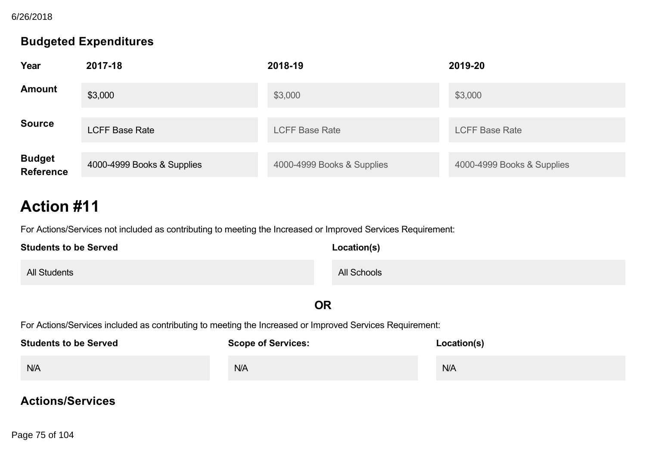## **Budgeted Expenditures**

| 6/26/2018<br>Year<br>Amount<br><b>Source</b>                                           | <b>Budgeted Expenditures</b><br>2017-18<br>\$3,000<br>LCFF Base Rate |                                   | 2018-19<br>\$3,000<br>LCFF Base Rate |                                                                                                                                                           | 2019-20<br>\$3,000<br>LCFF Base Rate                   |                            |  |
|----------------------------------------------------------------------------------------|----------------------------------------------------------------------|-----------------------------------|--------------------------------------|-----------------------------------------------------------------------------------------------------------------------------------------------------------|--------------------------------------------------------|----------------------------|--|
| <b>Budget</b><br><b>Reference</b><br><b>Action #11</b><br><b>Students to be Served</b> | 4000-4999 Books & Supplies                                           |                                   |                                      | 4000-4999 Books & Supplies<br>For Actions/Services not included as contributing to meeting the Increased or Improved Services Requirement:<br>Location(s) |                                                        | 4000-4999 Books & Supplies |  |
| <b>All Students</b><br><b>Students to be Served</b><br>N/A                             |                                                                      | the control of the control of the | <b>Scope of Services:</b><br>N/A     | All Schools<br>OR<br>For Actions/Services included as contributing to meeting the Increased or Improved Services Requirement:                             | Location(s)<br><b>Contract Contract</b><br>a sa<br>N/A |                            |  |
| <b>Actions/Services</b><br>Page 75 of 104                                              |                                                                      |                                   |                                      |                                                                                                                                                           |                                                        |                            |  |
|                                                                                        |                                                                      |                                   |                                      |                                                                                                                                                           |                                                        |                            |  |
|                                                                                        |                                                                      |                                   |                                      |                                                                                                                                                           |                                                        |                            |  |
|                                                                                        |                                                                      |                                   |                                      |                                                                                                                                                           |                                                        |                            |  |
|                                                                                        |                                                                      |                                   |                                      |                                                                                                                                                           |                                                        |                            |  |
|                                                                                        |                                                                      |                                   |                                      |                                                                                                                                                           |                                                        |                            |  |
|                                                                                        |                                                                      |                                   |                                      |                                                                                                                                                           |                                                        |                            |  |
|                                                                                        |                                                                      |                                   |                                      |                                                                                                                                                           |                                                        |                            |  |
|                                                                                        |                                                                      |                                   |                                      |                                                                                                                                                           |                                                        |                            |  |
|                                                                                        |                                                                      |                                   |                                      |                                                                                                                                                           |                                                        |                            |  |
|                                                                                        |                                                                      |                                   |                                      |                                                                                                                                                           |                                                        |                            |  |
|                                                                                        |                                                                      |                                   |                                      |                                                                                                                                                           |                                                        |                            |  |
|                                                                                        |                                                                      |                                   |                                      |                                                                                                                                                           |                                                        |                            |  |
|                                                                                        |                                                                      |                                   |                                      |                                                                                                                                                           |                                                        |                            |  |
|                                                                                        |                                                                      |                                   |                                      |                                                                                                                                                           |                                                        |                            |  |
|                                                                                        |                                                                      |                                   |                                      |                                                                                                                                                           |                                                        |                            |  |
|                                                                                        |                                                                      |                                   |                                      |                                                                                                                                                           |                                                        |                            |  |
|                                                                                        |                                                                      |                                   |                                      |                                                                                                                                                           |                                                        |                            |  |
|                                                                                        |                                                                      |                                   |                                      |                                                                                                                                                           |                                                        |                            |  |
|                                                                                        |                                                                      |                                   |                                      |                                                                                                                                                           |                                                        |                            |  |
|                                                                                        |                                                                      |                                   |                                      |                                                                                                                                                           |                                                        |                            |  |
|                                                                                        |                                                                      |                                   |                                      |                                                                                                                                                           |                                                        |                            |  |
|                                                                                        |                                                                      |                                   |                                      |                                                                                                                                                           |                                                        |                            |  |
|                                                                                        |                                                                      |                                   |                                      |                                                                                                                                                           |                                                        |                            |  |
|                                                                                        |                                                                      |                                   |                                      |                                                                                                                                                           |                                                        |                            |  |
|                                                                                        |                                                                      |                                   |                                      |                                                                                                                                                           |                                                        |                            |  |
|                                                                                        |                                                                      |                                   |                                      |                                                                                                                                                           |                                                        |                            |  |
|                                                                                        |                                                                      |                                   |                                      |                                                                                                                                                           |                                                        |                            |  |
|                                                                                        |                                                                      |                                   |                                      |                                                                                                                                                           |                                                        |                            |  |
|                                                                                        |                                                                      |                                   |                                      |                                                                                                                                                           |                                                        |                            |  |
|                                                                                        |                                                                      |                                   |                                      |                                                                                                                                                           |                                                        |                            |  |
|                                                                                        |                                                                      |                                   |                                      |                                                                                                                                                           |                                                        |                            |  |
|                                                                                        |                                                                      |                                   |                                      |                                                                                                                                                           |                                                        |                            |  |
|                                                                                        |                                                                      |                                   |                                      |                                                                                                                                                           |                                                        |                            |  |
|                                                                                        |                                                                      |                                   |                                      |                                                                                                                                                           |                                                        |                            |  |
|                                                                                        |                                                                      |                                   |                                      |                                                                                                                                                           |                                                        |                            |  |
|                                                                                        |                                                                      |                                   |                                      |                                                                                                                                                           |                                                        |                            |  |
|                                                                                        |                                                                      |                                   |                                      |                                                                                                                                                           |                                                        |                            |  |
|                                                                                        |                                                                      |                                   |                                      |                                                                                                                                                           |                                                        |                            |  |
|                                                                                        |                                                                      |                                   |                                      |                                                                                                                                                           |                                                        |                            |  |
|                                                                                        |                                                                      |                                   |                                      |                                                                                                                                                           |                                                        |                            |  |
|                                                                                        |                                                                      |                                   |                                      |                                                                                                                                                           |                                                        |                            |  |
|                                                                                        |                                                                      |                                   |                                      |                                                                                                                                                           |                                                        |                            |  |
|                                                                                        |                                                                      |                                   |                                      |                                                                                                                                                           |                                                        |                            |  |
|                                                                                        |                                                                      |                                   |                                      |                                                                                                                                                           |                                                        |                            |  |
|                                                                                        |                                                                      |                                   |                                      |                                                                                                                                                           |                                                        |                            |  |
|                                                                                        |                                                                      |                                   |                                      |                                                                                                                                                           |                                                        |                            |  |
|                                                                                        |                                                                      |                                   |                                      |                                                                                                                                                           |                                                        |                            |  |
|                                                                                        |                                                                      |                                   |                                      |                                                                                                                                                           |                                                        |                            |  |
|                                                                                        |                                                                      |                                   |                                      |                                                                                                                                                           |                                                        |                            |  |
|                                                                                        |                                                                      |                                   |                                      |                                                                                                                                                           |                                                        |                            |  |
|                                                                                        |                                                                      |                                   |                                      |                                                                                                                                                           |                                                        |                            |  |
|                                                                                        |                                                                      |                                   |                                      |                                                                                                                                                           |                                                        |                            |  |
|                                                                                        |                                                                      |                                   |                                      |                                                                                                                                                           |                                                        |                            |  |
|                                                                                        |                                                                      |                                   |                                      |                                                                                                                                                           |                                                        |                            |  |
|                                                                                        |                                                                      |                                   |                                      |                                                                                                                                                           |                                                        |                            |  |
|                                                                                        |                                                                      |                                   |                                      |                                                                                                                                                           |                                                        |                            |  |
|                                                                                        |                                                                      |                                   |                                      |                                                                                                                                                           |                                                        |                            |  |
|                                                                                        |                                                                      |                                   |                                      |                                                                                                                                                           |                                                        |                            |  |
|                                                                                        |                                                                      |                                   |                                      |                                                                                                                                                           |                                                        |                            |  |
|                                                                                        |                                                                      |                                   |                                      |                                                                                                                                                           |                                                        |                            |  |
|                                                                                        |                                                                      |                                   |                                      |                                                                                                                                                           |                                                        |                            |  |
|                                                                                        |                                                                      |                                   |                                      |                                                                                                                                                           |                                                        |                            |  |
|                                                                                        |                                                                      |                                   |                                      |                                                                                                                                                           |                                                        |                            |  |
|                                                                                        |                                                                      |                                   |                                      |                                                                                                                                                           |                                                        |                            |  |
|                                                                                        |                                                                      |                                   |                                      |                                                                                                                                                           |                                                        |                            |  |
|                                                                                        |                                                                      |                                   |                                      |                                                                                                                                                           |                                                        |                            |  |
|                                                                                        |                                                                      |                                   |                                      |                                                                                                                                                           |                                                        |                            |  |
|                                                                                        |                                                                      |                                   |                                      |                                                                                                                                                           |                                                        |                            |  |
|                                                                                        |                                                                      |                                   |                                      |                                                                                                                                                           |                                                        |                            |  |
|                                                                                        |                                                                      |                                   |                                      |                                                                                                                                                           |                                                        |                            |  |
|                                                                                        |                                                                      |                                   |                                      |                                                                                                                                                           |                                                        |                            |  |
|                                                                                        |                                                                      |                                   |                                      |                                                                                                                                                           |                                                        |                            |  |
|                                                                                        |                                                                      |                                   |                                      |                                                                                                                                                           |                                                        |                            |  |
|                                                                                        |                                                                      |                                   |                                      |                                                                                                                                                           |                                                        |                            |  |
|                                                                                        |                                                                      |                                   |                                      |                                                                                                                                                           |                                                        |                            |  |
|                                                                                        |                                                                      |                                   |                                      |                                                                                                                                                           |                                                        |                            |  |
|                                                                                        |                                                                      |                                   |                                      |                                                                                                                                                           |                                                        |                            |  |
|                                                                                        |                                                                      |                                   |                                      |                                                                                                                                                           |                                                        |                            |  |
|                                                                                        |                                                                      |                                   |                                      |                                                                                                                                                           |                                                        |                            |  |

# **Action #11**

| <b>Students to be Served</b> | Location(s) |
|------------------------------|-------------|
| <b>All Students</b>          | All Schools |

| <b>Students to be Served</b> | <b>Scope of Services:</b> | Location(s) |
|------------------------------|---------------------------|-------------|
| N/A                          | N/A                       | N/A         |

## **Actions/Services**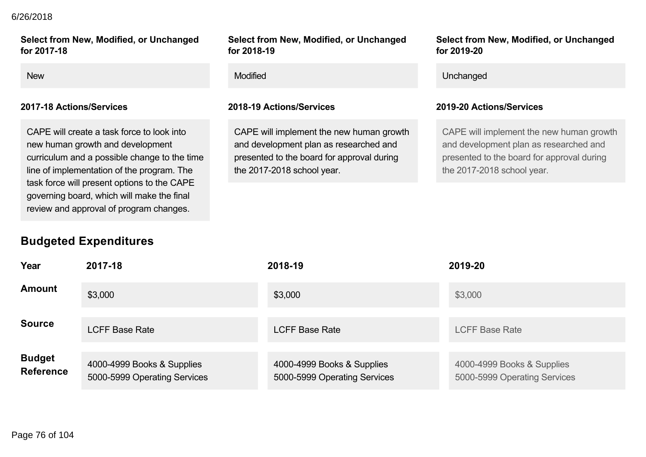#### **201718 Actions/Services 201819 Actions/Services 201920 Actions/Services**

## **Budgeted Expenditures**

| for 2017-18<br>New<br>2017-18 Actions/Services                       | Select from New, Modified, or Unchanged<br>CAPE will create a task force to look into<br>new human growth and development<br>curriculum and a possible change to the time                                                                | for 2018-19<br>Modified | Select from New, Modified, or Unchanged<br>2018-19 Actions/Services<br>CAPE will implement the new human growth<br>and development plan as researched and<br>presented to the board for approval during | Select from New, Modified, or Unchanged<br>for 2019-20<br>Unchanged<br>2019-20 Actions/Services<br>CAPE will implement the new human growth<br>and development plan as researched and<br>presented to the board for approval during |  |
|----------------------------------------------------------------------|------------------------------------------------------------------------------------------------------------------------------------------------------------------------------------------------------------------------------------------|-------------------------|---------------------------------------------------------------------------------------------------------------------------------------------------------------------------------------------------------|-------------------------------------------------------------------------------------------------------------------------------------------------------------------------------------------------------------------------------------|--|
| Year<br>Amount                                                       | line of implementation of the program. The<br>task force will present options to the CAPE<br>governing board, which will make the final<br>review and approval of program changes.<br><b>Budgeted Expenditures</b><br>2017-18<br>\$3,000 |                         | the 2017-2018 school year.<br>2018-19<br>\$3,000                                                                                                                                                        | the 2017-2018 school year.<br>2019-20<br>\$3,000                                                                                                                                                                                    |  |
| <b>Source</b><br><b>Budget</b><br><b>Reference</b><br>Page 76 of 104 | LCFF Base Rate<br>4000-4999 Books & Supplies<br>5000-5999 Operating Services                                                                                                                                                             |                         | LCFF Base Rate<br>4000-4999 Books & Supplies<br>5000-5999 Operating Services                                                                                                                            | LCFF Base Rate<br>4000-4999 Books & Supplies<br>5000-5999 Operating Services                                                                                                                                                        |  |
|                                                                      |                                                                                                                                                                                                                                          |                         |                                                                                                                                                                                                         |                                                                                                                                                                                                                                     |  |
|                                                                      |                                                                                                                                                                                                                                          |                         |                                                                                                                                                                                                         |                                                                                                                                                                                                                                     |  |
|                                                                      |                                                                                                                                                                                                                                          |                         |                                                                                                                                                                                                         |                                                                                                                                                                                                                                     |  |
|                                                                      |                                                                                                                                                                                                                                          |                         |                                                                                                                                                                                                         |                                                                                                                                                                                                                                     |  |
|                                                                      |                                                                                                                                                                                                                                          |                         |                                                                                                                                                                                                         |                                                                                                                                                                                                                                     |  |
|                                                                      |                                                                                                                                                                                                                                          |                         |                                                                                                                                                                                                         |                                                                                                                                                                                                                                     |  |
|                                                                      |                                                                                                                                                                                                                                          |                         |                                                                                                                                                                                                         |                                                                                                                                                                                                                                     |  |
|                                                                      |                                                                                                                                                                                                                                          |                         |                                                                                                                                                                                                         |                                                                                                                                                                                                                                     |  |
|                                                                      |                                                                                                                                                                                                                                          |                         |                                                                                                                                                                                                         |                                                                                                                                                                                                                                     |  |
|                                                                      |                                                                                                                                                                                                                                          |                         |                                                                                                                                                                                                         |                                                                                                                                                                                                                                     |  |
|                                                                      |                                                                                                                                                                                                                                          |                         |                                                                                                                                                                                                         |                                                                                                                                                                                                                                     |  |
|                                                                      |                                                                                                                                                                                                                                          |                         |                                                                                                                                                                                                         |                                                                                                                                                                                                                                     |  |
|                                                                      |                                                                                                                                                                                                                                          |                         |                                                                                                                                                                                                         |                                                                                                                                                                                                                                     |  |
|                                                                      |                                                                                                                                                                                                                                          |                         |                                                                                                                                                                                                         |                                                                                                                                                                                                                                     |  |
|                                                                      |                                                                                                                                                                                                                                          |                         |                                                                                                                                                                                                         |                                                                                                                                                                                                                                     |  |
|                                                                      |                                                                                                                                                                                                                                          |                         |                                                                                                                                                                                                         |                                                                                                                                                                                                                                     |  |
|                                                                      |                                                                                                                                                                                                                                          |                         |                                                                                                                                                                                                         |                                                                                                                                                                                                                                     |  |
|                                                                      |                                                                                                                                                                                                                                          |                         |                                                                                                                                                                                                         |                                                                                                                                                                                                                                     |  |
|                                                                      |                                                                                                                                                                                                                                          |                         |                                                                                                                                                                                                         |                                                                                                                                                                                                                                     |  |
|                                                                      |                                                                                                                                                                                                                                          |                         |                                                                                                                                                                                                         |                                                                                                                                                                                                                                     |  |
|                                                                      |                                                                                                                                                                                                                                          |                         |                                                                                                                                                                                                         |                                                                                                                                                                                                                                     |  |
|                                                                      |                                                                                                                                                                                                                                          |                         |                                                                                                                                                                                                         |                                                                                                                                                                                                                                     |  |
|                                                                      |                                                                                                                                                                                                                                          |                         |                                                                                                                                                                                                         |                                                                                                                                                                                                                                     |  |
|                                                                      |                                                                                                                                                                                                                                          |                         |                                                                                                                                                                                                         |                                                                                                                                                                                                                                     |  |
|                                                                      |                                                                                                                                                                                                                                          |                         |                                                                                                                                                                                                         |                                                                                                                                                                                                                                     |  |
|                                                                      |                                                                                                                                                                                                                                          |                         |                                                                                                                                                                                                         |                                                                                                                                                                                                                                     |  |
|                                                                      |                                                                                                                                                                                                                                          |                         |                                                                                                                                                                                                         |                                                                                                                                                                                                                                     |  |
|                                                                      |                                                                                                                                                                                                                                          |                         |                                                                                                                                                                                                         |                                                                                                                                                                                                                                     |  |
|                                                                      |                                                                                                                                                                                                                                          |                         |                                                                                                                                                                                                         |                                                                                                                                                                                                                                     |  |
|                                                                      |                                                                                                                                                                                                                                          |                         |                                                                                                                                                                                                         |                                                                                                                                                                                                                                     |  |
|                                                                      |                                                                                                                                                                                                                                          |                         |                                                                                                                                                                                                         |                                                                                                                                                                                                                                     |  |
|                                                                      |                                                                                                                                                                                                                                          |                         |                                                                                                                                                                                                         |                                                                                                                                                                                                                                     |  |
|                                                                      |                                                                                                                                                                                                                                          |                         |                                                                                                                                                                                                         |                                                                                                                                                                                                                                     |  |
|                                                                      |                                                                                                                                                                                                                                          |                         |                                                                                                                                                                                                         |                                                                                                                                                                                                                                     |  |
|                                                                      |                                                                                                                                                                                                                                          |                         |                                                                                                                                                                                                         |                                                                                                                                                                                                                                     |  |
|                                                                      |                                                                                                                                                                                                                                          |                         |                                                                                                                                                                                                         |                                                                                                                                                                                                                                     |  |
|                                                                      |                                                                                                                                                                                                                                          |                         |                                                                                                                                                                                                         |                                                                                                                                                                                                                                     |  |
|                                                                      |                                                                                                                                                                                                                                          |                         |                                                                                                                                                                                                         |                                                                                                                                                                                                                                     |  |
|                                                                      |                                                                                                                                                                                                                                          |                         |                                                                                                                                                                                                         |                                                                                                                                                                                                                                     |  |
|                                                                      |                                                                                                                                                                                                                                          |                         |                                                                                                                                                                                                         |                                                                                                                                                                                                                                     |  |
|                                                                      |                                                                                                                                                                                                                                          |                         |                                                                                                                                                                                                         |                                                                                                                                                                                                                                     |  |
|                                                                      |                                                                                                                                                                                                                                          |                         |                                                                                                                                                                                                         |                                                                                                                                                                                                                                     |  |
|                                                                      |                                                                                                                                                                                                                                          |                         |                                                                                                                                                                                                         |                                                                                                                                                                                                                                     |  |
|                                                                      |                                                                                                                                                                                                                                          |                         |                                                                                                                                                                                                         |                                                                                                                                                                                                                                     |  |
|                                                                      |                                                                                                                                                                                                                                          |                         |                                                                                                                                                                                                         |                                                                                                                                                                                                                                     |  |
|                                                                      |                                                                                                                                                                                                                                          |                         |                                                                                                                                                                                                         |                                                                                                                                                                                                                                     |  |
|                                                                      |                                                                                                                                                                                                                                          |                         |                                                                                                                                                                                                         |                                                                                                                                                                                                                                     |  |
|                                                                      |                                                                                                                                                                                                                                          |                         |                                                                                                                                                                                                         |                                                                                                                                                                                                                                     |  |
|                                                                      |                                                                                                                                                                                                                                          |                         |                                                                                                                                                                                                         |                                                                                                                                                                                                                                     |  |
|                                                                      |                                                                                                                                                                                                                                          |                         |                                                                                                                                                                                                         |                                                                                                                                                                                                                                     |  |
|                                                                      |                                                                                                                                                                                                                                          |                         |                                                                                                                                                                                                         |                                                                                                                                                                                                                                     |  |
|                                                                      |                                                                                                                                                                                                                                          |                         |                                                                                                                                                                                                         |                                                                                                                                                                                                                                     |  |
|                                                                      |                                                                                                                                                                                                                                          |                         |                                                                                                                                                                                                         |                                                                                                                                                                                                                                     |  |
|                                                                      |                                                                                                                                                                                                                                          |                         |                                                                                                                                                                                                         |                                                                                                                                                                                                                                     |  |
|                                                                      |                                                                                                                                                                                                                                          |                         |                                                                                                                                                                                                         |                                                                                                                                                                                                                                     |  |
|                                                                      |                                                                                                                                                                                                                                          |                         |                                                                                                                                                                                                         |                                                                                                                                                                                                                                     |  |
|                                                                      |                                                                                                                                                                                                                                          |                         |                                                                                                                                                                                                         |                                                                                                                                                                                                                                     |  |
|                                                                      |                                                                                                                                                                                                                                          |                         |                                                                                                                                                                                                         |                                                                                                                                                                                                                                     |  |
|                                                                      |                                                                                                                                                                                                                                          |                         |                                                                                                                                                                                                         |                                                                                                                                                                                                                                     |  |
|                                                                      |                                                                                                                                                                                                                                          |                         |                                                                                                                                                                                                         |                                                                                                                                                                                                                                     |  |
|                                                                      |                                                                                                                                                                                                                                          |                         |                                                                                                                                                                                                         |                                                                                                                                                                                                                                     |  |
|                                                                      |                                                                                                                                                                                                                                          |                         |                                                                                                                                                                                                         |                                                                                                                                                                                                                                     |  |
|                                                                      |                                                                                                                                                                                                                                          |                         |                                                                                                                                                                                                         |                                                                                                                                                                                                                                     |  |
|                                                                      |                                                                                                                                                                                                                                          |                         |                                                                                                                                                                                                         |                                                                                                                                                                                                                                     |  |
|                                                                      |                                                                                                                                                                                                                                          |                         |                                                                                                                                                                                                         |                                                                                                                                                                                                                                     |  |
|                                                                      |                                                                                                                                                                                                                                          |                         |                                                                                                                                                                                                         |                                                                                                                                                                                                                                     |  |
|                                                                      |                                                                                                                                                                                                                                          |                         |                                                                                                                                                                                                         |                                                                                                                                                                                                                                     |  |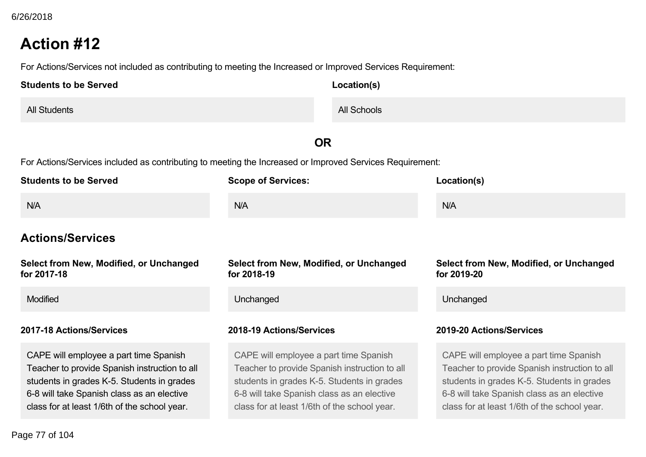# **Action #12**

| <b>Students to be Served</b> | Location(s) |
|------------------------------|-------------|
| <b>All Students</b>          | All Schools |

# **OR**

| <b>Action #12</b><br><b>Students to be Served</b><br><b>All Students</b><br><b>Students to be Served</b><br>N/A                                                                                                                                                                                                                                                                    | For Actions/Services not included as contributing to meeting the Increased or Improved Services Requirement:<br>Location(s)<br>All Schools<br>OR<br>For Actions/Services included as contributing to meeting the Increased or Improved Services Requirement:<br><b>Scope of Services:</b><br>Location(s)<br>N/A<br>N/A                 |                                                                                                                                                                                                                                                                                                                                        |  |  |  |
|------------------------------------------------------------------------------------------------------------------------------------------------------------------------------------------------------------------------------------------------------------------------------------------------------------------------------------------------------------------------------------|----------------------------------------------------------------------------------------------------------------------------------------------------------------------------------------------------------------------------------------------------------------------------------------------------------------------------------------|----------------------------------------------------------------------------------------------------------------------------------------------------------------------------------------------------------------------------------------------------------------------------------------------------------------------------------------|--|--|--|
| <b>Actions/Services</b><br>Select from New, Modified, or Unchanged<br>for 2017-18<br>Modified<br>2017-18 Actions/Services<br>CAPE will employee a part time Spanish<br>Teacher to provide Spanish instruction to all<br>students in grades K-5. Students in grades<br>6-8 will take Spanish class as an elective<br>class for at least 1/6th of the school year.<br>Page 77 of 104 | Select from New, Modified, or Unchanged<br>for 2018-19<br>Unchanged<br>2018-19 Actions/Services<br>CAPE will employee a part time Spanish<br>Teacher to provide Spanish instruction to all<br>students in grades K-5. Students in grades<br>6-8 will take Spanish class as an elective<br>class for at least 1/6th of the school year. | Select from New, Modified, or Unchanged<br>for 2019-20<br>Unchanged<br>2019-20 Actions/Services<br>CAPE will employee a part time Spanish<br>Teacher to provide Spanish instruction to all<br>students in grades K-5. Students in grades<br>6-8 will take Spanish class as an elective<br>class for at least 1/6th of the school year. |  |  |  |
|                                                                                                                                                                                                                                                                                                                                                                                    |                                                                                                                                                                                                                                                                                                                                        |                                                                                                                                                                                                                                                                                                                                        |  |  |  |
|                                                                                                                                                                                                                                                                                                                                                                                    |                                                                                                                                                                                                                                                                                                                                        |                                                                                                                                                                                                                                                                                                                                        |  |  |  |
|                                                                                                                                                                                                                                                                                                                                                                                    |                                                                                                                                                                                                                                                                                                                                        |                                                                                                                                                                                                                                                                                                                                        |  |  |  |
|                                                                                                                                                                                                                                                                                                                                                                                    |                                                                                                                                                                                                                                                                                                                                        |                                                                                                                                                                                                                                                                                                                                        |  |  |  |
|                                                                                                                                                                                                                                                                                                                                                                                    |                                                                                                                                                                                                                                                                                                                                        |                                                                                                                                                                                                                                                                                                                                        |  |  |  |
|                                                                                                                                                                                                                                                                                                                                                                                    |                                                                                                                                                                                                                                                                                                                                        |                                                                                                                                                                                                                                                                                                                                        |  |  |  |
|                                                                                                                                                                                                                                                                                                                                                                                    |                                                                                                                                                                                                                                                                                                                                        |                                                                                                                                                                                                                                                                                                                                        |  |  |  |
|                                                                                                                                                                                                                                                                                                                                                                                    |                                                                                                                                                                                                                                                                                                                                        |                                                                                                                                                                                                                                                                                                                                        |  |  |  |
|                                                                                                                                                                                                                                                                                                                                                                                    |                                                                                                                                                                                                                                                                                                                                        |                                                                                                                                                                                                                                                                                                                                        |  |  |  |
|                                                                                                                                                                                                                                                                                                                                                                                    |                                                                                                                                                                                                                                                                                                                                        |                                                                                                                                                                                                                                                                                                                                        |  |  |  |
|                                                                                                                                                                                                                                                                                                                                                                                    |                                                                                                                                                                                                                                                                                                                                        |                                                                                                                                                                                                                                                                                                                                        |  |  |  |
|                                                                                                                                                                                                                                                                                                                                                                                    |                                                                                                                                                                                                                                                                                                                                        |                                                                                                                                                                                                                                                                                                                                        |  |  |  |
|                                                                                                                                                                                                                                                                                                                                                                                    |                                                                                                                                                                                                                                                                                                                                        |                                                                                                                                                                                                                                                                                                                                        |  |  |  |
|                                                                                                                                                                                                                                                                                                                                                                                    |                                                                                                                                                                                                                                                                                                                                        |                                                                                                                                                                                                                                                                                                                                        |  |  |  |
|                                                                                                                                                                                                                                                                                                                                                                                    |                                                                                                                                                                                                                                                                                                                                        |                                                                                                                                                                                                                                                                                                                                        |  |  |  |
|                                                                                                                                                                                                                                                                                                                                                                                    |                                                                                                                                                                                                                                                                                                                                        |                                                                                                                                                                                                                                                                                                                                        |  |  |  |
|                                                                                                                                                                                                                                                                                                                                                                                    |                                                                                                                                                                                                                                                                                                                                        |                                                                                                                                                                                                                                                                                                                                        |  |  |  |
|                                                                                                                                                                                                                                                                                                                                                                                    |                                                                                                                                                                                                                                                                                                                                        |                                                                                                                                                                                                                                                                                                                                        |  |  |  |
|                                                                                                                                                                                                                                                                                                                                                                                    |                                                                                                                                                                                                                                                                                                                                        |                                                                                                                                                                                                                                                                                                                                        |  |  |  |
|                                                                                                                                                                                                                                                                                                                                                                                    |                                                                                                                                                                                                                                                                                                                                        |                                                                                                                                                                                                                                                                                                                                        |  |  |  |
|                                                                                                                                                                                                                                                                                                                                                                                    |                                                                                                                                                                                                                                                                                                                                        |                                                                                                                                                                                                                                                                                                                                        |  |  |  |
|                                                                                                                                                                                                                                                                                                                                                                                    |                                                                                                                                                                                                                                                                                                                                        |                                                                                                                                                                                                                                                                                                                                        |  |  |  |
|                                                                                                                                                                                                                                                                                                                                                                                    |                                                                                                                                                                                                                                                                                                                                        |                                                                                                                                                                                                                                                                                                                                        |  |  |  |
|                                                                                                                                                                                                                                                                                                                                                                                    |                                                                                                                                                                                                                                                                                                                                        |                                                                                                                                                                                                                                                                                                                                        |  |  |  |
|                                                                                                                                                                                                                                                                                                                                                                                    |                                                                                                                                                                                                                                                                                                                                        |                                                                                                                                                                                                                                                                                                                                        |  |  |  |
|                                                                                                                                                                                                                                                                                                                                                                                    |                                                                                                                                                                                                                                                                                                                                        |                                                                                                                                                                                                                                                                                                                                        |  |  |  |
|                                                                                                                                                                                                                                                                                                                                                                                    |                                                                                                                                                                                                                                                                                                                                        |                                                                                                                                                                                                                                                                                                                                        |  |  |  |
|                                                                                                                                                                                                                                                                                                                                                                                    |                                                                                                                                                                                                                                                                                                                                        |                                                                                                                                                                                                                                                                                                                                        |  |  |  |
|                                                                                                                                                                                                                                                                                                                                                                                    |                                                                                                                                                                                                                                                                                                                                        |                                                                                                                                                                                                                                                                                                                                        |  |  |  |
|                                                                                                                                                                                                                                                                                                                                                                                    |                                                                                                                                                                                                                                                                                                                                        |                                                                                                                                                                                                                                                                                                                                        |  |  |  |
|                                                                                                                                                                                                                                                                                                                                                                                    |                                                                                                                                                                                                                                                                                                                                        |                                                                                                                                                                                                                                                                                                                                        |  |  |  |
|                                                                                                                                                                                                                                                                                                                                                                                    |                                                                                                                                                                                                                                                                                                                                        |                                                                                                                                                                                                                                                                                                                                        |  |  |  |
|                                                                                                                                                                                                                                                                                                                                                                                    |                                                                                                                                                                                                                                                                                                                                        |                                                                                                                                                                                                                                                                                                                                        |  |  |  |
|                                                                                                                                                                                                                                                                                                                                                                                    |                                                                                                                                                                                                                                                                                                                                        |                                                                                                                                                                                                                                                                                                                                        |  |  |  |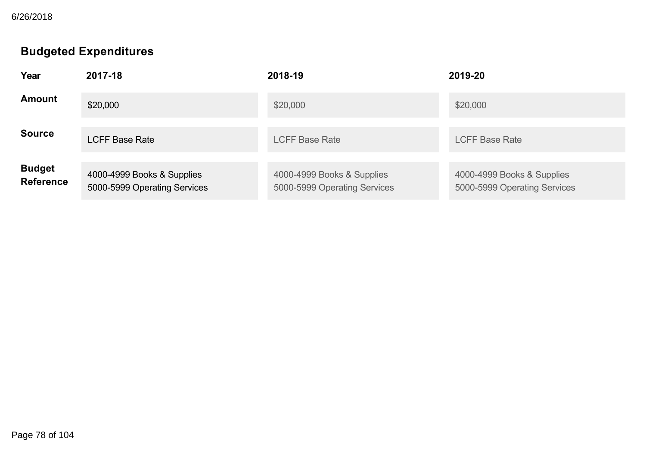# **Budgeted Expenditures**

| 6/26/2018<br>Year<br><b>Amount</b><br><b>Source</b> | <b>Budgeted Expenditures</b><br>2017-18<br>\$20,000<br>LCFF Base Rate | 2018-19<br>\$20,000<br>LCFF Base Rate                      | 2019-20<br>\$20,000<br>LCFF Base Rate                      |
|-----------------------------------------------------|-----------------------------------------------------------------------|------------------------------------------------------------|------------------------------------------------------------|
| <b>Budget</b><br><b>Reference</b>                   | 4000-4999 Books & Supplies<br>5000-5999 Operating Services            | 4000-4999 Books & Supplies<br>5000-5999 Operating Services | 4000-4999 Books & Supplies<br>5000-5999 Operating Services |
|                                                     |                                                                       |                                                            |                                                            |
| Page 78 of 104                                      |                                                                       |                                                            |                                                            |
|                                                     |                                                                       |                                                            |                                                            |
|                                                     |                                                                       |                                                            |                                                            |
|                                                     |                                                                       |                                                            |                                                            |
|                                                     |                                                                       |                                                            |                                                            |
|                                                     |                                                                       |                                                            |                                                            |
|                                                     |                                                                       |                                                            |                                                            |
|                                                     |                                                                       |                                                            |                                                            |
|                                                     |                                                                       |                                                            |                                                            |
|                                                     |                                                                       |                                                            |                                                            |
|                                                     |                                                                       |                                                            |                                                            |
|                                                     |                                                                       |                                                            |                                                            |
|                                                     |                                                                       |                                                            |                                                            |
|                                                     |                                                                       |                                                            |                                                            |
|                                                     |                                                                       |                                                            |                                                            |
|                                                     |                                                                       |                                                            |                                                            |
|                                                     |                                                                       |                                                            |                                                            |
|                                                     |                                                                       |                                                            |                                                            |
|                                                     |                                                                       |                                                            |                                                            |
|                                                     |                                                                       |                                                            |                                                            |
|                                                     |                                                                       |                                                            |                                                            |
|                                                     |                                                                       |                                                            |                                                            |
|                                                     |                                                                       |                                                            |                                                            |
|                                                     |                                                                       |                                                            |                                                            |
|                                                     |                                                                       |                                                            |                                                            |
|                                                     |                                                                       |                                                            |                                                            |
|                                                     |                                                                       |                                                            |                                                            |
|                                                     |                                                                       |                                                            |                                                            |
|                                                     |                                                                       |                                                            |                                                            |
|                                                     |                                                                       |                                                            |                                                            |
|                                                     |                                                                       |                                                            |                                                            |
|                                                     |                                                                       |                                                            |                                                            |
|                                                     |                                                                       |                                                            |                                                            |
|                                                     |                                                                       |                                                            |                                                            |
|                                                     |                                                                       |                                                            |                                                            |
|                                                     |                                                                       |                                                            |                                                            |
|                                                     |                                                                       |                                                            |                                                            |
|                                                     |                                                                       |                                                            |                                                            |
|                                                     |                                                                       |                                                            |                                                            |
|                                                     |                                                                       |                                                            |                                                            |
|                                                     |                                                                       |                                                            |                                                            |
|                                                     |                                                                       |                                                            |                                                            |
|                                                     |                                                                       |                                                            |                                                            |
|                                                     |                                                                       |                                                            |                                                            |
|                                                     |                                                                       |                                                            |                                                            |
|                                                     |                                                                       |                                                            |                                                            |
|                                                     |                                                                       |                                                            |                                                            |
|                                                     |                                                                       |                                                            |                                                            |
|                                                     |                                                                       |                                                            |                                                            |
|                                                     |                                                                       |                                                            |                                                            |
|                                                     |                                                                       |                                                            |                                                            |
|                                                     |                                                                       |                                                            |                                                            |
|                                                     |                                                                       |                                                            |                                                            |
|                                                     |                                                                       |                                                            |                                                            |
|                                                     |                                                                       |                                                            |                                                            |
|                                                     |                                                                       |                                                            |                                                            |
|                                                     |                                                                       |                                                            |                                                            |
|                                                     |                                                                       |                                                            |                                                            |
|                                                     |                                                                       |                                                            |                                                            |
|                                                     |                                                                       |                                                            |                                                            |
|                                                     |                                                                       |                                                            |                                                            |
|                                                     |                                                                       |                                                            |                                                            |
|                                                     |                                                                       |                                                            |                                                            |
|                                                     |                                                                       |                                                            |                                                            |
|                                                     |                                                                       |                                                            |                                                            |
|                                                     |                                                                       |                                                            |                                                            |
|                                                     |                                                                       |                                                            |                                                            |
|                                                     |                                                                       |                                                            |                                                            |
|                                                     |                                                                       |                                                            |                                                            |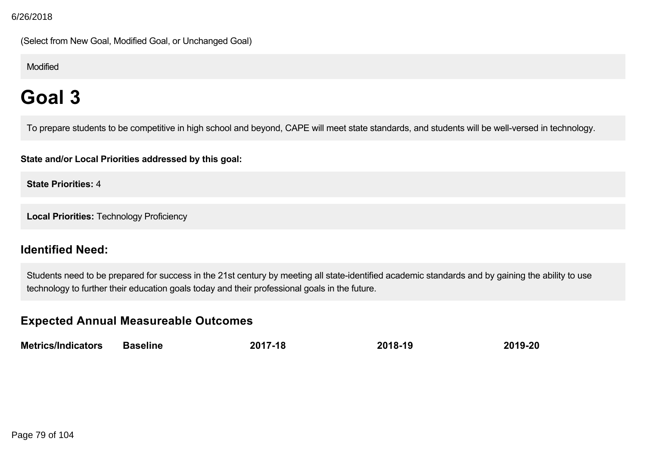(Select from New Goal, Modified Goal, or Unchanged Goal)

Modified

# **Goal 3**

To prepare students to be competitive in high school and beyond, CAPE will meet state standards, and students will be well-versed in technology.

**State and/or Local Priorities addressed by this goal:**

**State Priorities:** 4

**Local Priorities:** Technology Proficiency

## **Identified Need:**

Students need to be prepared for success in the 21st century by meeting all state-identified academic standards and by gaining the ability to use technology to further their education goals today and their professional goals in the future. 6/26/2018<br>
(Select from New G<br>
Modified<br> **Goal 3**<br>
To prepare studer<br>
State and/or Loca<br>
State Priorities:<br>
Local Priorities:<br>
Local Priorities:<br>
Identified Nee<br>
Students need to<br>
technology to furth<br> **Expected Anr**<br>
Metr

## **Expected Annual Measureable Outcomes**

| <b>Metrics/Indicators</b> | <b>Baseline</b> | 2017-18 | 2018-19 | 2019-20 |
|---------------------------|-----------------|---------|---------|---------|
|---------------------------|-----------------|---------|---------|---------|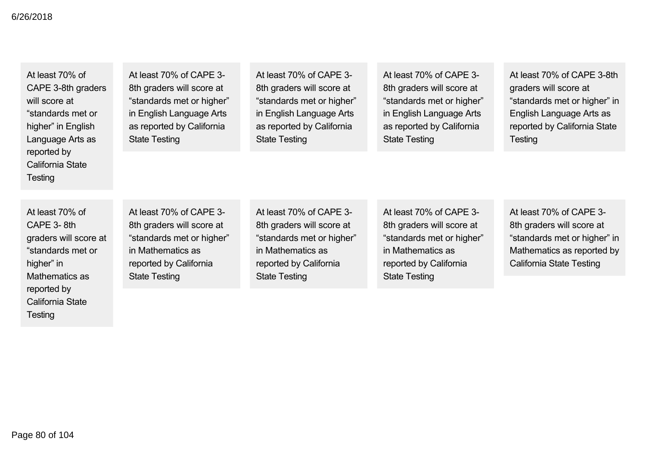At least 70% of CAPE 3-8th graders will score at "standards met or higher" in English Language Arts as reported by California State **Testing** 6/26/2018<br>
At least 70% of<br>
CAPE 3-8th grade<br>
will score at<br>
"standards met or<br>
higher" in English<br>
Language Arts as<br>
reported by<br>
California State<br>
Testing<br>
At least 70% of<br>
CAPE 3-8th<br>
graders will score<br>
"standards met

At least 70% of CAPE 3 8th graders will score at "standards met or higher" in English Language Arts as reported by California State Testing

At least 70% of CAPE 3 8th graders will score at "standards met or higher" in English Language Arts as reported by California State Testing

At least 70% of CAPE 3 8th graders will score at "standards met or higher" in English Language Arts as reported by California State Testing

At least  $70\%$  of CAPF 3-8th graders will score at "standards met or higher" in English Language Arts as reported by California State **Testing** 

At least 70% of  $CAPE$  3-8th graders will score at "standards met or higher" in Mathematics as reported by California State **Testing** 

At least 70% of CAPE 3 8th graders will score at "standards met or higher" in Mathematics as reported by California State Testing

At least 70% of CAPE 3 8th graders will score at "standards met or higher" in Mathematics as reported by California State Testing

At least 70% of CAPE 3 8th graders will score at "standards met or higher" in Mathematics as reported by California State Testing

At least 70% of CAPE 3 8th graders will score at "standards met or higher" in Mathematics as reported by California State Testing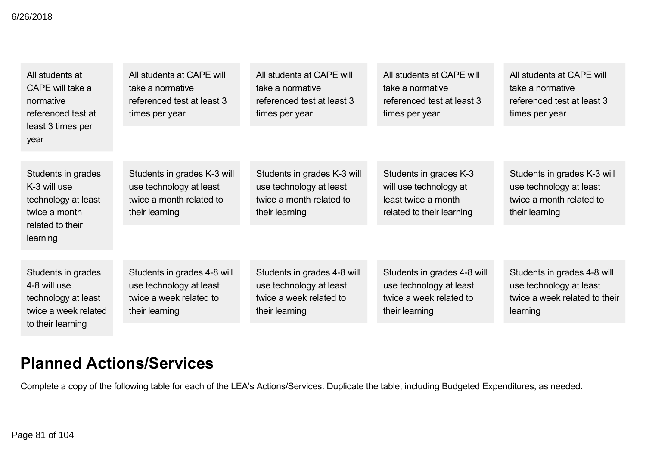| 6/26/2018<br>All students at<br>CAPE will take a<br>normative<br>referenced test at<br>least 3 times per<br>year                 | All students at CAPE will<br>take a normative<br>referenced test at least 3<br>times per year                                       | All students at CAPE will<br>take a normative<br>referenced test at least 3<br>times per year                                       | All students at CAPE will<br>take a normative<br>referenced test at least 3<br>times per year                                                                                                                           | All students at CAPE will<br>take a normative<br>referenced test at least 3<br>times per year                                       |
|----------------------------------------------------------------------------------------------------------------------------------|-------------------------------------------------------------------------------------------------------------------------------------|-------------------------------------------------------------------------------------------------------------------------------------|-------------------------------------------------------------------------------------------------------------------------------------------------------------------------------------------------------------------------|-------------------------------------------------------------------------------------------------------------------------------------|
| Students in grades<br>K-3 will use<br>technology at least<br>twice a month<br>related to their<br>learning<br>Students in grades | Students in grades K-3 will<br>use technology at least<br>twice a month related to<br>their learning<br>Students in grades 4-8 will | Students in grades K-3 will<br>use technology at least<br>twice a month related to<br>their learning<br>Students in grades 4-8 will | Students in grades K-3<br>will use technology at<br>least twice a month<br>related to their learning<br>Students in grades 4-8 will                                                                                     | Students in grades K-3 will<br>use technology at least<br>twice a month related to<br>their learning<br>Students in grades 4-8 will |
| 4-8 will use<br>technology at least<br>twice a week related<br>to their learning<br><b>Planned Actions/Services</b>              | use technology at least<br>twice a week related to<br>their learning                                                                | use technology at least<br>twice a week related to<br>their learning                                                                | use technology at least<br>twice a week related to<br>their learning<br>Complete a copy of the following table for each of the LEA's Actions/Services. Duplicate the table, including Budgeted Expenditures, as needed. | use technology at least<br>twice a week related to their<br>learning                                                                |
| Page 81 of 104                                                                                                                   |                                                                                                                                     |                                                                                                                                     |                                                                                                                                                                                                                         |                                                                                                                                     |
|                                                                                                                                  |                                                                                                                                     |                                                                                                                                     |                                                                                                                                                                                                                         |                                                                                                                                     |
|                                                                                                                                  |                                                                                                                                     |                                                                                                                                     |                                                                                                                                                                                                                         |                                                                                                                                     |
|                                                                                                                                  |                                                                                                                                     |                                                                                                                                     |                                                                                                                                                                                                                         |                                                                                                                                     |
|                                                                                                                                  |                                                                                                                                     |                                                                                                                                     |                                                                                                                                                                                                                         |                                                                                                                                     |
|                                                                                                                                  |                                                                                                                                     |                                                                                                                                     |                                                                                                                                                                                                                         |                                                                                                                                     |
|                                                                                                                                  |                                                                                                                                     |                                                                                                                                     |                                                                                                                                                                                                                         |                                                                                                                                     |
|                                                                                                                                  |                                                                                                                                     |                                                                                                                                     |                                                                                                                                                                                                                         |                                                                                                                                     |
|                                                                                                                                  |                                                                                                                                     |                                                                                                                                     |                                                                                                                                                                                                                         |                                                                                                                                     |
|                                                                                                                                  |                                                                                                                                     |                                                                                                                                     |                                                                                                                                                                                                                         |                                                                                                                                     |
|                                                                                                                                  |                                                                                                                                     |                                                                                                                                     |                                                                                                                                                                                                                         |                                                                                                                                     |
|                                                                                                                                  |                                                                                                                                     |                                                                                                                                     |                                                                                                                                                                                                                         |                                                                                                                                     |
|                                                                                                                                  |                                                                                                                                     |                                                                                                                                     |                                                                                                                                                                                                                         |                                                                                                                                     |
|                                                                                                                                  |                                                                                                                                     |                                                                                                                                     |                                                                                                                                                                                                                         |                                                                                                                                     |
|                                                                                                                                  |                                                                                                                                     |                                                                                                                                     |                                                                                                                                                                                                                         |                                                                                                                                     |
|                                                                                                                                  |                                                                                                                                     |                                                                                                                                     |                                                                                                                                                                                                                         |                                                                                                                                     |
|                                                                                                                                  |                                                                                                                                     |                                                                                                                                     |                                                                                                                                                                                                                         |                                                                                                                                     |
|                                                                                                                                  |                                                                                                                                     |                                                                                                                                     |                                                                                                                                                                                                                         |                                                                                                                                     |
|                                                                                                                                  |                                                                                                                                     |                                                                                                                                     |                                                                                                                                                                                                                         |                                                                                                                                     |
|                                                                                                                                  |                                                                                                                                     |                                                                                                                                     |                                                                                                                                                                                                                         |                                                                                                                                     |
|                                                                                                                                  |                                                                                                                                     |                                                                                                                                     |                                                                                                                                                                                                                         |                                                                                                                                     |
|                                                                                                                                  |                                                                                                                                     |                                                                                                                                     |                                                                                                                                                                                                                         |                                                                                                                                     |
|                                                                                                                                  |                                                                                                                                     |                                                                                                                                     |                                                                                                                                                                                                                         |                                                                                                                                     |
|                                                                                                                                  |                                                                                                                                     |                                                                                                                                     |                                                                                                                                                                                                                         |                                                                                                                                     |
|                                                                                                                                  |                                                                                                                                     |                                                                                                                                     |                                                                                                                                                                                                                         |                                                                                                                                     |
|                                                                                                                                  |                                                                                                                                     |                                                                                                                                     |                                                                                                                                                                                                                         |                                                                                                                                     |
|                                                                                                                                  |                                                                                                                                     |                                                                                                                                     |                                                                                                                                                                                                                         |                                                                                                                                     |
|                                                                                                                                  |                                                                                                                                     |                                                                                                                                     |                                                                                                                                                                                                                         |                                                                                                                                     |
|                                                                                                                                  |                                                                                                                                     |                                                                                                                                     |                                                                                                                                                                                                                         |                                                                                                                                     |
|                                                                                                                                  |                                                                                                                                     |                                                                                                                                     |                                                                                                                                                                                                                         |                                                                                                                                     |
|                                                                                                                                  |                                                                                                                                     |                                                                                                                                     |                                                                                                                                                                                                                         |                                                                                                                                     |
|                                                                                                                                  |                                                                                                                                     |                                                                                                                                     |                                                                                                                                                                                                                         |                                                                                                                                     |
|                                                                                                                                  |                                                                                                                                     |                                                                                                                                     |                                                                                                                                                                                                                         |                                                                                                                                     |
|                                                                                                                                  |                                                                                                                                     |                                                                                                                                     |                                                                                                                                                                                                                         |                                                                                                                                     |
|                                                                                                                                  |                                                                                                                                     |                                                                                                                                     |                                                                                                                                                                                                                         |                                                                                                                                     |
|                                                                                                                                  |                                                                                                                                     |                                                                                                                                     |                                                                                                                                                                                                                         |                                                                                                                                     |
|                                                                                                                                  |                                                                                                                                     |                                                                                                                                     |                                                                                                                                                                                                                         |                                                                                                                                     |
|                                                                                                                                  |                                                                                                                                     |                                                                                                                                     |                                                                                                                                                                                                                         |                                                                                                                                     |
|                                                                                                                                  |                                                                                                                                     |                                                                                                                                     |                                                                                                                                                                                                                         |                                                                                                                                     |
|                                                                                                                                  |                                                                                                                                     |                                                                                                                                     |                                                                                                                                                                                                                         |                                                                                                                                     |
|                                                                                                                                  |                                                                                                                                     |                                                                                                                                     |                                                                                                                                                                                                                         |                                                                                                                                     |
|                                                                                                                                  |                                                                                                                                     |                                                                                                                                     |                                                                                                                                                                                                                         |                                                                                                                                     |
|                                                                                                                                  |                                                                                                                                     |                                                                                                                                     |                                                                                                                                                                                                                         |                                                                                                                                     |
|                                                                                                                                  |                                                                                                                                     |                                                                                                                                     |                                                                                                                                                                                                                         |                                                                                                                                     |
|                                                                                                                                  |                                                                                                                                     |                                                                                                                                     |                                                                                                                                                                                                                         |                                                                                                                                     |
|                                                                                                                                  |                                                                                                                                     |                                                                                                                                     |                                                                                                                                                                                                                         |                                                                                                                                     |
|                                                                                                                                  |                                                                                                                                     |                                                                                                                                     |                                                                                                                                                                                                                         |                                                                                                                                     |
|                                                                                                                                  |                                                                                                                                     |                                                                                                                                     |                                                                                                                                                                                                                         |                                                                                                                                     |
|                                                                                                                                  |                                                                                                                                     |                                                                                                                                     |                                                                                                                                                                                                                         |                                                                                                                                     |
|                                                                                                                                  |                                                                                                                                     |                                                                                                                                     |                                                                                                                                                                                                                         |                                                                                                                                     |
|                                                                                                                                  |                                                                                                                                     |                                                                                                                                     |                                                                                                                                                                                                                         |                                                                                                                                     |
|                                                                                                                                  |                                                                                                                                     |                                                                                                                                     |                                                                                                                                                                                                                         |                                                                                                                                     |
|                                                                                                                                  |                                                                                                                                     |                                                                                                                                     |                                                                                                                                                                                                                         |                                                                                                                                     |
|                                                                                                                                  |                                                                                                                                     |                                                                                                                                     |                                                                                                                                                                                                                         |                                                                                                                                     |
|                                                                                                                                  |                                                                                                                                     |                                                                                                                                     |                                                                                                                                                                                                                         |                                                                                                                                     |
|                                                                                                                                  |                                                                                                                                     |                                                                                                                                     |                                                                                                                                                                                                                         |                                                                                                                                     |

# **Planned Actions/Services**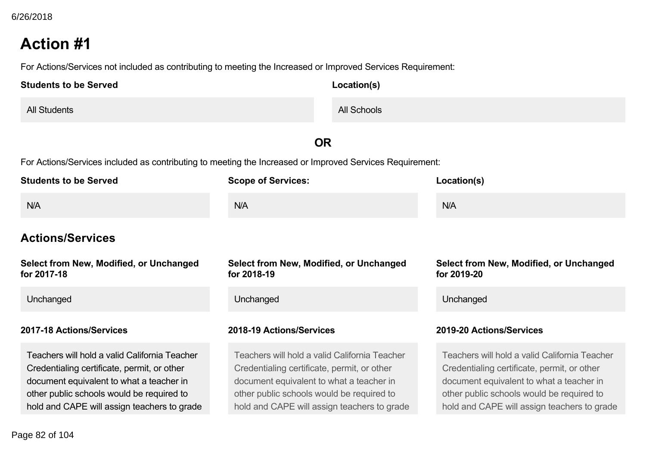# **Action #1**

| <b>Students to be Served</b> | Location(s) |
|------------------------------|-------------|
| <b>All Students</b>          | All Schools |

# **OR**

| 6/26/2018<br><b>Action #1</b><br><b>Students to be Served</b><br><b>All Students</b>                                                                                                                                                                                                            | For Actions/Services not included as contributing to meeting the Increased or Improved Services Requirement:<br>Location(s)<br>All Schools<br>OR                                                                                                                              |                                                                                                                                                                                                                                                                               |  |
|-------------------------------------------------------------------------------------------------------------------------------------------------------------------------------------------------------------------------------------------------------------------------------------------------|-------------------------------------------------------------------------------------------------------------------------------------------------------------------------------------------------------------------------------------------------------------------------------|-------------------------------------------------------------------------------------------------------------------------------------------------------------------------------------------------------------------------------------------------------------------------------|--|
| <b>Students to be Served</b><br>N/A<br><b>Actions/Services</b><br>Select from New, Modified, or Unchanged<br>for 2017-18                                                                                                                                                                        | For Actions/Services included as contributing to meeting the Increased or Improved Services Requirement:<br><b>Scope of Services:</b><br>N/A<br>Select from New, Modified, or Unchanged<br>for 2018-19                                                                        | Location(s)<br>N/A<br>Select from New, Modified, or Unchanged<br>for 2019-20                                                                                                                                                                                                  |  |
| Unchanged<br>2017-18 Actions/Services<br>Teachers will hold a valid California Teacher<br>Credentialing certificate, permit, or other<br>document equivalent to what a teacher in<br>other public schools would be required to<br>hold and CAPE will assign teachers to grade<br>Page 82 of 104 | Unchanged<br>2018-19 Actions/Services<br>Teachers will hold a valid California Teacher<br>Credentialing certificate, permit, or other<br>document equivalent to what a teacher in<br>other public schools would be required to<br>hold and CAPE will assign teachers to grade | Unchanged<br>2019-20 Actions/Services<br>Teachers will hold a valid California Teacher<br>Credentialing certificate, permit, or other<br>document equivalent to what a teacher in<br>other public schools would be required to<br>hold and CAPE will assign teachers to grade |  |
|                                                                                                                                                                                                                                                                                                 |                                                                                                                                                                                                                                                                               |                                                                                                                                                                                                                                                                               |  |
|                                                                                                                                                                                                                                                                                                 |                                                                                                                                                                                                                                                                               |                                                                                                                                                                                                                                                                               |  |
|                                                                                                                                                                                                                                                                                                 |                                                                                                                                                                                                                                                                               |                                                                                                                                                                                                                                                                               |  |
|                                                                                                                                                                                                                                                                                                 |                                                                                                                                                                                                                                                                               |                                                                                                                                                                                                                                                                               |  |
|                                                                                                                                                                                                                                                                                                 |                                                                                                                                                                                                                                                                               |                                                                                                                                                                                                                                                                               |  |
|                                                                                                                                                                                                                                                                                                 |                                                                                                                                                                                                                                                                               |                                                                                                                                                                                                                                                                               |  |
|                                                                                                                                                                                                                                                                                                 |                                                                                                                                                                                                                                                                               |                                                                                                                                                                                                                                                                               |  |
|                                                                                                                                                                                                                                                                                                 |                                                                                                                                                                                                                                                                               |                                                                                                                                                                                                                                                                               |  |
|                                                                                                                                                                                                                                                                                                 |                                                                                                                                                                                                                                                                               |                                                                                                                                                                                                                                                                               |  |
|                                                                                                                                                                                                                                                                                                 |                                                                                                                                                                                                                                                                               |                                                                                                                                                                                                                                                                               |  |
|                                                                                                                                                                                                                                                                                                 |                                                                                                                                                                                                                                                                               |                                                                                                                                                                                                                                                                               |  |
|                                                                                                                                                                                                                                                                                                 |                                                                                                                                                                                                                                                                               |                                                                                                                                                                                                                                                                               |  |
|                                                                                                                                                                                                                                                                                                 |                                                                                                                                                                                                                                                                               |                                                                                                                                                                                                                                                                               |  |
|                                                                                                                                                                                                                                                                                                 |                                                                                                                                                                                                                                                                               |                                                                                                                                                                                                                                                                               |  |
|                                                                                                                                                                                                                                                                                                 |                                                                                                                                                                                                                                                                               |                                                                                                                                                                                                                                                                               |  |
|                                                                                                                                                                                                                                                                                                 |                                                                                                                                                                                                                                                                               |                                                                                                                                                                                                                                                                               |  |
|                                                                                                                                                                                                                                                                                                 |                                                                                                                                                                                                                                                                               |                                                                                                                                                                                                                                                                               |  |
|                                                                                                                                                                                                                                                                                                 |                                                                                                                                                                                                                                                                               |                                                                                                                                                                                                                                                                               |  |
|                                                                                                                                                                                                                                                                                                 |                                                                                                                                                                                                                                                                               |                                                                                                                                                                                                                                                                               |  |
|                                                                                                                                                                                                                                                                                                 |                                                                                                                                                                                                                                                                               |                                                                                                                                                                                                                                                                               |  |
|                                                                                                                                                                                                                                                                                                 |                                                                                                                                                                                                                                                                               |                                                                                                                                                                                                                                                                               |  |
|                                                                                                                                                                                                                                                                                                 |                                                                                                                                                                                                                                                                               |                                                                                                                                                                                                                                                                               |  |
|                                                                                                                                                                                                                                                                                                 |                                                                                                                                                                                                                                                                               |                                                                                                                                                                                                                                                                               |  |
|                                                                                                                                                                                                                                                                                                 |                                                                                                                                                                                                                                                                               |                                                                                                                                                                                                                                                                               |  |
|                                                                                                                                                                                                                                                                                                 |                                                                                                                                                                                                                                                                               |                                                                                                                                                                                                                                                                               |  |
|                                                                                                                                                                                                                                                                                                 |                                                                                                                                                                                                                                                                               |                                                                                                                                                                                                                                                                               |  |
|                                                                                                                                                                                                                                                                                                 |                                                                                                                                                                                                                                                                               |                                                                                                                                                                                                                                                                               |  |
|                                                                                                                                                                                                                                                                                                 |                                                                                                                                                                                                                                                                               |                                                                                                                                                                                                                                                                               |  |
|                                                                                                                                                                                                                                                                                                 |                                                                                                                                                                                                                                                                               |                                                                                                                                                                                                                                                                               |  |
|                                                                                                                                                                                                                                                                                                 |                                                                                                                                                                                                                                                                               |                                                                                                                                                                                                                                                                               |  |
|                                                                                                                                                                                                                                                                                                 |                                                                                                                                                                                                                                                                               |                                                                                                                                                                                                                                                                               |  |
|                                                                                                                                                                                                                                                                                                 |                                                                                                                                                                                                                                                                               |                                                                                                                                                                                                                                                                               |  |
|                                                                                                                                                                                                                                                                                                 |                                                                                                                                                                                                                                                                               |                                                                                                                                                                                                                                                                               |  |
|                                                                                                                                                                                                                                                                                                 |                                                                                                                                                                                                                                                                               |                                                                                                                                                                                                                                                                               |  |
|                                                                                                                                                                                                                                                                                                 |                                                                                                                                                                                                                                                                               |                                                                                                                                                                                                                                                                               |  |
|                                                                                                                                                                                                                                                                                                 |                                                                                                                                                                                                                                                                               |                                                                                                                                                                                                                                                                               |  |
|                                                                                                                                                                                                                                                                                                 |                                                                                                                                                                                                                                                                               |                                                                                                                                                                                                                                                                               |  |
|                                                                                                                                                                                                                                                                                                 |                                                                                                                                                                                                                                                                               |                                                                                                                                                                                                                                                                               |  |
|                                                                                                                                                                                                                                                                                                 |                                                                                                                                                                                                                                                                               |                                                                                                                                                                                                                                                                               |  |
|                                                                                                                                                                                                                                                                                                 |                                                                                                                                                                                                                                                                               |                                                                                                                                                                                                                                                                               |  |
|                                                                                                                                                                                                                                                                                                 |                                                                                                                                                                                                                                                                               |                                                                                                                                                                                                                                                                               |  |
|                                                                                                                                                                                                                                                                                                 |                                                                                                                                                                                                                                                                               |                                                                                                                                                                                                                                                                               |  |
|                                                                                                                                                                                                                                                                                                 |                                                                                                                                                                                                                                                                               |                                                                                                                                                                                                                                                                               |  |
|                                                                                                                                                                                                                                                                                                 |                                                                                                                                                                                                                                                                               |                                                                                                                                                                                                                                                                               |  |
|                                                                                                                                                                                                                                                                                                 |                                                                                                                                                                                                                                                                               |                                                                                                                                                                                                                                                                               |  |
|                                                                                                                                                                                                                                                                                                 |                                                                                                                                                                                                                                                                               |                                                                                                                                                                                                                                                                               |  |
|                                                                                                                                                                                                                                                                                                 |                                                                                                                                                                                                                                                                               |                                                                                                                                                                                                                                                                               |  |
|                                                                                                                                                                                                                                                                                                 |                                                                                                                                                                                                                                                                               |                                                                                                                                                                                                                                                                               |  |
|                                                                                                                                                                                                                                                                                                 |                                                                                                                                                                                                                                                                               |                                                                                                                                                                                                                                                                               |  |
|                                                                                                                                                                                                                                                                                                 |                                                                                                                                                                                                                                                                               |                                                                                                                                                                                                                                                                               |  |
|                                                                                                                                                                                                                                                                                                 |                                                                                                                                                                                                                                                                               |                                                                                                                                                                                                                                                                               |  |
|                                                                                                                                                                                                                                                                                                 |                                                                                                                                                                                                                                                                               |                                                                                                                                                                                                                                                                               |  |
|                                                                                                                                                                                                                                                                                                 |                                                                                                                                                                                                                                                                               |                                                                                                                                                                                                                                                                               |  |
|                                                                                                                                                                                                                                                                                                 |                                                                                                                                                                                                                                                                               |                                                                                                                                                                                                                                                                               |  |
|                                                                                                                                                                                                                                                                                                 |                                                                                                                                                                                                                                                                               |                                                                                                                                                                                                                                                                               |  |
|                                                                                                                                                                                                                                                                                                 |                                                                                                                                                                                                                                                                               |                                                                                                                                                                                                                                                                               |  |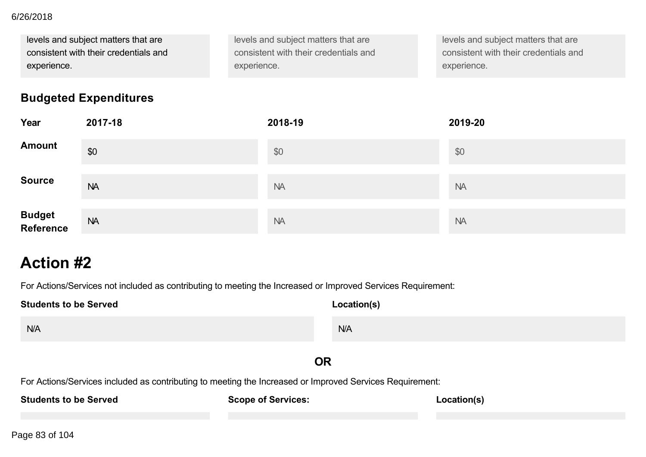| levels and subject matters that are   | levels and subject matters that are   | levels and subject matters that are   |  |  |
|---------------------------------------|---------------------------------------|---------------------------------------|--|--|
| consistent with their credentials and | consistent with their credentials and | consistent with their credentials and |  |  |
| experience.                           | experience.                           | experience.                           |  |  |
| <b>Budgeted Expenditures</b>          |                                       |                                       |  |  |

| Year                        | 2017-18   | 2018-19   | 2019-20   |
|-----------------------------|-----------|-----------|-----------|
| <b>Amount</b>               | \$0       | \$0       | \$0       |
| <b>Source</b>               | <b>NA</b> | <b>NA</b> | <b>NA</b> |
| <b>Budget<br/>Reference</b> | <b>NA</b> | <b>NA</b> | <b>NA</b> |

# **Action #2**

| 6/26/2018<br>levels and subject matters that are<br>consistent with their credentials and<br>experience.<br><b>Budgeted Expenditures</b> | levels and subject matters that are<br>consistent with their credentials and<br>experience.                                                 | levels and subject matters that are<br>consistent with their credentials and<br>experience. |
|------------------------------------------------------------------------------------------------------------------------------------------|---------------------------------------------------------------------------------------------------------------------------------------------|---------------------------------------------------------------------------------------------|
| 2017-18<br>Year<br><b>Amount</b><br>$$0$<br><b>Source</b><br>$N_A$                                                                       | 2018-19<br>$$0$$<br>$N\!A$                                                                                                                  | 2019-20<br>$\$0$<br>$\mathsf{N}\mathsf{A}$                                                  |
| <b>Budget</b><br>$N\!A$<br><b>Reference</b><br><b>Action #2</b>                                                                          | $\mathsf{N\!A}$<br>For Actions/Services not included as contributing to meeting the Increased or Improved Services Requirement:             | $\mathsf{N}\mathsf{A}$                                                                      |
| <b>Students to be Served</b><br>N/A                                                                                                      | Location(s)<br>N/A<br><b>OR</b><br>For Actions/Services included as contributing to meeting the Increased or Improved Services Requirement: |                                                                                             |
| <b>Students to be Served</b><br>Page 83 of 104                                                                                           | <b>Scope of Services:</b>                                                                                                                   | Location(s)                                                                                 |
|                                                                                                                                          |                                                                                                                                             |                                                                                             |
|                                                                                                                                          |                                                                                                                                             |                                                                                             |
|                                                                                                                                          |                                                                                                                                             |                                                                                             |
|                                                                                                                                          |                                                                                                                                             |                                                                                             |
|                                                                                                                                          |                                                                                                                                             |                                                                                             |
|                                                                                                                                          |                                                                                                                                             |                                                                                             |
|                                                                                                                                          |                                                                                                                                             |                                                                                             |
|                                                                                                                                          |                                                                                                                                             |                                                                                             |
|                                                                                                                                          |                                                                                                                                             |                                                                                             |
|                                                                                                                                          |                                                                                                                                             |                                                                                             |
|                                                                                                                                          |                                                                                                                                             |                                                                                             |
|                                                                                                                                          |                                                                                                                                             |                                                                                             |
|                                                                                                                                          |                                                                                                                                             |                                                                                             |
|                                                                                                                                          |                                                                                                                                             |                                                                                             |
|                                                                                                                                          |                                                                                                                                             |                                                                                             |
|                                                                                                                                          |                                                                                                                                             |                                                                                             |
|                                                                                                                                          |                                                                                                                                             |                                                                                             |
|                                                                                                                                          |                                                                                                                                             |                                                                                             |
|                                                                                                                                          |                                                                                                                                             |                                                                                             |
|                                                                                                                                          |                                                                                                                                             |                                                                                             |
|                                                                                                                                          |                                                                                                                                             |                                                                                             |
|                                                                                                                                          |                                                                                                                                             |                                                                                             |
|                                                                                                                                          |                                                                                                                                             |                                                                                             |
|                                                                                                                                          |                                                                                                                                             |                                                                                             |
|                                                                                                                                          |                                                                                                                                             |                                                                                             |
|                                                                                                                                          |                                                                                                                                             |                                                                                             |
|                                                                                                                                          |                                                                                                                                             |                                                                                             |
|                                                                                                                                          |                                                                                                                                             |                                                                                             |
|                                                                                                                                          |                                                                                                                                             |                                                                                             |
|                                                                                                                                          |                                                                                                                                             |                                                                                             |
|                                                                                                                                          |                                                                                                                                             |                                                                                             |
|                                                                                                                                          |                                                                                                                                             |                                                                                             |
|                                                                                                                                          |                                                                                                                                             |                                                                                             |
|                                                                                                                                          |                                                                                                                                             |                                                                                             |
|                                                                                                                                          |                                                                                                                                             |                                                                                             |
|                                                                                                                                          |                                                                                                                                             |                                                                                             |
|                                                                                                                                          |                                                                                                                                             |                                                                                             |
|                                                                                                                                          |                                                                                                                                             |                                                                                             |
|                                                                                                                                          |                                                                                                                                             |                                                                                             |
|                                                                                                                                          |                                                                                                                                             |                                                                                             |
|                                                                                                                                          |                                                                                                                                             |                                                                                             |
|                                                                                                                                          |                                                                                                                                             |                                                                                             |
|                                                                                                                                          |                                                                                                                                             |                                                                                             |
|                                                                                                                                          |                                                                                                                                             |                                                                                             |
|                                                                                                                                          |                                                                                                                                             |                                                                                             |
|                                                                                                                                          |                                                                                                                                             |                                                                                             |
|                                                                                                                                          |                                                                                                                                             |                                                                                             |
|                                                                                                                                          |                                                                                                                                             |                                                                                             |
|                                                                                                                                          |                                                                                                                                             |                                                                                             |
|                                                                                                                                          |                                                                                                                                             |                                                                                             |
|                                                                                                                                          |                                                                                                                                             |                                                                                             |
|                                                                                                                                          |                                                                                                                                             |                                                                                             |
|                                                                                                                                          |                                                                                                                                             |                                                                                             |
|                                                                                                                                          |                                                                                                                                             |                                                                                             |
|                                                                                                                                          |                                                                                                                                             |                                                                                             |
|                                                                                                                                          |                                                                                                                                             |                                                                                             |
|                                                                                                                                          |                                                                                                                                             |                                                                                             |
|                                                                                                                                          |                                                                                                                                             |                                                                                             |
|                                                                                                                                          |                                                                                                                                             |                                                                                             |
|                                                                                                                                          |                                                                                                                                             |                                                                                             |
|                                                                                                                                          |                                                                                                                                             |                                                                                             |
|                                                                                                                                          |                                                                                                                                             |                                                                                             |
|                                                                                                                                          |                                                                                                                                             |                                                                                             |
|                                                                                                                                          |                                                                                                                                             |                                                                                             |
|                                                                                                                                          |                                                                                                                                             |                                                                                             |
|                                                                                                                                          |                                                                                                                                             |                                                                                             |
|                                                                                                                                          |                                                                                                                                             |                                                                                             |
|                                                                                                                                          |                                                                                                                                             |                                                                                             |
|                                                                                                                                          |                                                                                                                                             |                                                                                             |
|                                                                                                                                          |                                                                                                                                             |                                                                                             |
|                                                                                                                                          |                                                                                                                                             |                                                                                             |
|                                                                                                                                          |                                                                                                                                             |                                                                                             |
|                                                                                                                                          |                                                                                                                                             |                                                                                             |
|                                                                                                                                          |                                                                                                                                             |                                                                                             |
|                                                                                                                                          |                                                                                                                                             |                                                                                             |
|                                                                                                                                          |                                                                                                                                             |                                                                                             |
|                                                                                                                                          |                                                                                                                                             |                                                                                             |
|                                                                                                                                          |                                                                                                                                             |                                                                                             |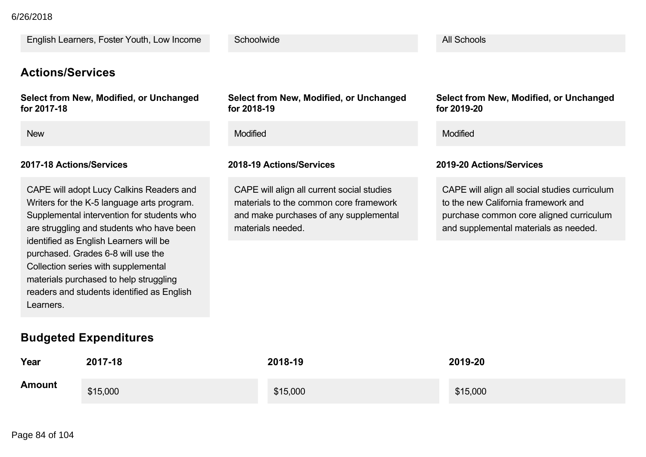English Learners, Foster Youth, Low Income

#### **Actions/Services**

**Select from New, Modified, or Unchanged for 201718**

#### **201718 Actions/Services 201819 Actions/Services 201920 Actions/Services**

CAPE will adopt Lucy Calkins Readers and Writers for the K-5 language arts program. Supplemental intervention for students who are struggling and students who have been identified as English Learners will be purchased. Grades 6-8 will use the Collection series with supplemental materials purchased to help struggling readers and students identified as English Learners. 6/26/2018<br>
English Learners,<br> **Actions/Servi**<br>
Select from New,<br>
for 2017-18<br>
New<br>
2017-18 Actions/S<br>
CAPE will adopt L<br>
Writers for the K-5<br>
Supplemental inte<br>
are struggling and<br>
identified as Englis<br>
purchased. Grade<br>

#### **Select from New, Modified, or Unchanged for 201819**

**Schoolwide** 

CAPE will align all current social studies materials to the common core framework and make purchases of any supplemental materials needed.

**Select from New, Modified, or Unchanged for 201920**

New **New Service Contract Contract Contract Contract Contract Contract Contract Contract Contract Contract Contract Contract Contract Contract Contract Contract Contract Contract Contract Contract Contract Contract Contrac** 

All Schools

CAPE will align all social studies curriculum to the new California framework and purchase common core aligned curriculum and supplemental materials as needed.

#### **Budgeted Expenditures**

| Year          | 2017-18  | 2018-19  | 2019-20  |
|---------------|----------|----------|----------|
| <b>Amount</b> | \$15,000 | \$15,000 | \$15,000 |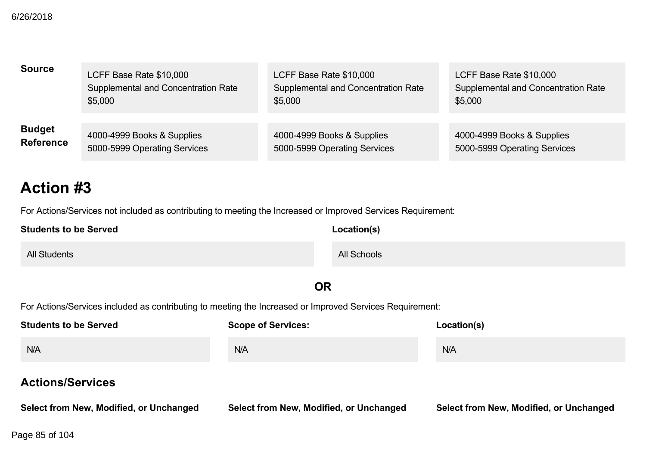| <b>Source</b>    | LCFF Base Rate \$10,000             | LCFF Base Rate \$10,000             | LCFF Base Rate \$10,000                    |
|------------------|-------------------------------------|-------------------------------------|--------------------------------------------|
|                  | Supplemental and Concentration Rate | Supplemental and Concentration Rate | <b>Supplemental and Concentration Rate</b> |
|                  | \$5,000                             | \$5,000                             | \$5,000                                    |
| <b>Budget</b>    | 4000-4999 Books & Supplies          | 4000-4999 Books & Supplies          | 4000-4999 Books & Supplies                 |
| <b>Reference</b> | 5000-5999 Operating Services        | 5000-5999 Operating Services        | 5000-5999 Operating Services               |

# **Action #3**

| <b>Students to be Served</b> | Location(s) |
|------------------------------|-------------|
| <b>All Students</b>          | All Schools |

## **OR**

| 6/26/2018<br><b>Source</b><br><b>Budget</b>                          | LCFF Base Rate \$10,000<br>Supplemental and Concentration Rate<br>\$5,000 | LCFF Base Rate \$10,000<br>Supplemental and Concentration Rate<br>\$5,000                                                                                                                 | LCFF Base Rate \$10,000<br>Supplemental and Concentration Rate<br>\$5,000 |
|----------------------------------------------------------------------|---------------------------------------------------------------------------|-------------------------------------------------------------------------------------------------------------------------------------------------------------------------------------------|---------------------------------------------------------------------------|
| <b>Reference</b><br><b>Action #3</b><br><b>Students to be Served</b> | 4000-4999 Books & Supplies<br>5000-5999 Operating Services                | 4000-4999 Books & Supplies<br>5000-5999 Operating Services<br>For Actions/Services not included as contributing to meeting the Increased or Improved Services Requirement:<br>Location(s) | 4000-4999 Books & Supplies<br>5000-5999 Operating Services                |
| <b>All Students</b><br><b>Students to be Served</b><br>N/A           |                                                                           | All Schools<br><b>OR</b><br>For Actions/Services included as contributing to meeting the Increased or Improved Services Requirement:<br><b>Scope of Services:</b><br>N/A                  | Location(s)<br>N/A                                                        |
| <b>Actions/Services</b><br>Page 85 of 104                            | Select from New, Modified, or Unchanged                                   | Select from New, Modified, or Unchanged                                                                                                                                                   | Select from New, Modified, or Unchanged                                   |
|                                                                      |                                                                           |                                                                                                                                                                                           |                                                                           |
|                                                                      |                                                                           |                                                                                                                                                                                           |                                                                           |
|                                                                      |                                                                           |                                                                                                                                                                                           |                                                                           |
|                                                                      |                                                                           |                                                                                                                                                                                           |                                                                           |
|                                                                      |                                                                           |                                                                                                                                                                                           |                                                                           |
|                                                                      |                                                                           |                                                                                                                                                                                           |                                                                           |
|                                                                      |                                                                           |                                                                                                                                                                                           |                                                                           |
|                                                                      |                                                                           |                                                                                                                                                                                           |                                                                           |
|                                                                      |                                                                           |                                                                                                                                                                                           |                                                                           |
|                                                                      |                                                                           |                                                                                                                                                                                           |                                                                           |
|                                                                      |                                                                           |                                                                                                                                                                                           |                                                                           |
|                                                                      |                                                                           |                                                                                                                                                                                           |                                                                           |
|                                                                      |                                                                           |                                                                                                                                                                                           |                                                                           |
|                                                                      |                                                                           |                                                                                                                                                                                           |                                                                           |
|                                                                      |                                                                           |                                                                                                                                                                                           |                                                                           |
|                                                                      |                                                                           |                                                                                                                                                                                           |                                                                           |
|                                                                      |                                                                           |                                                                                                                                                                                           |                                                                           |
|                                                                      |                                                                           |                                                                                                                                                                                           |                                                                           |
|                                                                      |                                                                           |                                                                                                                                                                                           |                                                                           |
|                                                                      |                                                                           |                                                                                                                                                                                           |                                                                           |
|                                                                      |                                                                           |                                                                                                                                                                                           |                                                                           |
|                                                                      |                                                                           |                                                                                                                                                                                           |                                                                           |
|                                                                      |                                                                           |                                                                                                                                                                                           |                                                                           |
|                                                                      |                                                                           |                                                                                                                                                                                           |                                                                           |
|                                                                      |                                                                           |                                                                                                                                                                                           |                                                                           |
|                                                                      |                                                                           |                                                                                                                                                                                           |                                                                           |
|                                                                      |                                                                           |                                                                                                                                                                                           |                                                                           |
|                                                                      |                                                                           |                                                                                                                                                                                           |                                                                           |
|                                                                      |                                                                           |                                                                                                                                                                                           |                                                                           |
|                                                                      |                                                                           |                                                                                                                                                                                           |                                                                           |
|                                                                      |                                                                           |                                                                                                                                                                                           |                                                                           |
|                                                                      |                                                                           |                                                                                                                                                                                           |                                                                           |
|                                                                      |                                                                           |                                                                                                                                                                                           |                                                                           |
|                                                                      |                                                                           |                                                                                                                                                                                           |                                                                           |
|                                                                      |                                                                           |                                                                                                                                                                                           |                                                                           |
|                                                                      |                                                                           |                                                                                                                                                                                           |                                                                           |
|                                                                      |                                                                           |                                                                                                                                                                                           |                                                                           |
|                                                                      |                                                                           |                                                                                                                                                                                           |                                                                           |
|                                                                      |                                                                           |                                                                                                                                                                                           |                                                                           |
|                                                                      |                                                                           |                                                                                                                                                                                           |                                                                           |
|                                                                      |                                                                           |                                                                                                                                                                                           |                                                                           |
|                                                                      |                                                                           |                                                                                                                                                                                           |                                                                           |
|                                                                      |                                                                           |                                                                                                                                                                                           |                                                                           |
|                                                                      |                                                                           |                                                                                                                                                                                           |                                                                           |
|                                                                      |                                                                           |                                                                                                                                                                                           |                                                                           |
|                                                                      |                                                                           |                                                                                                                                                                                           |                                                                           |
|                                                                      |                                                                           |                                                                                                                                                                                           |                                                                           |
|                                                                      |                                                                           |                                                                                                                                                                                           |                                                                           |
|                                                                      |                                                                           |                                                                                                                                                                                           |                                                                           |
|                                                                      |                                                                           |                                                                                                                                                                                           |                                                                           |
|                                                                      |                                                                           |                                                                                                                                                                                           |                                                                           |
|                                                                      |                                                                           |                                                                                                                                                                                           |                                                                           |
|                                                                      |                                                                           |                                                                                                                                                                                           |                                                                           |
|                                                                      |                                                                           |                                                                                                                                                                                           |                                                                           |
|                                                                      |                                                                           |                                                                                                                                                                                           |                                                                           |
|                                                                      |                                                                           |                                                                                                                                                                                           |                                                                           |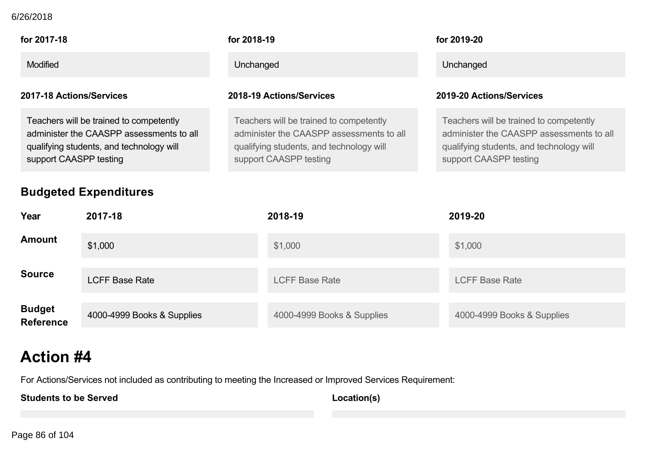| 6/26/2018<br>for 2017-18<br>Modified<br>2017-18 Actions/Services<br>Teachers will be trained to competently                                                       | for 2018-19<br>Unchanged<br>2018-19 Actions/Services<br>Teachers will be trained to competently                             | for 2019-20<br>Unchanged<br>2019-20 Actions/Services<br>Teachers will be trained to competently                           |
|-------------------------------------------------------------------------------------------------------------------------------------------------------------------|-----------------------------------------------------------------------------------------------------------------------------|---------------------------------------------------------------------------------------------------------------------------|
| administer the CAASPP assessments to all<br>qualifying students, and technology will<br>support CAASPP testing<br><b>Budgeted Expenditures</b><br>2017-18<br>Year | administer the CAASPP assessments to all<br>qualifying students, and technology will<br>support CAASPP testing<br>2018-19   | administer the CAASPP assessments to all<br>qualifying students, and technology will<br>support CAASPP testing<br>2019-20 |
| <b>Amount</b><br>\$1,000<br><b>Source</b><br>LCFF Base Rate<br><b>Budget</b><br>4000-4999 Books & Supplies<br><b>Reference</b>                                    | \$1,000<br><b>LCFF Base Rate</b><br>4000-4999 Books & Supplies                                                              | \$1,000<br>LCFF Base Rate<br>4000-4999 Books & Supplies                                                                   |
| <b>Action #4</b><br><b>Students to be Served</b><br>Page 86 of 104                                                                                                | For Actions/Services not included as contributing to meeting the Increased or Improved Services Requirement:<br>Location(s) |                                                                                                                           |
|                                                                                                                                                                   |                                                                                                                             |                                                                                                                           |
|                                                                                                                                                                   |                                                                                                                             |                                                                                                                           |
|                                                                                                                                                                   |                                                                                                                             |                                                                                                                           |
|                                                                                                                                                                   |                                                                                                                             |                                                                                                                           |
|                                                                                                                                                                   |                                                                                                                             |                                                                                                                           |
|                                                                                                                                                                   |                                                                                                                             |                                                                                                                           |
|                                                                                                                                                                   |                                                                                                                             |                                                                                                                           |
|                                                                                                                                                                   |                                                                                                                             |                                                                                                                           |
|                                                                                                                                                                   |                                                                                                                             |                                                                                                                           |
|                                                                                                                                                                   |                                                                                                                             |                                                                                                                           |
|                                                                                                                                                                   |                                                                                                                             |                                                                                                                           |
|                                                                                                                                                                   |                                                                                                                             |                                                                                                                           |
|                                                                                                                                                                   |                                                                                                                             |                                                                                                                           |
|                                                                                                                                                                   |                                                                                                                             |                                                                                                                           |
|                                                                                                                                                                   |                                                                                                                             |                                                                                                                           |
|                                                                                                                                                                   |                                                                                                                             |                                                                                                                           |
|                                                                                                                                                                   |                                                                                                                             |                                                                                                                           |
|                                                                                                                                                                   |                                                                                                                             |                                                                                                                           |
|                                                                                                                                                                   |                                                                                                                             |                                                                                                                           |
|                                                                                                                                                                   |                                                                                                                             |                                                                                                                           |
|                                                                                                                                                                   |                                                                                                                             |                                                                                                                           |
|                                                                                                                                                                   |                                                                                                                             |                                                                                                                           |
|                                                                                                                                                                   |                                                                                                                             |                                                                                                                           |
|                                                                                                                                                                   |                                                                                                                             |                                                                                                                           |
|                                                                                                                                                                   |                                                                                                                             |                                                                                                                           |
|                                                                                                                                                                   |                                                                                                                             |                                                                                                                           |
|                                                                                                                                                                   |                                                                                                                             |                                                                                                                           |
|                                                                                                                                                                   |                                                                                                                             |                                                                                                                           |
|                                                                                                                                                                   |                                                                                                                             |                                                                                                                           |
|                                                                                                                                                                   |                                                                                                                             |                                                                                                                           |
|                                                                                                                                                                   |                                                                                                                             |                                                                                                                           |
|                                                                                                                                                                   |                                                                                                                             |                                                                                                                           |
|                                                                                                                                                                   |                                                                                                                             |                                                                                                                           |
|                                                                                                                                                                   |                                                                                                                             |                                                                                                                           |
|                                                                                                                                                                   |                                                                                                                             |                                                                                                                           |
|                                                                                                                                                                   |                                                                                                                             |                                                                                                                           |
|                                                                                                                                                                   |                                                                                                                             |                                                                                                                           |
|                                                                                                                                                                   |                                                                                                                             |                                                                                                                           |
|                                                                                                                                                                   |                                                                                                                             |                                                                                                                           |
|                                                                                                                                                                   |                                                                                                                             |                                                                                                                           |
|                                                                                                                                                                   |                                                                                                                             |                                                                                                                           |
|                                                                                                                                                                   |                                                                                                                             |                                                                                                                           |
|                                                                                                                                                                   |                                                                                                                             |                                                                                                                           |
|                                                                                                                                                                   |                                                                                                                             |                                                                                                                           |
|                                                                                                                                                                   |                                                                                                                             |                                                                                                                           |
|                                                                                                                                                                   |                                                                                                                             |                                                                                                                           |
|                                                                                                                                                                   |                                                                                                                             |                                                                                                                           |
|                                                                                                                                                                   |                                                                                                                             |                                                                                                                           |
|                                                                                                                                                                   |                                                                                                                             |                                                                                                                           |
|                                                                                                                                                                   |                                                                                                                             |                                                                                                                           |
|                                                                                                                                                                   |                                                                                                                             |                                                                                                                           |
|                                                                                                                                                                   |                                                                                                                             |                                                                                                                           |
|                                                                                                                                                                   |                                                                                                                             |                                                                                                                           |
|                                                                                                                                                                   |                                                                                                                             |                                                                                                                           |
|                                                                                                                                                                   |                                                                                                                             |                                                                                                                           |
|                                                                                                                                                                   |                                                                                                                             |                                                                                                                           |
|                                                                                                                                                                   |                                                                                                                             |                                                                                                                           |
|                                                                                                                                                                   |                                                                                                                             |                                                                                                                           |

# **Action #4**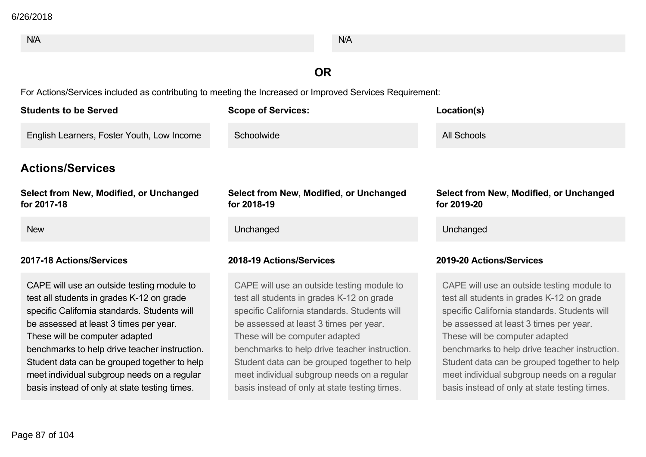| English Learners, Foster Youth, Low Income<br><b>Actions/Services</b>                                                                                                                                                                                                                                                     | For Actions/Services included as contributing to meeting the Increased or Improved Services Requirement:<br><b>Scope of Services:</b><br>Schoolwide                                                                                                                                                                       | Location(s)<br>All Schools                                                                                                                                                                                                                                                                                                |
|---------------------------------------------------------------------------------------------------------------------------------------------------------------------------------------------------------------------------------------------------------------------------------------------------------------------------|---------------------------------------------------------------------------------------------------------------------------------------------------------------------------------------------------------------------------------------------------------------------------------------------------------------------------|---------------------------------------------------------------------------------------------------------------------------------------------------------------------------------------------------------------------------------------------------------------------------------------------------------------------------|
| Select from New, Modified, or Unchanged<br>for 2017-18<br>New<br>2017-18 Actions/Services<br>CAPE will use an outside testing module to<br>test all students in grades K-12 on grade                                                                                                                                      | Select from New, Modified, or Unchanged<br>for 2018-19<br>Unchanged<br>2018-19 Actions/Services<br>CAPE will use an outside testing module to<br>test all students in grades K-12 on grade                                                                                                                                | Select from New, Modified, or Unchanged<br>for 2019-20<br>Unchanged<br>2019-20 Actions/Services<br>CAPE will use an outside testing module to<br>test all students in grades K-12 on grade                                                                                                                                |
| specific California standards. Students will<br>be assessed at least 3 times per year.<br>These will be computer adapted<br>benchmarks to help drive teacher instruction.<br>Student data can be grouped together to help<br>meet individual subgroup needs on a regular<br>basis instead of only at state testing times. | specific California standards. Students will<br>be assessed at least 3 times per year.<br>These will be computer adapted<br>benchmarks to help drive teacher instruction.<br>Student data can be grouped together to help<br>meet individual subgroup needs on a regular<br>basis instead of only at state testing times. | specific California standards. Students will<br>be assessed at least 3 times per year.<br>These will be computer adapted<br>benchmarks to help drive teacher instruction.<br>Student data can be grouped together to help<br>meet individual subgroup needs on a regular<br>basis instead of only at state testing times. |
| Page 87 of 104                                                                                                                                                                                                                                                                                                            |                                                                                                                                                                                                                                                                                                                           |                                                                                                                                                                                                                                                                                                                           |
|                                                                                                                                                                                                                                                                                                                           |                                                                                                                                                                                                                                                                                                                           |                                                                                                                                                                                                                                                                                                                           |
|                                                                                                                                                                                                                                                                                                                           |                                                                                                                                                                                                                                                                                                                           |                                                                                                                                                                                                                                                                                                                           |
|                                                                                                                                                                                                                                                                                                                           |                                                                                                                                                                                                                                                                                                                           |                                                                                                                                                                                                                                                                                                                           |
|                                                                                                                                                                                                                                                                                                                           |                                                                                                                                                                                                                                                                                                                           |                                                                                                                                                                                                                                                                                                                           |
|                                                                                                                                                                                                                                                                                                                           |                                                                                                                                                                                                                                                                                                                           |                                                                                                                                                                                                                                                                                                                           |
|                                                                                                                                                                                                                                                                                                                           |                                                                                                                                                                                                                                                                                                                           |                                                                                                                                                                                                                                                                                                                           |
|                                                                                                                                                                                                                                                                                                                           |                                                                                                                                                                                                                                                                                                                           |                                                                                                                                                                                                                                                                                                                           |
|                                                                                                                                                                                                                                                                                                                           |                                                                                                                                                                                                                                                                                                                           |                                                                                                                                                                                                                                                                                                                           |
|                                                                                                                                                                                                                                                                                                                           |                                                                                                                                                                                                                                                                                                                           |                                                                                                                                                                                                                                                                                                                           |
|                                                                                                                                                                                                                                                                                                                           |                                                                                                                                                                                                                                                                                                                           |                                                                                                                                                                                                                                                                                                                           |
|                                                                                                                                                                                                                                                                                                                           |                                                                                                                                                                                                                                                                                                                           |                                                                                                                                                                                                                                                                                                                           |
|                                                                                                                                                                                                                                                                                                                           |                                                                                                                                                                                                                                                                                                                           |                                                                                                                                                                                                                                                                                                                           |
|                                                                                                                                                                                                                                                                                                                           |                                                                                                                                                                                                                                                                                                                           |                                                                                                                                                                                                                                                                                                                           |
|                                                                                                                                                                                                                                                                                                                           |                                                                                                                                                                                                                                                                                                                           |                                                                                                                                                                                                                                                                                                                           |
|                                                                                                                                                                                                                                                                                                                           |                                                                                                                                                                                                                                                                                                                           |                                                                                                                                                                                                                                                                                                                           |
|                                                                                                                                                                                                                                                                                                                           |                                                                                                                                                                                                                                                                                                                           |                                                                                                                                                                                                                                                                                                                           |
|                                                                                                                                                                                                                                                                                                                           |                                                                                                                                                                                                                                                                                                                           |                                                                                                                                                                                                                                                                                                                           |
|                                                                                                                                                                                                                                                                                                                           |                                                                                                                                                                                                                                                                                                                           |                                                                                                                                                                                                                                                                                                                           |
|                                                                                                                                                                                                                                                                                                                           |                                                                                                                                                                                                                                                                                                                           |                                                                                                                                                                                                                                                                                                                           |
|                                                                                                                                                                                                                                                                                                                           |                                                                                                                                                                                                                                                                                                                           |                                                                                                                                                                                                                                                                                                                           |
|                                                                                                                                                                                                                                                                                                                           |                                                                                                                                                                                                                                                                                                                           |                                                                                                                                                                                                                                                                                                                           |
|                                                                                                                                                                                                                                                                                                                           |                                                                                                                                                                                                                                                                                                                           |                                                                                                                                                                                                                                                                                                                           |
|                                                                                                                                                                                                                                                                                                                           |                                                                                                                                                                                                                                                                                                                           |                                                                                                                                                                                                                                                                                                                           |
|                                                                                                                                                                                                                                                                                                                           |                                                                                                                                                                                                                                                                                                                           |                                                                                                                                                                                                                                                                                                                           |
|                                                                                                                                                                                                                                                                                                                           |                                                                                                                                                                                                                                                                                                                           |                                                                                                                                                                                                                                                                                                                           |
|                                                                                                                                                                                                                                                                                                                           |                                                                                                                                                                                                                                                                                                                           |                                                                                                                                                                                                                                                                                                                           |
|                                                                                                                                                                                                                                                                                                                           |                                                                                                                                                                                                                                                                                                                           |                                                                                                                                                                                                                                                                                                                           |
|                                                                                                                                                                                                                                                                                                                           |                                                                                                                                                                                                                                                                                                                           |                                                                                                                                                                                                                                                                                                                           |
|                                                                                                                                                                                                                                                                                                                           |                                                                                                                                                                                                                                                                                                                           |                                                                                                                                                                                                                                                                                                                           |
|                                                                                                                                                                                                                                                                                                                           |                                                                                                                                                                                                                                                                                                                           |                                                                                                                                                                                                                                                                                                                           |
|                                                                                                                                                                                                                                                                                                                           |                                                                                                                                                                                                                                                                                                                           |                                                                                                                                                                                                                                                                                                                           |
|                                                                                                                                                                                                                                                                                                                           |                                                                                                                                                                                                                                                                                                                           |                                                                                                                                                                                                                                                                                                                           |
|                                                                                                                                                                                                                                                                                                                           |                                                                                                                                                                                                                                                                                                                           |                                                                                                                                                                                                                                                                                                                           |
|                                                                                                                                                                                                                                                                                                                           |                                                                                                                                                                                                                                                                                                                           |                                                                                                                                                                                                                                                                                                                           |
|                                                                                                                                                                                                                                                                                                                           |                                                                                                                                                                                                                                                                                                                           |                                                                                                                                                                                                                                                                                                                           |
|                                                                                                                                                                                                                                                                                                                           |                                                                                                                                                                                                                                                                                                                           |                                                                                                                                                                                                                                                                                                                           |
|                                                                                                                                                                                                                                                                                                                           |                                                                                                                                                                                                                                                                                                                           |                                                                                                                                                                                                                                                                                                                           |
|                                                                                                                                                                                                                                                                                                                           |                                                                                                                                                                                                                                                                                                                           |                                                                                                                                                                                                                                                                                                                           |
|                                                                                                                                                                                                                                                                                                                           |                                                                                                                                                                                                                                                                                                                           |                                                                                                                                                                                                                                                                                                                           |
|                                                                                                                                                                                                                                                                                                                           |                                                                                                                                                                                                                                                                                                                           |                                                                                                                                                                                                                                                                                                                           |
|                                                                                                                                                                                                                                                                                                                           |                                                                                                                                                                                                                                                                                                                           |                                                                                                                                                                                                                                                                                                                           |
|                                                                                                                                                                                                                                                                                                                           |                                                                                                                                                                                                                                                                                                                           |                                                                                                                                                                                                                                                                                                                           |
|                                                                                                                                                                                                                                                                                                                           |                                                                                                                                                                                                                                                                                                                           |                                                                                                                                                                                                                                                                                                                           |
|                                                                                                                                                                                                                                                                                                                           |                                                                                                                                                                                                                                                                                                                           |                                                                                                                                                                                                                                                                                                                           |
|                                                                                                                                                                                                                                                                                                                           |                                                                                                                                                                                                                                                                                                                           |                                                                                                                                                                                                                                                                                                                           |
|                                                                                                                                                                                                                                                                                                                           |                                                                                                                                                                                                                                                                                                                           |                                                                                                                                                                                                                                                                                                                           |
|                                                                                                                                                                                                                                                                                                                           |                                                                                                                                                                                                                                                                                                                           |                                                                                                                                                                                                                                                                                                                           |
|                                                                                                                                                                                                                                                                                                                           |                                                                                                                                                                                                                                                                                                                           |                                                                                                                                                                                                                                                                                                                           |
|                                                                                                                                                                                                                                                                                                                           |                                                                                                                                                                                                                                                                                                                           |                                                                                                                                                                                                                                                                                                                           |
|                                                                                                                                                                                                                                                                                                                           |                                                                                                                                                                                                                                                                                                                           |                                                                                                                                                                                                                                                                                                                           |
|                                                                                                                                                                                                                                                                                                                           |                                                                                                                                                                                                                                                                                                                           |                                                                                                                                                                                                                                                                                                                           |
|                                                                                                                                                                                                                                                                                                                           |                                                                                                                                                                                                                                                                                                                           |                                                                                                                                                                                                                                                                                                                           |
|                                                                                                                                                                                                                                                                                                                           |                                                                                                                                                                                                                                                                                                                           |                                                                                                                                                                                                                                                                                                                           |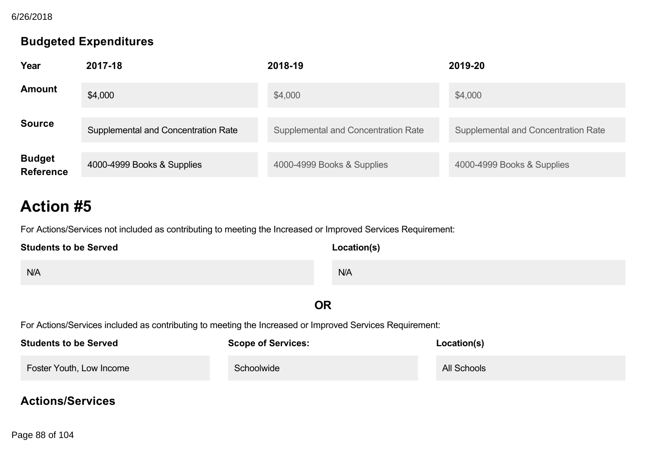# basis instead of only at state testing times.

## **Budgeted Expenditures**

| Year                              | 2017-18                                    | 2018-19                                    | 2019-20                                    |
|-----------------------------------|--------------------------------------------|--------------------------------------------|--------------------------------------------|
| <b>Amount</b>                     | \$4,000                                    | \$4,000                                    | \$4,000                                    |
| <b>Source</b>                     | <b>Supplemental and Concentration Rate</b> | <b>Supplemental and Concentration Rate</b> | <b>Supplemental and Concentration Rate</b> |
| <b>Budget</b><br><b>Reference</b> | 4000-4999 Books & Supplies                 | 4000-4999 Books & Supplies                 | 4000-4999 Books & Supplies                 |

# **Action #5**

| 6/26/2018<br>Year<br><b>Amount</b>                                     | <b>Budgeted Expenditures</b><br>2017-18<br>\$4,000                |                              |                                         | 2018-19<br>\$4,000         |                                                                                                                                               |              | 2019-20<br>\$4,000                                                |  |
|------------------------------------------------------------------------|-------------------------------------------------------------------|------------------------------|-----------------------------------------|----------------------------|-----------------------------------------------------------------------------------------------------------------------------------------------|--------------|-------------------------------------------------------------------|--|
| <b>Source</b><br><b>Budget</b><br><b>Reference</b><br><b>Action #5</b> | Supplemental and Concentration Rate<br>4000-4999 Books & Supplies |                              |                                         | 4000-4999 Books & Supplies | Supplemental and Concentration Rate                                                                                                           |              | Supplemental and Concentration Rate<br>4000-4999 Books & Supplies |  |
| <b>Students to be Served</b><br>N/A                                    |                                                                   |                              |                                         | OR                         | For Actions/Services not included as contributing to meeting the Increased or Improved Services Requirement:<br>Location(s)<br>N/A            |              |                                                                   |  |
| <b>Students to be Served</b><br><b>Actions/Services</b>                | Foster Youth, Low Income                                          | the company's company's pro- | <b>Scope of Services:</b><br>Schoolwide |                            | For Actions/Services included as contributing to meeting the Increased or Improved Services Requirement:<br><b>Contract Contract Contract</b> | and the con- | Location(s)<br>All Schools                                        |  |
| Page 88 of 104                                                         |                                                                   |                              |                                         |                            |                                                                                                                                               |              |                                                                   |  |
|                                                                        |                                                                   |                              |                                         |                            |                                                                                                                                               |              |                                                                   |  |
|                                                                        |                                                                   |                              |                                         |                            |                                                                                                                                               |              |                                                                   |  |
|                                                                        |                                                                   |                              |                                         |                            |                                                                                                                                               |              |                                                                   |  |
|                                                                        |                                                                   |                              |                                         |                            |                                                                                                                                               |              |                                                                   |  |
|                                                                        |                                                                   |                              |                                         |                            |                                                                                                                                               |              |                                                                   |  |
|                                                                        |                                                                   |                              |                                         |                            |                                                                                                                                               |              |                                                                   |  |
|                                                                        |                                                                   |                              |                                         |                            |                                                                                                                                               |              |                                                                   |  |
|                                                                        |                                                                   |                              |                                         |                            |                                                                                                                                               |              |                                                                   |  |
|                                                                        |                                                                   |                              |                                         |                            |                                                                                                                                               |              |                                                                   |  |
|                                                                        |                                                                   |                              |                                         |                            |                                                                                                                                               |              |                                                                   |  |
|                                                                        |                                                                   |                              |                                         |                            |                                                                                                                                               |              |                                                                   |  |
|                                                                        |                                                                   |                              |                                         |                            |                                                                                                                                               |              |                                                                   |  |
|                                                                        |                                                                   |                              |                                         |                            |                                                                                                                                               |              |                                                                   |  |
|                                                                        |                                                                   |                              |                                         |                            |                                                                                                                                               |              |                                                                   |  |
|                                                                        |                                                                   |                              |                                         |                            |                                                                                                                                               |              |                                                                   |  |
|                                                                        |                                                                   |                              |                                         |                            |                                                                                                                                               |              |                                                                   |  |
|                                                                        |                                                                   |                              |                                         |                            |                                                                                                                                               |              |                                                                   |  |
|                                                                        |                                                                   |                              |                                         |                            |                                                                                                                                               |              |                                                                   |  |
|                                                                        |                                                                   |                              |                                         |                            |                                                                                                                                               |              |                                                                   |  |
|                                                                        |                                                                   |                              |                                         |                            |                                                                                                                                               |              |                                                                   |  |
|                                                                        |                                                                   |                              |                                         |                            |                                                                                                                                               |              |                                                                   |  |
|                                                                        |                                                                   |                              |                                         |                            |                                                                                                                                               |              |                                                                   |  |
|                                                                        |                                                                   |                              |                                         |                            |                                                                                                                                               |              |                                                                   |  |
|                                                                        |                                                                   |                              |                                         |                            |                                                                                                                                               |              |                                                                   |  |
|                                                                        |                                                                   |                              |                                         |                            |                                                                                                                                               |              |                                                                   |  |
|                                                                        |                                                                   |                              |                                         |                            |                                                                                                                                               |              |                                                                   |  |
|                                                                        |                                                                   |                              |                                         |                            |                                                                                                                                               |              |                                                                   |  |
|                                                                        |                                                                   |                              |                                         |                            |                                                                                                                                               |              |                                                                   |  |
|                                                                        |                                                                   |                              |                                         |                            |                                                                                                                                               |              |                                                                   |  |
|                                                                        |                                                                   |                              |                                         |                            |                                                                                                                                               |              |                                                                   |  |
|                                                                        |                                                                   |                              |                                         |                            |                                                                                                                                               |              |                                                                   |  |
|                                                                        |                                                                   |                              |                                         |                            |                                                                                                                                               |              |                                                                   |  |
|                                                                        |                                                                   |                              |                                         |                            |                                                                                                                                               |              |                                                                   |  |
|                                                                        |                                                                   |                              |                                         |                            |                                                                                                                                               |              |                                                                   |  |
|                                                                        |                                                                   |                              |                                         |                            |                                                                                                                                               |              |                                                                   |  |
|                                                                        |                                                                   |                              |                                         |                            |                                                                                                                                               |              |                                                                   |  |
|                                                                        |                                                                   |                              |                                         |                            |                                                                                                                                               |              |                                                                   |  |
|                                                                        |                                                                   |                              |                                         |                            |                                                                                                                                               |              |                                                                   |  |
|                                                                        |                                                                   |                              |                                         |                            |                                                                                                                                               |              |                                                                   |  |
|                                                                        |                                                                   |                              |                                         |                            |                                                                                                                                               |              |                                                                   |  |
|                                                                        |                                                                   |                              |                                         |                            |                                                                                                                                               |              |                                                                   |  |
|                                                                        |                                                                   |                              |                                         |                            |                                                                                                                                               |              |                                                                   |  |
|                                                                        |                                                                   |                              |                                         |                            |                                                                                                                                               |              |                                                                   |  |
|                                                                        |                                                                   |                              |                                         |                            |                                                                                                                                               |              |                                                                   |  |
|                                                                        |                                                                   |                              |                                         |                            |                                                                                                                                               |              |                                                                   |  |
|                                                                        |                                                                   |                              |                                         |                            |                                                                                                                                               |              |                                                                   |  |
|                                                                        |                                                                   |                              |                                         |                            |                                                                                                                                               |              |                                                                   |  |
|                                                                        |                                                                   |                              |                                         |                            |                                                                                                                                               |              |                                                                   |  |
|                                                                        |                                                                   |                              |                                         |                            |                                                                                                                                               |              |                                                                   |  |
|                                                                        |                                                                   |                              |                                         |                            |                                                                                                                                               |              |                                                                   |  |
|                                                                        |                                                                   |                              |                                         |                            |                                                                                                                                               |              |                                                                   |  |
|                                                                        |                                                                   |                              |                                         |                            |                                                                                                                                               |              |                                                                   |  |
|                                                                        |                                                                   |                              |                                         |                            |                                                                                                                                               |              |                                                                   |  |
|                                                                        |                                                                   |                              |                                         |                            |                                                                                                                                               |              |                                                                   |  |
|                                                                        |                                                                   |                              |                                         |                            |                                                                                                                                               |              |                                                                   |  |
|                                                                        |                                                                   |                              |                                         |                            |                                                                                                                                               |              |                                                                   |  |

## **Actions/Services**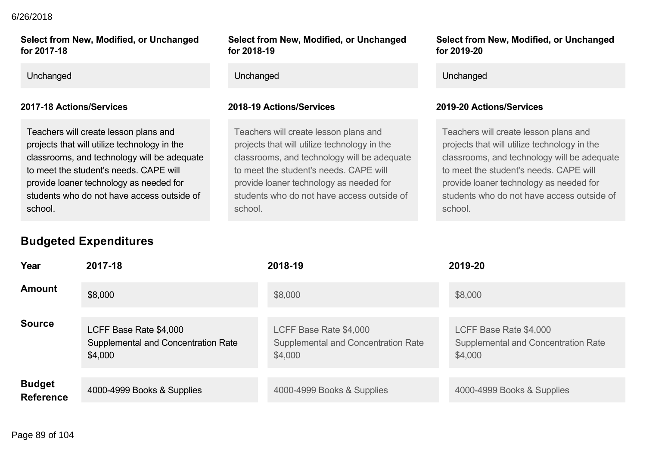#### **Actions/Services**

# **Budgeted Expenditures**

#### **201718 Actions/Services 201819 Actions/Services 201920 Actions/Services**

| 6/26/2018<br>Select from New, Modified, or Unchanged<br>for 2017-18<br>Unchanged |                                                                                                                                                                                                                                                       | Select from New, Modified, or Unchanged<br>for 2018-19                                                                                                                                                                                                             | Select from New, Modified, or Unchanged<br>for 2019-20                                                                                                                                                                                                             |  |  |
|----------------------------------------------------------------------------------|-------------------------------------------------------------------------------------------------------------------------------------------------------------------------------------------------------------------------------------------------------|--------------------------------------------------------------------------------------------------------------------------------------------------------------------------------------------------------------------------------------------------------------------|--------------------------------------------------------------------------------------------------------------------------------------------------------------------------------------------------------------------------------------------------------------------|--|--|
|                                                                                  | 2017-18 Actions/Services<br>Teachers will create lesson plans and<br>projects that will utilize technology in the<br>classrooms, and technology will be adequate<br>to meet the student's needs. CAPE will<br>provide loaner technology as needed for | Unchanged<br>2018-19 Actions/Services<br>Teachers will create lesson plans and<br>projects that will utilize technology in the<br>classrooms, and technology will be adequate<br>to meet the student's needs. CAPE will<br>provide loaner technology as needed for | Unchanged<br>2019-20 Actions/Services<br>Teachers will create lesson plans and<br>projects that will utilize technology in the<br>classrooms, and technology will be adequate<br>to meet the student's needs. CAPE will<br>provide loaner technology as needed for |  |  |
| school.<br>Year<br><b>Amount</b>                                                 | students who do not have access outside of<br><b>Budgeted Expenditures</b><br>2017-18<br>\$8,000                                                                                                                                                      | students who do not have access outside of<br>school.<br>2018-19<br>\$8,000                                                                                                                                                                                        | students who do not have access outside of<br>school.<br>2019-20<br>\$8,000                                                                                                                                                                                        |  |  |
| <b>Source</b><br><b>Budget</b><br><b>Reference</b>                               | LCFF Base Rate \$4,000<br>Supplemental and Concentration Rate<br>\$4,000<br>4000-4999 Books & Supplies                                                                                                                                                | LCFF Base Rate \$4,000<br>Supplemental and Concentration Rate<br>\$4,000<br>4000-4999 Books & Supplies                                                                                                                                                             | LCFF Base Rate \$4,000<br>Supplemental and Concentration Rate<br>\$4,000<br>4000-4999 Books & Supplies                                                                                                                                                             |  |  |
| Page 89 of 104                                                                   |                                                                                                                                                                                                                                                       |                                                                                                                                                                                                                                                                    |                                                                                                                                                                                                                                                                    |  |  |
|                                                                                  |                                                                                                                                                                                                                                                       |                                                                                                                                                                                                                                                                    |                                                                                                                                                                                                                                                                    |  |  |
|                                                                                  |                                                                                                                                                                                                                                                       |                                                                                                                                                                                                                                                                    |                                                                                                                                                                                                                                                                    |  |  |
|                                                                                  |                                                                                                                                                                                                                                                       |                                                                                                                                                                                                                                                                    |                                                                                                                                                                                                                                                                    |  |  |
|                                                                                  |                                                                                                                                                                                                                                                       |                                                                                                                                                                                                                                                                    |                                                                                                                                                                                                                                                                    |  |  |
|                                                                                  |                                                                                                                                                                                                                                                       |                                                                                                                                                                                                                                                                    |                                                                                                                                                                                                                                                                    |  |  |
|                                                                                  |                                                                                                                                                                                                                                                       |                                                                                                                                                                                                                                                                    |                                                                                                                                                                                                                                                                    |  |  |
|                                                                                  |                                                                                                                                                                                                                                                       |                                                                                                                                                                                                                                                                    |                                                                                                                                                                                                                                                                    |  |  |
|                                                                                  |                                                                                                                                                                                                                                                       |                                                                                                                                                                                                                                                                    |                                                                                                                                                                                                                                                                    |  |  |
|                                                                                  |                                                                                                                                                                                                                                                       |                                                                                                                                                                                                                                                                    |                                                                                                                                                                                                                                                                    |  |  |
|                                                                                  |                                                                                                                                                                                                                                                       |                                                                                                                                                                                                                                                                    |                                                                                                                                                                                                                                                                    |  |  |
|                                                                                  |                                                                                                                                                                                                                                                       |                                                                                                                                                                                                                                                                    |                                                                                                                                                                                                                                                                    |  |  |
|                                                                                  |                                                                                                                                                                                                                                                       |                                                                                                                                                                                                                                                                    |                                                                                                                                                                                                                                                                    |  |  |
|                                                                                  |                                                                                                                                                                                                                                                       |                                                                                                                                                                                                                                                                    |                                                                                                                                                                                                                                                                    |  |  |
|                                                                                  |                                                                                                                                                                                                                                                       |                                                                                                                                                                                                                                                                    |                                                                                                                                                                                                                                                                    |  |  |
|                                                                                  |                                                                                                                                                                                                                                                       |                                                                                                                                                                                                                                                                    |                                                                                                                                                                                                                                                                    |  |  |
|                                                                                  |                                                                                                                                                                                                                                                       |                                                                                                                                                                                                                                                                    |                                                                                                                                                                                                                                                                    |  |  |
|                                                                                  |                                                                                                                                                                                                                                                       |                                                                                                                                                                                                                                                                    |                                                                                                                                                                                                                                                                    |  |  |
|                                                                                  |                                                                                                                                                                                                                                                       |                                                                                                                                                                                                                                                                    |                                                                                                                                                                                                                                                                    |  |  |
|                                                                                  |                                                                                                                                                                                                                                                       |                                                                                                                                                                                                                                                                    |                                                                                                                                                                                                                                                                    |  |  |
|                                                                                  |                                                                                                                                                                                                                                                       |                                                                                                                                                                                                                                                                    |                                                                                                                                                                                                                                                                    |  |  |
|                                                                                  |                                                                                                                                                                                                                                                       |                                                                                                                                                                                                                                                                    |                                                                                                                                                                                                                                                                    |  |  |
|                                                                                  |                                                                                                                                                                                                                                                       |                                                                                                                                                                                                                                                                    |                                                                                                                                                                                                                                                                    |  |  |
|                                                                                  |                                                                                                                                                                                                                                                       |                                                                                                                                                                                                                                                                    |                                                                                                                                                                                                                                                                    |  |  |
|                                                                                  |                                                                                                                                                                                                                                                       |                                                                                                                                                                                                                                                                    |                                                                                                                                                                                                                                                                    |  |  |
|                                                                                  |                                                                                                                                                                                                                                                       |                                                                                                                                                                                                                                                                    |                                                                                                                                                                                                                                                                    |  |  |
|                                                                                  |                                                                                                                                                                                                                                                       |                                                                                                                                                                                                                                                                    |                                                                                                                                                                                                                                                                    |  |  |
|                                                                                  |                                                                                                                                                                                                                                                       |                                                                                                                                                                                                                                                                    |                                                                                                                                                                                                                                                                    |  |  |
|                                                                                  |                                                                                                                                                                                                                                                       |                                                                                                                                                                                                                                                                    |                                                                                                                                                                                                                                                                    |  |  |
|                                                                                  |                                                                                                                                                                                                                                                       |                                                                                                                                                                                                                                                                    |                                                                                                                                                                                                                                                                    |  |  |
|                                                                                  |                                                                                                                                                                                                                                                       |                                                                                                                                                                                                                                                                    |                                                                                                                                                                                                                                                                    |  |  |
|                                                                                  |                                                                                                                                                                                                                                                       |                                                                                                                                                                                                                                                                    |                                                                                                                                                                                                                                                                    |  |  |
|                                                                                  |                                                                                                                                                                                                                                                       |                                                                                                                                                                                                                                                                    |                                                                                                                                                                                                                                                                    |  |  |
|                                                                                  |                                                                                                                                                                                                                                                       |                                                                                                                                                                                                                                                                    |                                                                                                                                                                                                                                                                    |  |  |
|                                                                                  |                                                                                                                                                                                                                                                       |                                                                                                                                                                                                                                                                    |                                                                                                                                                                                                                                                                    |  |  |
|                                                                                  |                                                                                                                                                                                                                                                       |                                                                                                                                                                                                                                                                    |                                                                                                                                                                                                                                                                    |  |  |
|                                                                                  |                                                                                                                                                                                                                                                       |                                                                                                                                                                                                                                                                    |                                                                                                                                                                                                                                                                    |  |  |
|                                                                                  |                                                                                                                                                                                                                                                       |                                                                                                                                                                                                                                                                    |                                                                                                                                                                                                                                                                    |  |  |
|                                                                                  |                                                                                                                                                                                                                                                       |                                                                                                                                                                                                                                                                    |                                                                                                                                                                                                                                                                    |  |  |
|                                                                                  |                                                                                                                                                                                                                                                       |                                                                                                                                                                                                                                                                    |                                                                                                                                                                                                                                                                    |  |  |
|                                                                                  |                                                                                                                                                                                                                                                       |                                                                                                                                                                                                                                                                    |                                                                                                                                                                                                                                                                    |  |  |
|                                                                                  |                                                                                                                                                                                                                                                       |                                                                                                                                                                                                                                                                    |                                                                                                                                                                                                                                                                    |  |  |
|                                                                                  |                                                                                                                                                                                                                                                       |                                                                                                                                                                                                                                                                    |                                                                                                                                                                                                                                                                    |  |  |
|                                                                                  |                                                                                                                                                                                                                                                       |                                                                                                                                                                                                                                                                    |                                                                                                                                                                                                                                                                    |  |  |
|                                                                                  |                                                                                                                                                                                                                                                       |                                                                                                                                                                                                                                                                    |                                                                                                                                                                                                                                                                    |  |  |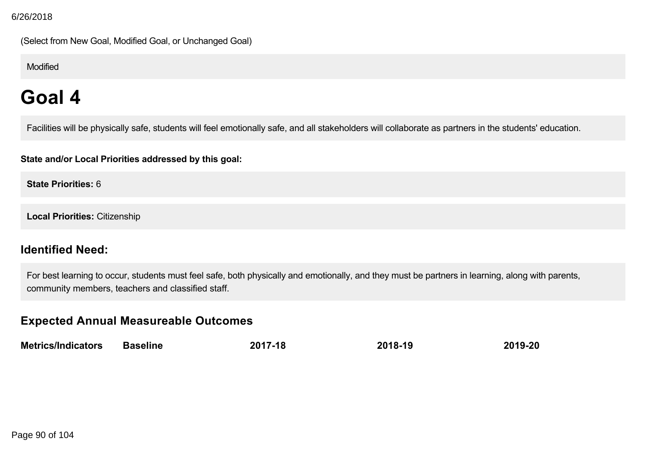(Select from New Goal, Modified Goal, or Unchanged Goal)

Modified

# **Goal 4**

Facilities will be physically safe, students will feel emotionally safe, and all stakeholders will collaborate as partners in the students' education.

**State and/or Local Priorities addressed by this goal:**

**State Priorities:** 6

**Local Priorities:** Citizenship

## **Identified Need:**

For best learning to occur, students must feel safe, both physically and emotionally, and they must be partners in learning, along with parents, community members, teachers and classified staff. 6/26/2018<br>
(Select from New G<br>
Modified<br> **Goal 4**<br>
Facilities will be pl<br>
State and/or Loca<br>
State Priorities:<br>
Local Priorities:<br>
Local Priorities:<br>
Identified Nee<br>
For best learning<br>
community memb<br> **Expected Anr**<br>
Metri

#### **Expected Annual Measureable Outcomes**

| <b>Metrics/Indicators</b><br>2017-18<br>2018-19<br><b>Baseline</b> |  |  |  |  | 2019-20 |
|--------------------------------------------------------------------|--|--|--|--|---------|
|--------------------------------------------------------------------|--|--|--|--|---------|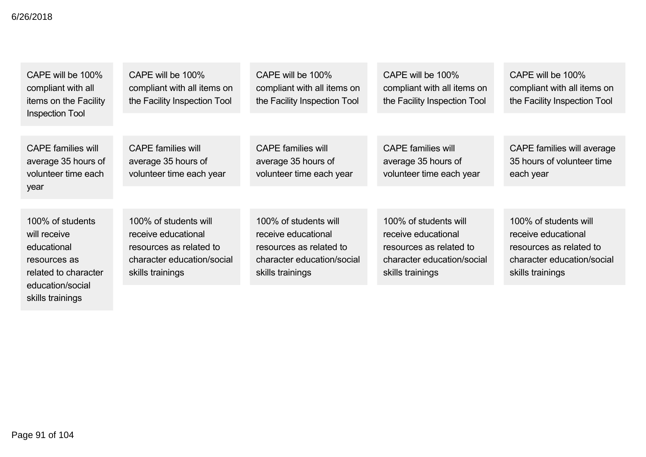| 6/26/2018<br>year<br>will receive<br>educational<br>resources as | CAPE will be 100%<br>compliant with all<br>items on the Facility<br><b>Inspection Tool</b><br><b>CAPE families will</b><br>average 35 hours of<br>volunteer time each<br>100% of students<br>related to character | CAPE will be 100%<br>compliant with all items on<br>the Facility Inspection Tool<br><b>CAPE families will</b><br>average 35 hours of<br>volunteer time each year<br>100% of students will<br>receive educational<br>resources as related to<br>character education/social<br>skills trainings | CAPE will be 100%<br>compliant with all items on<br>the Facility Inspection Tool<br><b>CAPE families will</b><br>average 35 hours of<br>volunteer time each year<br>100% of students will<br>receive educational<br>resources as related to<br>character education/social<br>skills trainings | CAPE will be 100%<br>compliant with all items on<br>the Facility Inspection Tool<br><b>CAPE families will</b><br>average 35 hours of<br>volunteer time each year<br>100% of students will<br>receive educational<br>resources as related to<br>character education/social<br>skills trainings | CAPE will be 100%<br>compliant with all items on<br>the Facility Inspection Tool<br>CAPE families will average<br>35 hours of volunteer time<br>each year<br>100% of students will<br>receive educational<br>resources as related to<br>character education/social<br>skills trainings |
|------------------------------------------------------------------|-------------------------------------------------------------------------------------------------------------------------------------------------------------------------------------------------------------------|-----------------------------------------------------------------------------------------------------------------------------------------------------------------------------------------------------------------------------------------------------------------------------------------------|-----------------------------------------------------------------------------------------------------------------------------------------------------------------------------------------------------------------------------------------------------------------------------------------------|-----------------------------------------------------------------------------------------------------------------------------------------------------------------------------------------------------------------------------------------------------------------------------------------------|----------------------------------------------------------------------------------------------------------------------------------------------------------------------------------------------------------------------------------------------------------------------------------------|
| Page 91 of 104                                                   | education/social<br>skills trainings                                                                                                                                                                              |                                                                                                                                                                                                                                                                                               |                                                                                                                                                                                                                                                                                               |                                                                                                                                                                                                                                                                                               |                                                                                                                                                                                                                                                                                        |
|                                                                  |                                                                                                                                                                                                                   |                                                                                                                                                                                                                                                                                               |                                                                                                                                                                                                                                                                                               |                                                                                                                                                                                                                                                                                               |                                                                                                                                                                                                                                                                                        |
|                                                                  |                                                                                                                                                                                                                   |                                                                                                                                                                                                                                                                                               |                                                                                                                                                                                                                                                                                               |                                                                                                                                                                                                                                                                                               |                                                                                                                                                                                                                                                                                        |
|                                                                  |                                                                                                                                                                                                                   |                                                                                                                                                                                                                                                                                               |                                                                                                                                                                                                                                                                                               |                                                                                                                                                                                                                                                                                               |                                                                                                                                                                                                                                                                                        |
|                                                                  |                                                                                                                                                                                                                   |                                                                                                                                                                                                                                                                                               |                                                                                                                                                                                                                                                                                               |                                                                                                                                                                                                                                                                                               |                                                                                                                                                                                                                                                                                        |
|                                                                  |                                                                                                                                                                                                                   |                                                                                                                                                                                                                                                                                               |                                                                                                                                                                                                                                                                                               |                                                                                                                                                                                                                                                                                               |                                                                                                                                                                                                                                                                                        |
|                                                                  |                                                                                                                                                                                                                   |                                                                                                                                                                                                                                                                                               |                                                                                                                                                                                                                                                                                               |                                                                                                                                                                                                                                                                                               |                                                                                                                                                                                                                                                                                        |
|                                                                  |                                                                                                                                                                                                                   |                                                                                                                                                                                                                                                                                               |                                                                                                                                                                                                                                                                                               |                                                                                                                                                                                                                                                                                               |                                                                                                                                                                                                                                                                                        |
|                                                                  |                                                                                                                                                                                                                   |                                                                                                                                                                                                                                                                                               |                                                                                                                                                                                                                                                                                               |                                                                                                                                                                                                                                                                                               |                                                                                                                                                                                                                                                                                        |
|                                                                  |                                                                                                                                                                                                                   |                                                                                                                                                                                                                                                                                               |                                                                                                                                                                                                                                                                                               |                                                                                                                                                                                                                                                                                               |                                                                                                                                                                                                                                                                                        |
|                                                                  |                                                                                                                                                                                                                   |                                                                                                                                                                                                                                                                                               |                                                                                                                                                                                                                                                                                               |                                                                                                                                                                                                                                                                                               |                                                                                                                                                                                                                                                                                        |
|                                                                  |                                                                                                                                                                                                                   |                                                                                                                                                                                                                                                                                               |                                                                                                                                                                                                                                                                                               |                                                                                                                                                                                                                                                                                               |                                                                                                                                                                                                                                                                                        |
|                                                                  |                                                                                                                                                                                                                   |                                                                                                                                                                                                                                                                                               |                                                                                                                                                                                                                                                                                               |                                                                                                                                                                                                                                                                                               |                                                                                                                                                                                                                                                                                        |
|                                                                  |                                                                                                                                                                                                                   |                                                                                                                                                                                                                                                                                               |                                                                                                                                                                                                                                                                                               |                                                                                                                                                                                                                                                                                               |                                                                                                                                                                                                                                                                                        |
|                                                                  |                                                                                                                                                                                                                   |                                                                                                                                                                                                                                                                                               |                                                                                                                                                                                                                                                                                               |                                                                                                                                                                                                                                                                                               |                                                                                                                                                                                                                                                                                        |
|                                                                  |                                                                                                                                                                                                                   |                                                                                                                                                                                                                                                                                               |                                                                                                                                                                                                                                                                                               |                                                                                                                                                                                                                                                                                               |                                                                                                                                                                                                                                                                                        |
|                                                                  |                                                                                                                                                                                                                   |                                                                                                                                                                                                                                                                                               |                                                                                                                                                                                                                                                                                               |                                                                                                                                                                                                                                                                                               |                                                                                                                                                                                                                                                                                        |
|                                                                  |                                                                                                                                                                                                                   |                                                                                                                                                                                                                                                                                               |                                                                                                                                                                                                                                                                                               |                                                                                                                                                                                                                                                                                               |                                                                                                                                                                                                                                                                                        |
|                                                                  |                                                                                                                                                                                                                   |                                                                                                                                                                                                                                                                                               |                                                                                                                                                                                                                                                                                               |                                                                                                                                                                                                                                                                                               |                                                                                                                                                                                                                                                                                        |
|                                                                  |                                                                                                                                                                                                                   |                                                                                                                                                                                                                                                                                               |                                                                                                                                                                                                                                                                                               |                                                                                                                                                                                                                                                                                               |                                                                                                                                                                                                                                                                                        |
|                                                                  |                                                                                                                                                                                                                   |                                                                                                                                                                                                                                                                                               |                                                                                                                                                                                                                                                                                               |                                                                                                                                                                                                                                                                                               |                                                                                                                                                                                                                                                                                        |
|                                                                  |                                                                                                                                                                                                                   |                                                                                                                                                                                                                                                                                               |                                                                                                                                                                                                                                                                                               |                                                                                                                                                                                                                                                                                               |                                                                                                                                                                                                                                                                                        |
|                                                                  |                                                                                                                                                                                                                   |                                                                                                                                                                                                                                                                                               |                                                                                                                                                                                                                                                                                               |                                                                                                                                                                                                                                                                                               |                                                                                                                                                                                                                                                                                        |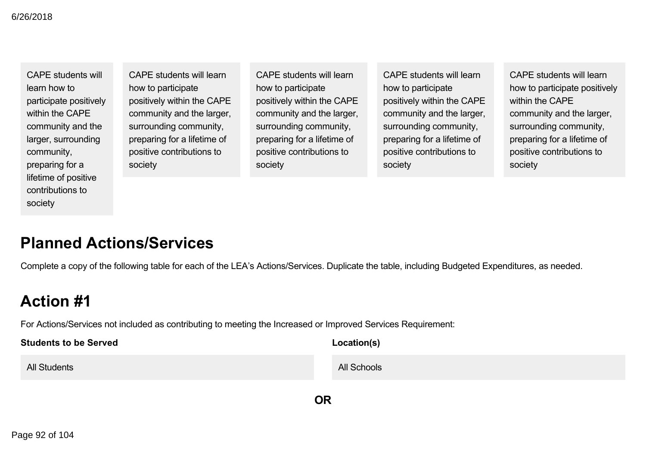CAPE students will learn how to participate positively within the CAPE community and the larger, surrounding community, preparing for a lifetime of positive contributions to society 6/26/2018<br>
CAPE students w<br>
learn how to<br>
participate positive<br>
within the CAPE<br>
community and the larger, surrounding<br>
community,<br>
preparing for a<br>
lifetime of positive<br>
contributions to<br>
society<br> **Planned A**<br>
Complete a

CAPE students will learn how to participate positively within the CAPE community and the larger, surrounding community, preparing for a lifetime of positive contributions to society

CAPE students will learn how to participate positively within the CAPE community and the larger, surrounding community, preparing for a lifetime of positive contributions to society

CAPE students will learn how to participate positively within the CAPE community and the larger, surrounding community, preparing for a lifetime of positive contributions to society

CAPE students will learn how to participate positively within the CAPE community and the larger, surrounding community, preparing for a lifetime of positive contributions to society

# **Planned Actions/Services**

Complete a copy of the following table for each of the LEA's Actions/Services. Duplicate the table, including Budgeted Expenditures, as needed.

# **Action #1**

For Actions/Services not included as contributing to meeting the Increased or Improved Services Requirement:

| <b>All Students</b><br>All Schools |  |
|------------------------------------|--|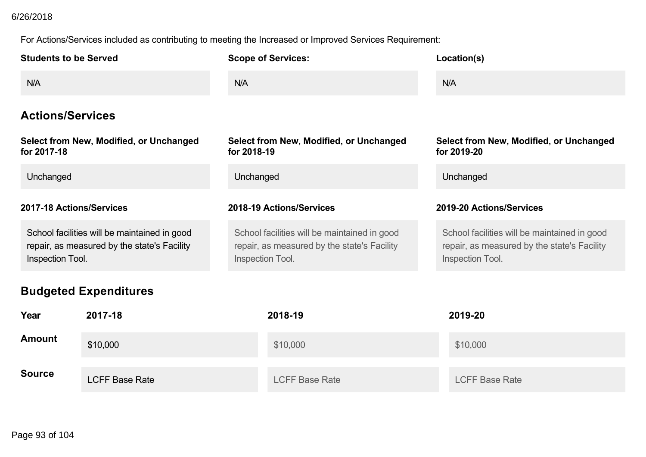| 6/26/2018<br><b>Students to be Served</b>                                                                                                   | For Actions/Services included as contributing to meeting the Increased or Improved Services Requirement:<br><b>Scope of Services:</b>       | Location(s)                                                                                                                                 |  |  |
|---------------------------------------------------------------------------------------------------------------------------------------------|---------------------------------------------------------------------------------------------------------------------------------------------|---------------------------------------------------------------------------------------------------------------------------------------------|--|--|
| N/A<br><b>Actions/Services</b>                                                                                                              | N/A                                                                                                                                         | N/A                                                                                                                                         |  |  |
| Select from New, Modified, or Unchanged<br>for 2017-18<br>Unchanged                                                                         | Select from New, Modified, or Unchanged<br>for 2018-19<br>Unchanged                                                                         | Select from New, Modified, or Unchanged<br>for 2019-20<br>Unchanged                                                                         |  |  |
| 2017-18 Actions/Services<br>School facilities will be maintained in good<br>repair, as measured by the state's Facility<br>Inspection Tool. | 2018-19 Actions/Services<br>School facilities will be maintained in good<br>repair, as measured by the state's Facility<br>Inspection Tool. | 2019-20 Actions/Services<br>School facilities will be maintained in good<br>repair, as measured by the state's Facility<br>Inspection Tool. |  |  |
| <b>Budgeted Expenditures</b><br>2017-18<br>Year                                                                                             | 2018-19                                                                                                                                     | 2019-20                                                                                                                                     |  |  |
| <b>Amount</b><br>\$10,000<br><b>Source</b><br>LCFF Base Rate                                                                                | \$10,000<br>LCFF Base Rate                                                                                                                  | \$10,000<br>LCFF Base Rate                                                                                                                  |  |  |
| Page 93 of 104                                                                                                                              |                                                                                                                                             |                                                                                                                                             |  |  |
|                                                                                                                                             |                                                                                                                                             |                                                                                                                                             |  |  |
|                                                                                                                                             |                                                                                                                                             |                                                                                                                                             |  |  |
|                                                                                                                                             |                                                                                                                                             |                                                                                                                                             |  |  |
|                                                                                                                                             |                                                                                                                                             |                                                                                                                                             |  |  |
|                                                                                                                                             |                                                                                                                                             |                                                                                                                                             |  |  |
|                                                                                                                                             |                                                                                                                                             |                                                                                                                                             |  |  |
|                                                                                                                                             |                                                                                                                                             |                                                                                                                                             |  |  |
|                                                                                                                                             |                                                                                                                                             |                                                                                                                                             |  |  |
|                                                                                                                                             |                                                                                                                                             |                                                                                                                                             |  |  |
|                                                                                                                                             |                                                                                                                                             |                                                                                                                                             |  |  |
|                                                                                                                                             |                                                                                                                                             |                                                                                                                                             |  |  |
|                                                                                                                                             |                                                                                                                                             |                                                                                                                                             |  |  |
|                                                                                                                                             |                                                                                                                                             |                                                                                                                                             |  |  |
|                                                                                                                                             |                                                                                                                                             |                                                                                                                                             |  |  |
|                                                                                                                                             |                                                                                                                                             |                                                                                                                                             |  |  |
|                                                                                                                                             |                                                                                                                                             |                                                                                                                                             |  |  |
|                                                                                                                                             |                                                                                                                                             |                                                                                                                                             |  |  |
|                                                                                                                                             |                                                                                                                                             |                                                                                                                                             |  |  |
|                                                                                                                                             |                                                                                                                                             |                                                                                                                                             |  |  |
|                                                                                                                                             |                                                                                                                                             |                                                                                                                                             |  |  |
|                                                                                                                                             |                                                                                                                                             |                                                                                                                                             |  |  |
|                                                                                                                                             |                                                                                                                                             |                                                                                                                                             |  |  |
|                                                                                                                                             |                                                                                                                                             |                                                                                                                                             |  |  |
|                                                                                                                                             |                                                                                                                                             |                                                                                                                                             |  |  |
|                                                                                                                                             |                                                                                                                                             |                                                                                                                                             |  |  |
|                                                                                                                                             |                                                                                                                                             |                                                                                                                                             |  |  |
|                                                                                                                                             |                                                                                                                                             |                                                                                                                                             |  |  |
|                                                                                                                                             |                                                                                                                                             |                                                                                                                                             |  |  |
|                                                                                                                                             |                                                                                                                                             |                                                                                                                                             |  |  |
|                                                                                                                                             |                                                                                                                                             |                                                                                                                                             |  |  |
|                                                                                                                                             |                                                                                                                                             |                                                                                                                                             |  |  |
|                                                                                                                                             |                                                                                                                                             |                                                                                                                                             |  |  |
|                                                                                                                                             |                                                                                                                                             |                                                                                                                                             |  |  |
|                                                                                                                                             |                                                                                                                                             |                                                                                                                                             |  |  |
|                                                                                                                                             |                                                                                                                                             |                                                                                                                                             |  |  |
|                                                                                                                                             |                                                                                                                                             |                                                                                                                                             |  |  |
|                                                                                                                                             |                                                                                                                                             |                                                                                                                                             |  |  |
|                                                                                                                                             |                                                                                                                                             |                                                                                                                                             |  |  |
|                                                                                                                                             |                                                                                                                                             |                                                                                                                                             |  |  |
|                                                                                                                                             |                                                                                                                                             |                                                                                                                                             |  |  |
|                                                                                                                                             |                                                                                                                                             |                                                                                                                                             |  |  |
|                                                                                                                                             |                                                                                                                                             |                                                                                                                                             |  |  |
|                                                                                                                                             |                                                                                                                                             |                                                                                                                                             |  |  |
|                                                                                                                                             |                                                                                                                                             |                                                                                                                                             |  |  |
|                                                                                                                                             |                                                                                                                                             |                                                                                                                                             |  |  |
|                                                                                                                                             |                                                                                                                                             |                                                                                                                                             |  |  |
|                                                                                                                                             |                                                                                                                                             |                                                                                                                                             |  |  |
|                                                                                                                                             |                                                                                                                                             |                                                                                                                                             |  |  |
|                                                                                                                                             |                                                                                                                                             |                                                                                                                                             |  |  |
|                                                                                                                                             |                                                                                                                                             |                                                                                                                                             |  |  |
|                                                                                                                                             |                                                                                                                                             |                                                                                                                                             |  |  |
|                                                                                                                                             |                                                                                                                                             |                                                                                                                                             |  |  |
|                                                                                                                                             |                                                                                                                                             |                                                                                                                                             |  |  |
|                                                                                                                                             |                                                                                                                                             |                                                                                                                                             |  |  |
|                                                                                                                                             |                                                                                                                                             |                                                                                                                                             |  |  |
|                                                                                                                                             |                                                                                                                                             |                                                                                                                                             |  |  |
|                                                                                                                                             |                                                                                                                                             |                                                                                                                                             |  |  |
|                                                                                                                                             |                                                                                                                                             |                                                                                                                                             |  |  |
|                                                                                                                                             |                                                                                                                                             |                                                                                                                                             |  |  |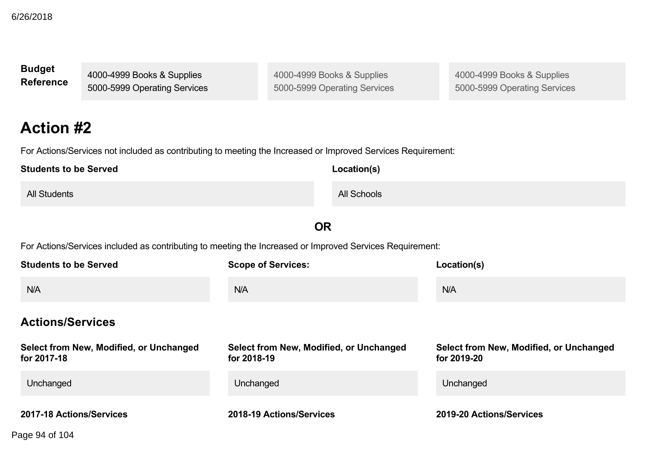| 6/26/2018                                                                                       |                                                                                                                                              |                                                            |
|-------------------------------------------------------------------------------------------------|----------------------------------------------------------------------------------------------------------------------------------------------|------------------------------------------------------------|
| <b>Budget</b><br>4000-4999 Books & Supplies<br><b>Reference</b><br>5000-5999 Operating Services | 4000-4999 Books & Supplies<br>5000-5999 Operating Services                                                                                   | 4000-4999 Books & Supplies<br>5000-5999 Operating Services |
| <b>Action #2</b><br><b>Students to be Served</b>                                                | For Actions/Services not included as contributing to meeting the Increased or Improved Services Requirement:<br>Location(s)                  |                                                            |
| <b>All Students</b>                                                                             | All Schools<br><b>OR</b>                                                                                                                     |                                                            |
| <b>Students to be Served</b><br>N/A                                                             | For Actions/Services included as contributing to meeting the Increased or Improved Services Requirement:<br><b>Scope of Services:</b><br>N/A | Location(s)<br>N/A                                         |
| <b>Actions/Services</b><br>Select from New, Modified, or Unchanged<br>for 2017-18               | Select from New, Modified, or Unchanged<br>for 2018-19                                                                                       | Select from New, Modified, or Unchanged<br>for 2019-20     |
| Unchanged<br>2017-18 Actions/Services                                                           | Unchanged<br>2018-19 Actions/Services                                                                                                        | Unchanged<br>2019-20 Actions/Services                      |
| Page 94 of 104                                                                                  |                                                                                                                                              |                                                            |
|                                                                                                 |                                                                                                                                              |                                                            |
|                                                                                                 |                                                                                                                                              |                                                            |
|                                                                                                 |                                                                                                                                              |                                                            |
|                                                                                                 |                                                                                                                                              |                                                            |
|                                                                                                 |                                                                                                                                              |                                                            |
|                                                                                                 |                                                                                                                                              |                                                            |
|                                                                                                 |                                                                                                                                              |                                                            |
|                                                                                                 |                                                                                                                                              |                                                            |
|                                                                                                 |                                                                                                                                              |                                                            |
|                                                                                                 |                                                                                                                                              |                                                            |
|                                                                                                 |                                                                                                                                              |                                                            |
|                                                                                                 |                                                                                                                                              |                                                            |
|                                                                                                 |                                                                                                                                              |                                                            |
|                                                                                                 |                                                                                                                                              |                                                            |
|                                                                                                 |                                                                                                                                              |                                                            |
|                                                                                                 |                                                                                                                                              |                                                            |
|                                                                                                 |                                                                                                                                              |                                                            |
|                                                                                                 |                                                                                                                                              |                                                            |
|                                                                                                 |                                                                                                                                              |                                                            |
|                                                                                                 |                                                                                                                                              |                                                            |
|                                                                                                 |                                                                                                                                              |                                                            |
|                                                                                                 |                                                                                                                                              |                                                            |
|                                                                                                 |                                                                                                                                              |                                                            |
|                                                                                                 |                                                                                                                                              |                                                            |
|                                                                                                 |                                                                                                                                              |                                                            |
|                                                                                                 |                                                                                                                                              |                                                            |
|                                                                                                 |                                                                                                                                              |                                                            |
|                                                                                                 |                                                                                                                                              |                                                            |
|                                                                                                 |                                                                                                                                              |                                                            |
|                                                                                                 |                                                                                                                                              |                                                            |
|                                                                                                 |                                                                                                                                              |                                                            |
|                                                                                                 |                                                                                                                                              |                                                            |
|                                                                                                 |                                                                                                                                              |                                                            |
|                                                                                                 |                                                                                                                                              |                                                            |
|                                                                                                 |                                                                                                                                              |                                                            |
|                                                                                                 |                                                                                                                                              |                                                            |
|                                                                                                 |                                                                                                                                              |                                                            |
|                                                                                                 |                                                                                                                                              |                                                            |
|                                                                                                 |                                                                                                                                              |                                                            |
|                                                                                                 |                                                                                                                                              |                                                            |
|                                                                                                 |                                                                                                                                              |                                                            |
|                                                                                                 |                                                                                                                                              |                                                            |
|                                                                                                 |                                                                                                                                              |                                                            |
|                                                                                                 |                                                                                                                                              |                                                            |
|                                                                                                 |                                                                                                                                              |                                                            |
|                                                                                                 |                                                                                                                                              |                                                            |
|                                                                                                 |                                                                                                                                              |                                                            |
|                                                                                                 |                                                                                                                                              |                                                            |
|                                                                                                 |                                                                                                                                              |                                                            |
|                                                                                                 |                                                                                                                                              |                                                            |
|                                                                                                 |                                                                                                                                              |                                                            |
|                                                                                                 |                                                                                                                                              |                                                            |
|                                                                                                 |                                                                                                                                              |                                                            |
|                                                                                                 |                                                                                                                                              |                                                            |
|                                                                                                 |                                                                                                                                              |                                                            |
|                                                                                                 |                                                                                                                                              |                                                            |
|                                                                                                 |                                                                                                                                              |                                                            |
|                                                                                                 |                                                                                                                                              |                                                            |
|                                                                                                 |                                                                                                                                              |                                                            |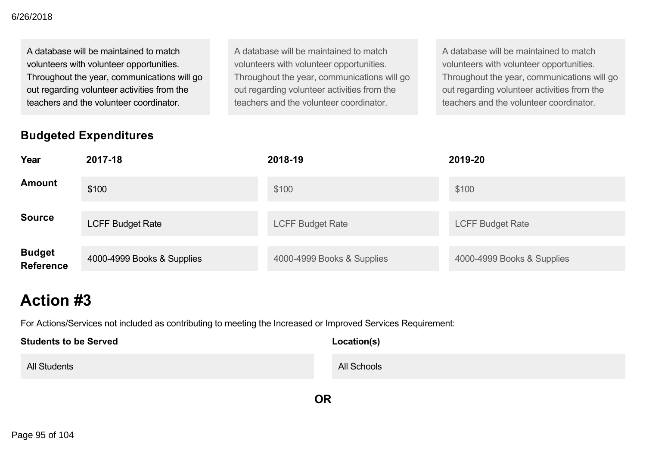## **Budgeted Expenditures**

| 6/26/2018<br>A database will be maintained to match<br>volunteers with volunteer opportunities.<br>Throughout the year, communications will go<br>out regarding volunteer activities from the<br>teachers and the volunteer coordinator. |                                         | A database will be maintained to match<br>volunteers with volunteer opportunities.<br>Throughout the year, communications will go<br>out regarding volunteer activities from the<br>teachers and the volunteer coordinator. | A database will be maintained to match<br>volunteers with volunteer opportunities.<br>Throughout the year, communications will go<br>out regarding volunteer activities from the<br>teachers and the volunteer coordinator. |  |  |
|------------------------------------------------------------------------------------------------------------------------------------------------------------------------------------------------------------------------------------------|-----------------------------------------|-----------------------------------------------------------------------------------------------------------------------------------------------------------------------------------------------------------------------------|-----------------------------------------------------------------------------------------------------------------------------------------------------------------------------------------------------------------------------|--|--|
| Year                                                                                                                                                                                                                                     | <b>Budgeted Expenditures</b><br>2017-18 | 2018-19                                                                                                                                                                                                                     | 2019-20                                                                                                                                                                                                                     |  |  |
| <b>Amount</b><br><b>Source</b>                                                                                                                                                                                                           | \$100<br>LCFF Budget Rate               | \$100<br>LCFF Budget Rate                                                                                                                                                                                                   | \$100<br>LCFF Budget Rate                                                                                                                                                                                                   |  |  |
| <b>Budget</b><br><b>Reference</b>                                                                                                                                                                                                        | 4000-4999 Books & Supplies              | 4000-4999 Books & Supplies                                                                                                                                                                                                  | 4000-4999 Books & Supplies                                                                                                                                                                                                  |  |  |
| <b>Action #3</b><br><b>All Students</b>                                                                                                                                                                                                  | <b>Students to be Served</b>            | For Actions/Services not included as contributing to meeting the Increased or Improved Services Requirement:<br>Location(s)<br><b>Contract</b><br>All Schools                                                               |                                                                                                                                                                                                                             |  |  |
| Page 95 of 104                                                                                                                                                                                                                           |                                         | OR                                                                                                                                                                                                                          |                                                                                                                                                                                                                             |  |  |
|                                                                                                                                                                                                                                          |                                         |                                                                                                                                                                                                                             |                                                                                                                                                                                                                             |  |  |
|                                                                                                                                                                                                                                          |                                         |                                                                                                                                                                                                                             |                                                                                                                                                                                                                             |  |  |
|                                                                                                                                                                                                                                          |                                         |                                                                                                                                                                                                                             |                                                                                                                                                                                                                             |  |  |
|                                                                                                                                                                                                                                          |                                         |                                                                                                                                                                                                                             |                                                                                                                                                                                                                             |  |  |
|                                                                                                                                                                                                                                          |                                         |                                                                                                                                                                                                                             |                                                                                                                                                                                                                             |  |  |
|                                                                                                                                                                                                                                          |                                         |                                                                                                                                                                                                                             |                                                                                                                                                                                                                             |  |  |
|                                                                                                                                                                                                                                          |                                         |                                                                                                                                                                                                                             |                                                                                                                                                                                                                             |  |  |
|                                                                                                                                                                                                                                          |                                         |                                                                                                                                                                                                                             |                                                                                                                                                                                                                             |  |  |
|                                                                                                                                                                                                                                          |                                         |                                                                                                                                                                                                                             |                                                                                                                                                                                                                             |  |  |
|                                                                                                                                                                                                                                          |                                         |                                                                                                                                                                                                                             |                                                                                                                                                                                                                             |  |  |
|                                                                                                                                                                                                                                          |                                         |                                                                                                                                                                                                                             |                                                                                                                                                                                                                             |  |  |
|                                                                                                                                                                                                                                          |                                         |                                                                                                                                                                                                                             |                                                                                                                                                                                                                             |  |  |
|                                                                                                                                                                                                                                          |                                         |                                                                                                                                                                                                                             |                                                                                                                                                                                                                             |  |  |
|                                                                                                                                                                                                                                          |                                         |                                                                                                                                                                                                                             |                                                                                                                                                                                                                             |  |  |
|                                                                                                                                                                                                                                          |                                         |                                                                                                                                                                                                                             |                                                                                                                                                                                                                             |  |  |
|                                                                                                                                                                                                                                          |                                         |                                                                                                                                                                                                                             |                                                                                                                                                                                                                             |  |  |
|                                                                                                                                                                                                                                          |                                         |                                                                                                                                                                                                                             |                                                                                                                                                                                                                             |  |  |
|                                                                                                                                                                                                                                          |                                         |                                                                                                                                                                                                                             |                                                                                                                                                                                                                             |  |  |
|                                                                                                                                                                                                                                          |                                         |                                                                                                                                                                                                                             |                                                                                                                                                                                                                             |  |  |
|                                                                                                                                                                                                                                          |                                         |                                                                                                                                                                                                                             |                                                                                                                                                                                                                             |  |  |
|                                                                                                                                                                                                                                          |                                         |                                                                                                                                                                                                                             |                                                                                                                                                                                                                             |  |  |
|                                                                                                                                                                                                                                          |                                         |                                                                                                                                                                                                                             |                                                                                                                                                                                                                             |  |  |
|                                                                                                                                                                                                                                          |                                         |                                                                                                                                                                                                                             |                                                                                                                                                                                                                             |  |  |
|                                                                                                                                                                                                                                          |                                         |                                                                                                                                                                                                                             |                                                                                                                                                                                                                             |  |  |
|                                                                                                                                                                                                                                          |                                         |                                                                                                                                                                                                                             |                                                                                                                                                                                                                             |  |  |
|                                                                                                                                                                                                                                          |                                         |                                                                                                                                                                                                                             |                                                                                                                                                                                                                             |  |  |
|                                                                                                                                                                                                                                          |                                         |                                                                                                                                                                                                                             |                                                                                                                                                                                                                             |  |  |
|                                                                                                                                                                                                                                          |                                         |                                                                                                                                                                                                                             |                                                                                                                                                                                                                             |  |  |
|                                                                                                                                                                                                                                          |                                         |                                                                                                                                                                                                                             |                                                                                                                                                                                                                             |  |  |
|                                                                                                                                                                                                                                          |                                         |                                                                                                                                                                                                                             |                                                                                                                                                                                                                             |  |  |
|                                                                                                                                                                                                                                          |                                         |                                                                                                                                                                                                                             |                                                                                                                                                                                                                             |  |  |
|                                                                                                                                                                                                                                          |                                         |                                                                                                                                                                                                                             |                                                                                                                                                                                                                             |  |  |
|                                                                                                                                                                                                                                          |                                         |                                                                                                                                                                                                                             |                                                                                                                                                                                                                             |  |  |
|                                                                                                                                                                                                                                          |                                         |                                                                                                                                                                                                                             |                                                                                                                                                                                                                             |  |  |
|                                                                                                                                                                                                                                          |                                         |                                                                                                                                                                                                                             |                                                                                                                                                                                                                             |  |  |
|                                                                                                                                                                                                                                          |                                         |                                                                                                                                                                                                                             |                                                                                                                                                                                                                             |  |  |
|                                                                                                                                                                                                                                          |                                         |                                                                                                                                                                                                                             |                                                                                                                                                                                                                             |  |  |
|                                                                                                                                                                                                                                          |                                         |                                                                                                                                                                                                                             |                                                                                                                                                                                                                             |  |  |
|                                                                                                                                                                                                                                          |                                         |                                                                                                                                                                                                                             |                                                                                                                                                                                                                             |  |  |
|                                                                                                                                                                                                                                          |                                         |                                                                                                                                                                                                                             |                                                                                                                                                                                                                             |  |  |
|                                                                                                                                                                                                                                          |                                         |                                                                                                                                                                                                                             |                                                                                                                                                                                                                             |  |  |
|                                                                                                                                                                                                                                          |                                         |                                                                                                                                                                                                                             |                                                                                                                                                                                                                             |  |  |
|                                                                                                                                                                                                                                          |                                         |                                                                                                                                                                                                                             |                                                                                                                                                                                                                             |  |  |
|                                                                                                                                                                                                                                          |                                         |                                                                                                                                                                                                                             |                                                                                                                                                                                                                             |  |  |
|                                                                                                                                                                                                                                          |                                         |                                                                                                                                                                                                                             |                                                                                                                                                                                                                             |  |  |
|                                                                                                                                                                                                                                          |                                         |                                                                                                                                                                                                                             |                                                                                                                                                                                                                             |  |  |
|                                                                                                                                                                                                                                          |                                         |                                                                                                                                                                                                                             |                                                                                                                                                                                                                             |  |  |
|                                                                                                                                                                                                                                          |                                         |                                                                                                                                                                                                                             |                                                                                                                                                                                                                             |  |  |
|                                                                                                                                                                                                                                          |                                         |                                                                                                                                                                                                                             |                                                                                                                                                                                                                             |  |  |
|                                                                                                                                                                                                                                          |                                         |                                                                                                                                                                                                                             |                                                                                                                                                                                                                             |  |  |
|                                                                                                                                                                                                                                          |                                         |                                                                                                                                                                                                                             |                                                                                                                                                                                                                             |  |  |
|                                                                                                                                                                                                                                          |                                         |                                                                                                                                                                                                                             |                                                                                                                                                                                                                             |  |  |

# **Action #3**

| <b>Students to be Served</b> | Location(s) |
|------------------------------|-------------|
| <b>All Students</b>          | All Schools |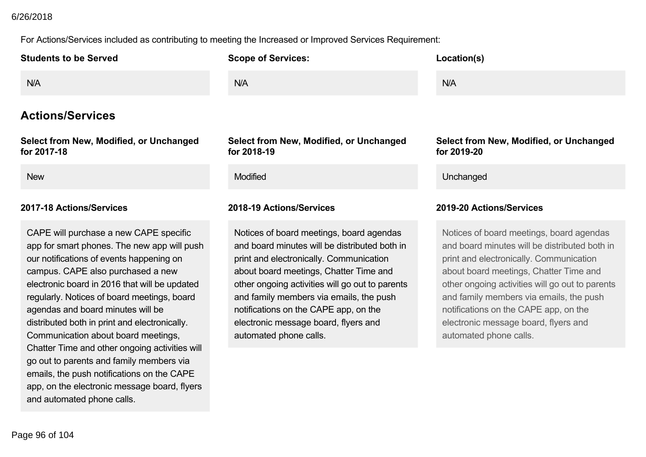| 6/26/2018<br><b>Students to be Served</b>                                                                                                                                   | For Actions/Services included as contributing to meeting the Increased or Improved Services Requirement:<br><b>Scope of Services:</b> | Location(s)                                                                                                                          |
|-----------------------------------------------------------------------------------------------------------------------------------------------------------------------------|---------------------------------------------------------------------------------------------------------------------------------------|--------------------------------------------------------------------------------------------------------------------------------------|
| N/A                                                                                                                                                                         | N/A                                                                                                                                   | N/A                                                                                                                                  |
| <b>Actions/Services</b><br>Select from New, Modified, or Unchanged<br>for 2017-18                                                                                           | Select from New, Modified, or Unchanged<br>for 2018-19                                                                                | Select from New, Modified, or Unchanged<br>for 2019-20                                                                               |
| <b>New</b><br>2017-18 Actions/Services                                                                                                                                      | Modified<br>2018-19 Actions/Services                                                                                                  | Unchanged<br>2019-20 Actions/Services                                                                                                |
| CAPE will purchase a new CAPE specific<br>app for smart phones. The new app will push<br>our notifications of events happening on                                           | Notices of board meetings, board agendas<br>and board minutes will be distributed both in<br>print and electronically. Communication  | Notices of board meetings, board agendas<br>and board minutes will be distributed both in<br>print and electronically. Communication |
| campus. CAPE also purchased a new<br>electronic board in 2016 that will be updated<br>regularly. Notices of board meetings, board                                           | about board meetings, Chatter Time and<br>other ongoing activities will go out to parents<br>and family members via emails, the push  | about board meetings, Chatter Time and<br>other ongoing activities will go out to parents<br>and family members via emails, the push |
| agendas and board minutes will be<br>distributed both in print and electronically.<br>Communication about board meetings,<br>Chatter Time and other ongoing activities will | notifications on the CAPE app, on the<br>electronic message board, flyers and<br>automated phone calls.                               | notifications on the CAPE app, on the<br>electronic message board, flyers and<br>automated phone calls.                              |
| go out to parents and family members via<br>emails, the push notifications on the CAPE<br>app, on the electronic message board, flyers<br>and automated phone calls.        |                                                                                                                                       |                                                                                                                                      |
| Page 96 of 104                                                                                                                                                              |                                                                                                                                       |                                                                                                                                      |
|                                                                                                                                                                             |                                                                                                                                       |                                                                                                                                      |
|                                                                                                                                                                             |                                                                                                                                       |                                                                                                                                      |
|                                                                                                                                                                             |                                                                                                                                       |                                                                                                                                      |
|                                                                                                                                                                             |                                                                                                                                       |                                                                                                                                      |
|                                                                                                                                                                             |                                                                                                                                       |                                                                                                                                      |
|                                                                                                                                                                             |                                                                                                                                       |                                                                                                                                      |
|                                                                                                                                                                             |                                                                                                                                       |                                                                                                                                      |
|                                                                                                                                                                             |                                                                                                                                       |                                                                                                                                      |
|                                                                                                                                                                             |                                                                                                                                       |                                                                                                                                      |
|                                                                                                                                                                             |                                                                                                                                       |                                                                                                                                      |
|                                                                                                                                                                             |                                                                                                                                       |                                                                                                                                      |
|                                                                                                                                                                             |                                                                                                                                       |                                                                                                                                      |
|                                                                                                                                                                             |                                                                                                                                       |                                                                                                                                      |
|                                                                                                                                                                             |                                                                                                                                       |                                                                                                                                      |
|                                                                                                                                                                             |                                                                                                                                       |                                                                                                                                      |
|                                                                                                                                                                             |                                                                                                                                       |                                                                                                                                      |
|                                                                                                                                                                             |                                                                                                                                       |                                                                                                                                      |
|                                                                                                                                                                             |                                                                                                                                       |                                                                                                                                      |
|                                                                                                                                                                             |                                                                                                                                       |                                                                                                                                      |
|                                                                                                                                                                             |                                                                                                                                       |                                                                                                                                      |
|                                                                                                                                                                             |                                                                                                                                       |                                                                                                                                      |
|                                                                                                                                                                             |                                                                                                                                       |                                                                                                                                      |
|                                                                                                                                                                             |                                                                                                                                       |                                                                                                                                      |
|                                                                                                                                                                             |                                                                                                                                       |                                                                                                                                      |
|                                                                                                                                                                             |                                                                                                                                       |                                                                                                                                      |
|                                                                                                                                                                             |                                                                                                                                       |                                                                                                                                      |
|                                                                                                                                                                             |                                                                                                                                       |                                                                                                                                      |
|                                                                                                                                                                             |                                                                                                                                       |                                                                                                                                      |
|                                                                                                                                                                             |                                                                                                                                       |                                                                                                                                      |
|                                                                                                                                                                             |                                                                                                                                       |                                                                                                                                      |
|                                                                                                                                                                             |                                                                                                                                       |                                                                                                                                      |
|                                                                                                                                                                             |                                                                                                                                       |                                                                                                                                      |
|                                                                                                                                                                             |                                                                                                                                       |                                                                                                                                      |
|                                                                                                                                                                             |                                                                                                                                       |                                                                                                                                      |
|                                                                                                                                                                             |                                                                                                                                       |                                                                                                                                      |
|                                                                                                                                                                             |                                                                                                                                       |                                                                                                                                      |
|                                                                                                                                                                             |                                                                                                                                       |                                                                                                                                      |
|                                                                                                                                                                             |                                                                                                                                       |                                                                                                                                      |
|                                                                                                                                                                             |                                                                                                                                       |                                                                                                                                      |
|                                                                                                                                                                             |                                                                                                                                       |                                                                                                                                      |
|                                                                                                                                                                             |                                                                                                                                       |                                                                                                                                      |
|                                                                                                                                                                             |                                                                                                                                       |                                                                                                                                      |
|                                                                                                                                                                             |                                                                                                                                       |                                                                                                                                      |
|                                                                                                                                                                             |                                                                                                                                       |                                                                                                                                      |
|                                                                                                                                                                             |                                                                                                                                       |                                                                                                                                      |
|                                                                                                                                                                             |                                                                                                                                       |                                                                                                                                      |
|                                                                                                                                                                             |                                                                                                                                       |                                                                                                                                      |
|                                                                                                                                                                             |                                                                                                                                       |                                                                                                                                      |
|                                                                                                                                                                             |                                                                                                                                       |                                                                                                                                      |
|                                                                                                                                                                             |                                                                                                                                       |                                                                                                                                      |
|                                                                                                                                                                             |                                                                                                                                       |                                                                                                                                      |
|                                                                                                                                                                             |                                                                                                                                       |                                                                                                                                      |
|                                                                                                                                                                             |                                                                                                                                       |                                                                                                                                      |
|                                                                                                                                                                             |                                                                                                                                       |                                                                                                                                      |
|                                                                                                                                                                             |                                                                                                                                       |                                                                                                                                      |
|                                                                                                                                                                             |                                                                                                                                       |                                                                                                                                      |
|                                                                                                                                                                             |                                                                                                                                       |                                                                                                                                      |
|                                                                                                                                                                             |                                                                                                                                       |                                                                                                                                      |
|                                                                                                                                                                             |                                                                                                                                       |                                                                                                                                      |
|                                                                                                                                                                             |                                                                                                                                       |                                                                                                                                      |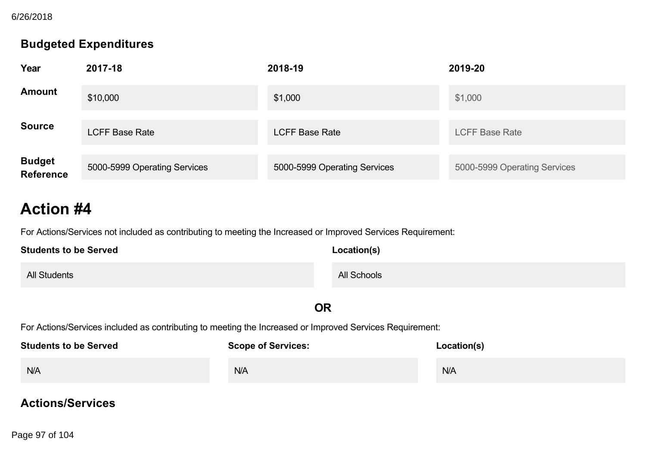## **Budgeted Expenditures**

| 6/26/2018                                                               | <b>Budgeted Expenditures</b> |                                                                                                                                             |                                  |  |  |
|-------------------------------------------------------------------------|------------------------------|---------------------------------------------------------------------------------------------------------------------------------------------|----------------------------------|--|--|
| Year<br><b>Amount</b>                                                   | 2017-18                      | 2018-19                                                                                                                                     | 2019-20                          |  |  |
| <b>Source</b>                                                           | \$10,000<br>LCFF Base Rate   | \$1,000<br><b>LCFF Base Rate</b>                                                                                                            | \$1,000<br><b>LCFF Base Rate</b> |  |  |
| <b>Budget</b><br><b>Reference</b>                                       | 5000-5999 Operating Services | 5000-5999 Operating Services                                                                                                                | 5000-5999 Operating Services     |  |  |
| <b>Action #4</b><br><b>Students to be Served</b><br><b>All Students</b> |                              | For Actions/Services not included as contributing to meeting the Increased or Improved Services Requirement:<br>Location(s)<br>All Schools  |                                  |  |  |
| <b>Students to be Served</b>                                            |                              | OR<br>For Actions/Services included as contributing to meeting the Increased or Improved Services Requirement:<br><b>Scope of Services:</b> | Location(s)                      |  |  |
| N/A<br><b>Actions/Services</b>                                          | N/A                          |                                                                                                                                             | N/A                              |  |  |
| Page 97 of 104                                                          |                              |                                                                                                                                             |                                  |  |  |
|                                                                         |                              |                                                                                                                                             |                                  |  |  |
|                                                                         |                              |                                                                                                                                             |                                  |  |  |
|                                                                         |                              |                                                                                                                                             |                                  |  |  |
|                                                                         |                              |                                                                                                                                             |                                  |  |  |
|                                                                         |                              |                                                                                                                                             |                                  |  |  |
|                                                                         |                              |                                                                                                                                             |                                  |  |  |
|                                                                         |                              |                                                                                                                                             |                                  |  |  |
|                                                                         |                              |                                                                                                                                             |                                  |  |  |
|                                                                         |                              |                                                                                                                                             |                                  |  |  |
|                                                                         |                              |                                                                                                                                             |                                  |  |  |
|                                                                         |                              |                                                                                                                                             |                                  |  |  |
|                                                                         |                              |                                                                                                                                             |                                  |  |  |
|                                                                         |                              |                                                                                                                                             |                                  |  |  |
|                                                                         |                              |                                                                                                                                             |                                  |  |  |
|                                                                         |                              |                                                                                                                                             |                                  |  |  |
|                                                                         |                              |                                                                                                                                             |                                  |  |  |
|                                                                         |                              |                                                                                                                                             |                                  |  |  |
|                                                                         |                              |                                                                                                                                             |                                  |  |  |
|                                                                         |                              |                                                                                                                                             |                                  |  |  |
|                                                                         |                              |                                                                                                                                             |                                  |  |  |
|                                                                         |                              |                                                                                                                                             |                                  |  |  |
|                                                                         |                              |                                                                                                                                             |                                  |  |  |
|                                                                         |                              |                                                                                                                                             |                                  |  |  |
|                                                                         |                              |                                                                                                                                             |                                  |  |  |
|                                                                         |                              |                                                                                                                                             |                                  |  |  |
|                                                                         |                              |                                                                                                                                             |                                  |  |  |
|                                                                         |                              |                                                                                                                                             |                                  |  |  |
|                                                                         |                              |                                                                                                                                             |                                  |  |  |
|                                                                         |                              |                                                                                                                                             |                                  |  |  |
|                                                                         |                              |                                                                                                                                             |                                  |  |  |
|                                                                         |                              |                                                                                                                                             |                                  |  |  |
|                                                                         |                              |                                                                                                                                             |                                  |  |  |
|                                                                         |                              |                                                                                                                                             |                                  |  |  |
|                                                                         |                              |                                                                                                                                             |                                  |  |  |
|                                                                         |                              |                                                                                                                                             |                                  |  |  |
|                                                                         |                              |                                                                                                                                             |                                  |  |  |
|                                                                         |                              |                                                                                                                                             |                                  |  |  |
|                                                                         |                              |                                                                                                                                             |                                  |  |  |
|                                                                         |                              |                                                                                                                                             |                                  |  |  |
|                                                                         |                              |                                                                                                                                             |                                  |  |  |
|                                                                         |                              |                                                                                                                                             |                                  |  |  |
|                                                                         |                              |                                                                                                                                             |                                  |  |  |
|                                                                         |                              |                                                                                                                                             |                                  |  |  |
|                                                                         |                              |                                                                                                                                             |                                  |  |  |
|                                                                         |                              |                                                                                                                                             |                                  |  |  |
|                                                                         |                              |                                                                                                                                             |                                  |  |  |
|                                                                         |                              |                                                                                                                                             |                                  |  |  |
|                                                                         |                              |                                                                                                                                             |                                  |  |  |
|                                                                         |                              |                                                                                                                                             |                                  |  |  |
|                                                                         |                              |                                                                                                                                             |                                  |  |  |
|                                                                         |                              |                                                                                                                                             |                                  |  |  |
|                                                                         |                              |                                                                                                                                             |                                  |  |  |

# **Action #4**

| <b>Students to be Served</b> | Location(s) |
|------------------------------|-------------|
| <b>All Students</b>          | All Schools |

#### **OR**

| <b>Students to be Served</b> | <b>Scope of Services:</b> | Location(s) |
|------------------------------|---------------------------|-------------|
| N/A                          | N/A                       | N/A         |

## **Actions/Services**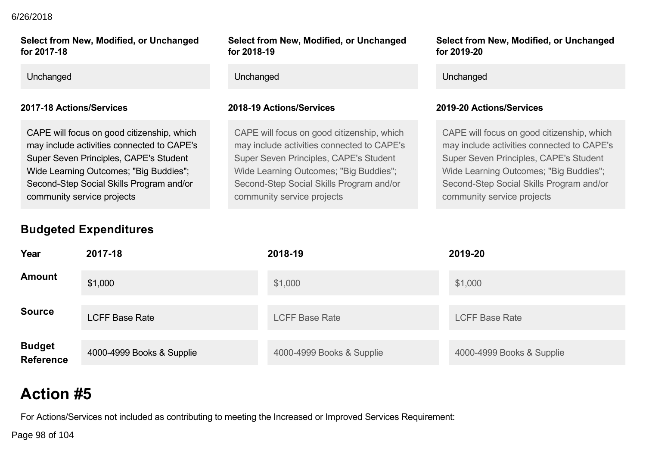#### **Actions/Services**

# **Budgeted Expenditures**

#### **201718 Actions/Services 201819 Actions/Services 201920 Actions/Services**

| 6/26/2018<br>Select from New, Modified, or Unchanged |                                                                                                              |                          | Select from New, Modified, or Unchanged                                                  | Select from New, Modified, or Unchanged                                                  |  |  |
|------------------------------------------------------|--------------------------------------------------------------------------------------------------------------|--------------------------|------------------------------------------------------------------------------------------|------------------------------------------------------------------------------------------|--|--|
| for 2017-18<br>Unchanged                             |                                                                                                              | for 2018-19<br>Unchanged |                                                                                          | for 2019-20<br>Unchanged                                                                 |  |  |
| 2017-18 Actions/Services                             |                                                                                                              |                          | 2018-19 Actions/Services                                                                 | 2019-20 Actions/Services                                                                 |  |  |
|                                                      | CAPE will focus on good citizenship, which<br>may include activities connected to CAPE's                     |                          | CAPE will focus on good citizenship, which<br>may include activities connected to CAPE's | CAPE will focus on good citizenship, which<br>may include activities connected to CAPE's |  |  |
|                                                      | Super Seven Principles, CAPE's Student<br>Wide Learning Outcomes; "Big Buddies";                             |                          | Super Seven Principles, CAPE's Student<br>Wide Learning Outcomes; "Big Buddies";         | Super Seven Principles, CAPE's Student<br>Wide Learning Outcomes; "Big Buddies";         |  |  |
|                                                      | Second-Step Social Skills Program and/or<br>community service projects                                       |                          | Second-Step Social Skills Program and/or<br>community service projects                   | Second-Step Social Skills Program and/or<br>community service projects                   |  |  |
|                                                      | <b>Budgeted Expenditures</b>                                                                                 |                          |                                                                                          |                                                                                          |  |  |
| Year                                                 | 2017-18                                                                                                      |                          | 2018-19                                                                                  | 2019-20                                                                                  |  |  |
| <b>Amount</b>                                        | \$1,000                                                                                                      |                          | \$1,000                                                                                  | \$1,000                                                                                  |  |  |
| <b>Source</b>                                        | LCFF Base Rate                                                                                               |                          | <b>LCFF Base Rate</b>                                                                    | <b>LCFF Base Rate</b>                                                                    |  |  |
| <b>Budget</b><br><b>Reference</b>                    | 4000-4999 Books & Supplie                                                                                    |                          | 4000-4999 Books & Supplie                                                                | 4000-4999 Books & Supplie                                                                |  |  |
| <b>Action #5</b>                                     |                                                                                                              |                          |                                                                                          |                                                                                          |  |  |
| Page 98 of 104                                       | For Actions/Services not included as contributing to meeting the Increased or Improved Services Requirement: |                          |                                                                                          |                                                                                          |  |  |
|                                                      |                                                                                                              |                          |                                                                                          |                                                                                          |  |  |
|                                                      |                                                                                                              |                          |                                                                                          |                                                                                          |  |  |
|                                                      |                                                                                                              |                          |                                                                                          |                                                                                          |  |  |
|                                                      |                                                                                                              |                          |                                                                                          |                                                                                          |  |  |
|                                                      |                                                                                                              |                          |                                                                                          |                                                                                          |  |  |
|                                                      |                                                                                                              |                          |                                                                                          |                                                                                          |  |  |
|                                                      |                                                                                                              |                          |                                                                                          |                                                                                          |  |  |
|                                                      |                                                                                                              |                          |                                                                                          |                                                                                          |  |  |
|                                                      |                                                                                                              |                          |                                                                                          |                                                                                          |  |  |
|                                                      |                                                                                                              |                          |                                                                                          |                                                                                          |  |  |
|                                                      |                                                                                                              |                          |                                                                                          |                                                                                          |  |  |
|                                                      |                                                                                                              |                          |                                                                                          |                                                                                          |  |  |
|                                                      |                                                                                                              |                          |                                                                                          |                                                                                          |  |  |
|                                                      |                                                                                                              |                          |                                                                                          |                                                                                          |  |  |
|                                                      |                                                                                                              |                          |                                                                                          |                                                                                          |  |  |
|                                                      |                                                                                                              |                          |                                                                                          |                                                                                          |  |  |
|                                                      |                                                                                                              |                          |                                                                                          |                                                                                          |  |  |
|                                                      |                                                                                                              |                          |                                                                                          |                                                                                          |  |  |
|                                                      |                                                                                                              |                          |                                                                                          |                                                                                          |  |  |
|                                                      |                                                                                                              |                          |                                                                                          |                                                                                          |  |  |
|                                                      |                                                                                                              |                          |                                                                                          |                                                                                          |  |  |
|                                                      |                                                                                                              |                          |                                                                                          |                                                                                          |  |  |
|                                                      |                                                                                                              |                          |                                                                                          |                                                                                          |  |  |
|                                                      |                                                                                                              |                          |                                                                                          |                                                                                          |  |  |
|                                                      |                                                                                                              |                          |                                                                                          |                                                                                          |  |  |
|                                                      |                                                                                                              |                          |                                                                                          |                                                                                          |  |  |
|                                                      |                                                                                                              |                          |                                                                                          |                                                                                          |  |  |
|                                                      |                                                                                                              |                          |                                                                                          |                                                                                          |  |  |
|                                                      |                                                                                                              |                          |                                                                                          |                                                                                          |  |  |
|                                                      |                                                                                                              |                          |                                                                                          |                                                                                          |  |  |
|                                                      |                                                                                                              |                          |                                                                                          |                                                                                          |  |  |
|                                                      |                                                                                                              |                          |                                                                                          |                                                                                          |  |  |
|                                                      |                                                                                                              |                          |                                                                                          |                                                                                          |  |  |
|                                                      |                                                                                                              |                          |                                                                                          |                                                                                          |  |  |
|                                                      |                                                                                                              |                          |                                                                                          |                                                                                          |  |  |
|                                                      |                                                                                                              |                          |                                                                                          |                                                                                          |  |  |
|                                                      |                                                                                                              |                          |                                                                                          |                                                                                          |  |  |
|                                                      |                                                                                                              |                          |                                                                                          |                                                                                          |  |  |
|                                                      |                                                                                                              |                          |                                                                                          |                                                                                          |  |  |
|                                                      |                                                                                                              |                          |                                                                                          |                                                                                          |  |  |
|                                                      |                                                                                                              |                          |                                                                                          |                                                                                          |  |  |
|                                                      |                                                                                                              |                          |                                                                                          |                                                                                          |  |  |
|                                                      |                                                                                                              |                          |                                                                                          |                                                                                          |  |  |
|                                                      |                                                                                                              |                          |                                                                                          |                                                                                          |  |  |
|                                                      |                                                                                                              |                          |                                                                                          |                                                                                          |  |  |
|                                                      |                                                                                                              |                          |                                                                                          |                                                                                          |  |  |
|                                                      |                                                                                                              |                          |                                                                                          |                                                                                          |  |  |
|                                                      |                                                                                                              |                          |                                                                                          |                                                                                          |  |  |
|                                                      |                                                                                                              |                          |                                                                                          |                                                                                          |  |  |
|                                                      |                                                                                                              |                          |                                                                                          |                                                                                          |  |  |
|                                                      |                                                                                                              |                          |                                                                                          |                                                                                          |  |  |
|                                                      |                                                                                                              |                          |                                                                                          |                                                                                          |  |  |
|                                                      |                                                                                                              |                          |                                                                                          |                                                                                          |  |  |
|                                                      |                                                                                                              |                          |                                                                                          |                                                                                          |  |  |
|                                                      |                                                                                                              |                          |                                                                                          |                                                                                          |  |  |
|                                                      |                                                                                                              |                          |                                                                                          |                                                                                          |  |  |
|                                                      |                                                                                                              |                          |                                                                                          |                                                                                          |  |  |
|                                                      |                                                                                                              |                          |                                                                                          |                                                                                          |  |  |
|                                                      |                                                                                                              |                          |                                                                                          |                                                                                          |  |  |
|                                                      |                                                                                                              |                          |                                                                                          |                                                                                          |  |  |
|                                                      |                                                                                                              |                          |                                                                                          |                                                                                          |  |  |
|                                                      |                                                                                                              |                          |                                                                                          |                                                                                          |  |  |
|                                                      |                                                                                                              |                          |                                                                                          |                                                                                          |  |  |
|                                                      |                                                                                                              |                          |                                                                                          |                                                                                          |  |  |
|                                                      |                                                                                                              |                          |                                                                                          |                                                                                          |  |  |
|                                                      |                                                                                                              |                          |                                                                                          |                                                                                          |  |  |
|                                                      |                                                                                                              |                          |                                                                                          |                                                                                          |  |  |
|                                                      |                                                                                                              |                          |                                                                                          |                                                                                          |  |  |

# **Action #5**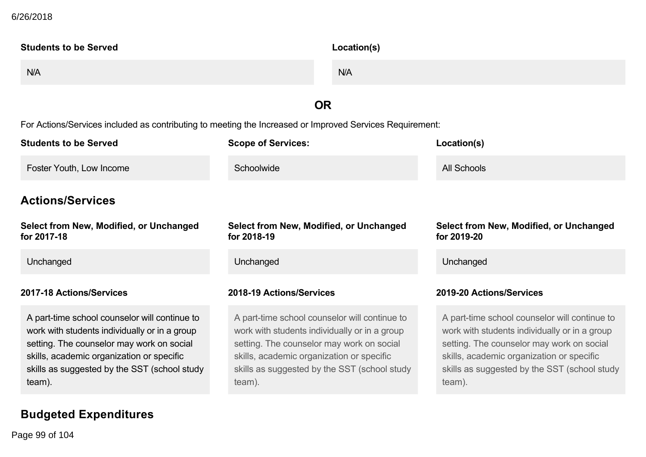| 6/26/2018                                                                                                                                                                                                                                          |                                                                                                                                                                                                                                                    |                                                                                                                                                                                                                                                    |
|----------------------------------------------------------------------------------------------------------------------------------------------------------------------------------------------------------------------------------------------------|----------------------------------------------------------------------------------------------------------------------------------------------------------------------------------------------------------------------------------------------------|----------------------------------------------------------------------------------------------------------------------------------------------------------------------------------------------------------------------------------------------------|
| <b>Students to be Served</b>                                                                                                                                                                                                                       | Location(s)                                                                                                                                                                                                                                        |                                                                                                                                                                                                                                                    |
| N/A                                                                                                                                                                                                                                                | N/A<br><b>OR</b>                                                                                                                                                                                                                                   |                                                                                                                                                                                                                                                    |
|                                                                                                                                                                                                                                                    | For Actions/Services included as contributing to meeting the Increased or Improved Services Requirement:                                                                                                                                           |                                                                                                                                                                                                                                                    |
| <b>Students to be Served</b><br>Foster Youth, Low Income                                                                                                                                                                                           | <b>Scope of Services:</b><br>Schoolwide                                                                                                                                                                                                            | Location(s)<br>All Schools                                                                                                                                                                                                                         |
|                                                                                                                                                                                                                                                    |                                                                                                                                                                                                                                                    |                                                                                                                                                                                                                                                    |
| <b>Actions/Services</b><br>Select from New, Modified, or Unchanged                                                                                                                                                                                 |                                                                                                                                                                                                                                                    | Select from New, Modified, or Unchanged                                                                                                                                                                                                            |
| for 2017-18                                                                                                                                                                                                                                        | Select from New, Modified, or Unchanged<br>for 2018-19                                                                                                                                                                                             | for 2019-20                                                                                                                                                                                                                                        |
| Unchanged                                                                                                                                                                                                                                          | Unchanged                                                                                                                                                                                                                                          | Unchanged                                                                                                                                                                                                                                          |
| 2017-18 Actions/Services                                                                                                                                                                                                                           | 2018-19 Actions/Services                                                                                                                                                                                                                           | 2019-20 Actions/Services                                                                                                                                                                                                                           |
| A part-time school counselor will continue to<br>work with students individually or in a group<br>setting. The counselor may work on social<br>skills, academic organization or specific<br>skills as suggested by the SST (school study<br>team). | A part-time school counselor will continue to<br>work with students individually or in a group<br>setting. The counselor may work on social<br>skills, academic organization or specific<br>skills as suggested by the SST (school study<br>team). | A part-time school counselor will continue to<br>work with students individually or in a group<br>setting. The counselor may work on social<br>skills, academic organization or specific<br>skills as suggested by the SST (school study<br>team). |
| <b>Budgeted Expenditures</b><br>Page 99 of 104                                                                                                                                                                                                     |                                                                                                                                                                                                                                                    |                                                                                                                                                                                                                                                    |
|                                                                                                                                                                                                                                                    |                                                                                                                                                                                                                                                    |                                                                                                                                                                                                                                                    |
|                                                                                                                                                                                                                                                    |                                                                                                                                                                                                                                                    |                                                                                                                                                                                                                                                    |
|                                                                                                                                                                                                                                                    |                                                                                                                                                                                                                                                    |                                                                                                                                                                                                                                                    |
|                                                                                                                                                                                                                                                    |                                                                                                                                                                                                                                                    |                                                                                                                                                                                                                                                    |
|                                                                                                                                                                                                                                                    |                                                                                                                                                                                                                                                    |                                                                                                                                                                                                                                                    |
|                                                                                                                                                                                                                                                    |                                                                                                                                                                                                                                                    |                                                                                                                                                                                                                                                    |
|                                                                                                                                                                                                                                                    |                                                                                                                                                                                                                                                    |                                                                                                                                                                                                                                                    |
|                                                                                                                                                                                                                                                    |                                                                                                                                                                                                                                                    |                                                                                                                                                                                                                                                    |
|                                                                                                                                                                                                                                                    |                                                                                                                                                                                                                                                    |                                                                                                                                                                                                                                                    |
|                                                                                                                                                                                                                                                    |                                                                                                                                                                                                                                                    |                                                                                                                                                                                                                                                    |
|                                                                                                                                                                                                                                                    |                                                                                                                                                                                                                                                    |                                                                                                                                                                                                                                                    |
|                                                                                                                                                                                                                                                    |                                                                                                                                                                                                                                                    |                                                                                                                                                                                                                                                    |
|                                                                                                                                                                                                                                                    |                                                                                                                                                                                                                                                    |                                                                                                                                                                                                                                                    |
|                                                                                                                                                                                                                                                    |                                                                                                                                                                                                                                                    |                                                                                                                                                                                                                                                    |
|                                                                                                                                                                                                                                                    |                                                                                                                                                                                                                                                    |                                                                                                                                                                                                                                                    |
|                                                                                                                                                                                                                                                    |                                                                                                                                                                                                                                                    |                                                                                                                                                                                                                                                    |
|                                                                                                                                                                                                                                                    |                                                                                                                                                                                                                                                    |                                                                                                                                                                                                                                                    |
|                                                                                                                                                                                                                                                    |                                                                                                                                                                                                                                                    |                                                                                                                                                                                                                                                    |
|                                                                                                                                                                                                                                                    |                                                                                                                                                                                                                                                    |                                                                                                                                                                                                                                                    |
|                                                                                                                                                                                                                                                    |                                                                                                                                                                                                                                                    |                                                                                                                                                                                                                                                    |
|                                                                                                                                                                                                                                                    |                                                                                                                                                                                                                                                    |                                                                                                                                                                                                                                                    |
|                                                                                                                                                                                                                                                    |                                                                                                                                                                                                                                                    |                                                                                                                                                                                                                                                    |
|                                                                                                                                                                                                                                                    |                                                                                                                                                                                                                                                    |                                                                                                                                                                                                                                                    |
|                                                                                                                                                                                                                                                    |                                                                                                                                                                                                                                                    |                                                                                                                                                                                                                                                    |
|                                                                                                                                                                                                                                                    |                                                                                                                                                                                                                                                    |                                                                                                                                                                                                                                                    |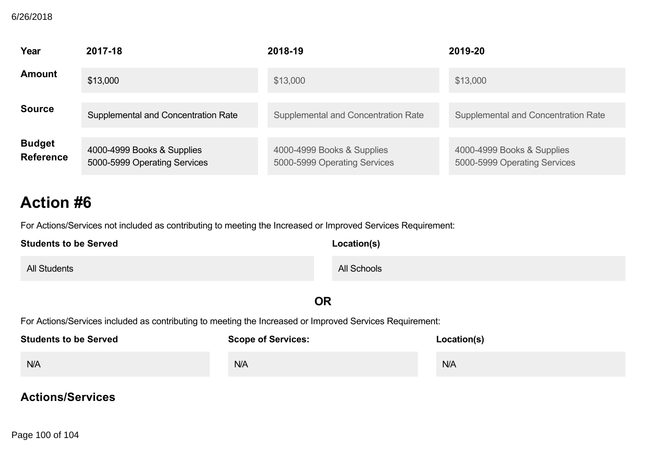| 6/26/2018                                           |                                                                                                              |     |                                     |     |                                     |
|-----------------------------------------------------|--------------------------------------------------------------------------------------------------------------|-----|-------------------------------------|-----|-------------------------------------|
| Year                                                | 2017-18                                                                                                      |     | 2018-19                             |     | 2019-20                             |
| <b>Amount</b>                                       | \$13,000                                                                                                     |     | \$13,000                            |     | \$13,000                            |
| <b>Source</b>                                       | Supplemental and Concentration Rate                                                                          |     | Supplemental and Concentration Rate |     | Supplemental and Concentration Rate |
| <b>Budget</b><br><b>Reference</b>                   | 4000-4999 Books & Supplies                                                                                   |     | 4000-4999 Books & Supplies          |     | 4000-4999 Books & Supplies          |
|                                                     | 5000-5999 Operating Services                                                                                 |     | 5000-5999 Operating Services        |     | 5000-5999 Operating Services        |
| <b>Action #6</b>                                    | For Actions/Services not included as contributing to meeting the Increased or Improved Services Requirement: |     |                                     |     |                                     |
| <b>Students to be Served</b><br><b>All Students</b> |                                                                                                              |     | Location(s)<br>All Schools          |     |                                     |
|                                                     |                                                                                                              |     |                                     |     |                                     |
|                                                     | For Actions/Services included as contributing to meeting the Increased or Improved Services Requirement:     |     | <b>OR</b>                           |     |                                     |
| <b>Students to be Served</b><br>N/A                 |                                                                                                              | N/A | <b>Scope of Services:</b>           | a i | Location(s)<br>N/A                  |
| <b>Actions/Services</b>                             |                                                                                                              |     |                                     |     |                                     |
|                                                     |                                                                                                              |     |                                     |     |                                     |
| Page 100 of 104                                     |                                                                                                              |     |                                     |     |                                     |
|                                                     |                                                                                                              |     |                                     |     |                                     |
|                                                     |                                                                                                              |     |                                     |     |                                     |
|                                                     |                                                                                                              |     |                                     |     |                                     |
|                                                     |                                                                                                              |     |                                     |     |                                     |
|                                                     |                                                                                                              |     |                                     |     |                                     |
|                                                     |                                                                                                              |     |                                     |     |                                     |
|                                                     |                                                                                                              |     |                                     |     |                                     |
|                                                     |                                                                                                              |     |                                     |     |                                     |
|                                                     |                                                                                                              |     |                                     |     |                                     |
|                                                     |                                                                                                              |     |                                     |     |                                     |
|                                                     |                                                                                                              |     |                                     |     |                                     |
|                                                     |                                                                                                              |     |                                     |     |                                     |
|                                                     |                                                                                                              |     |                                     |     |                                     |
|                                                     |                                                                                                              |     |                                     |     |                                     |
|                                                     |                                                                                                              |     |                                     |     |                                     |
|                                                     |                                                                                                              |     |                                     |     |                                     |
|                                                     |                                                                                                              |     |                                     |     |                                     |
|                                                     |                                                                                                              |     |                                     |     |                                     |
|                                                     |                                                                                                              |     |                                     |     |                                     |
|                                                     |                                                                                                              |     |                                     |     |                                     |
|                                                     |                                                                                                              |     |                                     |     |                                     |
|                                                     |                                                                                                              |     |                                     |     |                                     |
|                                                     |                                                                                                              |     |                                     |     |                                     |
|                                                     |                                                                                                              |     |                                     |     |                                     |
|                                                     |                                                                                                              |     |                                     |     |                                     |
|                                                     |                                                                                                              |     |                                     |     |                                     |
|                                                     |                                                                                                              |     |                                     |     |                                     |
|                                                     |                                                                                                              |     |                                     |     |                                     |
|                                                     |                                                                                                              |     |                                     |     |                                     |
|                                                     |                                                                                                              |     |                                     |     |                                     |
|                                                     |                                                                                                              |     |                                     |     |                                     |
|                                                     |                                                                                                              |     |                                     |     |                                     |
|                                                     |                                                                                                              |     |                                     |     |                                     |
|                                                     |                                                                                                              |     |                                     |     |                                     |
|                                                     |                                                                                                              |     |                                     |     |                                     |
|                                                     |                                                                                                              |     |                                     |     |                                     |
|                                                     |                                                                                                              |     |                                     |     |                                     |
|                                                     |                                                                                                              |     |                                     |     |                                     |
|                                                     |                                                                                                              |     |                                     |     |                                     |
|                                                     |                                                                                                              |     |                                     |     |                                     |
|                                                     |                                                                                                              |     |                                     |     |                                     |
|                                                     |                                                                                                              |     |                                     |     |                                     |
|                                                     |                                                                                                              |     |                                     |     |                                     |
|                                                     |                                                                                                              |     |                                     |     |                                     |
|                                                     |                                                                                                              |     |                                     |     |                                     |
|                                                     |                                                                                                              |     |                                     |     |                                     |
|                                                     |                                                                                                              |     |                                     |     |                                     |
|                                                     |                                                                                                              |     |                                     |     |                                     |
|                                                     |                                                                                                              |     |                                     |     |                                     |
|                                                     |                                                                                                              |     |                                     |     |                                     |

# **Action #6**

| <b>Students to be Served</b> | Location(s) |
|------------------------------|-------------|
| <b>All Students</b>          | All Schools |

| <b>Students to be Served</b> | <b>Scope of Services:</b> | Location(s) |
|------------------------------|---------------------------|-------------|
| N/A                          | <b>N/A</b>                | N/A         |

## **Actions/Services**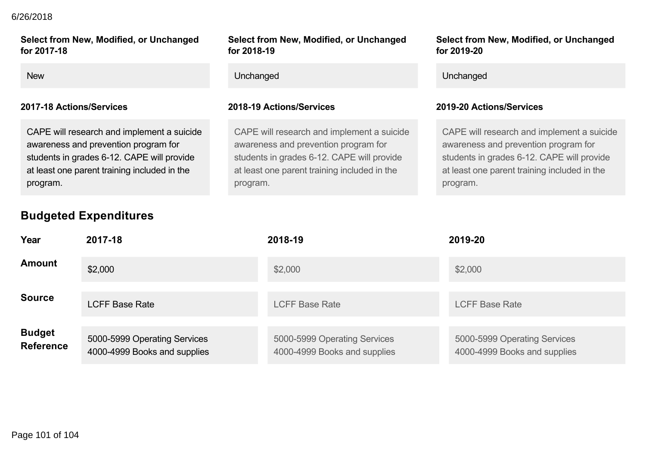#### **201718 Actions/Services 201819 Actions/Services 201920 Actions/Services**

## **Budgeted Expenditures**

#### **Select from New, Modified, or Unchanged for 201819**

#### New **New Service Contract of the Unchanged** Contract of the Unchanged Contract of the Unchanged Contract of the Unchanged

#### **Select from New, Modified, or Unchanged for 201920**

| Unchanged<br>Unchanged<br><b>New</b><br>2017-18 Actions/Services<br>2018-19 Actions/Services<br>2019-20 Actions/Services<br>CAPE will research and implement a suicide<br>CAPE will research and implement a suicide<br>awareness and prevention program for<br>awareness and prevention program for<br>awareness and prevention program for<br>students in grades 6-12. CAPE will provide<br>students in grades 6-12. CAPE will provide<br>at least one parent training included in the<br>at least one parent training included in the<br>program.<br>program.<br>program.<br><b>Budgeted Expenditures</b><br>2017-18<br>2018-19<br>2019-20<br>\$2,000<br>\$2,000<br>\$2,000<br><b>Source</b><br><b>LCFF Base Rate</b><br><b>LCFF Base Rate</b><br><b>LCFF Base Rate</b><br>5000-5999 Operating Services<br>5000-5999 Operating Services<br>5000-5999 Operating Services<br>4000-4999 Books and supplies<br>4000-4999 Books and supplies<br>4000-4999 Books and supplies<br>Page 101 of 104 | for 2017-18                       | Select from New, Modified, or Unchanged | for 2018-19 | Select from New, Modified, or Unchanged | Select from New, Modified, or Unchanged<br>for 2019-20                                                                                   |  |  |
|-----------------------------------------------------------------------------------------------------------------------------------------------------------------------------------------------------------------------------------------------------------------------------------------------------------------------------------------------------------------------------------------------------------------------------------------------------------------------------------------------------------------------------------------------------------------------------------------------------------------------------------------------------------------------------------------------------------------------------------------------------------------------------------------------------------------------------------------------------------------------------------------------------------------------------------------------------------------------------------------------|-----------------------------------|-----------------------------------------|-------------|-----------------------------------------|------------------------------------------------------------------------------------------------------------------------------------------|--|--|
|                                                                                                                                                                                                                                                                                                                                                                                                                                                                                                                                                                                                                                                                                                                                                                                                                                                                                                                                                                                               |                                   |                                         |             |                                         |                                                                                                                                          |  |  |
|                                                                                                                                                                                                                                                                                                                                                                                                                                                                                                                                                                                                                                                                                                                                                                                                                                                                                                                                                                                               |                                   |                                         |             |                                         |                                                                                                                                          |  |  |
|                                                                                                                                                                                                                                                                                                                                                                                                                                                                                                                                                                                                                                                                                                                                                                                                                                                                                                                                                                                               |                                   |                                         |             |                                         | CAPE will research and implement a suicide<br>students in grades 6-12. CAPE will provide<br>at least one parent training included in the |  |  |
|                                                                                                                                                                                                                                                                                                                                                                                                                                                                                                                                                                                                                                                                                                                                                                                                                                                                                                                                                                                               |                                   |                                         |             |                                         |                                                                                                                                          |  |  |
|                                                                                                                                                                                                                                                                                                                                                                                                                                                                                                                                                                                                                                                                                                                                                                                                                                                                                                                                                                                               | Year                              |                                         |             |                                         |                                                                                                                                          |  |  |
|                                                                                                                                                                                                                                                                                                                                                                                                                                                                                                                                                                                                                                                                                                                                                                                                                                                                                                                                                                                               | <b>Amount</b>                     |                                         |             |                                         |                                                                                                                                          |  |  |
|                                                                                                                                                                                                                                                                                                                                                                                                                                                                                                                                                                                                                                                                                                                                                                                                                                                                                                                                                                                               |                                   |                                         |             |                                         |                                                                                                                                          |  |  |
|                                                                                                                                                                                                                                                                                                                                                                                                                                                                                                                                                                                                                                                                                                                                                                                                                                                                                                                                                                                               | <b>Budget</b><br><b>Reference</b> |                                         |             |                                         |                                                                                                                                          |  |  |
|                                                                                                                                                                                                                                                                                                                                                                                                                                                                                                                                                                                                                                                                                                                                                                                                                                                                                                                                                                                               |                                   |                                         |             |                                         |                                                                                                                                          |  |  |
|                                                                                                                                                                                                                                                                                                                                                                                                                                                                                                                                                                                                                                                                                                                                                                                                                                                                                                                                                                                               |                                   |                                         |             |                                         |                                                                                                                                          |  |  |
|                                                                                                                                                                                                                                                                                                                                                                                                                                                                                                                                                                                                                                                                                                                                                                                                                                                                                                                                                                                               |                                   |                                         |             |                                         |                                                                                                                                          |  |  |
|                                                                                                                                                                                                                                                                                                                                                                                                                                                                                                                                                                                                                                                                                                                                                                                                                                                                                                                                                                                               |                                   |                                         |             |                                         |                                                                                                                                          |  |  |
|                                                                                                                                                                                                                                                                                                                                                                                                                                                                                                                                                                                                                                                                                                                                                                                                                                                                                                                                                                                               |                                   |                                         |             |                                         |                                                                                                                                          |  |  |
|                                                                                                                                                                                                                                                                                                                                                                                                                                                                                                                                                                                                                                                                                                                                                                                                                                                                                                                                                                                               |                                   |                                         |             |                                         |                                                                                                                                          |  |  |
|                                                                                                                                                                                                                                                                                                                                                                                                                                                                                                                                                                                                                                                                                                                                                                                                                                                                                                                                                                                               |                                   |                                         |             |                                         |                                                                                                                                          |  |  |
|                                                                                                                                                                                                                                                                                                                                                                                                                                                                                                                                                                                                                                                                                                                                                                                                                                                                                                                                                                                               |                                   |                                         |             |                                         |                                                                                                                                          |  |  |
|                                                                                                                                                                                                                                                                                                                                                                                                                                                                                                                                                                                                                                                                                                                                                                                                                                                                                                                                                                                               |                                   |                                         |             |                                         |                                                                                                                                          |  |  |
|                                                                                                                                                                                                                                                                                                                                                                                                                                                                                                                                                                                                                                                                                                                                                                                                                                                                                                                                                                                               |                                   |                                         |             |                                         |                                                                                                                                          |  |  |
|                                                                                                                                                                                                                                                                                                                                                                                                                                                                                                                                                                                                                                                                                                                                                                                                                                                                                                                                                                                               |                                   |                                         |             |                                         |                                                                                                                                          |  |  |
|                                                                                                                                                                                                                                                                                                                                                                                                                                                                                                                                                                                                                                                                                                                                                                                                                                                                                                                                                                                               |                                   |                                         |             |                                         |                                                                                                                                          |  |  |
|                                                                                                                                                                                                                                                                                                                                                                                                                                                                                                                                                                                                                                                                                                                                                                                                                                                                                                                                                                                               |                                   |                                         |             |                                         |                                                                                                                                          |  |  |
|                                                                                                                                                                                                                                                                                                                                                                                                                                                                                                                                                                                                                                                                                                                                                                                                                                                                                                                                                                                               |                                   |                                         |             |                                         |                                                                                                                                          |  |  |
|                                                                                                                                                                                                                                                                                                                                                                                                                                                                                                                                                                                                                                                                                                                                                                                                                                                                                                                                                                                               |                                   |                                         |             |                                         |                                                                                                                                          |  |  |
|                                                                                                                                                                                                                                                                                                                                                                                                                                                                                                                                                                                                                                                                                                                                                                                                                                                                                                                                                                                               |                                   |                                         |             |                                         |                                                                                                                                          |  |  |
|                                                                                                                                                                                                                                                                                                                                                                                                                                                                                                                                                                                                                                                                                                                                                                                                                                                                                                                                                                                               |                                   |                                         |             |                                         |                                                                                                                                          |  |  |
|                                                                                                                                                                                                                                                                                                                                                                                                                                                                                                                                                                                                                                                                                                                                                                                                                                                                                                                                                                                               |                                   |                                         |             |                                         |                                                                                                                                          |  |  |
|                                                                                                                                                                                                                                                                                                                                                                                                                                                                                                                                                                                                                                                                                                                                                                                                                                                                                                                                                                                               |                                   |                                         |             |                                         |                                                                                                                                          |  |  |
|                                                                                                                                                                                                                                                                                                                                                                                                                                                                                                                                                                                                                                                                                                                                                                                                                                                                                                                                                                                               |                                   |                                         |             |                                         |                                                                                                                                          |  |  |
|                                                                                                                                                                                                                                                                                                                                                                                                                                                                                                                                                                                                                                                                                                                                                                                                                                                                                                                                                                                               |                                   |                                         |             |                                         |                                                                                                                                          |  |  |
|                                                                                                                                                                                                                                                                                                                                                                                                                                                                                                                                                                                                                                                                                                                                                                                                                                                                                                                                                                                               |                                   |                                         |             |                                         |                                                                                                                                          |  |  |
|                                                                                                                                                                                                                                                                                                                                                                                                                                                                                                                                                                                                                                                                                                                                                                                                                                                                                                                                                                                               |                                   |                                         |             |                                         |                                                                                                                                          |  |  |
|                                                                                                                                                                                                                                                                                                                                                                                                                                                                                                                                                                                                                                                                                                                                                                                                                                                                                                                                                                                               |                                   |                                         |             |                                         |                                                                                                                                          |  |  |
|                                                                                                                                                                                                                                                                                                                                                                                                                                                                                                                                                                                                                                                                                                                                                                                                                                                                                                                                                                                               |                                   |                                         |             |                                         |                                                                                                                                          |  |  |
|                                                                                                                                                                                                                                                                                                                                                                                                                                                                                                                                                                                                                                                                                                                                                                                                                                                                                                                                                                                               |                                   |                                         |             |                                         |                                                                                                                                          |  |  |
|                                                                                                                                                                                                                                                                                                                                                                                                                                                                                                                                                                                                                                                                                                                                                                                                                                                                                                                                                                                               |                                   |                                         |             |                                         |                                                                                                                                          |  |  |
|                                                                                                                                                                                                                                                                                                                                                                                                                                                                                                                                                                                                                                                                                                                                                                                                                                                                                                                                                                                               |                                   |                                         |             |                                         |                                                                                                                                          |  |  |
|                                                                                                                                                                                                                                                                                                                                                                                                                                                                                                                                                                                                                                                                                                                                                                                                                                                                                                                                                                                               |                                   |                                         |             |                                         |                                                                                                                                          |  |  |
|                                                                                                                                                                                                                                                                                                                                                                                                                                                                                                                                                                                                                                                                                                                                                                                                                                                                                                                                                                                               |                                   |                                         |             |                                         |                                                                                                                                          |  |  |
|                                                                                                                                                                                                                                                                                                                                                                                                                                                                                                                                                                                                                                                                                                                                                                                                                                                                                                                                                                                               |                                   |                                         |             |                                         |                                                                                                                                          |  |  |
|                                                                                                                                                                                                                                                                                                                                                                                                                                                                                                                                                                                                                                                                                                                                                                                                                                                                                                                                                                                               |                                   |                                         |             |                                         |                                                                                                                                          |  |  |
|                                                                                                                                                                                                                                                                                                                                                                                                                                                                                                                                                                                                                                                                                                                                                                                                                                                                                                                                                                                               |                                   |                                         |             |                                         |                                                                                                                                          |  |  |
|                                                                                                                                                                                                                                                                                                                                                                                                                                                                                                                                                                                                                                                                                                                                                                                                                                                                                                                                                                                               |                                   |                                         |             |                                         |                                                                                                                                          |  |  |
|                                                                                                                                                                                                                                                                                                                                                                                                                                                                                                                                                                                                                                                                                                                                                                                                                                                                                                                                                                                               |                                   |                                         |             |                                         |                                                                                                                                          |  |  |
|                                                                                                                                                                                                                                                                                                                                                                                                                                                                                                                                                                                                                                                                                                                                                                                                                                                                                                                                                                                               |                                   |                                         |             |                                         |                                                                                                                                          |  |  |
|                                                                                                                                                                                                                                                                                                                                                                                                                                                                                                                                                                                                                                                                                                                                                                                                                                                                                                                                                                                               |                                   |                                         |             |                                         |                                                                                                                                          |  |  |
|                                                                                                                                                                                                                                                                                                                                                                                                                                                                                                                                                                                                                                                                                                                                                                                                                                                                                                                                                                                               |                                   |                                         |             |                                         |                                                                                                                                          |  |  |
|                                                                                                                                                                                                                                                                                                                                                                                                                                                                                                                                                                                                                                                                                                                                                                                                                                                                                                                                                                                               |                                   |                                         |             |                                         |                                                                                                                                          |  |  |
|                                                                                                                                                                                                                                                                                                                                                                                                                                                                                                                                                                                                                                                                                                                                                                                                                                                                                                                                                                                               |                                   |                                         |             |                                         |                                                                                                                                          |  |  |
|                                                                                                                                                                                                                                                                                                                                                                                                                                                                                                                                                                                                                                                                                                                                                                                                                                                                                                                                                                                               |                                   |                                         |             |                                         |                                                                                                                                          |  |  |
|                                                                                                                                                                                                                                                                                                                                                                                                                                                                                                                                                                                                                                                                                                                                                                                                                                                                                                                                                                                               |                                   |                                         |             |                                         |                                                                                                                                          |  |  |
|                                                                                                                                                                                                                                                                                                                                                                                                                                                                                                                                                                                                                                                                                                                                                                                                                                                                                                                                                                                               |                                   |                                         |             |                                         |                                                                                                                                          |  |  |
|                                                                                                                                                                                                                                                                                                                                                                                                                                                                                                                                                                                                                                                                                                                                                                                                                                                                                                                                                                                               |                                   |                                         |             |                                         |                                                                                                                                          |  |  |
|                                                                                                                                                                                                                                                                                                                                                                                                                                                                                                                                                                                                                                                                                                                                                                                                                                                                                                                                                                                               |                                   |                                         |             |                                         |                                                                                                                                          |  |  |
|                                                                                                                                                                                                                                                                                                                                                                                                                                                                                                                                                                                                                                                                                                                                                                                                                                                                                                                                                                                               |                                   |                                         |             |                                         |                                                                                                                                          |  |  |
|                                                                                                                                                                                                                                                                                                                                                                                                                                                                                                                                                                                                                                                                                                                                                                                                                                                                                                                                                                                               |                                   |                                         |             |                                         |                                                                                                                                          |  |  |
|                                                                                                                                                                                                                                                                                                                                                                                                                                                                                                                                                                                                                                                                                                                                                                                                                                                                                                                                                                                               |                                   |                                         |             |                                         |                                                                                                                                          |  |  |
|                                                                                                                                                                                                                                                                                                                                                                                                                                                                                                                                                                                                                                                                                                                                                                                                                                                                                                                                                                                               |                                   |                                         |             |                                         |                                                                                                                                          |  |  |
|                                                                                                                                                                                                                                                                                                                                                                                                                                                                                                                                                                                                                                                                                                                                                                                                                                                                                                                                                                                               |                                   |                                         |             |                                         |                                                                                                                                          |  |  |
|                                                                                                                                                                                                                                                                                                                                                                                                                                                                                                                                                                                                                                                                                                                                                                                                                                                                                                                                                                                               |                                   |                                         |             |                                         |                                                                                                                                          |  |  |
|                                                                                                                                                                                                                                                                                                                                                                                                                                                                                                                                                                                                                                                                                                                                                                                                                                                                                                                                                                                               |                                   |                                         |             |                                         |                                                                                                                                          |  |  |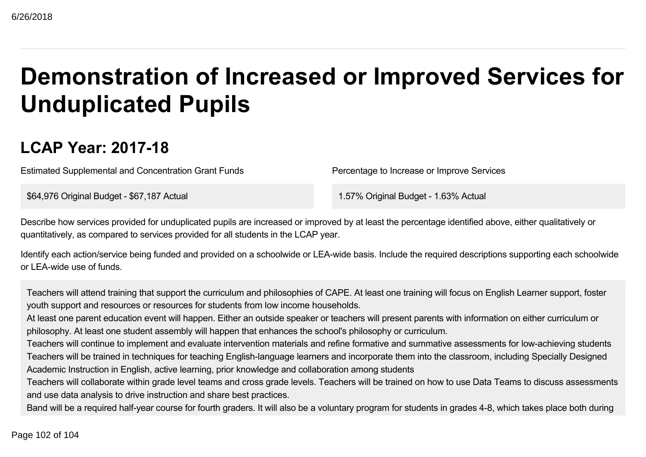# **Demonstration of Increased or Improved Services for Unduplicated Pupils** 6/26/2018<br> **Undup**<br> **CAP Yea**<br>
Estimated Supplem<br>
\$64,976 Original E<br>
Describe how servic<br>
quantitatively, as co<br>
dentify each action<br>
or LEA-wide use of<br>
Teachers will atter<br>
youth support and<br>
At least one parer<br>
philoso

# **LCAP Year: 2017-18**

Estimated Supplemental and Concentration Grant Funds Percentage to Increase or Improve Services

\$64,976 Original Budget \$67,187 Actual 1.57% Original Budget 1.63% Actual

Describe how services provided for unduplicated pupils are increased or improved by at least the percentage identified above, either qualitatively or quantitatively, as compared to services provided for all students in the LCAP year.

Identify each action/service being funded and provided on a schoolwide or LEA-wide basis. Include the required descriptions supporting each schoolwide or LEAwide use of funds.

Teachers will attend training that support the curriculum and philosophies of CAPE. At least one training will focus on English Learner support, foster youth support and resources or resources for students from low income households.

At least one parent education event will happen. Either an outside speaker or teachers will present parents with information on either curriculum or philosophy. At least one student assembly will happen that enhances the school's philosophy or curriculum.

Teachers will continue to implement and evaluate intervention materials and refine formative and summative assessments for lowachieving students Teachers will be trained in techniques for teaching English-language learners and incorporate them into the classroom, including Specially Designed Academic Instruction in English, active learning, prior knowledge and collaboration among students

Teachers will collaborate within grade level teams and cross grade levels. Teachers will be trained on how to use Data Teams to discuss assessments and use data analysis to drive instruction and share best practices.

Band will be a required half-year course for fourth graders. It will also be a voluntary program for students in grades 4-8, which takes place both during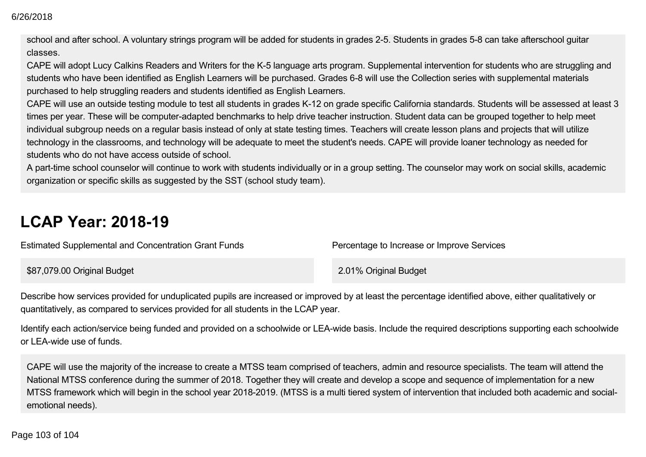#### $3/2018$

school and after school. A voluntary strings program will be added for students in grades 2-5. Students in grades 5-8 can take afterschool guitar classes.

CAPE will adopt Lucy Calkins Readers and Writers for the K-5 language arts program. Supplemental intervention for students who are struggling and students who have been identified as English Learners will be purchased. Grades 6-8 will use the Collection series with supplemental materials purchased to help struggling readers and students identified as English Learners.

CAPE will use an outside testing module to test all students in grades K12 on grade specific California standards. Students will be assessed at least 3 times per year. These will be computer-adapted benchmarks to help drive teacher instruction. Student data can be grouped together to help meet individual subgroup needs on a regular basis instead of only at state testing times. Teachers will create lesson plans and projects that will utilize technology in the classrooms, and technology will be adequate to meet the student's needs. CAPE will provide loaner technology as needed for students who do not have access outside of school. 6/26/2018<br>
school and after s<br>
classes.<br>
CAPE will adopt L<br>
students who have purchased to help<br>
CAPE will use an<br>
times per year. The individual subgrout<br>
technology in the<br>
students who do r<br>
A part-time school<br>
organiz

A part-time school counselor will continue to work with students individually or in a group setting. The counselor may work on social skills, academic organization or specific skills as suggested by the SST (school study team).

# **LCAP Year: 201819**

| <b>Estimated Supplemental and Concentration Grant Funds</b> | Percentage to Increase or Improve Services |
|-------------------------------------------------------------|--------------------------------------------|
| $$87,079.00$ Original Budget                                | 2.01% Original Budget                      |

Describe how services provided for unduplicated pupils are increased or improved by at least the percentage identified above, either qualitatively or quantitatively, as compared to services provided for all students in the LCAP year.

Identify each action/service being funded and provided on a schoolwide or LEA-wide basis. Include the required descriptions supporting each schoolwide or LEAwide use of funds.

CAPE will use the majority of the increase to create a MTSS team comprised of teachers, admin and resource specialists. The team will attend the National MTSS conference during the summer of 2018. Together they will create and develop a scope and sequence of implementation for a new MTSS framework which will begin in the school year 2018-2019. (MTSS is a multi tiered system of intervention that included both academic and socialemotional needs).